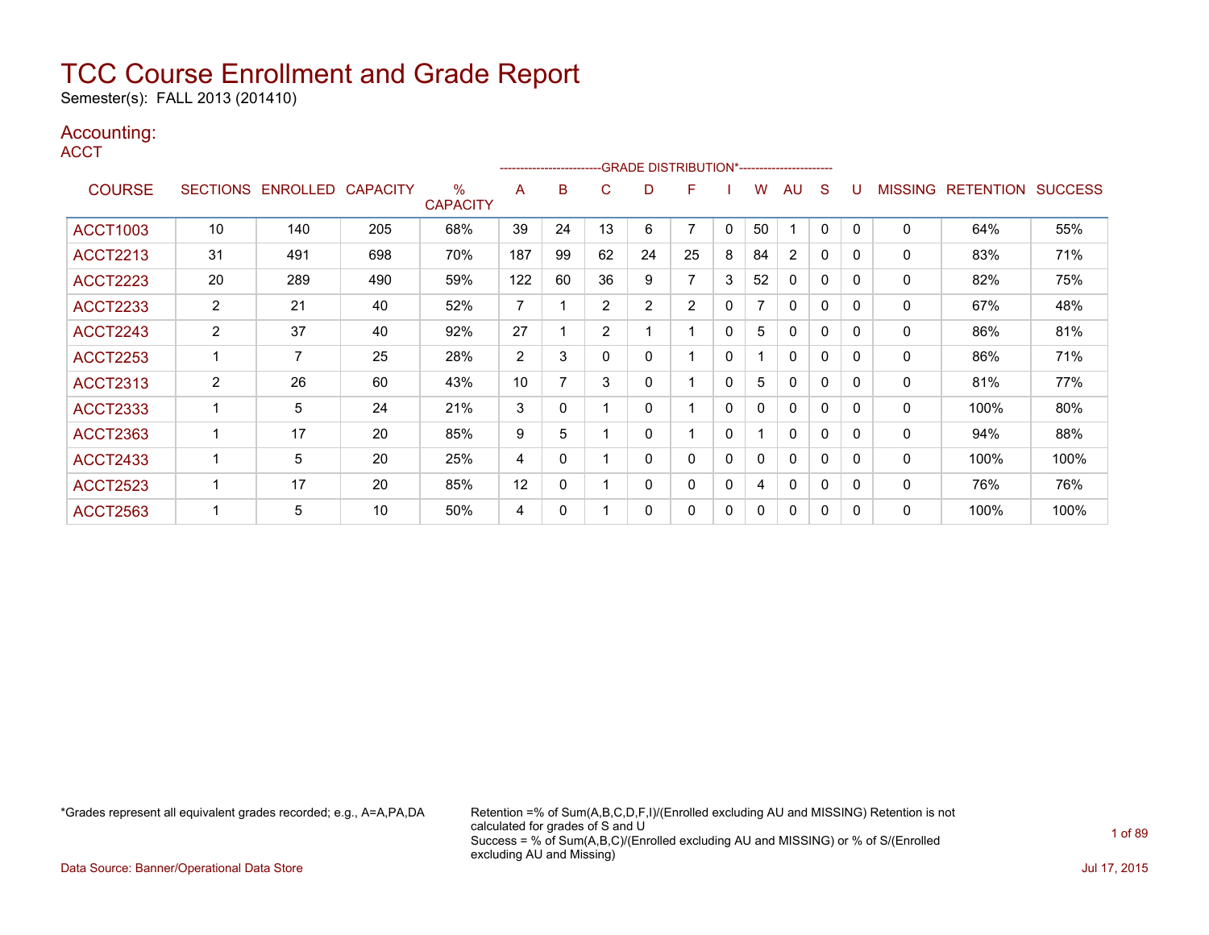Semester(s): FALL 2013 (201410)

### Accounting:

**ACCT** 

|                 |                 |          |                 |                         | ------------------------ |    |                | -GRADE DISTRIBUTION*------------------------ |                |              |          |              |              |          |                |                  |                |
|-----------------|-----------------|----------|-----------------|-------------------------|--------------------------|----|----------------|----------------------------------------------|----------------|--------------|----------|--------------|--------------|----------|----------------|------------------|----------------|
| <b>COURSE</b>   | <b>SECTIONS</b> | ENROLLED | <b>CAPACITY</b> | $\%$<br><b>CAPACITY</b> | A                        | B  | C              | D                                            | F              |              | w        | AU           | S            |          | <b>MISSING</b> | <b>RETENTION</b> | <b>SUCCESS</b> |
| <b>ACCT1003</b> | 10              | 140      | 205             | 68%                     | 39                       | 24 | 13             | 6                                            | 7              | $\mathbf{0}$ | 50       |              | 0            | 0        | 0              | 64%              | 55%            |
| <b>ACCT2213</b> | 31              | 491      | 698             | 70%                     | 187                      | 99 | 62             | 24                                           | 25             | 8            | 84       | 2            | 0            | $\Omega$ | 0              | 83%              | 71%            |
| <b>ACCT2223</b> | 20              | 289      | 490             | 59%                     | 122                      | 60 | 36             | 9                                            | 7              | 3            | 52       | 0            | 0            | $\Omega$ | 0              | 82%              | 75%            |
| <b>ACCT2233</b> | $\overline{2}$  | 21       | 40              | 52%                     | 7                        |    | $\overline{2}$ | $\overline{2}$                               | $\overline{2}$ | 0            | 7        | 0            | 0            | $\Omega$ | 0              | 67%              | 48%            |
| <b>ACCT2243</b> | 2               | 37       | 40              | 92%                     | 27                       |    | 2              |                                              |                | 0            | 5        | 0            | $\mathbf 0$  | 0        | 0              | 86%              | 81%            |
| <b>ACCT2253</b> |                 | 7        | 25              | 28%                     | 2                        | 3  | 0              | 0                                            |                | 0            |          | 0            | 0            | $\Omega$ | 0              | 86%              | 71%            |
| <b>ACCT2313</b> | $\overline{2}$  | 26       | 60              | 43%                     | 10                       | 7  | 3              | 0                                            |                | $\Omega$     | 5        | 0            | $\mathbf 0$  | $\Omega$ | 0              | 81%              | 77%            |
| <b>ACCT2333</b> |                 | 5        | 24              | 21%                     | 3                        | 0  |                | 0                                            |                | 0            | 0        | 0            | 0            | $\Omega$ | 0              | 100%             | 80%            |
| <b>ACCT2363</b> |                 | 17       | 20              | 85%                     | 9                        | 5  |                | 0                                            |                | 0            |          | 0            | $\mathbf 0$  | $\Omega$ | 0              | 94%              | 88%            |
| <b>ACCT2433</b> |                 | 5        | 20              | 25%                     | 4                        | 0  |                | 0                                            | 0              | $\mathbf{0}$ | $\Omega$ | $\mathbf{0}$ | $\mathbf{0}$ | $\Omega$ | 0              | 100%             | 100%           |
| <b>ACCT2523</b> |                 | 17       | 20              | 85%                     | 12                       | 0  |                | 0                                            | 0              | 0            | 4        | 0            | 0            | $\Omega$ | 0              | 76%              | 76%            |
| <b>ACCT2563</b> |                 | 5        | 10              | 50%                     | 4                        | 0  |                | 0                                            | 0              | 0            | 0        | 0            | 0            | $\Omega$ | 0              | 100%             | 100%           |

\*Grades represent all equivalent grades recorded; e.g., A=A,PA,DA Retention =% of Sum(A,B,C,D,F,I)/(Enrolled excluding AU and MISSING) Retention is not calculated for grades of S and U Success = % of Sum(A,B,C)/(Enrolled excluding AU and MISSING) or % of S/(Enrolled excluding AU and Missing)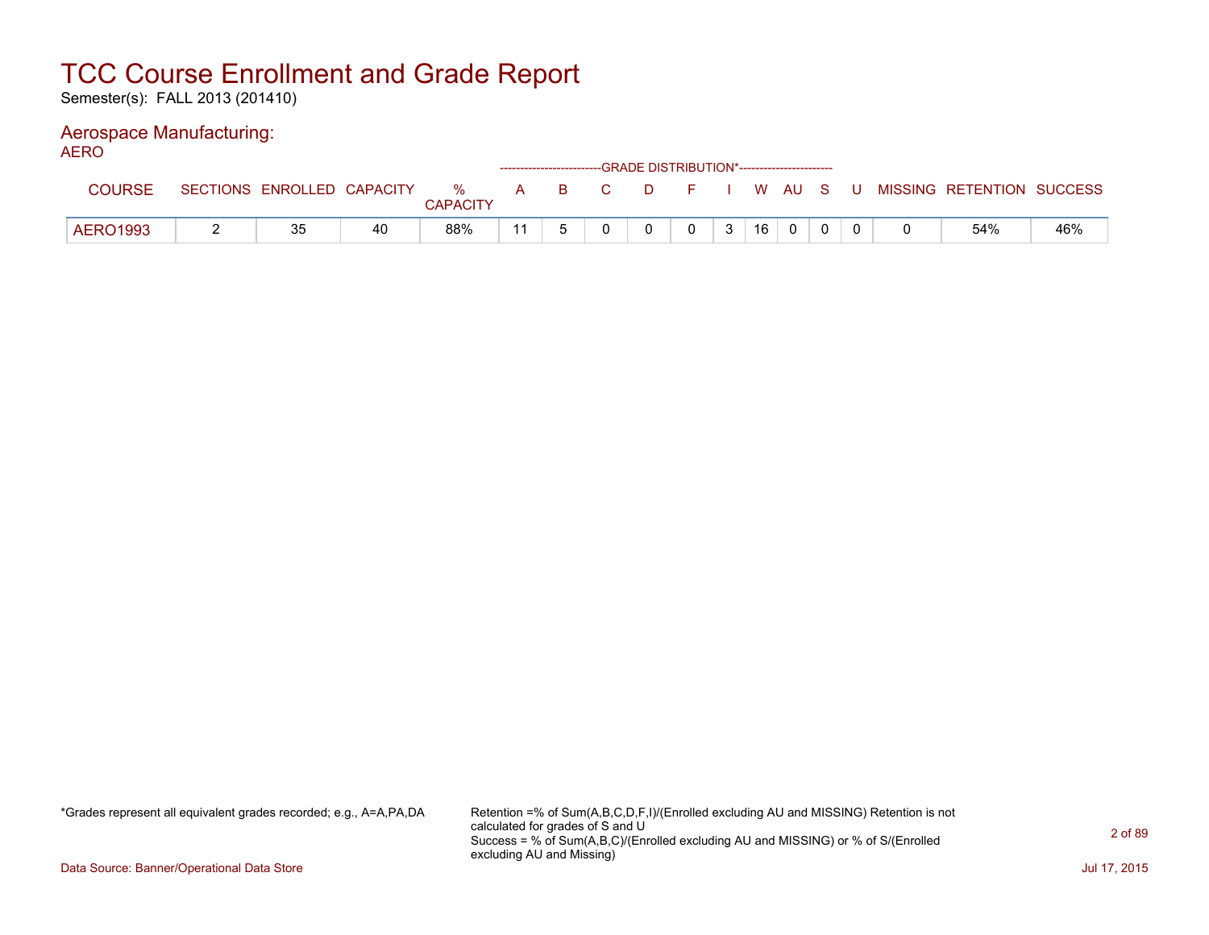Semester(s): FALL 2013 (201410)

### Aerospace Manufacturing:

AERO

|                 |                            |    |          |  | ------------------------GRADE DISTRIBUTION*----------------------- |  |              |    |  |  |                                          |     |
|-----------------|----------------------------|----|----------|--|--------------------------------------------------------------------|--|--------------|----|--|--|------------------------------------------|-----|
| COURSE          | SECTIONS ENROLLED CAPACITY |    | %        |  | A B C                                                              |  |              |    |  |  | D F I W AU S U MISSING RETENTION SUCCESS |     |
|                 |                            |    | CAPACITY |  |                                                                    |  |              |    |  |  |                                          |     |
| <b>AERO1993</b> | 35                         | 40 | 88%      |  |                                                                    |  | $\mathbf{r}$ | 16 |  |  | 54%                                      | 46% |

\*Grades represent all equivalent grades recorded; e.g., A=A,PA,DA Retention =% of Sum(A,B,C,D,F,I)/(Enrolled excluding AU and MISSING) Retention is not calculated for grades of S and U Success = % of Sum(A,B,C)/(Enrolled excluding AU and MISSING) or % of S/(Enrolled excluding AU and Missing)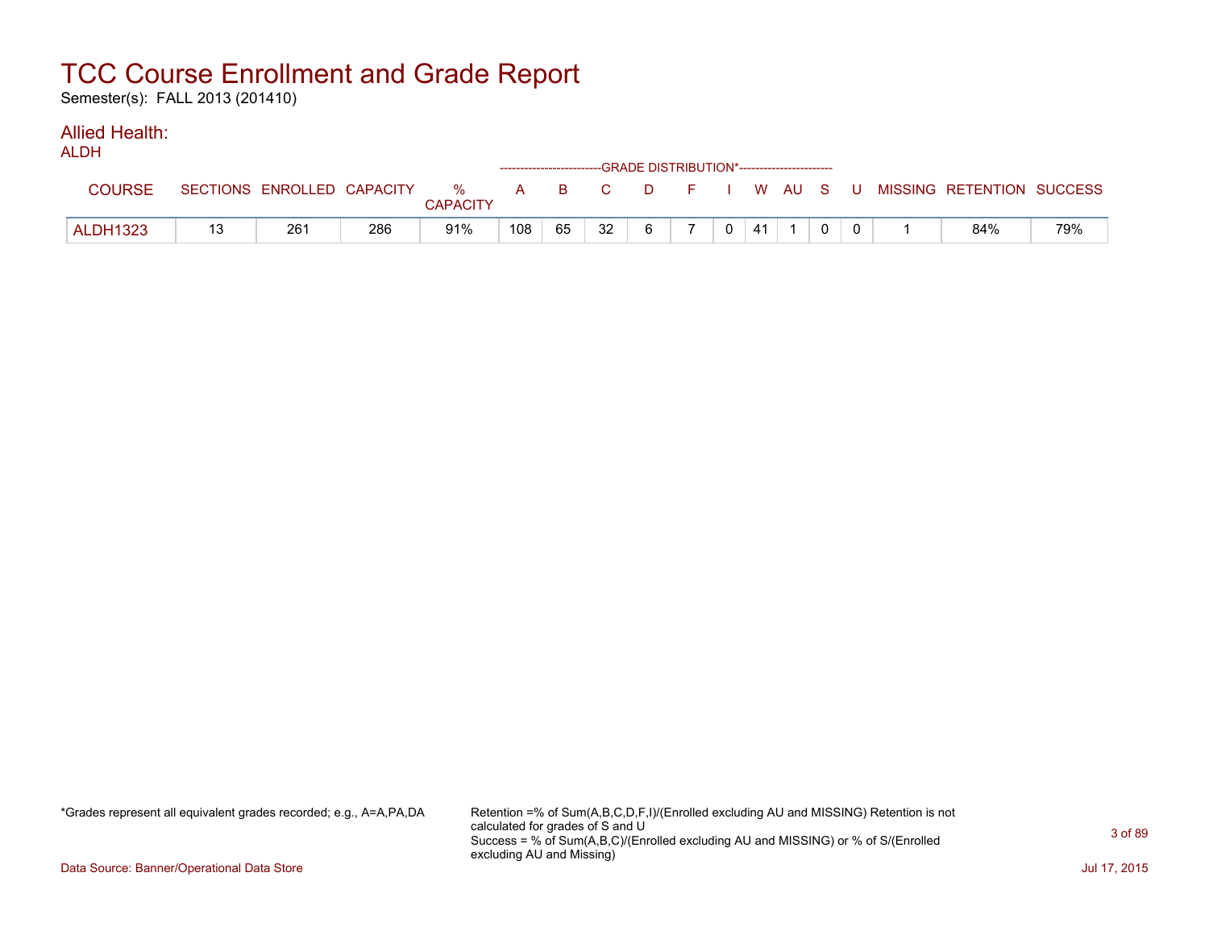Semester(s): FALL 2013 (201410)

#### Allied Health: ALDH<sub>1</sub>

| ALDN            |                            |     |                      | ------------------------GRADE DISTRIBUTION*----------------------- |       |    |    |          |    |  |  |                           |     |
|-----------------|----------------------------|-----|----------------------|--------------------------------------------------------------------|-------|----|----|----------|----|--|--|---------------------------|-----|
| <b>COURSE</b>   | SECTIONS ENROLLED CAPACITY |     | %<br><b>CAPACITY</b> |                                                                    | A B C |    |    | DFIWAUSU |    |  |  | MISSING RETENTION SUCCESS |     |
| <b>ALDH1323</b> | 261                        | 286 | 91%                  | 108                                                                | 65    | 32 | 6. |          | 41 |  |  | 84%                       | 79% |

\*Grades represent all equivalent grades recorded; e.g., A=A,PA,DA Retention =% of Sum(A,B,C,D,F,I)/(Enrolled excluding AU and MISSING) Retention is not calculated for grades of S and U Success = % of Sum(A,B,C)/(Enrolled excluding AU and MISSING) or % of S/(Enrolled excluding AU and Missing)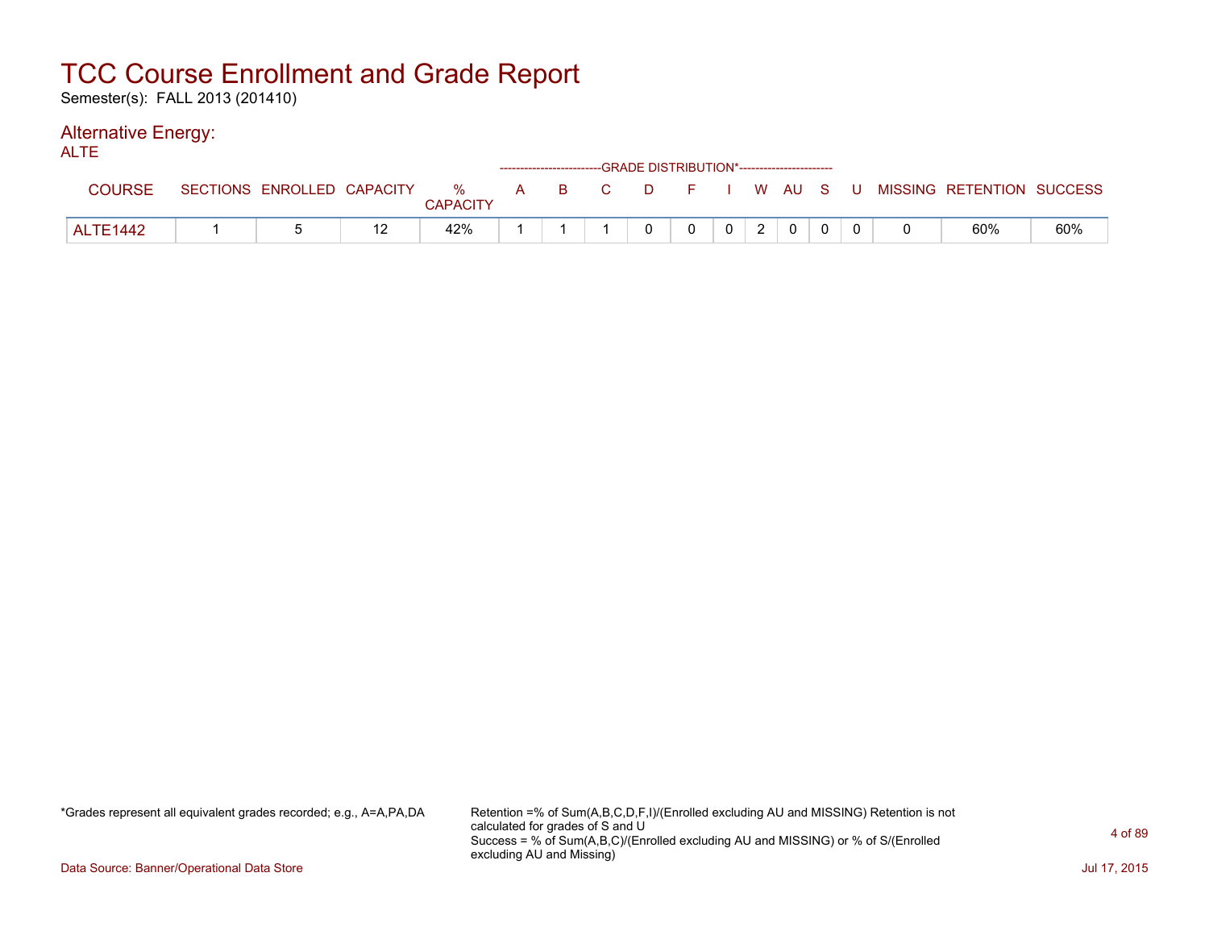Semester(s): FALL 2013 (201410)

#### Alternative Energy: ALTE

| ᄮᄕ              |                            |                 |  |              | ------------------------GRADE DISTRIBUTION*----------------------- |                |   |                |  |                                                  |     |
|-----------------|----------------------------|-----------------|--|--------------|--------------------------------------------------------------------|----------------|---|----------------|--|--------------------------------------------------|-----|
| <b>COURSE</b>   | SECTIONS ENROLLED CAPACITY | <b>CAPACITY</b> |  |              |                                                                    |                |   |                |  | % A B C D F I W AU S U MISSING RETENTION SUCCESS |     |
| <b>ALTE1442</b> |                            | 42%             |  | <sup>n</sup> | $\Omega$                                                           | 0 <sup>1</sup> | 2 | $\overline{0}$ |  | 60%                                              | 60% |

\*Grades represent all equivalent grades recorded; e.g., A=A,PA,DA Retention =% of Sum(A,B,C,D,F,I)/(Enrolled excluding AU and MISSING) Retention is not calculated for grades of S and U Success = % of Sum(A,B,C)/(Enrolled excluding AU and MISSING) or % of S/(Enrolled excluding AU and Missing)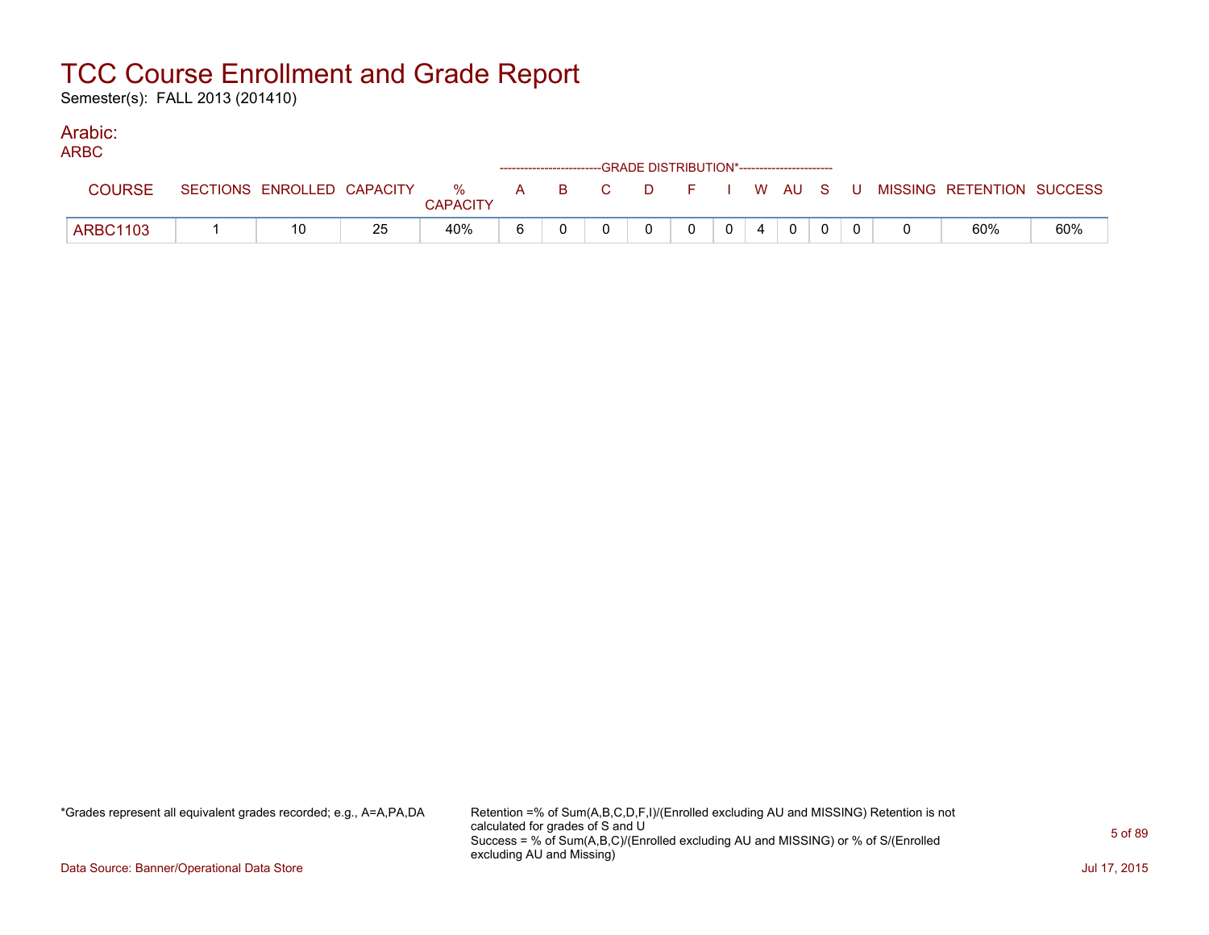Semester(s): FALL 2013 (201410)

### Arabic:

| <b>ARBC</b>     |                            |    |                         |   |  | ------------------------GRADE DISTRIBUTION*----------------------- |       |                |  |  |                                                |     |
|-----------------|----------------------------|----|-------------------------|---|--|--------------------------------------------------------------------|-------|----------------|--|--|------------------------------------------------|-----|
| <b>COURSE</b>   | SECTIONS ENROLLED CAPACITY |    | $\%$<br><b>CAPACITY</b> |   |  |                                                                    |       |                |  |  | A B C D F I W AU S U MISSING—RETENTION SUCCESS |     |
| <b>ARBC1103</b> |                            | 25 | 40%                     | 6 |  |                                                                    | $0-1$ | $\overline{4}$ |  |  | 60%                                            | 60% |

\*Grades represent all equivalent grades recorded; e.g., A=A,PA,DA Retention =% of Sum(A,B,C,D,F,I)/(Enrolled excluding AU and MISSING) Retention is not calculated for grades of S and U Success = % of Sum(A,B,C)/(Enrolled excluding AU and MISSING) or % of S/(Enrolled excluding AU and Missing)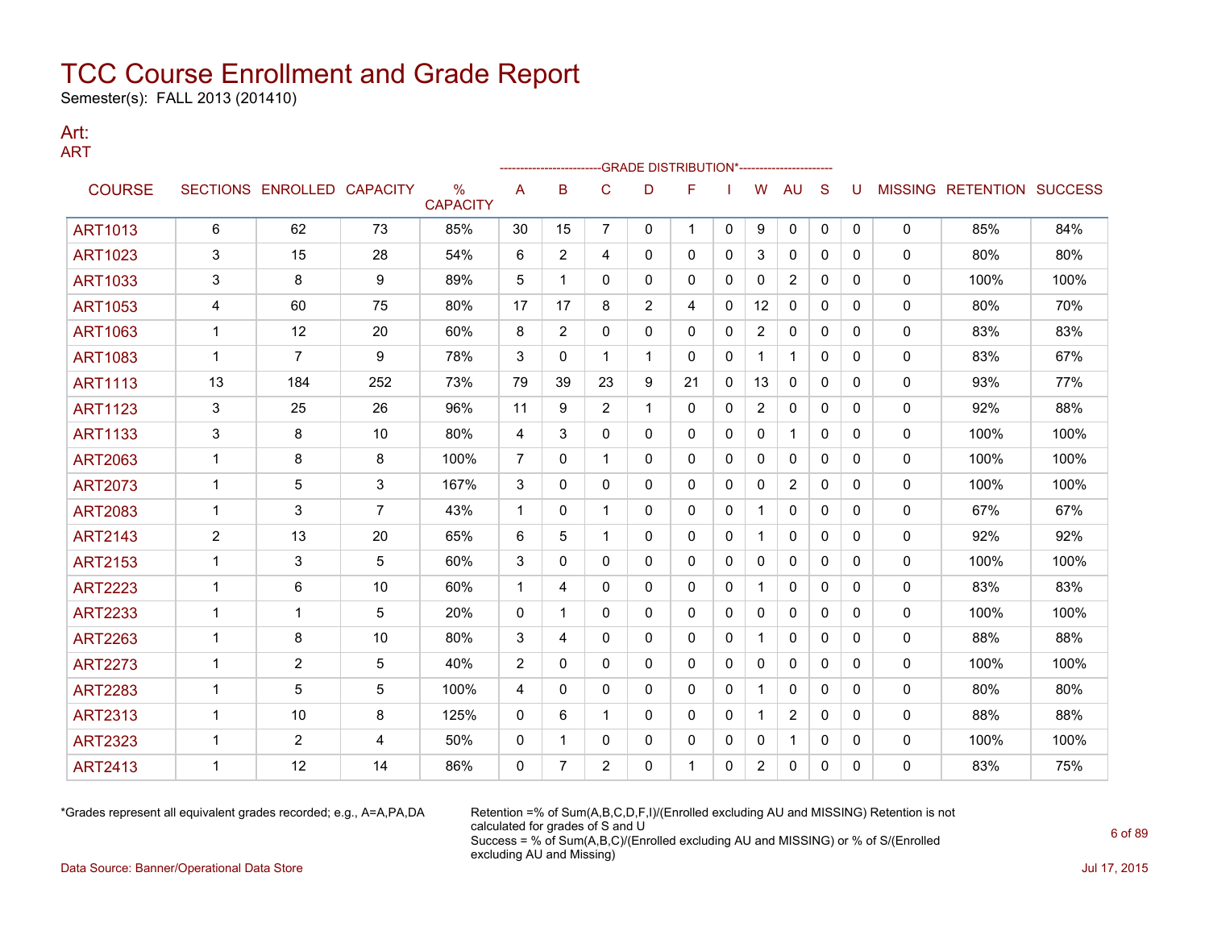Semester(s): FALL 2013 (201410)

#### Art: ART

|                |                |                            |                |                                  |                | ------------------- |                | -- GRADE DISTRIBUTION*----------------------- |              |              |                   |                |              |              |   |                           |      |
|----------------|----------------|----------------------------|----------------|----------------------------------|----------------|---------------------|----------------|-----------------------------------------------|--------------|--------------|-------------------|----------------|--------------|--------------|---|---------------------------|------|
| <b>COURSE</b>  |                | SECTIONS ENROLLED CAPACITY |                | $\frac{0}{0}$<br><b>CAPACITY</b> | A              | B                   | C              | D                                             | F            |              | W                 | <b>AU</b>      | S            | U            |   | MISSING RETENTION SUCCESS |      |
| <b>ART1013</b> | 6              | 62                         | 73             | 85%                              | 30             | 15                  | $\overline{7}$ | 0                                             | 1            | $\mathbf{0}$ | 9                 | 0              | $\mathbf{0}$ | $\mathbf{0}$ | 0 | 85%                       | 84%  |
| <b>ART1023</b> | 3              | 15                         | 28             | 54%                              | 6              | 2                   | 4              | 0                                             | $\mathbf{0}$ | 0            | 3                 | $\mathbf{0}$   | $\mathbf{0}$ | 0            | 0 | 80%                       | 80%  |
| <b>ART1033</b> | 3              | 8                          | 9              | 89%                              | 5              | 1                   | 0              | 0                                             | 0            | $\mathbf{0}$ | 0                 | $\overline{2}$ | $\mathbf{0}$ | $\Omega$     | 0 | 100%                      | 100% |
| <b>ART1053</b> | 4              | 60                         | 75             | 80%                              | 17             | 17                  | 8              | $\overline{2}$                                | 4            | 0            | $12 \overline{ }$ | 0              | $\mathbf{0}$ | 0            | 0 | 80%                       | 70%  |
| <b>ART1063</b> | 1              | 12                         | 20             | 60%                              | 8              | $\overline{2}$      | 0              | 0                                             | 0            | $\mathbf{0}$ | $\overline{2}$    | $\mathbf{0}$   | $\mathbf{0}$ | 0            | 0 | 83%                       | 83%  |
| <b>ART1083</b> | 1              | $\overline{7}$             | 9              | 78%                              | 3              | $\Omega$            | 1              | 1                                             | $\mathbf{0}$ | $\mathbf{0}$ | $\mathbf 1$       | $\mathbf{1}$   | $\mathbf{0}$ | $\Omega$     | 0 | 83%                       | 67%  |
| <b>ART1113</b> | 13             | 184                        | 252            | 73%                              | 79             | 39                  | 23             | 9                                             | 21           | $\mathbf{0}$ | 13                | 0              | $\mathbf{0}$ | $\Omega$     | 0 | 93%                       | 77%  |
| <b>ART1123</b> | 3              | 25                         | 26             | 96%                              | 11             | 9                   | $\overline{2}$ | 1                                             | $\mathbf{0}$ | $\mathbf{0}$ | $\overline{2}$    | 0              | $\Omega$     | 0            | 0 | 92%                       | 88%  |
| <b>ART1133</b> | 3              | 8                          | 10             | 80%                              | 4              | 3                   | 0              | 0                                             | 0            | 0            | 0                 | $\mathbf{1}$   | $\mathbf{0}$ | 0            | 0 | 100%                      | 100% |
| <b>ART2063</b> | 1              | 8                          | 8              | 100%                             | $\overline{7}$ | $\mathbf{0}$        | 1              | 0                                             | 0            | 0            | $\mathbf{0}$      | $\mathbf{0}$   | $\mathbf{0}$ | $\Omega$     | 0 | 100%                      | 100% |
| <b>ART2073</b> | 1              | 5                          | 3              | 167%                             | 3              | 0                   | 0              | 0                                             | 0            | 0            | 0                 | $\overline{2}$ | $\mathbf{0}$ | 0            | 0 | 100%                      | 100% |
| <b>ART2083</b> | 1              | 3                          | $\overline{7}$ | 43%                              | $\mathbf 1$    | $\mathbf{0}$        | 1              | 0                                             | 0            | $\mathbf{0}$ |                   | $\mathbf{0}$   | $\mathbf{0}$ | 0            | 0 | 67%                       | 67%  |
| <b>ART2143</b> | 2              | 13                         | 20             | 65%                              | 6              | 5                   | 1              | 0                                             | $\mathbf{0}$ | $\mathbf{0}$ |                   | $\mathbf{0}$   | $\Omega$     | 0            | 0 | 92%                       | 92%  |
| <b>ART2153</b> | -1             | 3                          | 5              | 60%                              | 3              | 0                   | 0              | 0                                             | 0            | 0            | 0                 | 0              | $\mathbf{0}$ | 0            | 0 | 100%                      | 100% |
| <b>ART2223</b> | 1              | 6                          | 10             | 60%                              | 1              | 4                   | 0              | 0                                             | $\mathbf{0}$ | $\mathbf{0}$ | 1                 | 0              | $\mathbf{0}$ | 0            | 0 | 83%                       | 83%  |
| <b>ART2233</b> | $\overline{1}$ | 1                          | 5              | 20%                              | $\mathbf 0$    | 1                   | 0              | 0                                             | 0            | 0            | 0                 | 0              | $\mathbf{0}$ | 0            | 0 | 100%                      | 100% |
| <b>ART2263</b> | 1              | 8                          | 10             | 80%                              | 3              | 4                   | 0              | 0                                             | $\mathbf{0}$ | 0            | 1                 | 0              | $\mathbf{0}$ | $\Omega$     | 0 | 88%                       | 88%  |
| <b>ART2273</b> |                | $\overline{2}$             | 5              | 40%                              | $\overline{2}$ | $\mathbf{0}$        | 0              | 0                                             | 0            | 0            | 0                 | 0              | $\mathbf{0}$ | 0            | 0 | 100%                      | 100% |
| <b>ART2283</b> | 1              | 5                          | 5              | 100%                             | 4              | $\Omega$            | $\Omega$       | 0                                             | $\Omega$     | $\Omega$     |                   | $\mathbf{0}$   | $\Omega$     | $\Omega$     | 0 | 80%                       | 80%  |
| <b>ART2313</b> | 1              | 10                         | 8              | 125%                             | $\mathbf{0}$   | 6                   | 1              | 0                                             | $\mathbf{0}$ | $\mathbf{0}$ |                   | $\overline{2}$ | $\Omega$     | $\Omega$     | 0 | 88%                       | 88%  |
| <b>ART2323</b> | 1              | $\overline{2}$             | 4              | 50%                              | 0              | 1                   | $\mathbf{0}$   | 0                                             | 0            | 0            | 0                 | 1              | 0            | $\Omega$     | 0 | 100%                      | 100% |
| <b>ART2413</b> |                | 12                         | 14             | 86%                              | 0              | 7                   | $\overline{2}$ | 0                                             |              | 0            | 2                 | 0              | 0            | 0            | 0 | 83%                       | 75%  |

\*Grades represent all equivalent grades recorded; e.g., A=A,PA,DA Retention =% of Sum(A,B,C,D,F,I)/(Enrolled excluding AU and MISSING) Retention is not calculated for grades of S and U Success = % of Sum(A,B,C)/(Enrolled excluding AU and MISSING) or % of S/(Enrolled excluding AU and Missing) Data Source: Banner/Operational Data Store Jul 17, 2015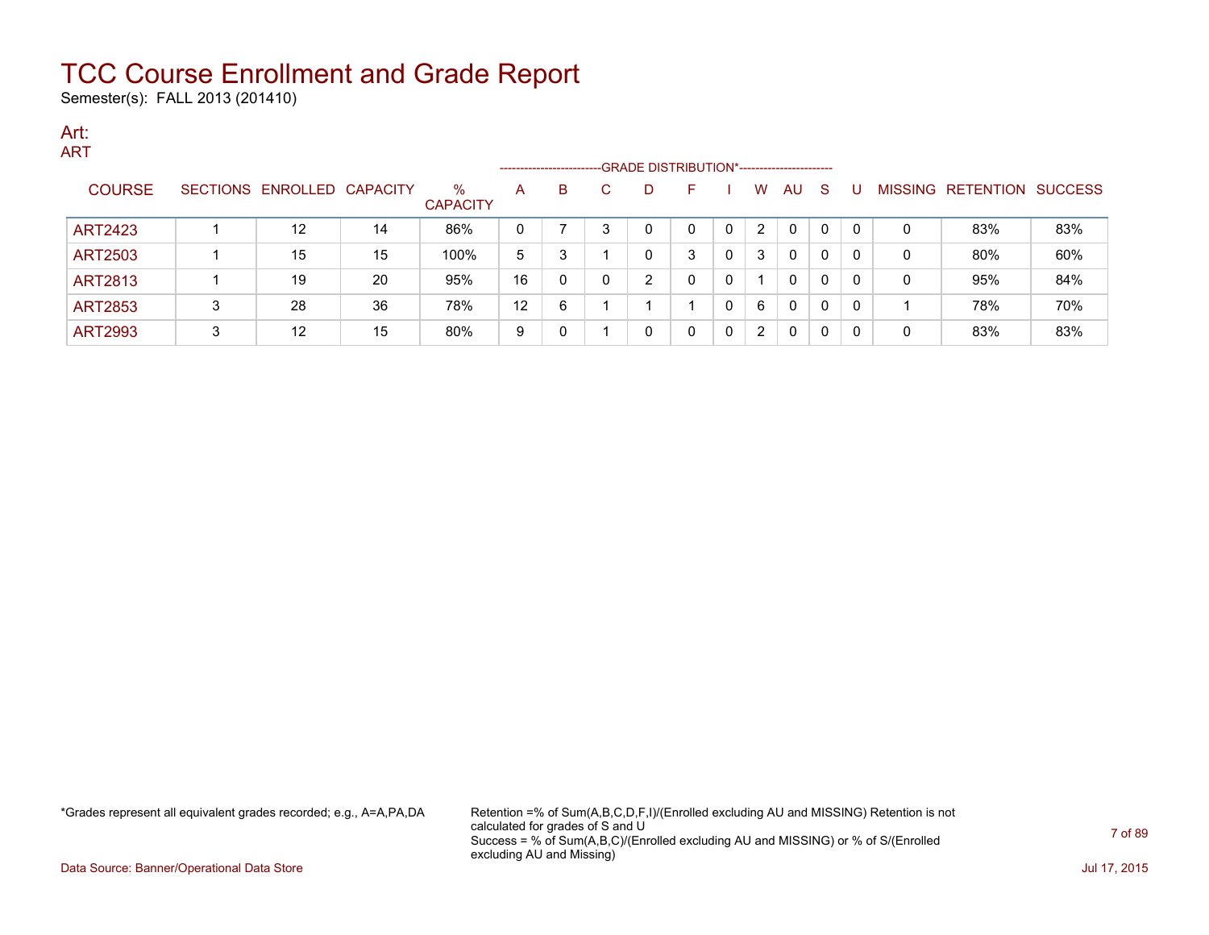Semester(s): FALL 2013 (201410)

#### Art: ART

|                |   |                            |    |                         | --------------------- |   |   | -GRADE DISTRIBUTION*----------------------- |   |   |                |    |              |    |                |                  |                |
|----------------|---|----------------------------|----|-------------------------|-----------------------|---|---|---------------------------------------------|---|---|----------------|----|--------------|----|----------------|------------------|----------------|
| <b>COURSE</b>  |   | SECTIONS ENROLLED CAPACITY |    | $\%$<br><b>CAPACITY</b> | A                     | В | C | D                                           | F |   | W              | AU | <sub>S</sub> |    | <b>MISSING</b> | <b>RETENTION</b> | <b>SUCCESS</b> |
| <b>ART2423</b> |   | $12 \overline{ }$          | 14 | 86%                     |                       |   |   | 0                                           |   | 0 | 2              | 0  | 0            | -0 | 0              | 83%              | 83%            |
| <b>ART2503</b> |   | 15                         | 15 | 100%                    | 5                     |   |   | 0                                           | 3 | 0 | 3              | 0  | 0            | -0 | 0              | 80%              | 60%            |
| <b>ART2813</b> |   | 19                         | 20 | 95%                     | 16                    |   |   | ົ                                           | 0 | 0 |                | 0  | 0            | -0 | 0              | 95%              | 84%            |
| <b>ART2853</b> | 3 | 28                         | 36 | 78%                     | 12                    | 6 |   |                                             |   |   | 6              | 0  | $\mathbf{0}$ | 0  |                | 78%              | 70%            |
| <b>ART2993</b> | 3 | $12 \overline{ }$          | 15 | 80%                     | 9                     |   |   | 0                                           |   | 0 | $\overline{2}$ | 0  | 0            | -0 | 0              | 83%              | 83%            |

\*Grades represent all equivalent grades recorded; e.g., A=A,PA,DA Retention =% of Sum(A,B,C,D,F,I)/(Enrolled excluding AU and MISSING) Retention is not calculated for grades of S and U Success = % of Sum(A,B,C)/(Enrolled excluding AU and MISSING) or % of S/(Enrolled excluding AU and Missing)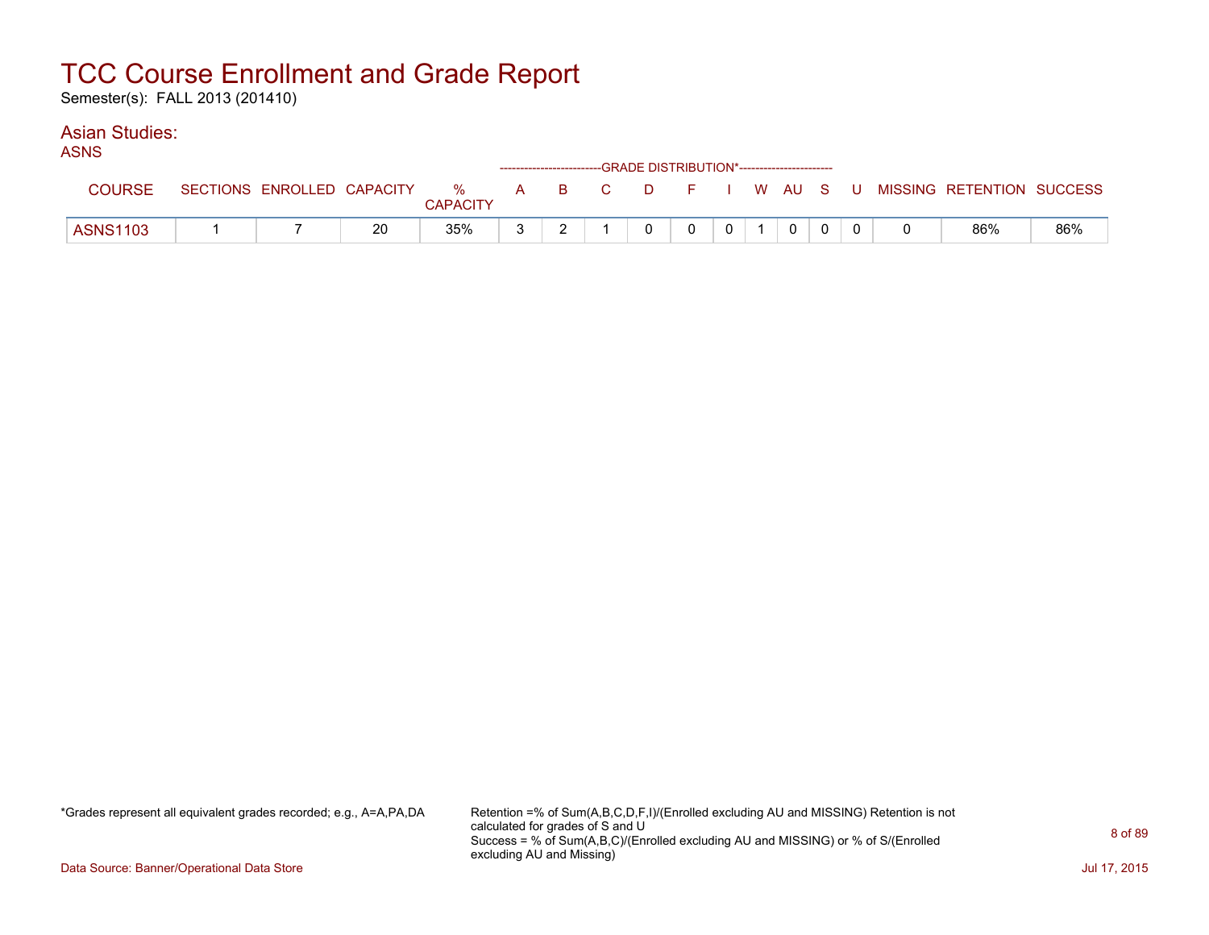Semester(s): FALL 2013 (201410)

#### Asian Studies: ASNS

| AƏNƏ            |                            |    |                      |  |          | ------------------------GRADE DISTRIBUTION*----------------------- |              |             |  |                                                |     |
|-----------------|----------------------------|----|----------------------|--|----------|--------------------------------------------------------------------|--------------|-------------|--|------------------------------------------------|-----|
| <b>COURSE</b>   | SECTIONS ENROLLED CAPACITY |    | %<br><b>CAPACITY</b> |  |          |                                                                    |              |             |  | A B C D F I W AU S U MISSING RETENTION SUCCESS |     |
| <b>ASNS1103</b> |                            | 20 | 35%                  |  | $\Omega$ | 0                                                                  | $\mathbf{0}$ | $\mathbf 0$ |  | 86%                                            | 86% |

\*Grades represent all equivalent grades recorded; e.g., A=A,PA,DA Retention =% of Sum(A,B,C,D,F,I)/(Enrolled excluding AU and MISSING) Retention is not calculated for grades of S and U Success = % of Sum(A,B,C)/(Enrolled excluding AU and MISSING) or % of S/(Enrolled excluding AU and Missing)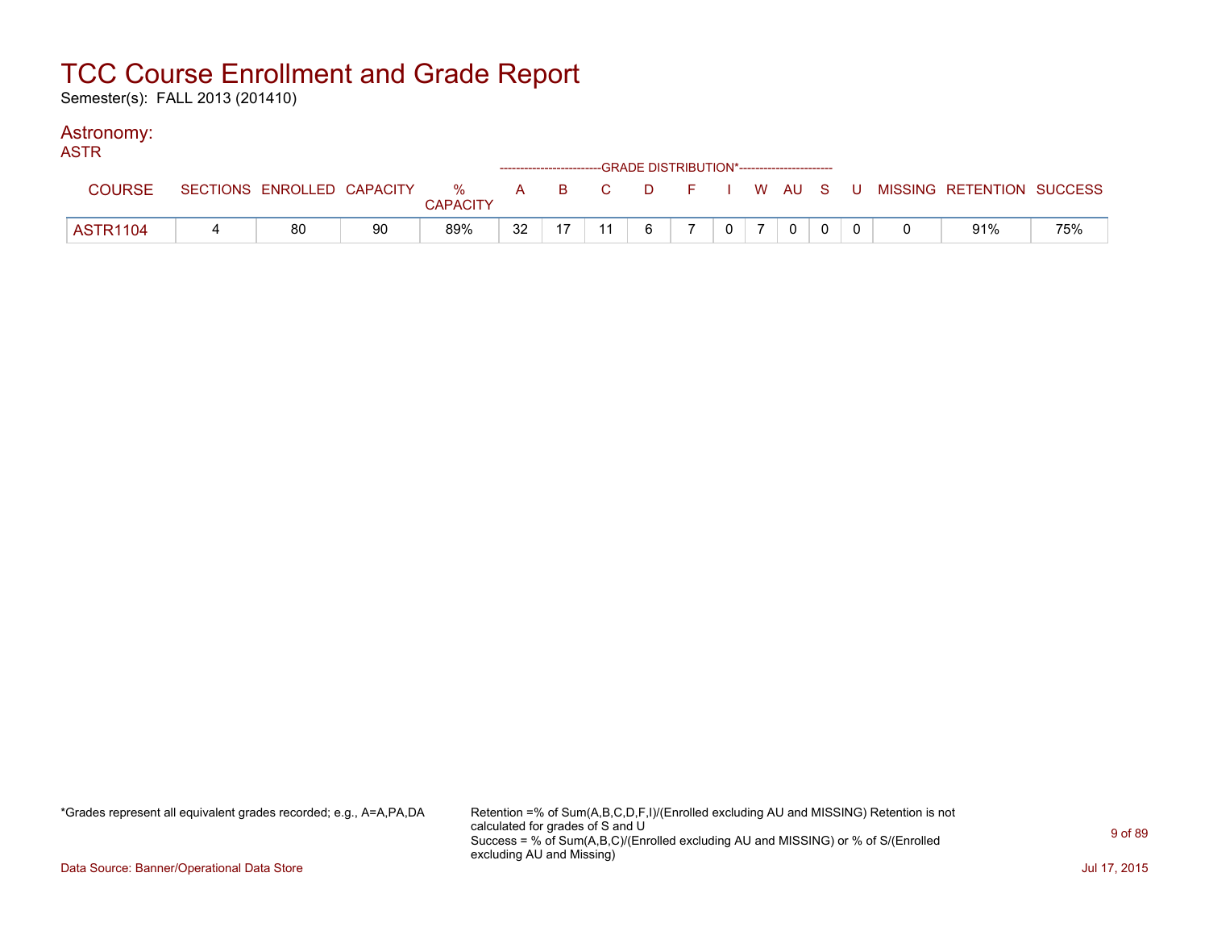Semester(s): FALL 2013 (201410)

### Astronomy:

| <b>ASTR</b>     |    |    |                 |    |    | ------------------------GRADE DISTRIBUTION*----------------------- |   |             |  |                                                                               |     |
|-----------------|----|----|-----------------|----|----|--------------------------------------------------------------------|---|-------------|--|-------------------------------------------------------------------------------|-----|
| <b>COURSE</b>   |    |    | <b>CAPACITY</b> |    |    |                                                                    |   |             |  | SECTIONS ENROLLED CAPACITY 3 % A B C D F I W AU S U MISSING RETENTION SUCCESS |     |
| <b>ASTR1104</b> | 80 | 90 | 89%             | 32 | 11 | $6\overline{6}$                                                    | 0 | $\mathbf 0$ |  | 91%                                                                           | 75% |

\*Grades represent all equivalent grades recorded; e.g., A=A,PA,DA Retention =% of Sum(A,B,C,D,F,I)/(Enrolled excluding AU and MISSING) Retention is not calculated for grades of S and U Success = % of Sum(A,B,C)/(Enrolled excluding AU and MISSING) or % of S/(Enrolled excluding AU and Missing)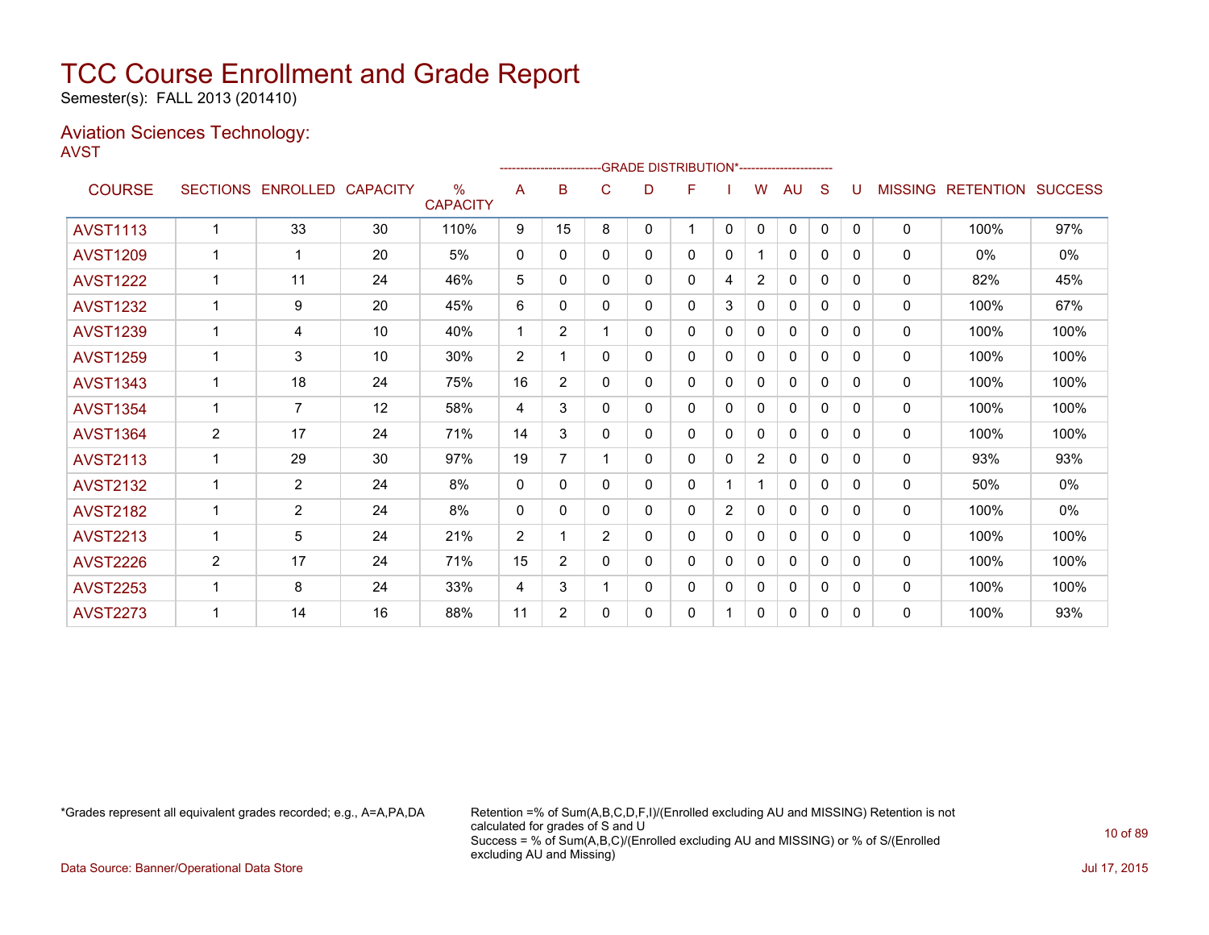Semester(s): FALL 2013 (201410)

#### Aviation Sciences Technology: AVST

|                 |                 |                   |    |                                  |                |                |                |   | -GRADE DISTRIBUTION*---------------------- |                |                |              |              |              |                |                          |      |
|-----------------|-----------------|-------------------|----|----------------------------------|----------------|----------------|----------------|---|--------------------------------------------|----------------|----------------|--------------|--------------|--------------|----------------|--------------------------|------|
| <b>COURSE</b>   | <b>SECTIONS</b> | ENROLLED CAPACITY |    | $\frac{0}{0}$<br><b>CAPACITY</b> | A              | в              | C              | D | F                                          |                | W              | AU           | S            |              | <b>MISSING</b> | <b>RETENTION SUCCESS</b> |      |
| <b>AVST1113</b> | $\mathbf 1$     | 33                | 30 | 110%                             | 9              | 15             | 8              | 0 | 1                                          | $\mathbf{0}$   | 0              | $\mathbf 0$  | $\mathbf{0}$ | $\mathbf{0}$ | 0              | 100%                     | 97%  |
| <b>AVST1209</b> | 1               | 1                 | 20 | 5%                               | 0              | 0              | 0              | 0 | 0                                          | 0              |                | 0            | 0            | 0            | 0              | $0\%$                    | 0%   |
| <b>AVST1222</b> |                 | 11                | 24 | 46%                              | 5              | 0              | $\Omega$       | 0 | 0                                          | 4              | 2              | $\mathbf{0}$ | 0            | 0            | $\Omega$       | 82%                      | 45%  |
| <b>AVST1232</b> | 1               | 9                 | 20 | 45%                              | 6              | $\Omega$       | $\mathbf{0}$   | 0 | 0                                          | 3              | 0              | $\mathbf{0}$ | 0            | 0            | $\mathbf{0}$   | 100%                     | 67%  |
| <b>AVST1239</b> |                 | 4                 | 10 | 40%                              | 1              | $\overline{2}$ |                | 0 | 0                                          | 0              | 0              | 0            | 0            | 0            | 0              | 100%                     | 100% |
| <b>AVST1259</b> |                 | 3                 | 10 | 30%                              | 2              |                | $\mathbf{0}$   | 0 | 0                                          | $\mathbf 0$    | $\mathbf{0}$   | $\mathbf{0}$ | 0            | $\Omega$     | 0              | 100%                     | 100% |
| <b>AVST1343</b> |                 | 18                | 24 | 75%                              | 16             | $\overline{2}$ | $\mathbf{0}$   | 0 | 0                                          | $\mathbf{0}$   | $\Omega$       | $\mathbf{0}$ | 0            | $\Omega$     | 0              | 100%                     | 100% |
| <b>AVST1354</b> |                 | $\overline{7}$    | 12 | 58%                              | 4              | 3              | $\mathbf{0}$   | 0 | 0                                          | $\mathbf{0}$   | $\Omega$       | $\mathbf{0}$ | 0            | 0            | $\mathbf{0}$   | 100%                     | 100% |
| <b>AVST1364</b> | $\overline{2}$  | 17                | 24 | 71%                              | 14             | 3              | $\mathbf{0}$   | 0 | 0                                          | $\mathbf{0}$   | $\Omega$       | $\mathbf{0}$ | 0            | $\Omega$     | 0              | 100%                     | 100% |
| <b>AVST2113</b> | 1               | 29                | 30 | 97%                              | 19             | 7              |                | 0 | 0                                          | 0              | $\overline{2}$ | 0            | 0            | $\mathbf{0}$ | 0              | 93%                      | 93%  |
| <b>AVST2132</b> | 1               | $\overline{2}$    | 24 | 8%                               | 0              | 0              | $\mathbf{0}$   | 0 | 0                                          |                |                | $\mathbf{0}$ | 0            | $\mathbf{0}$ | 0              | 50%                      | 0%   |
| <b>AVST2182</b> |                 | $\overline{2}$    | 24 | 8%                               | $\Omega$       | 0              | $\mathbf{0}$   | 0 | 0                                          | $\overline{2}$ | $\mathbf{0}$   | $\mathbf{0}$ | 0            | $\Omega$     | $\Omega$       | 100%                     | 0%   |
| <b>AVST2213</b> | $\mathbf 1$     | 5                 | 24 | 21%                              | $\overline{2}$ | 1              | $\overline{2}$ | 0 | 0                                          | 0              | 0              | $\mathbf{0}$ | 0            | 0            | 0              | 100%                     | 100% |
| <b>AVST2226</b> | $\overline{2}$  | 17                | 24 | 71%                              | 15             | $\overline{2}$ | $\mathbf{0}$   | 0 | 0                                          | 0              | 0              | $\mathbf{0}$ | 0            | 0            | $\mathbf{0}$   | 100%                     | 100% |
| <b>AVST2253</b> |                 | 8                 | 24 | 33%                              | 4              | 3              |                | 0 | 0                                          | 0              | 0              | $\mathbf{0}$ | 0            | 0            | 0              | 100%                     | 100% |
| <b>AVST2273</b> |                 | 14                | 16 | 88%                              | 11             | $\overline{2}$ | $\Omega$       | 0 | 0                                          |                | 0              | 0            | 0            | $\Omega$     | 0              | 100%                     | 93%  |

\*Grades represent all equivalent grades recorded; e.g., A=A,PA,DA Retention =% of Sum(A,B,C,D,F,I)/(Enrolled excluding AU and MISSING) Retention is not calculated for grades of S and U Success = % of Sum(A,B,C)/(Enrolled excluding AU and MISSING) or % of S/(Enrolled excluding AU and Missing)

Data Source: Banner/Operational Data Store Jul 17, 2015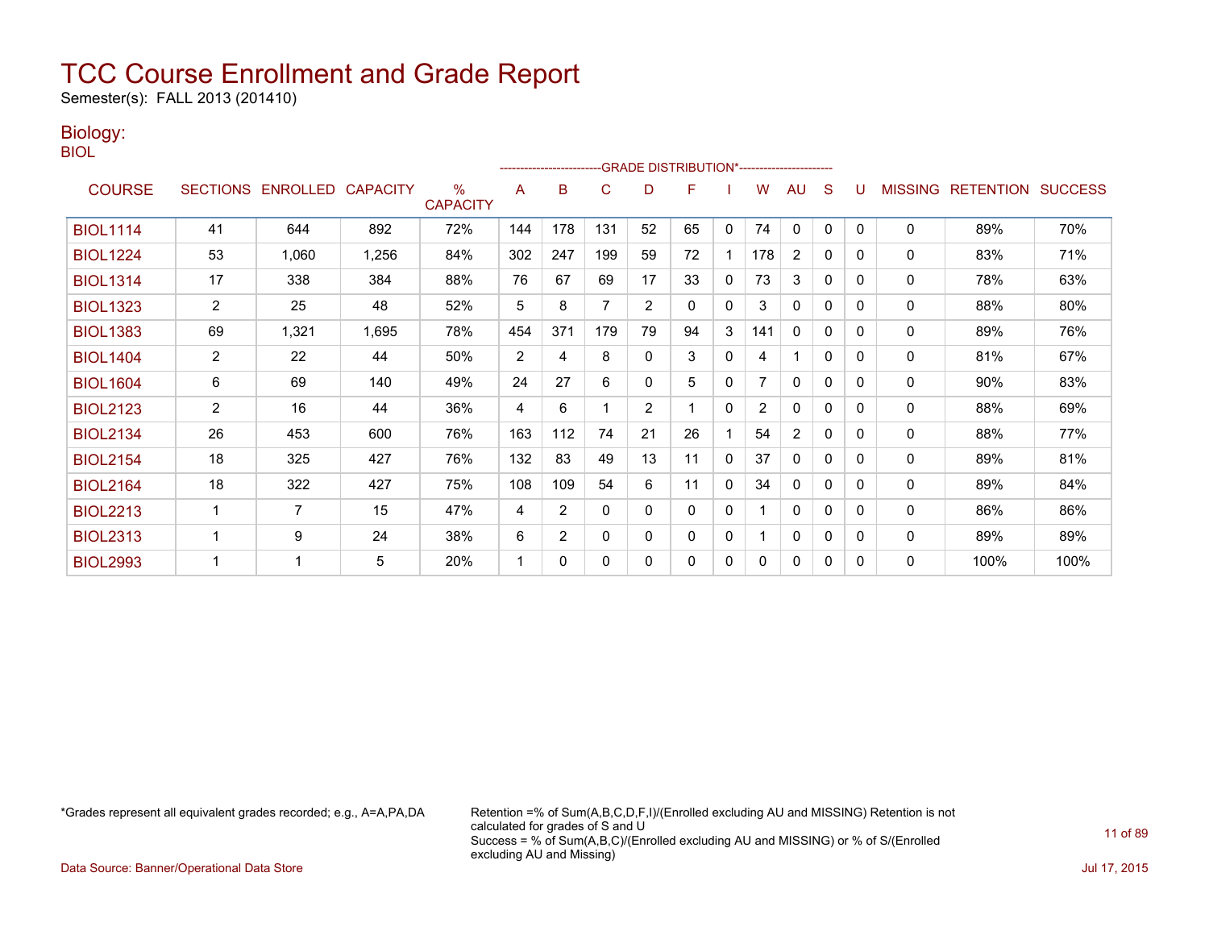Semester(s): FALL 2013 (201410)

### Biology:

BIOL

|                 |                |                            |       |                         |                | ------------------------ |              |                | -GRADE DISTRIBUTION*---------------------- |              |                |                |              |   |                |                          |      |
|-----------------|----------------|----------------------------|-------|-------------------------|----------------|--------------------------|--------------|----------------|--------------------------------------------|--------------|----------------|----------------|--------------|---|----------------|--------------------------|------|
| <b>COURSE</b>   |                | SECTIONS ENROLLED CAPACITY |       | $\%$<br><b>CAPACITY</b> | A              | B                        | C            | D              | F                                          |              | W              | AU             | S            |   | <b>MISSING</b> | <b>RETENTION SUCCESS</b> |      |
| <b>BIOL1114</b> | 41             | 644                        | 892   | 72%                     | 144            | 178                      | 131          | 52             | 65                                         | 0            | 74             | 0              | 0            | 0 | 0              | 89%                      | 70%  |
| <b>BIOL1224</b> | 53             | 1,060                      | 1,256 | 84%                     | 302            | 247                      | 199          | 59             | 72                                         |              | 178            | $\overline{2}$ | 0            | 0 | 0              | 83%                      | 71%  |
| <b>BIOL1314</b> | 17             | 338                        | 384   | 88%                     | 76             | 67                       | 69           | 17             | 33                                         | $\Omega$     | 73             | 3              | $\mathbf{0}$ | 0 | 0              | 78%                      | 63%  |
| <b>BIOL1323</b> | $\overline{2}$ | 25                         | 48    | 52%                     | 5              | 8                        | 7            | 2              | 0                                          | 0            | 3              | 0              | $\mathbf{0}$ | 0 | 0              | 88%                      | 80%  |
| <b>BIOL1383</b> | 69             | 1,321                      | 1,695 | 78%                     | 454            | 371                      | 179          | 79             | 94                                         | 3            | 141            | 0              | 0            | 0 | 0              | 89%                      | 76%  |
| <b>BIOL1404</b> | $\overline{2}$ | 22                         | 44    | 50%                     | $\overline{2}$ | 4                        | 8            | $\mathbf{0}$   | 3                                          | $\mathbf{0}$ | 4              |                | $\mathbf{0}$ | 0 | 0              | 81%                      | 67%  |
| <b>BIOL1604</b> | 6              | 69                         | 140   | 49%                     | 24             | 27                       | 6            | $\Omega$       | 5                                          | 0            |                | $\Omega$       | 0            | 0 | 0              | 90%                      | 83%  |
| <b>BIOL2123</b> | $\overline{2}$ | 16                         | 44    | 36%                     | 4              | 6                        |              | $\overline{2}$ |                                            | $\Omega$     | $\overline{2}$ | 0              | 0            | 0 | 0              | 88%                      | 69%  |
| <b>BIOL2134</b> | 26             | 453                        | 600   | 76%                     | 163            | 112                      | 74           | 21             | 26                                         |              | 54             | 2              | 0            | 0 | 0              | 88%                      | 77%  |
| <b>BIOL2154</b> | 18             | 325                        | 427   | 76%                     | 132            | 83                       | 49           | 13             | 11                                         | $\Omega$     | 37             | 0              | $\Omega$     | 0 | 0              | 89%                      | 81%  |
| <b>BIOL2164</b> | 18             | 322                        | 427   | 75%                     | 108            | 109                      | 54           | 6              | 11                                         | $\Omega$     | 34             | 0              | $\Omega$     | 0 | 0              | 89%                      | 84%  |
| <b>BIOL2213</b> |                | 7                          | 15    | 47%                     | 4              | 2                        | $\mathbf{0}$ | $\mathbf{0}$   | $\Omega$                                   | $\mathbf 0$  |                | 0              | 0            | 0 | 0              | 86%                      | 86%  |
| <b>BIOL2313</b> |                | 9                          | 24    | 38%                     | 6              | $\overline{2}$           | $\mathbf{0}$ | $\Omega$       | $\Omega$                                   | $\mathbf{0}$ |                | $\mathbf{0}$   | $\mathbf{0}$ | 0 | $\Omega$       | 89%                      | 89%  |
| <b>BIOL2993</b> |                |                            | 5     | 20%                     | 1              | 0                        | $\Omega$     | 0              | 0                                          | 0            | 0              | 0              | 0            | 0 | 0              | 100%                     | 100% |

\*Grades represent all equivalent grades recorded; e.g., A=A,PA,DA Retention =% of Sum(A,B,C,D,F,I)/(Enrolled excluding AU and MISSING) Retention is not calculated for grades of S and U Success = % of Sum(A,B,C)/(Enrolled excluding AU and MISSING) or % of S/(Enrolled excluding AU and Missing)

Data Source: Banner/Operational Data Store Jul 17, 2015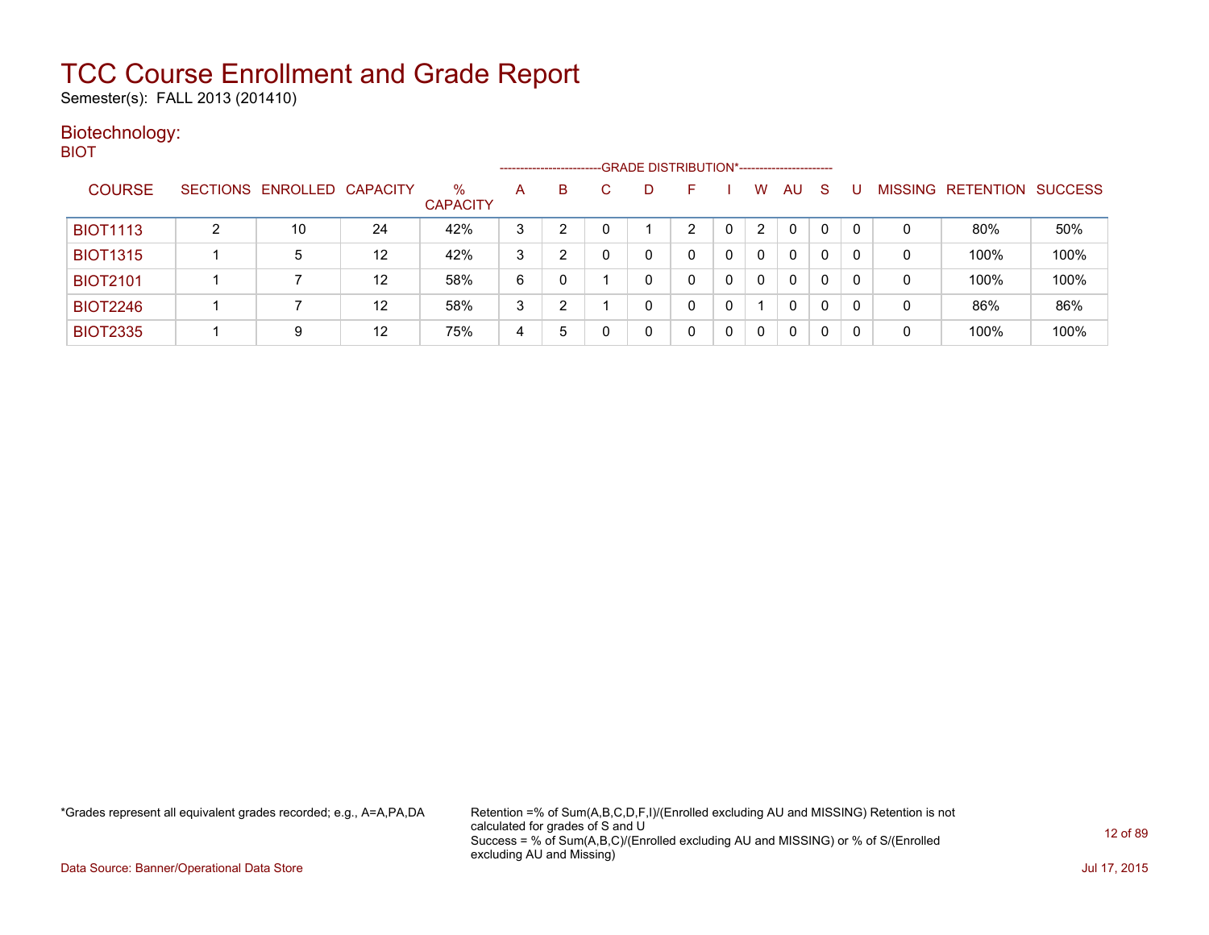Semester(s): FALL 2013 (201410)

#### Biotechnology: **BIOT**

|                 |   |                            |    |                         |   | ---------------------- | -GRADE DISTRIBUTION*----------------------- |    |                |              |    |   |                |                  |                |
|-----------------|---|----------------------------|----|-------------------------|---|------------------------|---------------------------------------------|----|----------------|--------------|----|---|----------------|------------------|----------------|
| <b>COURSE</b>   |   | SECTIONS ENROLLED CAPACITY |    | $\%$<br><b>CAPACITY</b> | A | B                      | D                                           | н. | w              | AU           | -S |   | <b>MISSING</b> | <b>RETENTION</b> | <b>SUCCESS</b> |
| <b>BIOT1113</b> | ົ | 10                         | 24 | 42%                     | 3 |                        |                                             | ⌒  | $\overline{2}$ | $\Omega$     | 0  |   | 0              | 80%              | 50%            |
| <b>BIOT1315</b> |   | 5                          | 12 | 42%                     | 3 | າ                      |                                             | 0  | $\Omega$       | 0            | 0  |   | 0              | 100%             | 100%           |
| <b>BIOT2101</b> |   |                            | 12 | 58%                     | 6 | 0                      |                                             | 0  | 0              | 0            | 0  |   | 0              | 100%             | 100%           |
| <b>BIOT2246</b> |   |                            | 12 | 58%                     | 3 | າ                      |                                             | 0  |                | $\mathbf{0}$ | 0  | 0 | 0              | 86%              | 86%            |
| <b>BIOT2335</b> |   | 9                          | 12 | 75%                     | 4 | 5                      |                                             |    | $\Omega$       | 0            | 0  |   | 0              | 100%             | 100%           |

\*Grades represent all equivalent grades recorded; e.g., A=A,PA,DA Retention =% of Sum(A,B,C,D,F,I)/(Enrolled excluding AU and MISSING) Retention is not calculated for grades of S and U Success = % of Sum(A,B,C)/(Enrolled excluding AU and MISSING) or % of S/(Enrolled excluding AU and Missing)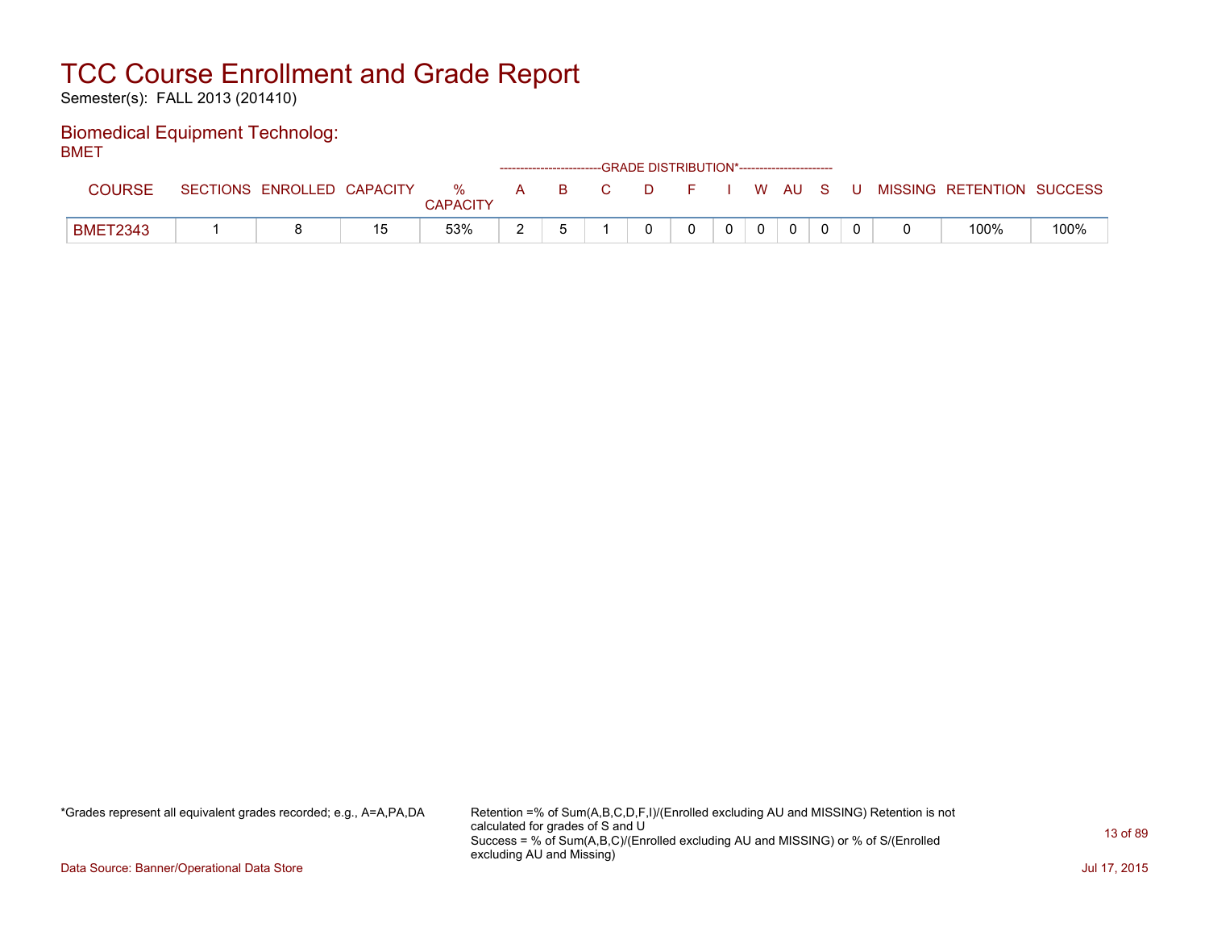Semester(s): FALL 2013 (201410)

#### Biomedical Equipment Technolog: **BMFT**

| ----            |                            |     |                      |   |               | -------------------------GRADE DISTRIBUTION*----------------------- |          |          |  |          |  |                           |      |
|-----------------|----------------------------|-----|----------------------|---|---------------|---------------------------------------------------------------------|----------|----------|--|----------|--|---------------------------|------|
| COURSE          | SECTIONS ENROLLED CAPACITY |     | %<br><b>CAPACITY</b> | A | and Barrow Co | C.                                                                  | DFIWAUSU |          |  |          |  | MISSING RETENTION SUCCESS |      |
| <b>BMET2343</b> |                            | 1 斥 | 53%                  |   |               |                                                                     |          | $\Omega$ |  | $\Omega$ |  | 100%                      | 100% |

\*Grades represent all equivalent grades recorded; e.g., A=A,PA,DA Retention =% of Sum(A,B,C,D,F,I)/(Enrolled excluding AU and MISSING) Retention is not calculated for grades of S and U Success = % of Sum(A,B,C)/(Enrolled excluding AU and MISSING) or % of S/(Enrolled excluding AU and Missing)

Data Source: Banner/Operational Data Store Jul 17, 2015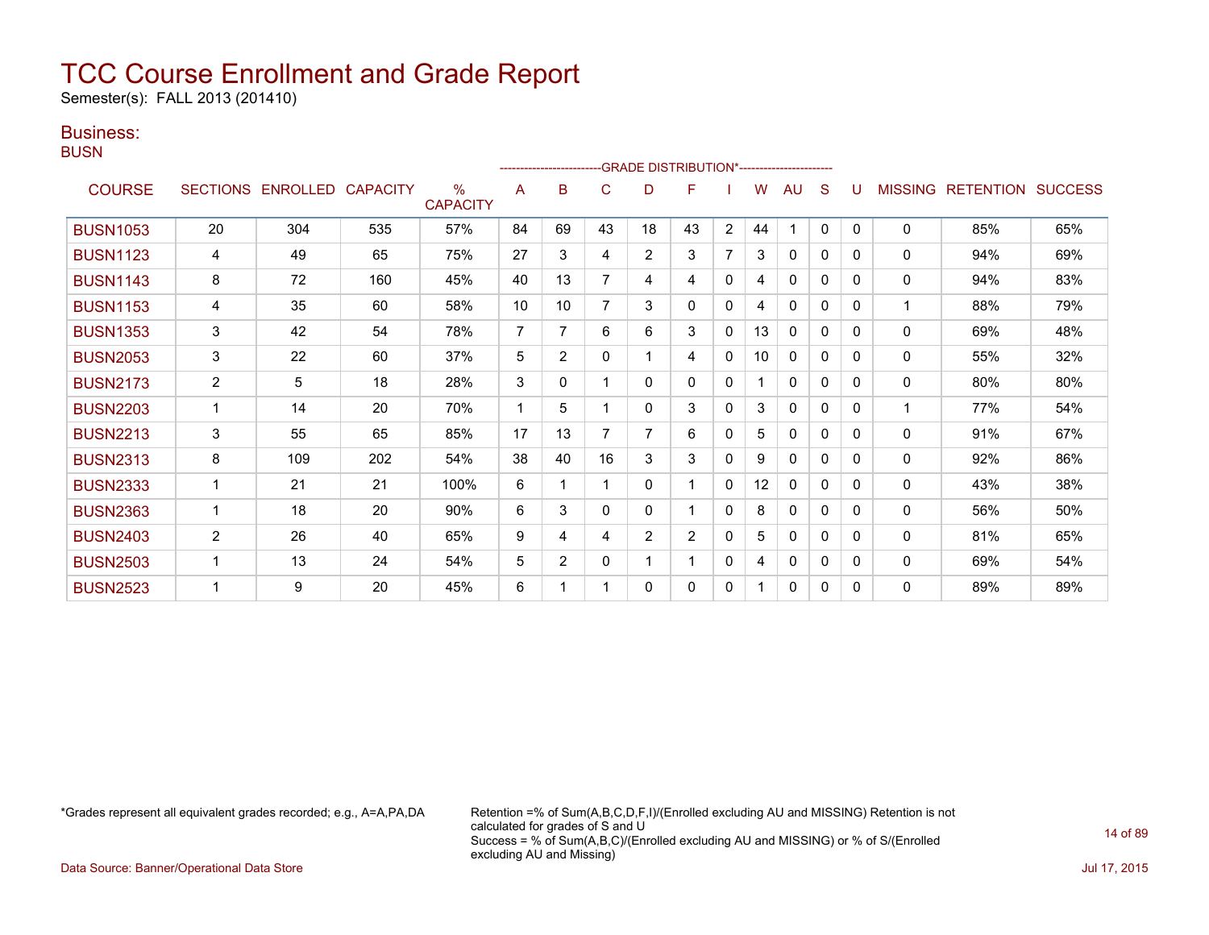Semester(s): FALL 2013 (201410)

### Business:

**BUSN** 

|                 |                |                   |                 |                         |                |                | ------------------------GRADE                DISTRIBUTION*---------------------- |                |                |                |    |              |              |              |                |                          |     |
|-----------------|----------------|-------------------|-----------------|-------------------------|----------------|----------------|----------------------------------------------------------------------------------|----------------|----------------|----------------|----|--------------|--------------|--------------|----------------|--------------------------|-----|
| <b>COURSE</b>   |                | SECTIONS ENROLLED | <b>CAPACITY</b> | $\%$<br><b>CAPACITY</b> | A              | B              | C                                                                                | D              | F              |                | W  | AU           | S            |              | <b>MISSING</b> | <b>RETENTION SUCCESS</b> |     |
| <b>BUSN1053</b> | 20             | 304               | 535             | 57%                     | 84             | 69             | 43                                                                               | 18             | 43             | $\overline{2}$ | 44 | 1            | $\mathbf{0}$ | $\Omega$     | $\mathbf 0$    | 85%                      | 65% |
| <b>BUSN1123</b> | 4              | 49                | 65              | 75%                     | 27             | 3              | 4                                                                                | $\overline{2}$ | 3              | 7              | 3  | $\mathbf{0}$ | $\mathbf{0}$ | $\Omega$     | 0              | 94%                      | 69% |
| <b>BUSN1143</b> | 8              | 72                | 160             | 45%                     | 40             | 13             |                                                                                  | 4              | 4              | $\Omega$       | 4  | $\Omega$     | $\Omega$     | $\Omega$     | 0              | 94%                      | 83% |
| <b>BUSN1153</b> | 4              | 35                | 60              | 58%                     | 10             | 10             |                                                                                  | 3              | 0              | 0              | 4  | $\mathbf{0}$ | 0            | 0            |                | 88%                      | 79% |
| <b>BUSN1353</b> | 3              | 42                | 54              | 78%                     | $\overline{7}$ |                | 6                                                                                | 6              | 3              | 0              | 13 | 0            | 0            | 0            | $\Omega$       | 69%                      | 48% |
| <b>BUSN2053</b> | 3              | 22                | 60              | 37%                     | 5              | $\overline{2}$ | $\Omega$                                                                         |                | 4              | $\mathbf{0}$   | 10 | $\mathbf{0}$ | $\Omega$     | $\Omega$     | $\mathbf 0$    | 55%                      | 32% |
| <b>BUSN2173</b> | $\overline{c}$ | 5                 | 18              | 28%                     | 3              | 0              |                                                                                  | 0              | 0              | $\mathbf{0}$   |    | 0            | $\mathbf{0}$ | $\Omega$     | 0              | 80%                      | 80% |
| <b>BUSN2203</b> |                | 14                | 20              | 70%                     |                | 5              |                                                                                  | 0              | 3              | $\mathbf{0}$   | 3  | $\mathbf{0}$ | $\Omega$     | $\Omega$     | $\mathbf{1}$   | 77%                      | 54% |
| <b>BUSN2213</b> | 3              | 55                | 65              | 85%                     | 17             | 13             |                                                                                  | 7              | 6              | $\Omega$       | 5  | $\mathbf{0}$ | $\Omega$     | $\Omega$     | 0              | 91%                      | 67% |
| <b>BUSN2313</b> | 8              | 109               | 202             | 54%                     | 38             | 40             | 16                                                                               | 3              | 3              | 0              | 9  | $\mathbf{0}$ | 0            | <sup>0</sup> | $\Omega$       | 92%                      | 86% |
| <b>BUSN2333</b> |                | 21                | 21              | 100%                    | 6              |                |                                                                                  | 0              | 1              | 0              | 12 | $\mathbf{0}$ | $\Omega$     | $\Omega$     | $\Omega$       | 43%                      | 38% |
| <b>BUSN2363</b> |                | 18                | 20              | 90%                     | 6              | 3              | 0                                                                                | 0              |                | 0              | 8  | $\mathbf{0}$ | 0            | $\Omega$     | 0              | 56%                      | 50% |
| <b>BUSN2403</b> | $\overline{2}$ | 26                | 40              | 65%                     | 9              | 4              | 4                                                                                | $\overline{2}$ | $\overline{2}$ | $\Omega$       | 5  | $\mathbf{0}$ | $\Omega$     | $\Omega$     | $\Omega$       | 81%                      | 65% |
| <b>BUSN2503</b> |                | 13                | 24              | 54%                     | 5              | $\overline{2}$ | $\Omega$                                                                         |                |                | $\Omega$       | 4  | $\mathbf{0}$ | $\Omega$     | $\Omega$     | $\mathbf 0$    | 69%                      | 54% |
| <b>BUSN2523</b> |                | 9                 | 20              | 45%                     | 6              |                |                                                                                  | 0              | 0              | 0              |    | $\mathbf{0}$ | 0            | $\Omega$     | $\mathbf 0$    | 89%                      | 89% |

\*Grades represent all equivalent grades recorded; e.g., A=A,PA,DA Retention =% of Sum(A,B,C,D,F,I)/(Enrolled excluding AU and MISSING) Retention is not calculated for grades of S and U Success = % of Sum(A,B,C)/(Enrolled excluding AU and MISSING) or % of S/(Enrolled excluding AU and Missing)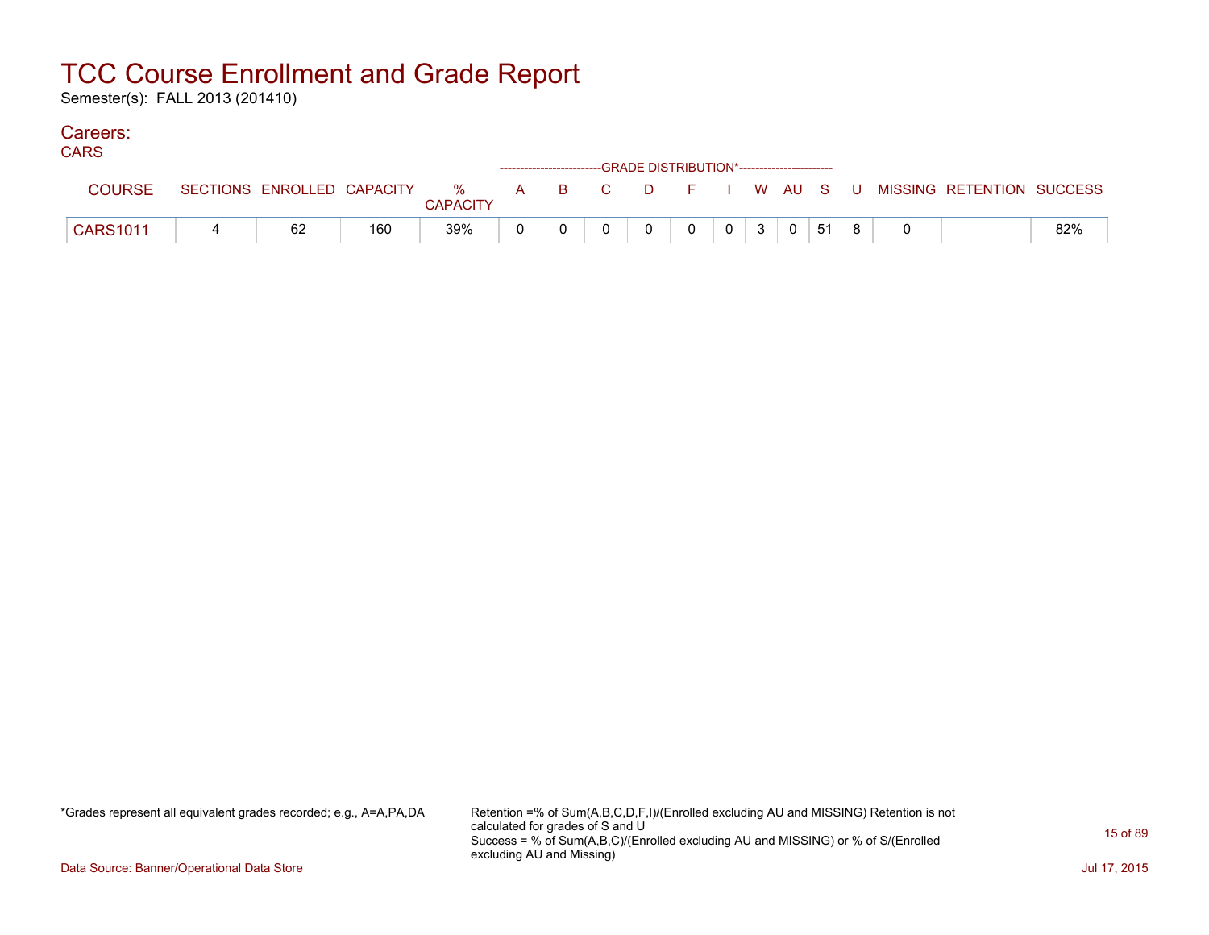Semester(s): FALL 2013 (201410)

#### Careers: CA<sub>D</sub><sub>C</sub>

| <b>CARS</b>     |    |     |                 | ------------------------GRADE DISTRIBUTION*----------------------- |   |   |                |                |                |    |  |                                                                             |     |
|-----------------|----|-----|-----------------|--------------------------------------------------------------------|---|---|----------------|----------------|----------------|----|--|-----------------------------------------------------------------------------|-----|
| <b>COURSE</b>   |    |     | <b>CAPACITY</b> |                                                                    |   |   |                |                |                |    |  | SECTIONS ENROLLED CAPACITY % A B C D F I W AU S U MISSING RETENTION SUCCESS |     |
| <b>CARS1011</b> | 62 | 160 | 39%             |                                                                    | 0 | 0 | 0 <sup>1</sup> | 3 <sup>1</sup> | $\overline{0}$ | 51 |  |                                                                             | 82% |

\*Grades represent all equivalent grades recorded; e.g., A=A,PA,DA Retention =% of Sum(A,B,C,D,F,I)/(Enrolled excluding AU and MISSING) Retention is not calculated for grades of S and U Success = % of Sum(A,B,C)/(Enrolled excluding AU and MISSING) or % of S/(Enrolled excluding AU and Missing)

Data Source: Banner/Operational Data Store Jul 17, 2015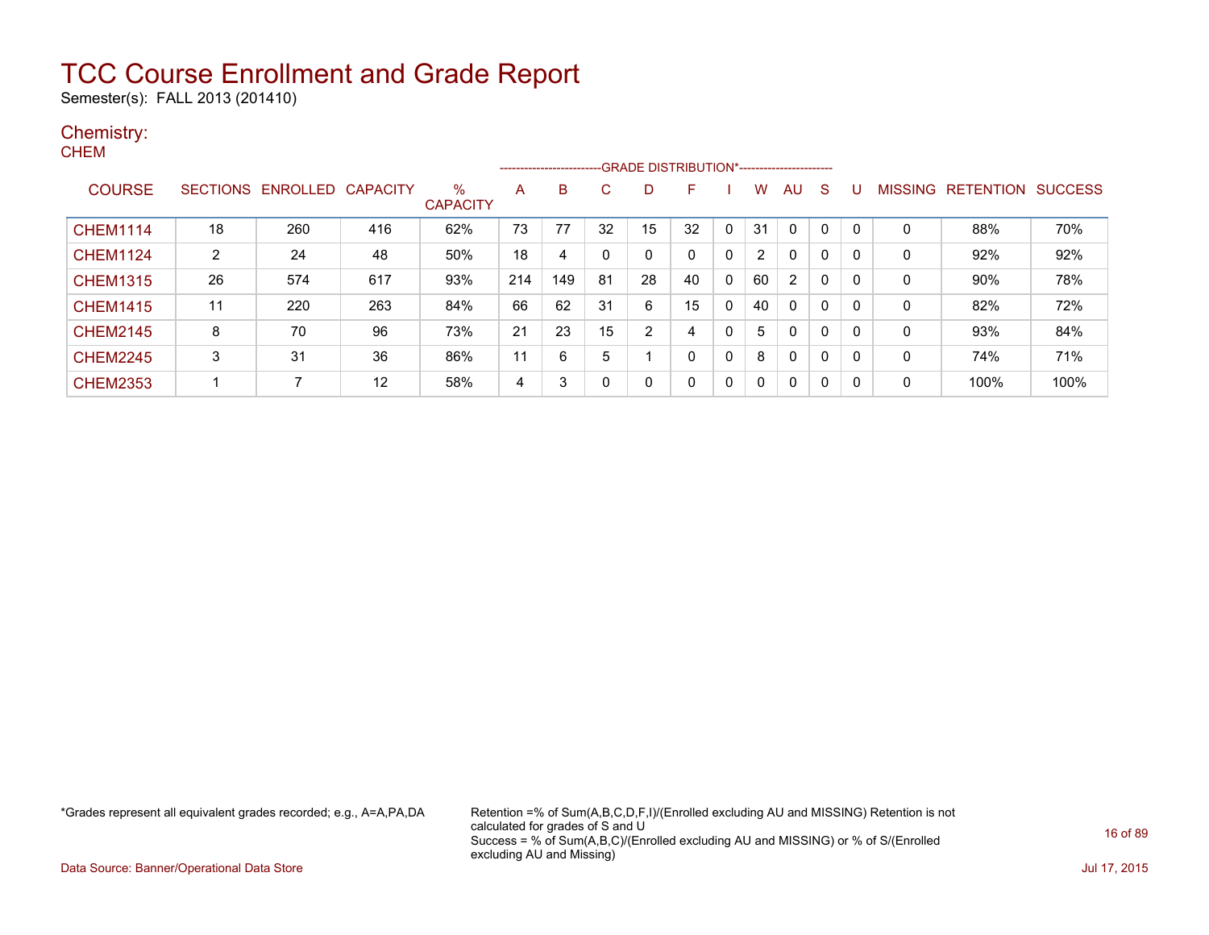Semester(s): FALL 2013 (201410)

#### Chemistry: **CHEM**

|                 |                 |          |          |                      |     | ---------------------- |    |    | -GRADE DISTRIBUTION*----------------------- |              |          |                |   |   |                |                  |                |
|-----------------|-----------------|----------|----------|----------------------|-----|------------------------|----|----|---------------------------------------------|--------------|----------|----------------|---|---|----------------|------------------|----------------|
| <b>COURSE</b>   | <b>SECTIONS</b> | ENROLLED | CAPACITY | %<br><b>CAPACITY</b> | A   | B                      | C. | D  | F                                           |              | w        | AU             | S |   | <b>MISSING</b> | <b>RETENTION</b> | <b>SUCCESS</b> |
| <b>CHEM1114</b> | 18              | 260      | 416      | 62%                  | 73  | 77                     | 32 | 15 | 32                                          |              | 31       | $\Omega$       | 0 |   |                | 88%              | 70%            |
| <b>CHEM1124</b> | 2               | 24       | 48       | 50%                  | 18  | 4                      | 0  | 0  |                                             | $\mathbf{0}$ | 2        | 0              | 0 | 0 | 0              | 92%              | 92%            |
| <b>CHEM1315</b> | 26              | 574      | 617      | 93%                  | 214 | 149                    | 81 | 28 | 40                                          | $\mathbf{0}$ | 60       | $\overline{2}$ | 0 | 0 | 0              | 90%              | 78%            |
| <b>CHEM1415</b> | 11              | 220      | 263      | 84%                  | 66  | 62                     | 31 | 6  | 15                                          | 0            | 40       | 0              | 0 | 0 | $\mathbf{0}$   | 82%              | 72%            |
| <b>CHEM2145</b> | 8               | 70       | 96       | 73%                  | 21  | 23                     | 15 | 2  | 4                                           | 0            | 5        | 0              | 0 | 0 | $\mathbf{0}$   | 93%              | 84%            |
| <b>CHEM2245</b> | 3               | 31       | 36       | 86%                  | 11  | 6                      | 5  |    | 0                                           | $\Omega$     | 8        | 0              | 0 | 0 | $\mathbf{0}$   | 74%              | 71%            |
| <b>CHEM2353</b> |                 | 7        | 12       | 58%                  | 4   | 3                      | 0  | 0  |                                             | 0            | $\Omega$ | 0              | 0 | 0 | 0              | 100%             | 100%           |

\*Grades represent all equivalent grades recorded; e.g., A=A,PA,DA Retention =% of Sum(A,B,C,D,F,I)/(Enrolled excluding AU and MISSING) Retention is not calculated for grades of S and U Success = % of Sum(A,B,C)/(Enrolled excluding AU and MISSING) or % of S/(Enrolled excluding AU and Missing)

Data Source: Banner/Operational Data Store Jul 17, 2015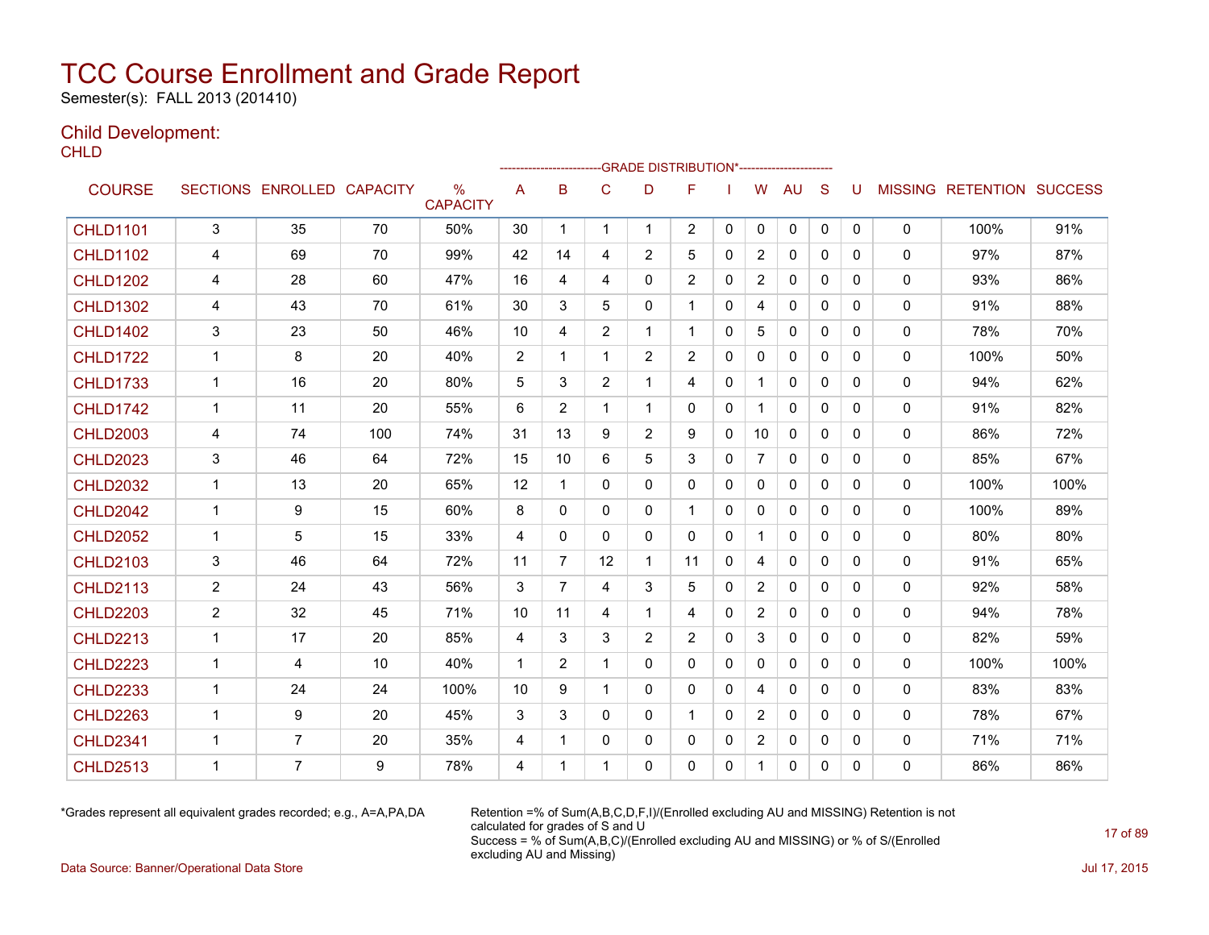Semester(s): FALL 2013 (201410)

### Child Development:

**CHLD** 

|                 |                |                            |     |                                  |             |                |                |              | -GRADE DISTRIBUTION*---------------------- |              |                |              |              |              |              |                           |      |
|-----------------|----------------|----------------------------|-----|----------------------------------|-------------|----------------|----------------|--------------|--------------------------------------------|--------------|----------------|--------------|--------------|--------------|--------------|---------------------------|------|
| <b>COURSE</b>   |                | SECTIONS ENROLLED CAPACITY |     | $\frac{0}{0}$<br><b>CAPACITY</b> | A           | B              | C              | D            | F                                          |              | W              | <b>AU</b>    | S            | U            |              | MISSING RETENTION SUCCESS |      |
| <b>CHLD1101</b> | $\mathfrak{S}$ | 35                         | 70  | 50%                              | 30          | 1              | 1              | $\mathbf 1$  | $\overline{2}$                             | $\mathbf{0}$ | 0              | 0            | 0            | $\mathbf{0}$ | $\mathbf 0$  | 100%                      | 91%  |
| <b>CHLD1102</b> | 4              | 69                         | 70  | 99%                              | 42          | 14             | 4              | 2            | 5                                          | 0            | $\overline{2}$ | $\mathbf{0}$ | $\Omega$     | $\Omega$     | $\Omega$     | 97%                       | 87%  |
| <b>CHLD1202</b> | 4              | 28                         | 60  | 47%                              | 16          | 4              | 4              | $\mathbf{0}$ | 2                                          | $\Omega$     | $\overline{2}$ | $\Omega$     | $\Omega$     | $\Omega$     | $\mathbf{0}$ | 93%                       | 86%  |
| <b>CHLD1302</b> | 4              | 43                         | 70  | 61%                              | 30          | 3              | 5              | $\Omega$     | $\overline{1}$                             | 0            | 4              | $\mathbf{0}$ | $\mathbf{0}$ | $\Omega$     | 0            | 91%                       | 88%  |
| <b>CHLD1402</b> | 3              | 23                         | 50  | 46%                              | 10          | 4              | $\overline{2}$ | 1            | -1                                         | 0            | 5              | $\mathbf{0}$ | $\mathbf{0}$ | 0            | 0            | 78%                       | 70%  |
| <b>CHLD1722</b> | $\mathbf{1}$   | 8                          | 20  | 40%                              | 2           | 1              | 1              | 2            | 2                                          | $\Omega$     | $\mathbf{0}$   | $\mathbf{0}$ | $\Omega$     | $\Omega$     | 0            | 100%                      | 50%  |
| <b>CHLD1733</b> | $\mathbf 1$    | 16                         | 20  | 80%                              | 5           | 3              | $\overline{2}$ | 1            | 4                                          | 0            |                | $\mathbf{0}$ | $\mathbf{0}$ | 0            | 0            | 94%                       | 62%  |
| <b>CHLD1742</b> | $\mathbf{1}$   | 11                         | 20  | 55%                              | 6           | $\overline{2}$ | 1              | 1            | $\mathbf{0}$                               | 0            |                | $\mathbf{0}$ | $\mathbf{0}$ | 0            | 0            | 91%                       | 82%  |
| <b>CHLD2003</b> | 4              | 74                         | 100 | 74%                              | 31          | 13             | 9              | 2            | 9                                          | 0            | 10             | $\mathbf{0}$ | $\mathbf{0}$ | 0            | 0            | 86%                       | 72%  |
| <b>CHLD2023</b> | 3              | 46                         | 64  | 72%                              | 15          | 10             | 6              | 5            | 3                                          | 0            | $\overline{7}$ | 0            | $\mathbf{0}$ | 0            | 0            | 85%                       | 67%  |
| <b>CHLD2032</b> | $\mathbf{1}$   | 13                         | 20  | 65%                              | 12          | 1              | $\Omega$       | $\mathbf{0}$ | $\Omega$                                   | 0            | $\mathbf{0}$   | $\mathbf{0}$ | $\Omega$     | $\Omega$     | $\mathbf{0}$ | 100%                      | 100% |
| <b>CHLD2042</b> | $\mathbf{1}$   | 9                          | 15  | 60%                              | 8           | $\Omega$       | $\mathbf{0}$   | $\Omega$     | 1                                          | $\Omega$     | $\mathbf{0}$   | $\mathbf{0}$ | $\Omega$     | $\Omega$     | 0            | 100%                      | 89%  |
| <b>CHLD2052</b> | $\mathbf{1}$   | 5                          | 15  | 33%                              | 4           | $\mathbf{0}$   | $\Omega$       | $\Omega$     | $\Omega$                                   | $\Omega$     | $\mathbf 1$    | $\mathbf{0}$ | $\mathbf{0}$ | $\Omega$     | $\Omega$     | 80%                       | 80%  |
| <b>CHLD2103</b> | 3              | 46                         | 64  | 72%                              | 11          | $\overline{7}$ | 12             | 1            | 11                                         | $\mathbf{0}$ | 4              | $\mathbf{0}$ | $\mathbf{0}$ | 0            | 0            | 91%                       | 65%  |
| <b>CHLD2113</b> | $\overline{2}$ | 24                         | 43  | 56%                              | 3           | $\overline{7}$ | 4              | 3            | 5                                          | $\Omega$     | $\overline{2}$ | $\mathbf{0}$ | $\Omega$     | $\Omega$     | $\mathbf{0}$ | 92%                       | 58%  |
| <b>CHLD2203</b> | $\overline{2}$ | 32                         | 45  | 71%                              | 10          | 11             | 4              | 1            | 4                                          | $\Omega$     | $\overline{2}$ | $\Omega$     | $\Omega$     | $\Omega$     | 0            | 94%                       | 78%  |
| <b>CHLD2213</b> | $\mathbf{1}$   | 17                         | 20  | 85%                              | 4           | 3              | 3              | 2            | 2                                          | 0            | 3              | $\mathbf{0}$ | $\mathbf{0}$ | 0            | $\mathbf{0}$ | 82%                       | 59%  |
| <b>CHLD2223</b> | $\mathbf 1$    | 4                          | 10  | 40%                              | $\mathbf 1$ | $\overline{2}$ | 1              | $\Omega$     | $\mathbf{0}$                               | 0            | 0              | $\mathbf{0}$ | $\mathbf{0}$ | $\Omega$     | 0            | 100%                      | 100% |
| <b>CHLD2233</b> | 1              | 24                         | 24  | 100%                             | 10          | 9              | 1              | 0            | 0                                          | 0            | 4              | 0            | $\mathbf{0}$ | 0            | 0            | 83%                       | 83%  |
| <b>CHLD2263</b> | $\mathbf 1$    | 9                          | 20  | 45%                              | 3           | 3              | $\Omega$       | $\mathbf{0}$ | 1                                          | 0            | $\overline{2}$ | $\mathbf{0}$ | $\Omega$     | 0            | $\mathbf{0}$ | 78%                       | 67%  |
| <b>CHLD2341</b> | $\mathbf{1}$   | $\overline{7}$             | 20  | 35%                              | 4           | 1              | $\Omega$       | $\mathbf{0}$ | $\mathbf{0}$                               | 0            | $\overline{2}$ | 0            | $\mathbf{0}$ | 0            | 0            | 71%                       | 71%  |
| <b>CHLD2513</b> | $\overline{1}$ | $\overline{7}$             | 9   | 78%                              | 4           | 1              | 1              | $\Omega$     | 0                                          | $\Omega$     | $\mathbf{1}$   | $\mathbf{0}$ | $\mathbf{0}$ | $\Omega$     | $\Omega$     | 86%                       | 86%  |

\*Grades represent all equivalent grades recorded; e.g., A=A,PA,DA Retention =% of Sum(A,B,C,D,F,I)/(Enrolled excluding AU and MISSING) Retention is not calculated for grades of S and U Success = % of Sum(A,B,C)/(Enrolled excluding AU and MISSING) or % of S/(Enrolled excluding AU and Missing)

Data Source: Banner/Operational Data Store Jul 17, 2015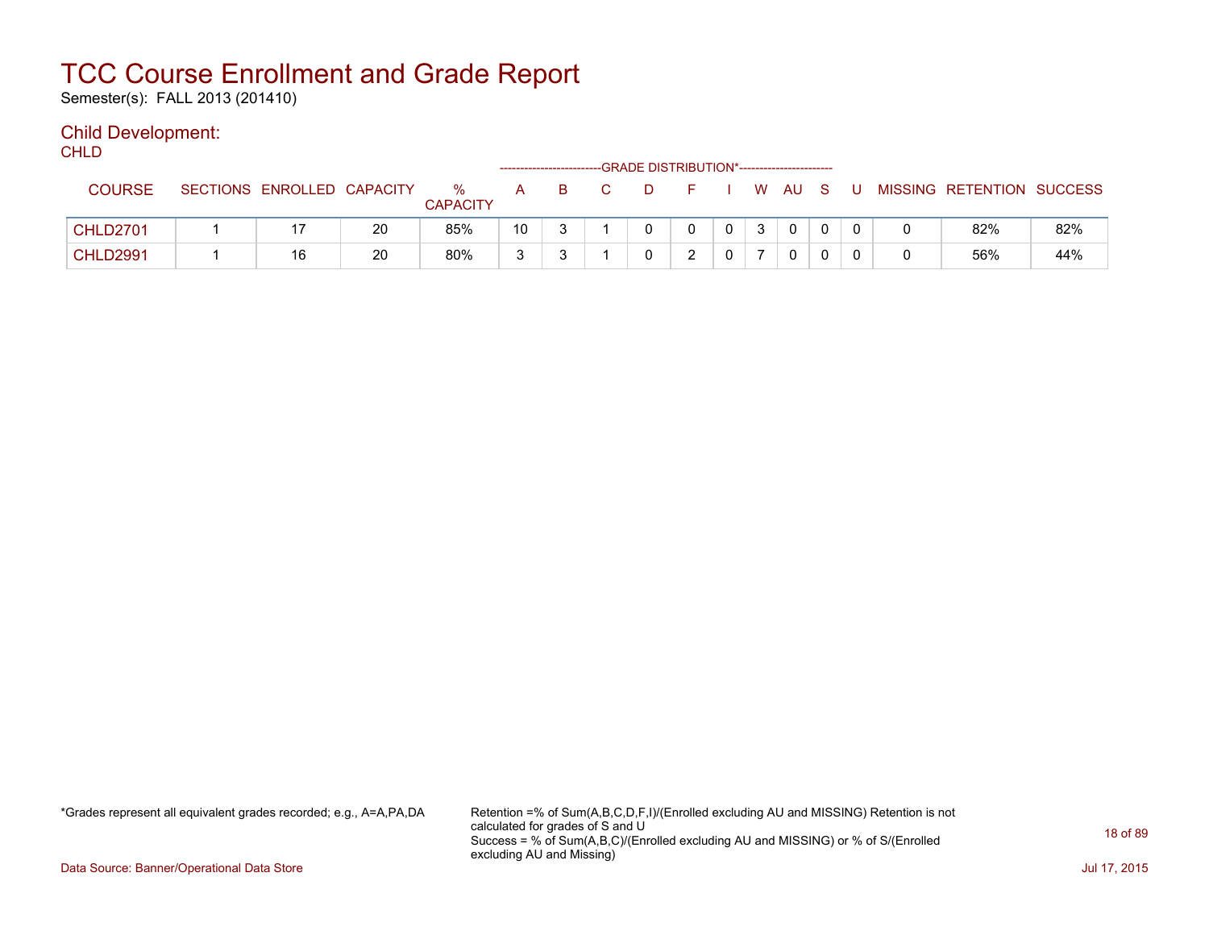Semester(s): FALL 2013 (201410)

### Child Development:

**CHLD** 

|                 |                            |    |                      |    | -------------------------- |    | -GRADE DISTRIBUTION*----------------------- |          |    |          |          |  |                           |     |
|-----------------|----------------------------|----|----------------------|----|----------------------------|----|---------------------------------------------|----------|----|----------|----------|--|---------------------------|-----|
| <b>COURSE</b>   | SECTIONS ENROLLED CAPACITY |    | %<br><b>CAPACITY</b> | A  |                            | D. |                                             |          | W. | AU.      | - S      |  | MISSING RETENTION SUCCESS |     |
| <b>CHLD2701</b> |                            | 20 | 85%                  | 10 | ົ                          |    |                                             | $\Omega$ | 3  | $\Omega$ | $\Omega$ |  | 82%                       | 82% |
| <b>CHLD2991</b> | 16                         | 20 | 80%                  | 3  | ົ                          |    |                                             |          |    |          |          |  | 56%                       | 44% |

\*Grades represent all equivalent grades recorded; e.g., A=A,PA,DA Retention =% of Sum(A,B,C,D,F,I)/(Enrolled excluding AU and MISSING) Retention is not calculated for grades of S and U Success = % of Sum(A,B,C)/(Enrolled excluding AU and MISSING) or % of S/(Enrolled excluding AU and Missing)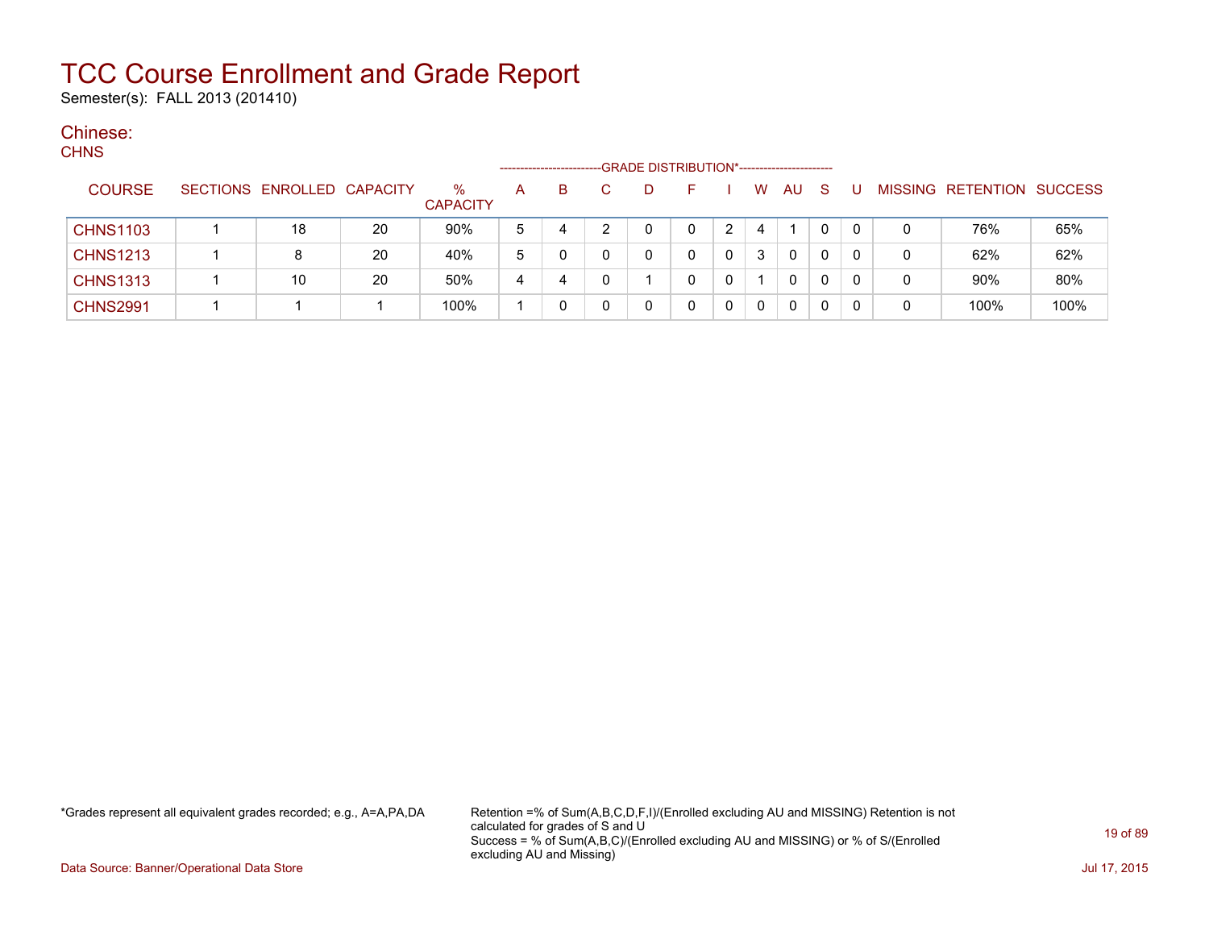Semester(s): FALL 2013 (201410)

#### Chinese: **CHNIC**

| טווווט          |                            |    |                         |   | ---------------------- |   | -GRADE DISTRIBUTION*----------------------- |   |   |              |             |          |   |                           |      |
|-----------------|----------------------------|----|-------------------------|---|------------------------|---|---------------------------------------------|---|---|--------------|-------------|----------|---|---------------------------|------|
| <b>COURSE</b>   | SECTIONS ENROLLED CAPACITY |    | $\%$<br><b>CAPACITY</b> | A | B.                     | D |                                             |   | W | <b>AU</b>    | -S          |          |   | MISSING RETENTION SUCCESS |      |
| <b>CHNS1103</b> | 18                         | 20 | 90%                     | 5 | 4                      |   |                                             |   | 4 |              | 0           | $\Omega$ | 0 | 76%                       | 65%  |
| <b>CHNS1213</b> | 8                          | 20 | 40%                     | 5 |                        | 0 |                                             | 0 | 3 | $\mathbf{0}$ |             | 0        | 0 | 62%                       | 62%  |
| <b>CHNS1313</b> | 10                         | 20 | 50%                     | 4 | 4                      |   |                                             | 0 |   | 0            | $\mathbf 0$ |          | 0 | 90%                       | 80%  |
| <b>CHNS2991</b> |                            |    | 100%                    |   |                        | 0 |                                             | 0 | 0 | 0            |             |          | 0 | 100%                      | 100% |

\*Grades represent all equivalent grades recorded; e.g., A=A,PA,DA Retention =% of Sum(A,B,C,D,F,I)/(Enrolled excluding AU and MISSING) Retention is not calculated for grades of S and U Success = % of Sum(A,B,C)/(Enrolled excluding AU and MISSING) or % of S/(Enrolled excluding AU and Missing)

Data Source: Banner/Operational Data Store Jul 17, 2015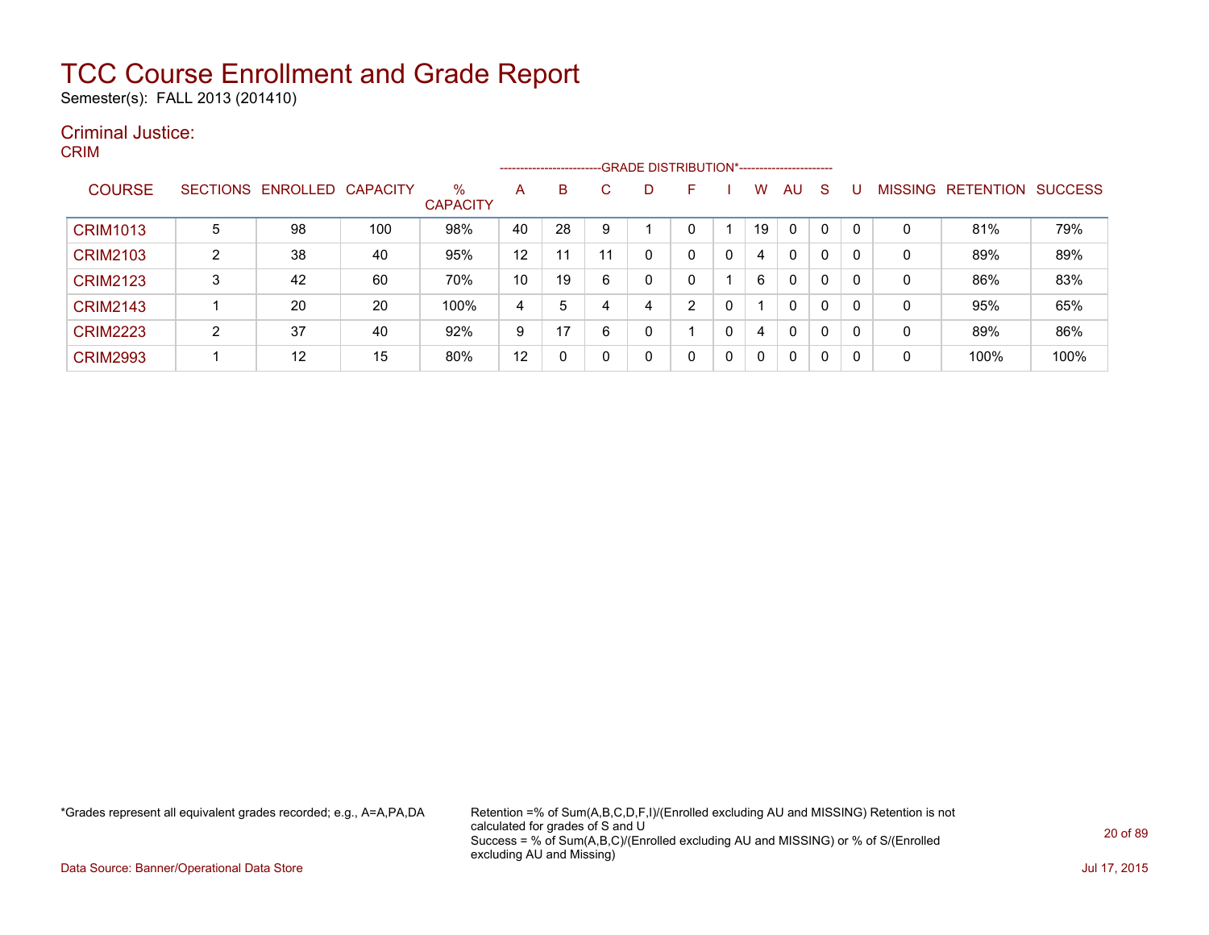Semester(s): FALL 2013 (201410)

#### Criminal Justice: CRIM

|                 |                |                   |          |                         |    | --------------------- |    |   |    |   |    |              |              |   |                |                  |                |
|-----------------|----------------|-------------------|----------|-------------------------|----|-----------------------|----|---|----|---|----|--------------|--------------|---|----------------|------------------|----------------|
| <b>COURSE</b>   |                | SECTIONS ENROLLED | CAPACITY | $\%$<br><b>CAPACITY</b> | A  | B                     | C. | D | F. |   | W  | AU           | S            |   | <b>MISSING</b> | <b>RETENTION</b> | <b>SUCCESS</b> |
| <b>CRIM1013</b> | 5              | 98                | 100      | 98%                     | 40 | 28                    | 9  |   |    |   | 19 | $\mathbf{0}$ | $\mathbf{0}$ | 0 | 0              | 81%              | 79%            |
| <b>CRIM2103</b> | $\overline{2}$ | 38                | 40       | 95%                     | 12 | 11                    | 11 |   |    | 0 | 4  | $\mathbf{0}$ | 0            | 0 | 0              | 89%              | 89%            |
| <b>CRIM2123</b> | 3              | 42                | 60       | 70%                     | 10 | 19                    | 6  |   |    |   | 6  | $\mathbf{0}$ | 0            | 0 | 0              | 86%              | 83%            |
| <b>CRIM2143</b> |                | 20                | 20       | 100%                    | 4  | 5                     | 4  | 4 | ົ  | 0 |    | $\mathbf{0}$ | 0            | 0 | $\mathbf{0}$   | 95%              | 65%            |
| <b>CRIM2223</b> | 2              | 37                | 40       | 92%                     | 9  | 17                    | 6  |   |    | 0 | 4  | $\mathbf{0}$ | 0            | 0 | 0              | 89%              | 86%            |
| <b>CRIM2993</b> |                | 12                | 15       | 80%                     | 12 | 0                     | 0  |   | 0  | 0 | 0  | 0            | 0            | 0 | 0              | 100%             | 100%           |

\*Grades represent all equivalent grades recorded; e.g., A=A,PA,DA Retention =% of Sum(A,B,C,D,F,I)/(Enrolled excluding AU and MISSING) Retention is not calculated for grades of S and U Success = % of Sum(A,B,C)/(Enrolled excluding AU and MISSING) or % of S/(Enrolled excluding AU and Missing)

Data Source: Banner/Operational Data Store Jul 17, 2015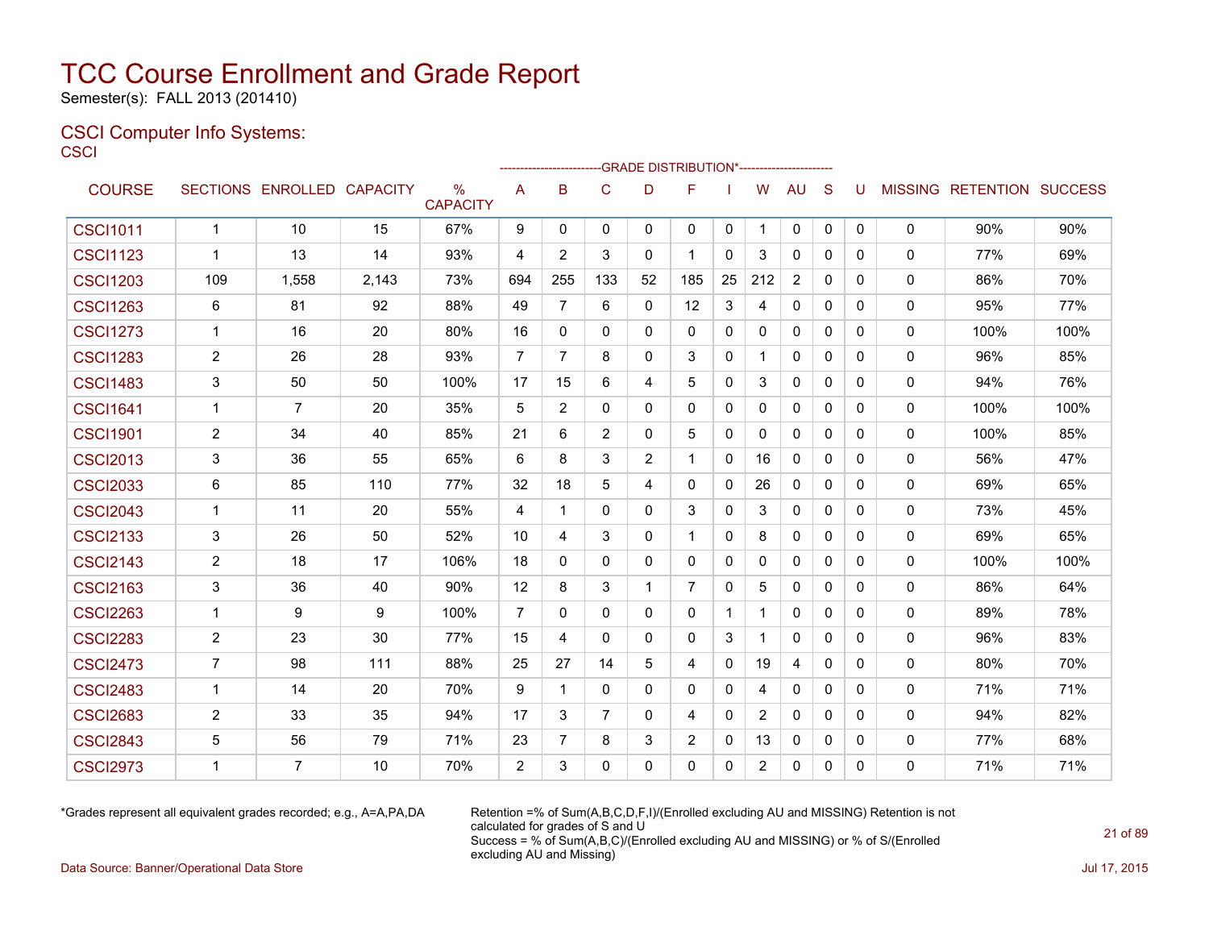Semester(s): FALL 2013 (201410)

#### CSCI Computer Info Systems: **CSCI**

|                 |                         |                            |       |                      |                | ------------------------GRADE                DISTRIBUTION*---------------------- |                |              |              |              |                |                |              |              |             |                                  |      |
|-----------------|-------------------------|----------------------------|-------|----------------------|----------------|----------------------------------------------------------------------------------|----------------|--------------|--------------|--------------|----------------|----------------|--------------|--------------|-------------|----------------------------------|------|
| <b>COURSE</b>   |                         | SECTIONS ENROLLED CAPACITY |       | %<br><b>CAPACITY</b> | A              | B                                                                                | $\mathsf{C}$   | D            | F            |              | W              | <b>AU</b>      | S            | U            |             | <b>MISSING RETENTION SUCCESS</b> |      |
| <b>CSCI1011</b> | $\mathbf{1}$            | 10                         | 15    | 67%                  | 9              | $\mathbf 0$                                                                      | $\mathbf 0$    | $\mathbf{0}$ | 0            | 0            | -1             | 0              | 0            | $\mathbf{0}$ | $\mathbf 0$ | 90%                              | 90%  |
| <b>CSCI1123</b> | $\mathbf 1$             | 13                         | 14    | 93%                  | 4              | 2                                                                                | 3              | 0            | 1            | 0            | 3              | 0              | 0            | $\mathbf{0}$ | 0           | 77%                              | 69%  |
| <b>CSCI1203</b> | 109                     | 1,558                      | 2,143 | 73%                  | 694            | 255                                                                              | 133            | 52           | 185          | 25           | 212            | $\overline{2}$ | $\mathbf{0}$ | $\Omega$     | 0           | 86%                              | 70%  |
| <b>CSCI1263</b> | 6                       | 81                         | 92    | 88%                  | 49             | $\overline{7}$                                                                   | 6              | 0            | 12           | 3            | 4              | 0              | 0            | $\mathbf{0}$ | 0           | 95%                              | 77%  |
| <b>CSCI1273</b> | $\mathbf 1$             | 16                         | 20    | 80%                  | 16             | 0                                                                                | 0              | 0            | 0            | 0            | 0              | 0              | 0            | 0            | 0           | 100%                             | 100% |
| <b>CSCI1283</b> | $\overline{2}$          | 26                         | 28    | 93%                  | 7              | 7                                                                                | 8              | 0            | 3            | 0            |                | 0              | 0            | $\mathbf{0}$ | 0           | 96%                              | 85%  |
| <b>CSCI1483</b> | 3                       | 50                         | 50    | 100%                 | 17             | 15                                                                               | 6              | 4            | 5            | 0            | 3              | 0              | 0            | $\mathbf{0}$ | 0           | 94%                              | 76%  |
| <b>CSCI1641</b> | $\mathbf 1$             | $\overline{7}$             | 20    | 35%                  | 5              | 2                                                                                | $\Omega$       | $\Omega$     | $\mathbf{0}$ | 0            | 0              | 0              | $\Omega$     | $\mathbf{0}$ | 0           | 100%                             | 100% |
| <b>CSCI1901</b> | $\overline{2}$          | 34                         | 40    | 85%                  | 21             | 6                                                                                | 2              | $\mathbf{0}$ | 5            | 0            | 0              | 0              | 0            | $\mathbf{0}$ | $\mathbf 0$ | 100%                             | 85%  |
| <b>CSCI2013</b> | 3                       | 36                         | 55    | 65%                  | 6              | 8                                                                                | 3              | 2            |              | $\mathbf{0}$ | 16             | $\Omega$       | $\Omega$     | $\Omega$     | 0           | 56%                              | 47%  |
| <b>CSCI2033</b> | 6                       | 85                         | 110   | 77%                  | 32             | 18                                                                               | 5              | 4            | 0            | $\mathbf 0$  | 26             | 0              | 0            | $\mathbf{0}$ | 0           | 69%                              | 65%  |
| <b>CSCI2043</b> | $\mathbf 1$             | 11                         | 20    | 55%                  | 4              | $\mathbf 1$                                                                      | $\Omega$       | 0            | 3            | $\mathbf 0$  | 3              | 0              | $\mathbf{0}$ | $\Omega$     | 0           | 73%                              | 45%  |
| <b>CSCI2133</b> | 3                       | 26                         | 50    | 52%                  | 10             | 4                                                                                | 3              | 0            | 1            | 0            | 8              | 0              | $\Omega$     | $\Omega$     | 0           | 69%                              | 65%  |
| <b>CSCI2143</b> | $\overline{2}$          | 18                         | 17    | 106%                 | 18             | 0                                                                                | $\mathbf 0$    | $\mathbf{0}$ | $\mathbf{0}$ | 0            | $\Omega$       | 0              | $\mathbf{0}$ | $\mathbf{0}$ | $\mathbf 0$ | 100%                             | 100% |
| <b>CSCI2163</b> | 3                       | 36                         | 40    | 90%                  | 12             | 8                                                                                | 3              | 1            | 7            | $\mathbf{0}$ | 5              | 0              | $\mathbf{0}$ | $\Omega$     | 0           | 86%                              | 64%  |
| <b>CSCI2263</b> | -1                      | 9                          | 9     | 100%                 | $\overline{7}$ | $\mathbf{0}$                                                                     | $\Omega$       | $\mathbf{0}$ | 0            | 1            |                | 0              | 0            | $\mathbf{0}$ | 0           | 89%                              | 78%  |
| <b>CSCI2283</b> | $\overline{2}$          | 23                         | 30    | 77%                  | 15             | 4                                                                                | $\Omega$       | $\Omega$     | $\mathbf{0}$ | 3            |                | $\Omega$       | $\mathbf{0}$ | $\Omega$     | 0           | 96%                              | 83%  |
| <b>CSCI2473</b> | $\overline{7}$          | 98                         | 111   | 88%                  | 25             | 27                                                                               | 14             | 5            | 4            | 0            | 19             | 4              | $\Omega$     | $\Omega$     | $\mathbf 0$ | 80%                              | 70%  |
| <b>CSCI2483</b> | $\overline{1}$          | 14                         | 20    | 70%                  | 9              | $\mathbf{1}$                                                                     | $\mathbf{0}$   | $\mathbf{0}$ | $\Omega$     | $\mathbf{0}$ | 4              | $\Omega$       | $\Omega$     | $\Omega$     | $\mathbf 0$ | 71%                              | 71%  |
| <b>CSCI2683</b> | 2                       | 33                         | 35    | 94%                  | 17             | 3                                                                                | $\overline{7}$ | $\Omega$     | 4            | $\mathbf{0}$ | 2              | $\Omega$       | $\Omega$     | $\Omega$     | $\mathbf 0$ | 94%                              | 82%  |
| <b>CSCI2843</b> | 5                       | 56                         | 79    | 71%                  | 23             | $\overline{7}$                                                                   | 8              | 3            | 2            | $\mathbf 0$  | 13             | $\Omega$       | $\Omega$     | $\Omega$     | $\mathbf 0$ | 77%                              | 68%  |
| <b>CSCI2973</b> | $\overline{\mathbf{1}}$ | 7                          | 10    | 70%                  | 2              | 3                                                                                | $\Omega$       | $\Omega$     | $\Omega$     | $\Omega$     | $\overline{2}$ | $\Omega$       | $\Omega$     | $\Omega$     | $\Omega$    | 71%                              | 71%  |

\*Grades represent all equivalent grades recorded; e.g., A=A,PA,DA Retention =% of Sum(A,B,C,D,F,I)/(Enrolled excluding AU and MISSING) Retention is not calculated for grades of S and U Success = % of Sum(A,B,C)/(Enrolled excluding AU and MISSING) or % of S/(Enrolled excluding AU and Missing)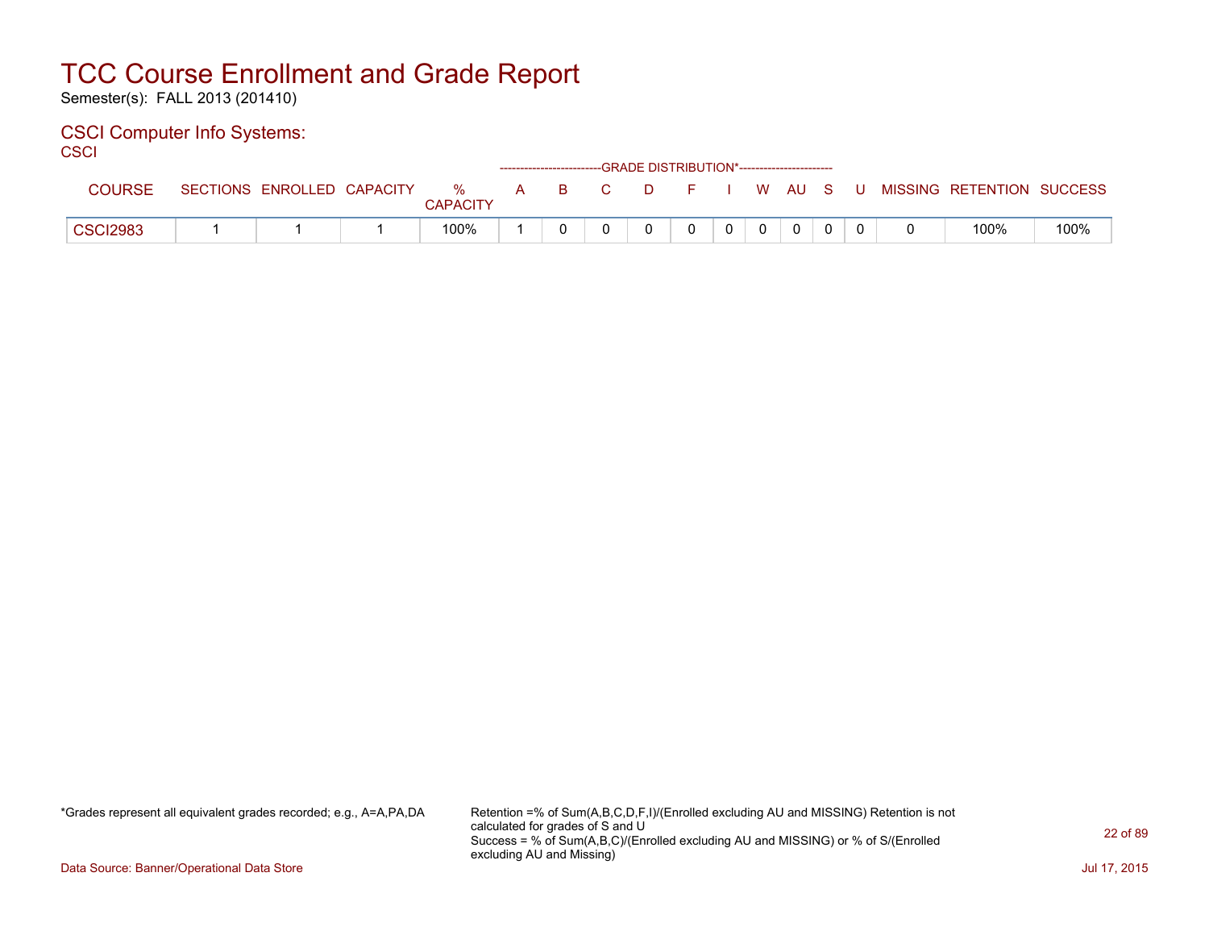Semester(s): FALL 2013 (201410)

#### CSCI Computer Info Systems: **CSCI**

| וטטט            |                            |                                        |  |  | ------------------------GRADE DISTRIBUTION*----------------------- |                |  |  |                                                |      |
|-----------------|----------------------------|----------------------------------------|--|--|--------------------------------------------------------------------|----------------|--|--|------------------------------------------------|------|
| COURSE          | SECTIONS ENROLLED CAPACITY | $\cdots$ % $\cdots$<br><b>CAPACITY</b> |  |  |                                                                    |                |  |  | A B C D F I W AU S U MISSING RETENTION SUCCESS |      |
| <b>CSCI2983</b> |                            | 100%                                   |  |  | 0                                                                  | $\overline{0}$ |  |  | 100%                                           | 100% |

\*Grades represent all equivalent grades recorded; e.g., A=A,PA,DA Retention =% of Sum(A,B,C,D,F,I)/(Enrolled excluding AU and MISSING) Retention is not calculated for grades of S and U Success = % of Sum(A,B,C)/(Enrolled excluding AU and MISSING) or % of S/(Enrolled excluding AU and Missing)

Data Source: Banner/Operational Data Store Jul 17, 2015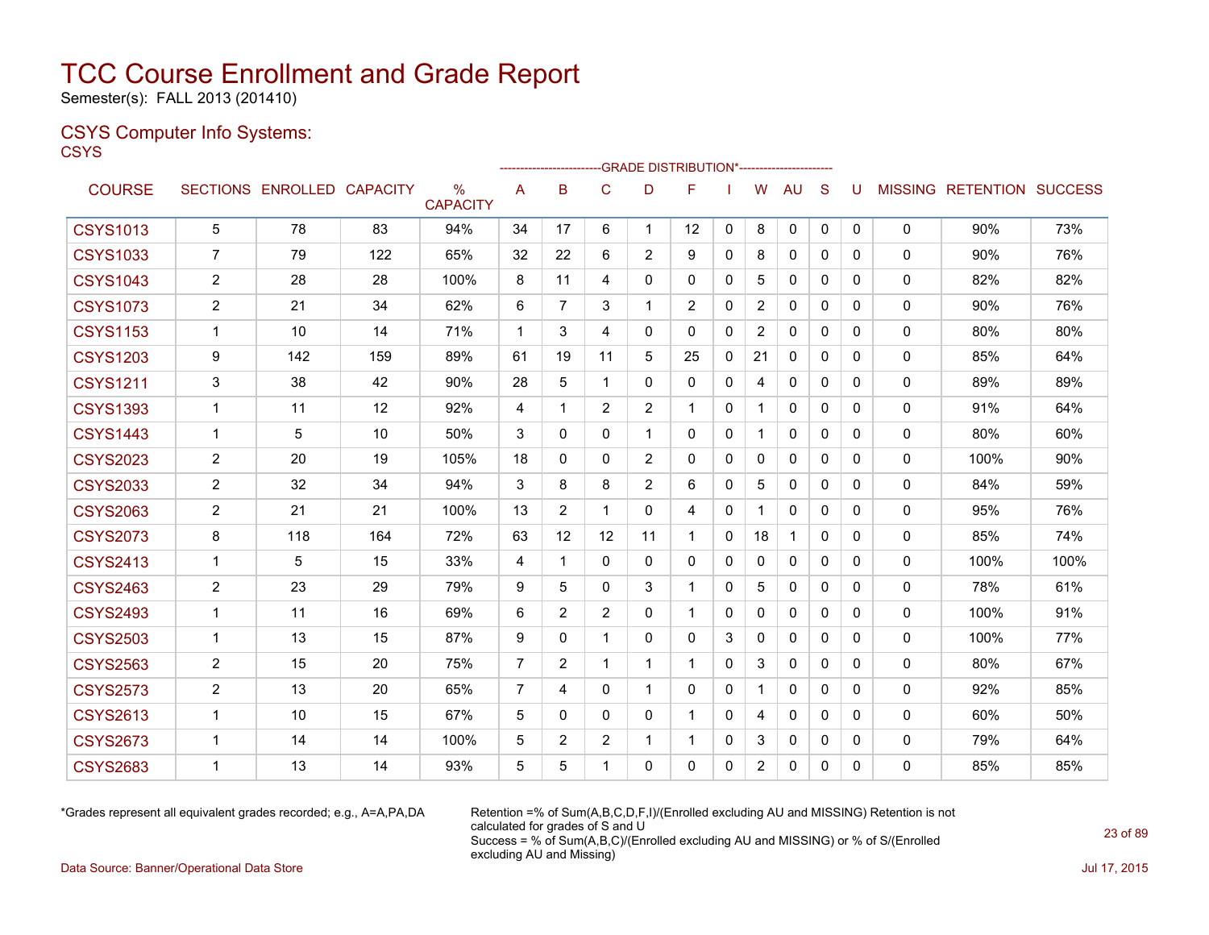Semester(s): FALL 2013 (201410)

### CSYS Computer Info Systems:

**CSYS** 

|                 |                |                   |                 |                         |                | --------------------- |                |                | -- GRADE DISTRIBUTION*----------------------- |              |                |              |              |          |              |                                  |      |
|-----------------|----------------|-------------------|-----------------|-------------------------|----------------|-----------------------|----------------|----------------|-----------------------------------------------|--------------|----------------|--------------|--------------|----------|--------------|----------------------------------|------|
| <b>COURSE</b>   |                | SECTIONS ENROLLED | <b>CAPACITY</b> | $\%$<br><b>CAPACITY</b> | A              | B                     | C              | D              | F                                             |              | W              | <b>AU</b>    | <sub>S</sub> | U        |              | <b>MISSING RETENTION SUCCESS</b> |      |
| <b>CSYS1013</b> | 5              | 78                | 83              | 94%                     | 34             | 17                    | 6              | $\mathbf{1}$   | $12 \overline{ }$                             | $\mathbf{0}$ | 8              | 0            | 0            | 0        | $\mathbf 0$  | 90%                              | 73%  |
| <b>CSYS1033</b> | $\overline{7}$ | 79                | 122             | 65%                     | 32             | 22                    | 6              | $\overline{2}$ | 9                                             | $\Omega$     | 8              | $\mathbf{0}$ | $\Omega$     | $\Omega$ | $\mathbf{0}$ | 90%                              | 76%  |
| <b>CSYS1043</b> | $\overline{c}$ | 28                | 28              | 100%                    | 8              | 11                    | 4              | $\Omega$       | 0                                             | $\mathbf{0}$ | 5              | $\mathbf{0}$ | $\Omega$     | 0        | 0            | 82%                              | 82%  |
| <b>CSYS1073</b> | $\overline{c}$ | 21                | 34              | 62%                     | 6              | 7                     | 3              | 1              | $\overline{2}$                                | 0            | $\overline{2}$ | 0            | $\mathbf{0}$ | 0        | 0            | 90%                              | 76%  |
| <b>CSYS1153</b> | $\mathbf{1}$   | 10                | 14              | 71%                     | $\mathbf 1$    | 3                     | 4              | 0              | 0                                             | 0            | $\overline{2}$ | 0            | 0            | 0        | 0            | 80%                              | 80%  |
| <b>CSYS1203</b> | 9              | 142               | 159             | 89%                     | 61             | 19                    | 11             | 5              | 25                                            | $\mathbf{0}$ | 21             | $\mathbf{0}$ | $\Omega$     | 0        | $\Omega$     | 85%                              | 64%  |
| <b>CSYS1211</b> | 3              | 38                | 42              | 90%                     | 28             | 5                     | $\mathbf{1}$   | $\mathbf 0$    | 0                                             | $\mathbf{0}$ | 4              | $\mathbf{0}$ | $\mathbf{0}$ | 0        | $\mathbf 0$  | 89%                              | 89%  |
| <b>CSYS1393</b> | $\mathbf 1$    | 11                | 12              | 92%                     | 4              | 1                     | $\overline{2}$ | $\overline{2}$ | $\mathbf{1}$                                  | $\mathbf{0}$ | $\mathbf 1$    | $\mathbf{0}$ | $\mathbf{0}$ | 0        | 0            | 91%                              | 64%  |
| <b>CSYS1443</b> | $\mathbf{1}$   | 5                 | 10              | 50%                     | 3              | $\Omega$              | $\Omega$       | $\mathbf{1}$   | 0                                             | $\mathbf{0}$ | $\mathbf 1$    | $\mathbf{0}$ | $\Omega$     | $\Omega$ | $\mathbf 0$  | 80%                              | 60%  |
| <b>CSYS2023</b> | $\overline{2}$ | 20                | 19              | 105%                    | 18             | $\Omega$              | 0              | $\overline{2}$ | 0                                             | $\Omega$     | $\mathbf{0}$   | $\mathbf{0}$ | $\Omega$     | 0        | 0            | 100%                             | 90%  |
| <b>CSYS2033</b> | $\overline{c}$ | 32                | 34              | 94%                     | 3              | 8                     | 8              | $\overline{2}$ | 6                                             | $\mathbf{0}$ | 5              | $\mathbf{0}$ | $\Omega$     | $\Omega$ | $\mathbf 0$  | 84%                              | 59%  |
| <b>CSYS2063</b> | 2              | 21                | 21              | 100%                    | 13             | $\overline{2}$        | 1              | 0              | 4                                             | $\mathbf{0}$ |                | $\mathbf{0}$ | $\mathbf{0}$ | 0        | $\mathbf{0}$ | 95%                              | 76%  |
| <b>CSYS2073</b> | 8              | 118               | 164             | 72%                     | 63             | 12                    | 12             | 11             | $\mathbf 1$                                   | $\mathbf{0}$ | 18             | 1            | $\Omega$     | $\Omega$ | 0            | 85%                              | 74%  |
| <b>CSYS2413</b> | $\mathbf{1}$   | 5                 | 15              | 33%                     | 4              | 1                     | 0              | $\mathbf{0}$   | 0                                             | $\mathbf{0}$ | 0              | 0            | $\mathbf{0}$ | 0        | 0            | 100%                             | 100% |
| <b>CSYS2463</b> | $\overline{2}$ | 23                | 29              | 79%                     | 9              | 5                     | $\Omega$       | 3              | $\mathbf{1}$                                  | $\mathbf{0}$ | 5              | $\mathbf{0}$ | $\Omega$     | $\Omega$ | 0            | 78%                              | 61%  |
| <b>CSYS2493</b> | $\mathbf 1$    | 11                | 16              | 69%                     | 6              | $\overline{2}$        | $\overline{2}$ | 0              | $\mathbf{1}$                                  | $\Omega$     | $\mathbf{0}$   | $\mathbf{0}$ | $\Omega$     | $\Omega$ | 0            | 100%                             | 91%  |
| <b>CSYS2503</b> | $\mathbf{1}$   | 13                | 15              | 87%                     | 9              | 0                     | $\mathbf{1}$   | 0              | 0                                             | 3            | $\mathbf{0}$   | $\mathbf{0}$ | $\Omega$     | $\Omega$ | 0            | 100%                             | 77%  |
| <b>CSYS2563</b> | $\overline{2}$ | 15                | 20              | 75%                     | $\overline{7}$ | $\overline{2}$        | 1              | $\mathbf{1}$   | $\mathbf 1$                                   | $\mathbf{0}$ | 3              | $\mathbf{0}$ | $\Omega$     | 0        | 0            | 80%                              | 67%  |
| <b>CSYS2573</b> | $\overline{c}$ | 13                | 20              | 65%                     | 7              | 4                     | 0              | $\mathbf 1$    | 0                                             | $\mathbf{0}$ |                | $\mathbf{0}$ | $\mathbf{0}$ | 0        | 0            | 92%                              | 85%  |
| <b>CSYS2613</b> | $\mathbf 1$    | 10                | 15              | 67%                     | 5              | 0                     | $\Omega$       | 0              | 1                                             | 0            | 4              | 0            | $\Omega$     | $\Omega$ | 0            | 60%                              | 50%  |
| <b>CSYS2673</b> | $\mathbf 1$    | 14                | 14              | 100%                    | 5              | $\overline{2}$        | 2              | 1              | 1                                             | $\Omega$     | 3              | 0            | $\mathbf{0}$ | 0        | 0            | 79%                              | 64%  |
| <b>CSYS2683</b> | 1              | 13                | 14              | 93%                     | 5              | 5                     |                | 0              | 0                                             | $\mathbf{0}$ | $\overline{2}$ | 0            | 0            | $\Omega$ | $\mathbf{0}$ | 85%                              | 85%  |

\*Grades represent all equivalent grades recorded; e.g., A=A,PA,DA Retention =% of Sum(A,B,C,D,F,I)/(Enrolled excluding AU and MISSING) Retention is not calculated for grades of S and U Success = % of Sum(A,B,C)/(Enrolled excluding AU and MISSING) or % of S/(Enrolled excluding AU and Missing)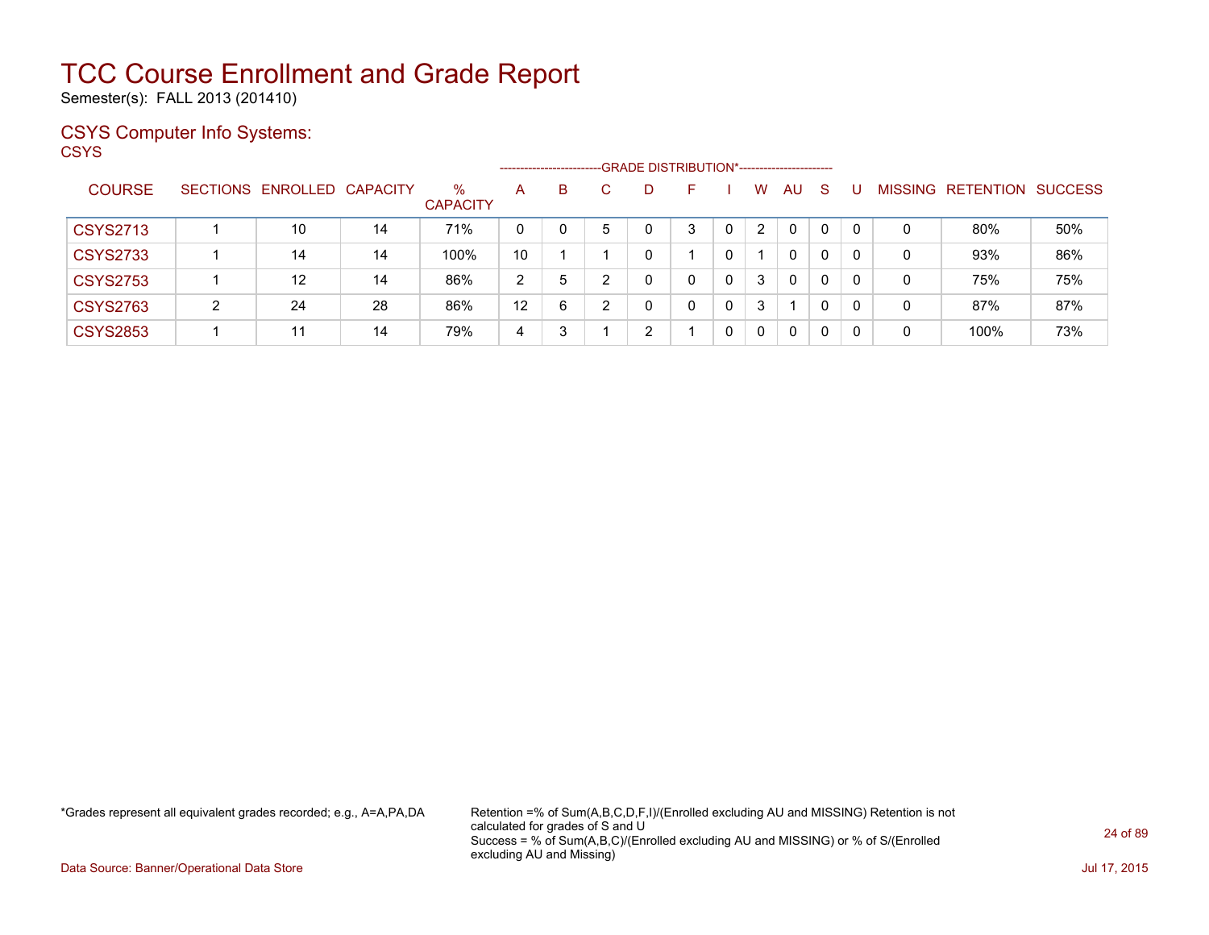Semester(s): FALL 2013 (201410)

### CSYS Computer Info Systems:

**CSYS** 

|                 |   |                            |    |                         |         | -------------------------- |   | -GRADE DISTRIBUTION*----------------------- |   |   |                |    |              |          |                |                  |                |
|-----------------|---|----------------------------|----|-------------------------|---------|----------------------------|---|---------------------------------------------|---|---|----------------|----|--------------|----------|----------------|------------------|----------------|
| <b>COURSE</b>   |   | SECTIONS ENROLLED CAPACITY |    | $\%$<br><b>CAPACITY</b> | A       | В                          |   | D                                           |   |   | w              | AU | <sub>S</sub> |          | <b>MISSING</b> | <b>RETENTION</b> | <b>SUCCESS</b> |
| <b>CSYS2713</b> |   | 10                         | 14 | 71%                     | 0       | $\Omega$                   | 5 | 0                                           | 3 | 0 | $\overline{2}$ | 0  |              | $\Omega$ | 0              | 80%              | 50%            |
| <b>CSYS2733</b> |   | 14                         | 14 | 100%                    | 10      |                            |   | 0                                           |   | 0 |                | 0  | $\mathbf{0}$ | 0        | 0              | 93%              | 86%            |
| <b>CSYS2753</b> |   | $12 \overline{ }$          | 14 | 86%                     | 2       | 5                          | ົ | 0                                           | 0 | 0 | 3              | 0  | 0            | 0        | 0              | 75%              | 75%            |
| <b>CSYS2763</b> | າ | 24                         | 28 | 86%                     | $12 \,$ | 6                          | ົ | 0                                           | 0 | 0 | 3              |    |              | $\Omega$ | 0              | 87%              | 87%            |
| <b>CSYS2853</b> |   | 11                         | 14 | 79%                     | 4       |                            |   | ົ                                           |   | 0 | 0              | 0  | $\Omega$     | $\Omega$ | 0              | 100%             | 73%            |

\*Grades represent all equivalent grades recorded; e.g., A=A,PA,DA Retention =% of Sum(A,B,C,D,F,I)/(Enrolled excluding AU and MISSING) Retention is not calculated for grades of S and U Success = % of Sum(A,B,C)/(Enrolled excluding AU and MISSING) or % of S/(Enrolled excluding AU and Missing)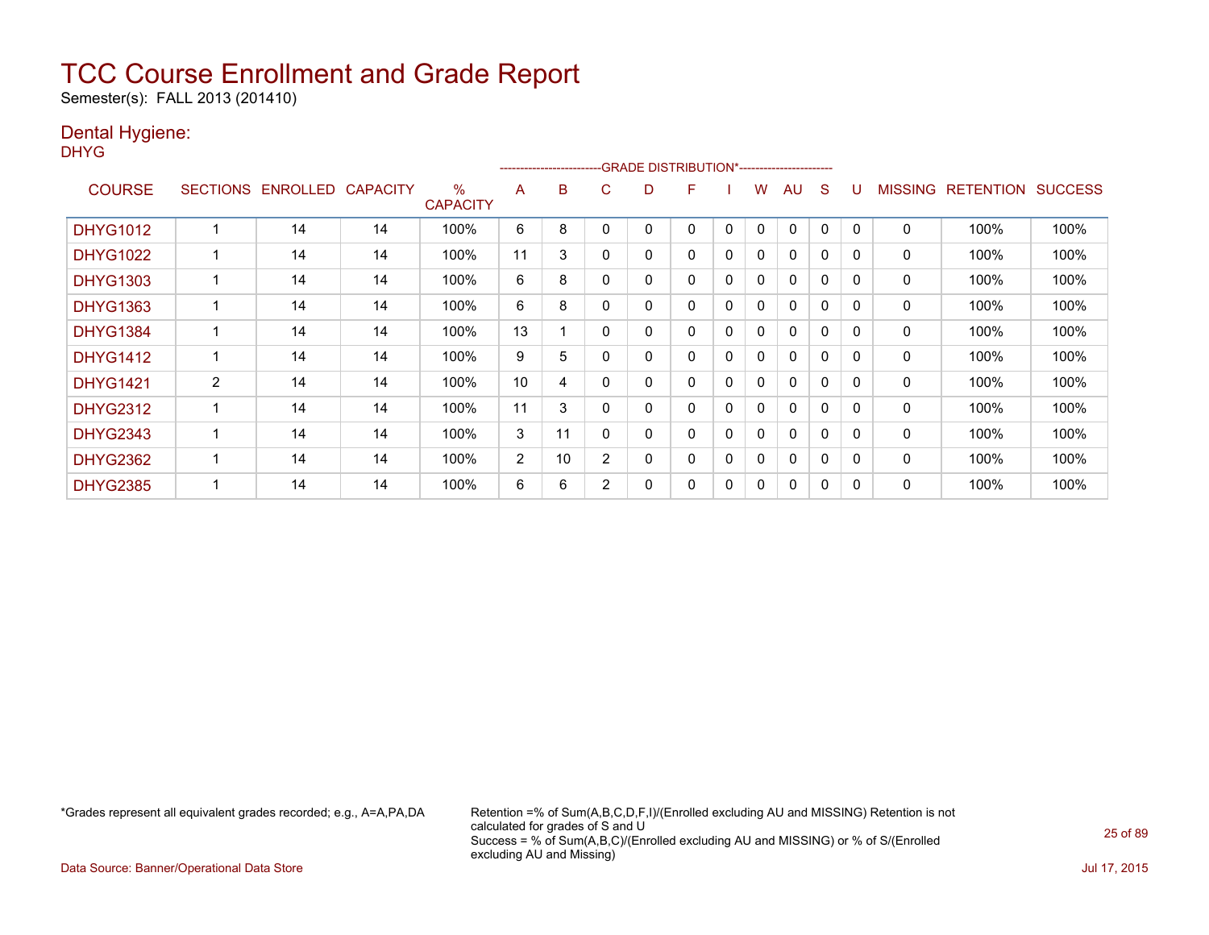Semester(s): FALL 2013 (201410)

### Dental Hygiene:

DHYG

|                 |                 |                 |                 |                      | --------------------- |    |                | -GRADE DISTRIBUTION*----------------------- |              |   |   |              |          |              |                |                  |                |
|-----------------|-----------------|-----------------|-----------------|----------------------|-----------------------|----|----------------|---------------------------------------------|--------------|---|---|--------------|----------|--------------|----------------|------------------|----------------|
| <b>COURSE</b>   | <b>SECTIONS</b> | <b>ENROLLED</b> | <b>CAPACITY</b> | %<br><b>CAPACITY</b> | A                     | B  | С              | D                                           | F            |   | w | AU           | S        |              | <b>MISSING</b> | <b>RETENTION</b> | <b>SUCCESS</b> |
| <b>DHYG1012</b> |                 | 14              | 14              | 100%                 | 6                     | 8  |                | 0                                           | 0            | 0 | 0 | 0            | 0        | 0            | 0              | 100%             | 100%           |
| <b>DHYG1022</b> |                 | 14              | 14              | 100%                 | 11                    | 3  | 0              | 0                                           | $\mathbf{0}$ | 0 | 0 | $\Omega$     | $\Omega$ | 0            | 0              | 100%             | 100%           |
| <b>DHYG1303</b> |                 | 14              | 14              | 100%                 | 6                     | 8  |                | 0                                           | 0            | 0 | 0 | $\mathbf{0}$ | 0        | 0            | 0              | 100%             | 100%           |
| <b>DHYG1363</b> |                 | 14              | 14              | 100%                 | 6                     | 8  |                | 0                                           | 0            | 0 | 0 | $\mathbf{0}$ | 0        | $\mathbf{0}$ | 0              | 100%             | 100%           |
| <b>DHYG1384</b> |                 | 14              | 14              | 100%                 | 13                    |    | 0              | 0                                           | 0            | 0 | 0 | $\mathbf{0}$ | 0        | $\Omega$     | $\mathbf{0}$   | 100%             | 100%           |
| <b>DHYG1412</b> |                 | 14              | 14              | 100%                 | 9                     | 5  |                | 0                                           | 0            | 0 | 0 | $\Omega$     | $\Omega$ | 0            | $\mathbf 0$    | 100%             | 100%           |
| <b>DHYG1421</b> | 2               | 14              | 14              | 100%                 | 10                    | 4  |                | 0                                           | 0            | 0 | 0 | 0            | 0        | 0            | 0              | 100%             | 100%           |
| <b>DHYG2312</b> |                 | 14              | 14              | 100%                 | 11                    | 3  | 0              | 0                                           | 0            | 0 | 0 | $\mathbf{0}$ | 0        | 0            | 0              | 100%             | 100%           |
| <b>DHYG2343</b> |                 | 14              | 14              | 100%                 | 3                     | 11 |                | 0                                           | 0            | 0 | 0 | $\mathbf{0}$ | 0        | 0            | 0              | 100%             | 100%           |
| <b>DHYG2362</b> |                 | 14              | 14              | 100%                 | $\overline{2}$        | 10 | $\overline{2}$ | 0                                           | 0            | 0 | 0 | $\mathbf{0}$ | $\Omega$ | 0            | 0              | 100%             | 100%           |
| <b>DHYG2385</b> |                 | 14              | 14              | 100%                 | 6                     | 6  | $\overline{2}$ | 0                                           | 0            | 0 | 0 | $\mathbf{0}$ | 0        | 0            | 0              | 100%             | 100%           |

\*Grades represent all equivalent grades recorded; e.g., A=A,PA,DA Retention =% of Sum(A,B,C,D,F,I)/(Enrolled excluding AU and MISSING) Retention is not calculated for grades of S and U Success = % of Sum(A,B,C)/(Enrolled excluding AU and MISSING) or % of S/(Enrolled excluding AU and Missing)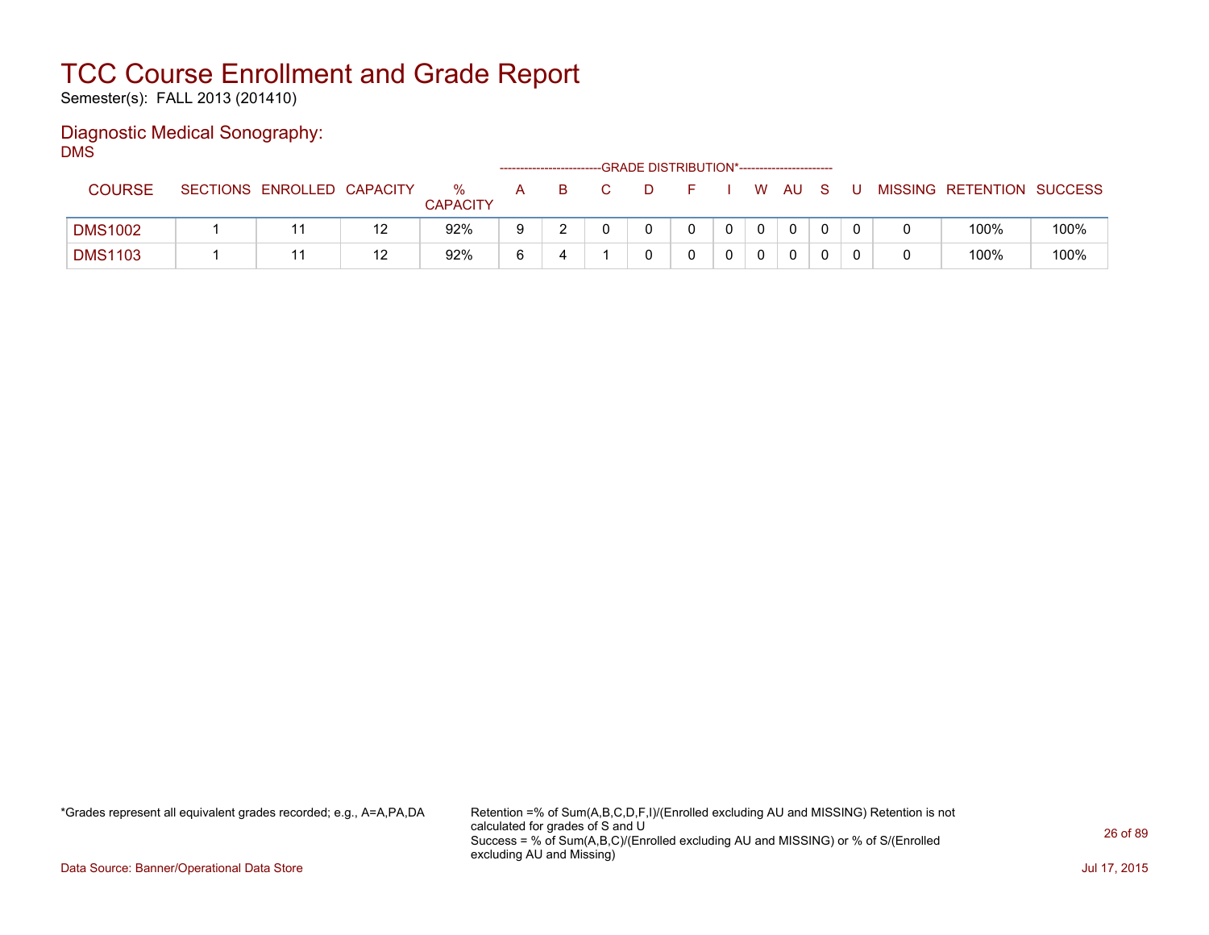Semester(s): FALL 2013 (201410)

#### Diagnostic Medical Sonography: DMS

|                |                            |    |                      |   | -------------------------- | -GRADE DISTRIBUTION*----------------------- |   |          |     |  |                           |      |
|----------------|----------------------------|----|----------------------|---|----------------------------|---------------------------------------------|---|----------|-----|--|---------------------------|------|
| <b>COURSE</b>  | SECTIONS ENROLLED CAPACITY |    | %<br><b>CAPACITY</b> | A |                            |                                             |   | W        | AU. |  | MISSING RETENTION SUCCESS |      |
| <b>DMS1002</b> |                            | 12 | 92%                  |   |                            |                                             | n | $\Omega$ | 0   |  | 100%                      | 100% |
| <b>DMS1103</b> |                            | 12 | 92%                  |   |                            |                                             |   |          | 0   |  | 100%                      | 100% |

\*Grades represent all equivalent grades recorded; e.g., A=A,PA,DA Retention =% of Sum(A,B,C,D,F,I)/(Enrolled excluding AU and MISSING) Retention is not calculated for grades of S and U Success = % of Sum(A,B,C)/(Enrolled excluding AU and MISSING) or % of S/(Enrolled excluding AU and Missing)

Data Source: Banner/Operational Data Store Jul 17, 2015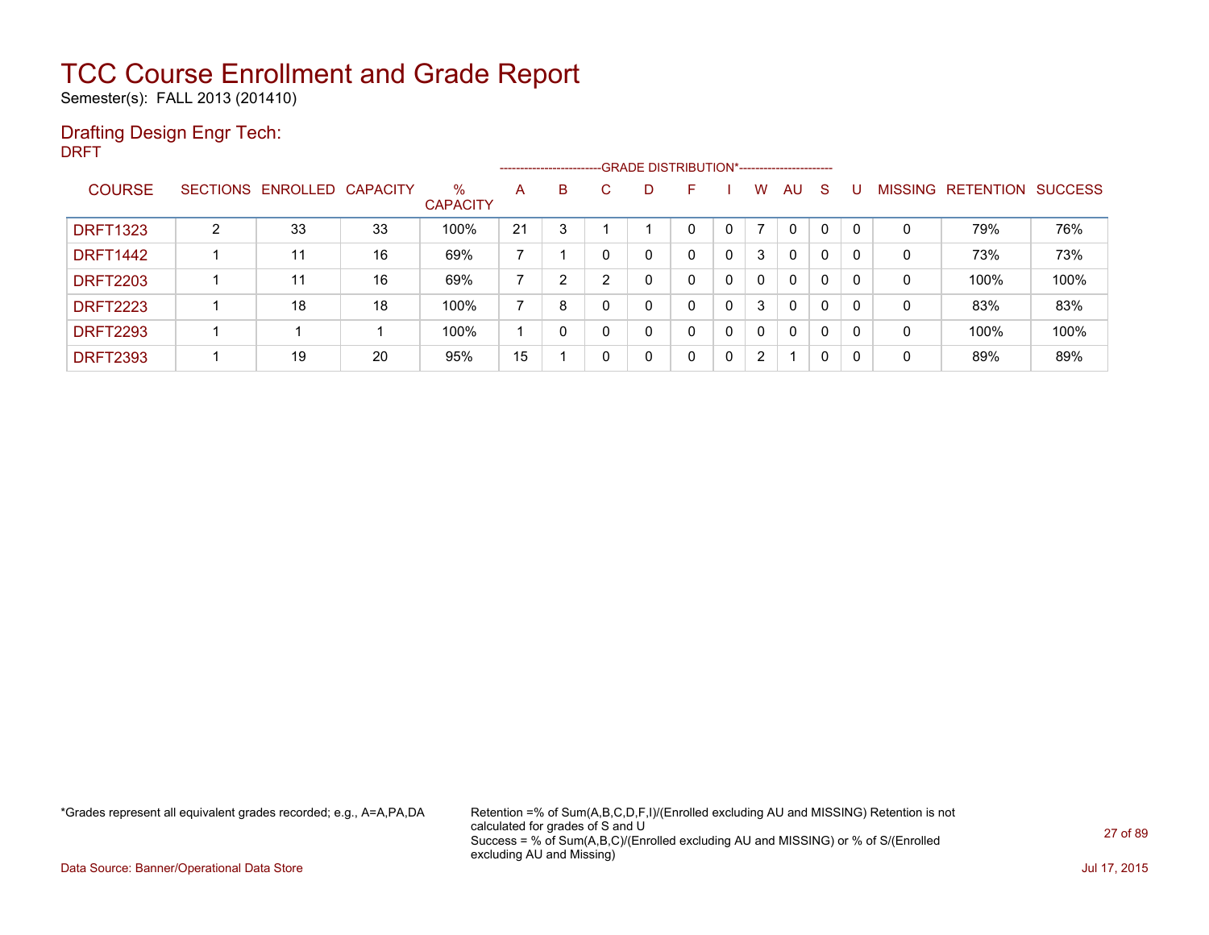Semester(s): FALL 2013 (201410)

### Drafting Design Engr Tech:

DRFT

|                 |                |                            |    |                         | ------------------------- |                |   | --GRADE DISTRIBUTION*----------------------- |   |   |                       |              |              |              |                |           |                |
|-----------------|----------------|----------------------------|----|-------------------------|---------------------------|----------------|---|----------------------------------------------|---|---|-----------------------|--------------|--------------|--------------|----------------|-----------|----------------|
| <b>COURSE</b>   |                | SECTIONS ENROLLED CAPACITY |    | $\%$<br><b>CAPACITY</b> | A                         | B              | C | D                                            |   |   | W                     | AU.          | -S           |              | <b>MISSING</b> | RETENTION | <b>SUCCESS</b> |
| <b>DRFT1323</b> | $\overline{2}$ | 33                         | 33 | 100%                    | 21                        | 3              |   |                                              | 0 | 0 |                       | $\mathbf{0}$ | 0            | $\mathbf{0}$ | 0              | 79%       | 76%            |
| <b>DRFT1442</b> |                | 11                         | 16 | 69%                     |                           |                |   | 0                                            | 0 | 0 | 3                     | $\mathbf{0}$ | $\Omega$     | $\mathbf{0}$ | 0              | 73%       | 73%            |
| <b>DRFT2203</b> |                | 11                         | 16 | 69%                     |                           | $\overline{2}$ | ົ | 0                                            | 0 | 0 | 0                     | $\mathbf{0}$ | $\mathbf{0}$ | 0            | 0              | 100%      | 100%           |
| <b>DRFT2223</b> |                | 18                         | 18 | 100%                    | 7                         | 8              |   | 0                                            | 0 | 0 | 3                     | $\Omega$     | $\Omega$     | 0            | 0              | 83%       | 83%            |
| <b>DRFT2293</b> |                |                            |    | 100%                    |                           |                |   | 0                                            | 0 | 0 | 0                     | $\mathbf{0}$ | $\mathbf{0}$ | 0            | 0              | 100%      | 100%           |
| <b>DRFT2393</b> |                | 19                         | 20 | 95%                     | 15                        |                |   | 0                                            | 0 | 0 | $\mathbf{2}^{\prime}$ | 1            | 0            | 0            | 0              | 89%       | 89%            |

\*Grades represent all equivalent grades recorded; e.g., A=A,PA,DA Retention =% of Sum(A,B,C,D,F,I)/(Enrolled excluding AU and MISSING) Retention is not calculated for grades of S and U Success = % of Sum(A,B,C)/(Enrolled excluding AU and MISSING) or % of S/(Enrolled excluding AU and Missing)

Data Source: Banner/Operational Data Store Jul 17, 2015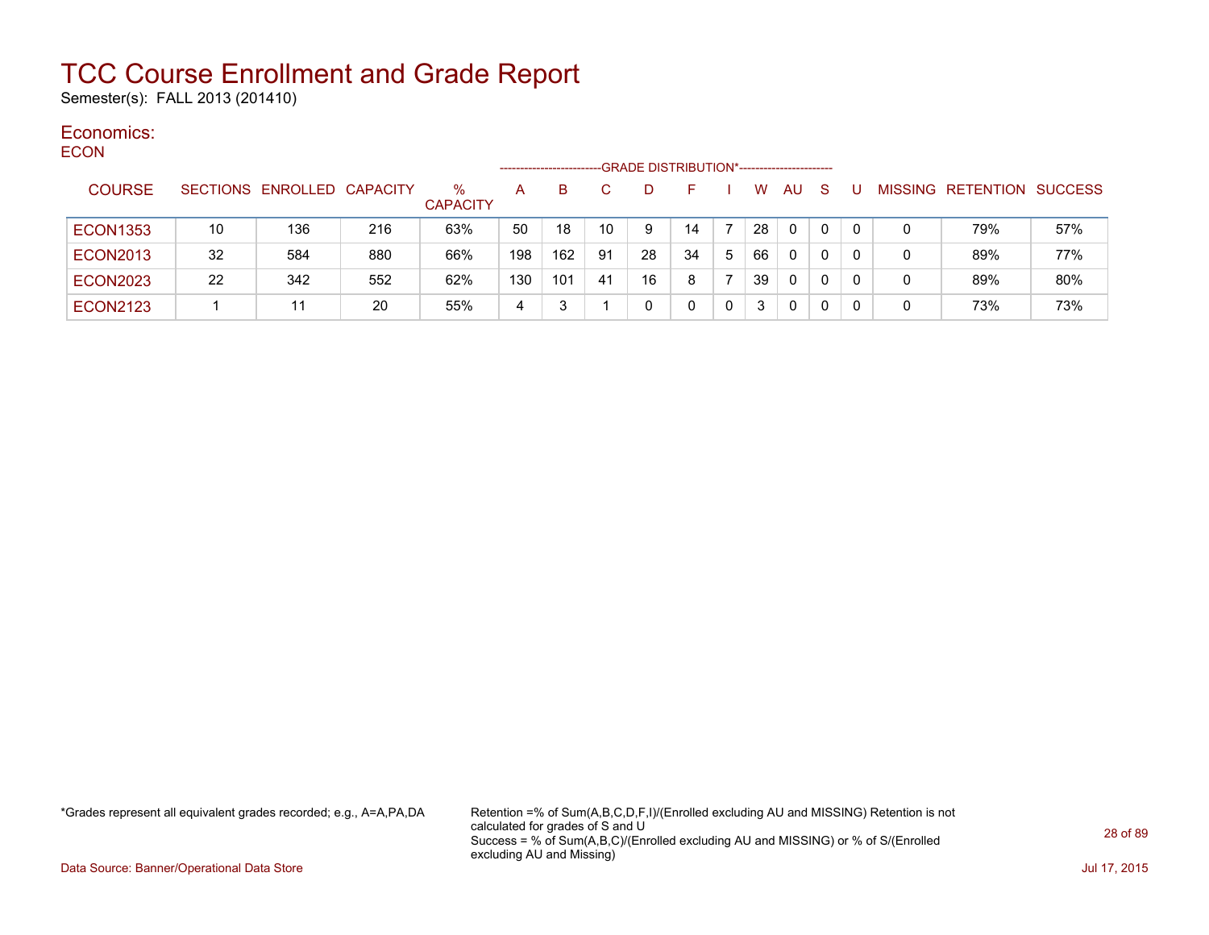Semester(s): FALL 2013 (201410)

#### Economics: ECON

| ◡◡◡╷៶           |                 |                   |     |                      | -------------------- |     |     | -GRADE DISTRIBUTION*----------------------- |    |    |    |           |              |   |   |                   |                |
|-----------------|-----------------|-------------------|-----|----------------------|----------------------|-----|-----|---------------------------------------------|----|----|----|-----------|--------------|---|---|-------------------|----------------|
| <b>COURSE</b>   | <b>SECTIONS</b> | ENROLLED CAPACITY |     | %<br><b>CAPACITY</b> | A                    | B.  |     | D                                           |    |    | W  | <b>AU</b> | <sub>S</sub> |   |   | MISSING RETENTION | <b>SUCCESS</b> |
| <b>ECON1353</b> | 10              | 136               | 216 | 63%                  | 50                   | 18  | 10  | 9                                           | 14 |    | 28 | 0         | 0            |   | 0 | 79%               | 57%            |
| <b>ECON2013</b> | 32              | 584               | 880 | 66%                  | 198                  | 162 | 91  | 28                                          | 34 | -5 | 66 | 0         | 0            |   | 0 | 89%               | 77%            |
| <b>ECON2023</b> | 22              | 342               | 552 | 62%                  | 130                  | 101 | -41 | 16                                          | 8  |    | 39 | 0         | 0            | 0 | 0 | 89%               | 80%            |
| <b>ECON2123</b> |                 | 11                | 20  | 55%                  | 4                    |     |     | 0                                           |    |    | 3  | 0         | 0            |   | 0 | 73%               | 73%            |

\*Grades represent all equivalent grades recorded; e.g., A=A,PA,DA Retention =% of Sum(A,B,C,D,F,I)/(Enrolled excluding AU and MISSING) Retention is not calculated for grades of S and U Success = % of Sum(A,B,C)/(Enrolled excluding AU and MISSING) or % of S/(Enrolled excluding AU and Missing)

Data Source: Banner/Operational Data Store Jul 17, 2015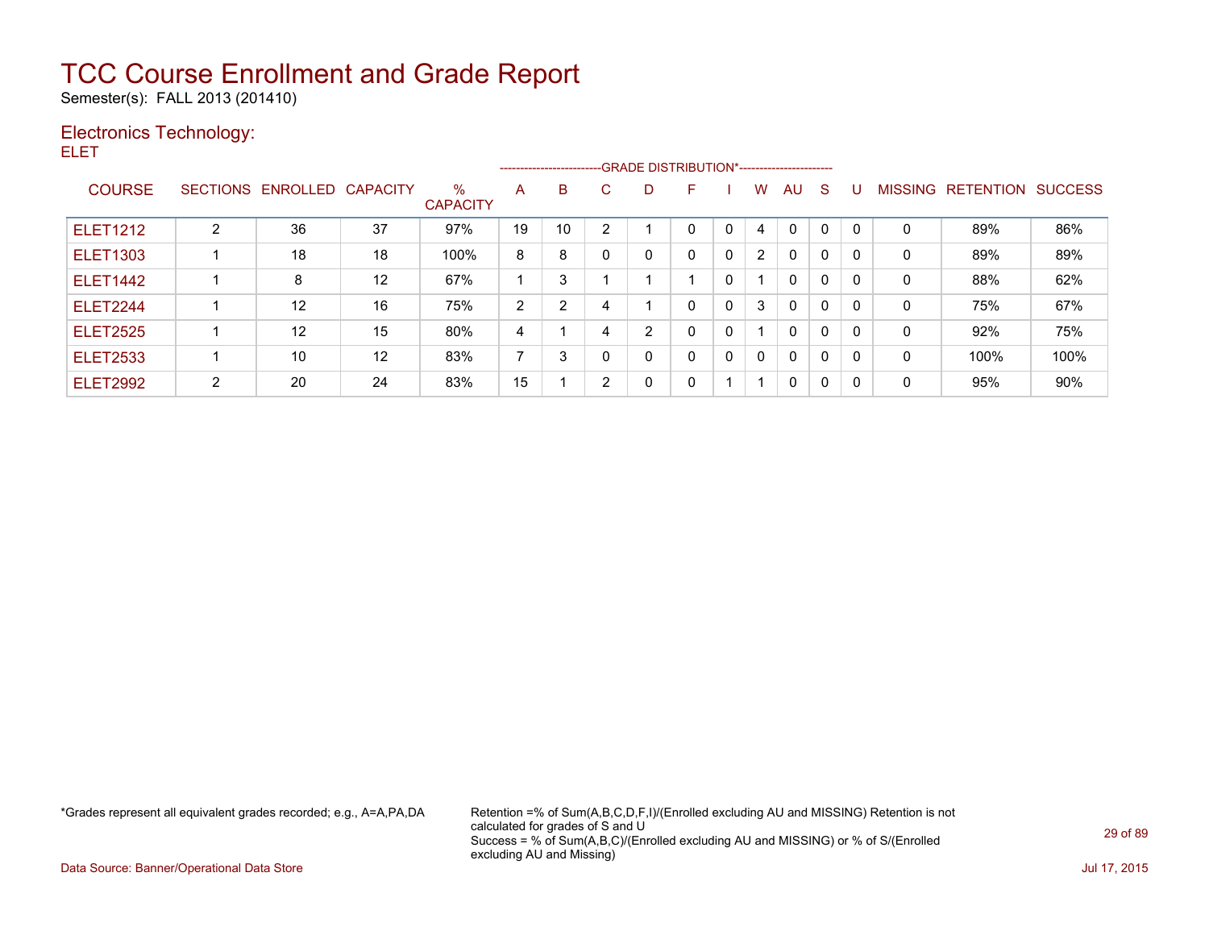Semester(s): FALL 2013 (201410)

### Electronics Technology:

ELET

|                 |   |                            |    |                         |    | --------------------------GRADE DISTRIBUTION*----------------------- |    |   |   |              |                |              |              |          |                |                  |                |
|-----------------|---|----------------------------|----|-------------------------|----|----------------------------------------------------------------------|----|---|---|--------------|----------------|--------------|--------------|----------|----------------|------------------|----------------|
| <b>COURSE</b>   |   | SECTIONS ENROLLED CAPACITY |    | $\%$<br><b>CAPACITY</b> | A  | B                                                                    | C. | D | F |              | W              | AU           | <sub>S</sub> |          | <b>MISSING</b> | <b>RETENTION</b> | <b>SUCCESS</b> |
| <b>ELET1212</b> | າ | 36                         | 37 | 97%                     | 19 | 10                                                                   | ົ  |   | 0 | $\mathbf{0}$ | 4              | $\Omega$     | $\mathbf 0$  |          | $\Omega$       | 89%              | 86%            |
| <b>ELET1303</b> |   | 18                         | 18 | 100%                    | 8  | 8                                                                    | ი  | 0 | 0 | 0            | $\overline{2}$ | 0            | $\mathbf 0$  | $\Omega$ | 0              | 89%              | 89%            |
| <b>ELET1442</b> |   | 8                          | 12 | 67%                     |    | 3                                                                    |    |   |   | 0            |                | $\mathbf{0}$ | 0            | $\Omega$ | 0              | 88%              | 62%            |
| <b>ELET2244</b> |   | 12                         | 16 | 75%                     | 2  | 2                                                                    |    |   | 0 | 0            | 3              | $\mathbf{0}$ | 0            | $\Omega$ | 0              | 75%              | 67%            |
| <b>ELET2525</b> |   | 12                         | 15 | 80%                     | 4  |                                                                      |    | 2 | 0 | 0            |                | $\mathbf{0}$ | 0            | $\Omega$ | 0              | 92%              | 75%            |
| <b>ELET2533</b> |   | 10                         | 12 | 83%                     | ⇁  | 3                                                                    |    | 0 | 0 | 0            | $\Omega$       | $\mathbf{0}$ | 0            | $\Omega$ | 0              | 100%             | 100%           |
| <b>ELET2992</b> | ົ | 20                         | 24 | 83%                     | 15 |                                                                      | ົ  | 0 | 0 |              | -1             | 0            | $\mathbf{0}$ | $\Omega$ | 0              | 95%              | 90%            |

\*Grades represent all equivalent grades recorded; e.g., A=A,PA,DA Retention =% of Sum(A,B,C,D,F,I)/(Enrolled excluding AU and MISSING) Retention is not calculated for grades of S and U Success = % of Sum(A,B,C)/(Enrolled excluding AU and MISSING) or % of S/(Enrolled excluding AU and Missing)

Data Source: Banner/Operational Data Store Jul 17, 2015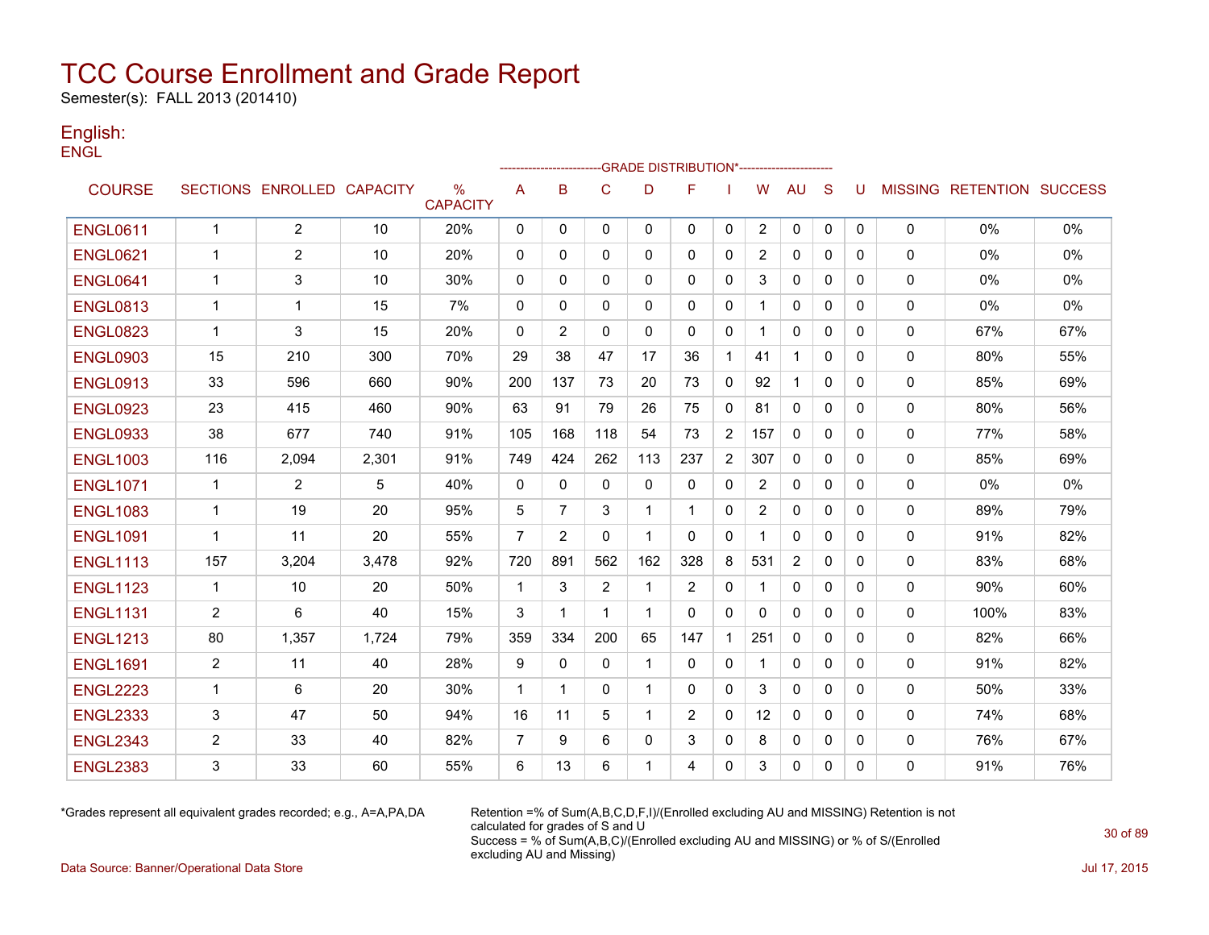Semester(s): FALL 2013 (201410)

#### English: **ENGL**

|                 |                |                            |       |                         |                |                |              |              | ---GRADE                                   DISTRIBUTION*------------------------ |                |                       |              |              |              |             |                                  |     |
|-----------------|----------------|----------------------------|-------|-------------------------|----------------|----------------|--------------|--------------|----------------------------------------------------------------------------------|----------------|-----------------------|--------------|--------------|--------------|-------------|----------------------------------|-----|
| <b>COURSE</b>   |                | SECTIONS ENROLLED CAPACITY |       | $\%$<br><b>CAPACITY</b> | A              | B              | $\mathbf C$  | D            | F                                                                                |                | W                     | <b>AU</b>    | S            | U            |             | <b>MISSING RETENTION SUCCESS</b> |     |
| <b>ENGL0611</b> | $\mathbf{1}$   | $\overline{2}$             | 10    | 20%                     | 0              | 0              | 0            | $\mathbf{0}$ | $\mathbf{0}$                                                                     | 0              | $\overline{2}$        | 0            | $\mathbf{0}$ | $\mathbf{0}$ | $\mathbf 0$ | 0%                               | 0%  |
| <b>ENGL0621</b> | -1             | 2                          | 10    | 20%                     | 0              | 0              | 0            | 0            | 0                                                                                | 0              | $\mathbf{2}^{\prime}$ | $\mathbf{0}$ | $\mathbf{0}$ | 0            | 0           | 0%                               | 0%  |
| <b>ENGL0641</b> | $\mathbf 1$    | 3                          | 10    | 30%                     | 0              | $\mathbf{0}$   | 0            | $\mathbf{0}$ | $\mathbf{0}$                                                                     | 0              | 3                     | 0            | $\mathbf{0}$ | 0            | 0           | $0\%$                            | 0%  |
| <b>ENGL0813</b> | $\mathbf 1$    | 1                          | 15    | 7%                      | $\mathbf{0}$   | $\Omega$       | $\mathbf{0}$ | $\Omega$     | 0                                                                                | $\mathbf{0}$   |                       | $\mathbf{0}$ | $\Omega$     | 0            | 0           | 0%                               | 0%  |
| <b>ENGL0823</b> | $\mathbf 1$    | 3                          | 15    | 20%                     | $\mathbf{0}$   | 2              | $\mathbf{0}$ | $\mathbf{0}$ | 0                                                                                | $\mathbf{0}$   |                       | $\mathbf{0}$ | $\mathbf{0}$ | $\Omega$     | 0           | 67%                              | 67% |
| <b>ENGL0903</b> | 15             | 210                        | 300   | 70%                     | 29             | 38             | 47           | 17           | 36                                                                               | $\mathbf 1$    | 41                    | $\mathbf{1}$ | $\mathbf{0}$ | $\mathbf{0}$ | 0           | 80%                              | 55% |
| <b>ENGL0913</b> | 33             | 596                        | 660   | 90%                     | 200            | 137            | 73           | 20           | 73                                                                               | $\mathbf 0$    | 92                    | 1            | $\mathbf{0}$ | $\mathbf{0}$ | $\mathbf 0$ | 85%                              | 69% |
| <b>ENGL0923</b> | 23             | 415                        | 460   | 90%                     | 63             | 91             | 79           | 26           | 75                                                                               | $\mathbf 0$    | 81                    | $\mathbf{0}$ | $\Omega$     | $\Omega$     | 0           | 80%                              | 56% |
| <b>ENGL0933</b> | 38             | 677                        | 740   | 91%                     | 105            | 168            | 118          | 54           | 73                                                                               | $\overline{2}$ | 157                   | $\Omega$     | $\Omega$     | $\Omega$     | $\mathbf 0$ | 77%                              | 58% |
| <b>ENGL1003</b> | 116            | 2,094                      | 2,301 | 91%                     | 749            | 424            | 262          | 113          | 237                                                                              | $\overline{2}$ | 307                   | $\mathbf{0}$ | $\Omega$     | $\Omega$     | 0           | 85%                              | 69% |
| <b>ENGL1071</b> | $\mathbf 1$    | $\overline{2}$             | 5     | 40%                     | 0              | $\mathbf{0}$   | $\mathbf{0}$ | $\mathbf{0}$ | $\mathbf{0}$                                                                     | 0              | $\overline{2}$        | $\mathbf{0}$ | $\Omega$     | $\Omega$     | 0           | 0%                               | 0%  |
| <b>ENGL1083</b> | $\mathbf 1$    | 19                         | 20    | 95%                     | 5              | $\overline{7}$ | 3            | 1            | 1                                                                                | 0              | 2                     | 0            | $\mathbf{0}$ | 0            | 0           | 89%                              | 79% |
| <b>ENGL1091</b> | $\mathbf 1$    | 11                         | 20    | 55%                     | 7              | 2              | $\mathbf{0}$ | -1           | 0                                                                                | 0              |                       | 0            | $\mathbf{0}$ | 0            | 0           | 91%                              | 82% |
| <b>ENGL1113</b> | 157            | 3,204                      | 3,478 | 92%                     | 720            | 891            | 562          | 162          | 328                                                                              | 8              | 531                   | 2            | $\mathbf{0}$ | $\mathbf{0}$ | 0           | 83%                              | 68% |
| <b>ENGL1123</b> | $\mathbf{1}$   | 10                         | 20    | 50%                     | $\mathbf{1}$   | 3              | 2            | $\mathbf 1$  | 2                                                                                | $\mathbf{0}$   |                       | $\mathbf{0}$ | $\Omega$     | $\mathbf{0}$ | 0           | 90%                              | 60% |
| <b>ENGL1131</b> | $\overline{2}$ | 6                          | 40    | 15%                     | 3              | 1              | $\mathbf{1}$ | -1           | $\mathbf{0}$                                                                     | $\mathbf 0$    | 0                     | $\mathbf 0$  | $\mathbf{0}$ | $\mathbf{0}$ | $\mathbf 0$ | 100%                             | 83% |
| <b>ENGL1213</b> | 80             | 1,357                      | 1,724 | 79%                     | 359            | 334            | 200          | 65           | 147                                                                              | $\mathbf{1}$   | 251                   | $\mathbf{0}$ | $\Omega$     | $\Omega$     | 0           | 82%                              | 66% |
| <b>ENGL1691</b> | $\overline{2}$ | 11                         | 40    | 28%                     | 9              | 0              | 0            | 1            | $\mathbf{0}$                                                                     | 0              |                       | 0            | $\mathbf{0}$ | 0            | 0           | 91%                              | 82% |
| <b>ENGL2223</b> | $\mathbf{1}$   | 6                          | 20    | 30%                     | $\mathbf{1}$   | $\mathbf{1}$   | $\mathbf{0}$ | $\mathbf 1$  | $\Omega$                                                                         | $\mathbf{0}$   | 3                     | $\mathbf{0}$ | $\Omega$     | $\Omega$     | 0           | 50%                              | 33% |
| <b>ENGL2333</b> | 3              | 47                         | 50    | 94%                     | 16             | 11             | 5            | $\mathbf 1$  | 2                                                                                | $\mathbf{0}$   | 12                    | $\mathbf{0}$ | $\Omega$     | $\Omega$     | 0           | 74%                              | 68% |
| <b>ENGL2343</b> | $\overline{2}$ | 33                         | 40    | 82%                     | $\overline{7}$ | 9              | 6            | 0            | 3                                                                                | 0              | 8                     | 0            | $\mathbf{0}$ | 0            | 0           | 76%                              | 67% |
| <b>ENGL2383</b> | 3              | 33                         | 60    | 55%                     | 6              | 13             | 6            |              | 4                                                                                | 0              | 3                     | $\mathbf{0}$ | 0            | 0            | 0           | 91%                              | 76% |

\*Grades represent all equivalent grades recorded; e.g., A=A,PA,DA Retention =% of Sum(A,B,C,D,F,I)/(Enrolled excluding AU and MISSING) Retention is not calculated for grades of S and U Success = % of Sum(A,B,C)/(Enrolled excluding AU and MISSING) or % of S/(Enrolled excluding AU and Missing)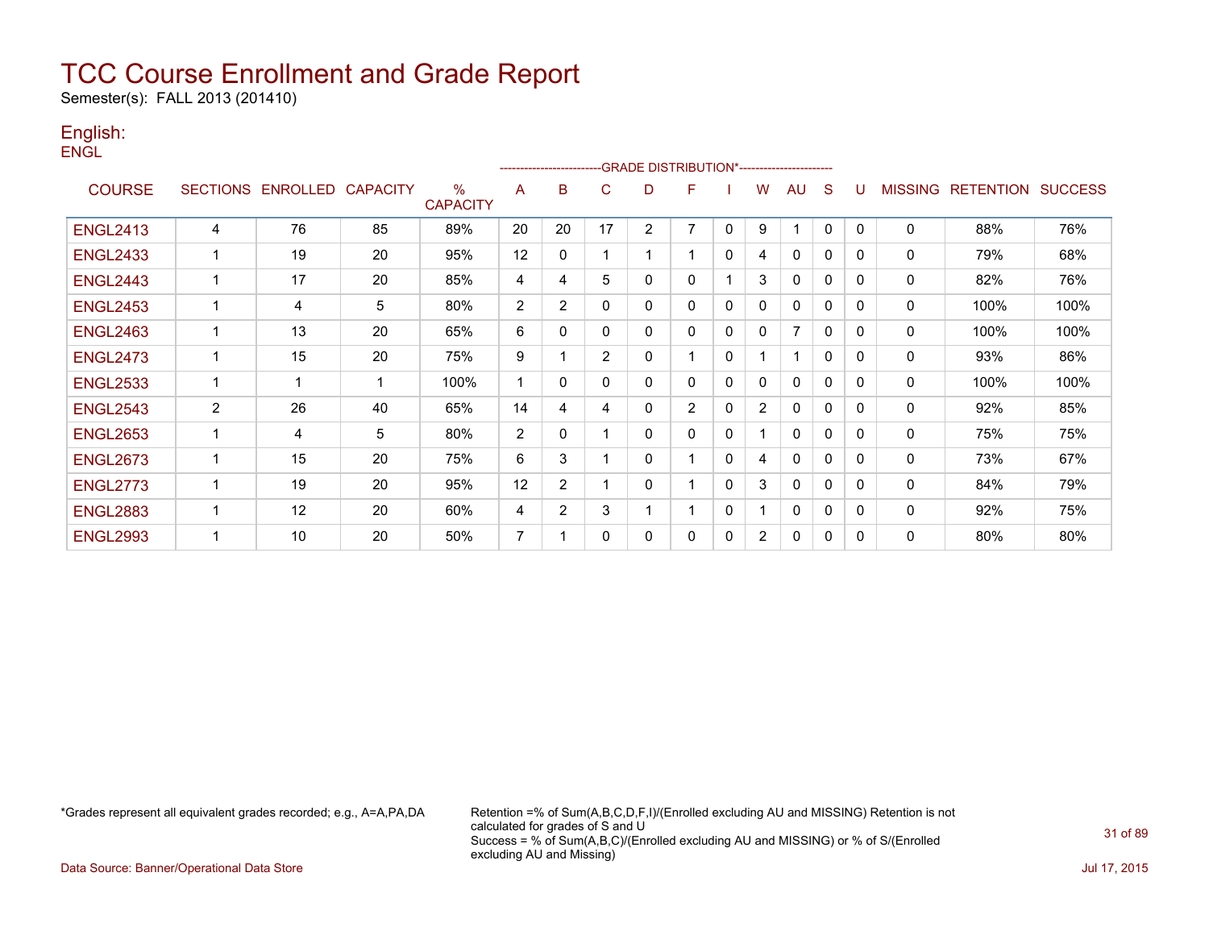Semester(s): FALL 2013 (201410)

#### English: **ENGL**

|                 |                 |                   |    |                         |                   |                |                |                | -GRADE DISTRIBUTION*---------------------- |              |                |                |              |              |                |                  |                |
|-----------------|-----------------|-------------------|----|-------------------------|-------------------|----------------|----------------|----------------|--------------------------------------------|--------------|----------------|----------------|--------------|--------------|----------------|------------------|----------------|
| <b>COURSE</b>   | <b>SECTIONS</b> | ENROLLED CAPACITY |    | $\%$<br><b>CAPACITY</b> | A                 | B              | C              | D              | F                                          |              | W              | AU             | S            |              | <b>MISSING</b> | <b>RETENTION</b> | <b>SUCCESS</b> |
| <b>ENGL2413</b> | 4               | 76                | 85 | 89%                     | 20                | 20             | 17             | $\overline{2}$ | 7                                          | $\mathbf{0}$ | 9              | 1              | 0            | 0            | $\mathbf{0}$   | 88%              | 76%            |
| <b>ENGL2433</b> | $\mathbf 1$     | 19                | 20 | 95%                     | 12                | 0              |                |                |                                            | $\mathbf{0}$ | 4              | $\mathbf{0}$   | 0            | 0            | $\mathbf 0$    | 79%              | 68%            |
| <b>ENGL2443</b> | $\mathbf 1$     | 17                | 20 | 85%                     | 4                 | 4              | 5              | 0              | $\Omega$                                   |              | 3              | $\mathbf{0}$   | 0            | 0            | $\mathbf{0}$   | 82%              | 76%            |
| <b>ENGL2453</b> | $\mathbf 1$     | 4                 | 5  | 80%                     | $\overline{c}$    | $\overline{2}$ | $\mathbf{0}$   | $\mathbf{0}$   | $\Omega$                                   | $\mathbf{0}$ | $\Omega$       | $\mathbf{0}$   | 0            | $\Omega$     | $\mathbf{0}$   | 100%             | 100%           |
| <b>ENGL2463</b> | 1               | 13                | 20 | 65%                     | 6                 | 0              | 0              | 0              | 0                                          | 0            | 0              | $\overline{7}$ | 0            | $\Omega$     | 0              | 100%             | 100%           |
| <b>ENGL2473</b> | $\mathbf{1}$    | 15                | 20 | 75%                     | 9                 | ٠              | $\overline{2}$ | $\mathbf{0}$   |                                            | 0            |                | 1              | $\mathbf{0}$ | $\mathbf{0}$ | 0              | 93%              | 86%            |
| <b>ENGL2533</b> | 1               | -1                | 1  | 100%                    | 1                 | 0              | $\Omega$       | 0              | $\Omega$                                   | 0            | $\Omega$       | $\mathbf{0}$   | 0            | $\Omega$     | $\mathbf 0$    | 100%             | 100%           |
| <b>ENGL2543</b> | $\overline{2}$  | 26                | 40 | 65%                     | 14                | 4              | 4              | $\mathbf{0}$   | $\overline{2}$                             | $\mathbf{0}$ | $\overline{2}$ | $\mathbf{0}$   | 0            | $\Omega$     | 0              | 92%              | 85%            |
| <b>ENGL2653</b> | 1               | 4                 | 5  | 80%                     | 2                 | $\mathbf{0}$   |                | $\Omega$       | $\Omega$                                   | $\mathbf{0}$ |                | $\mathbf{0}$   | 0            | $\Omega$     | 0              | 75%              | 75%            |
| <b>ENGL2673</b> | 1               | 15                | 20 | 75%                     | 6                 | 3              |                | $\mathbf{0}$   |                                            | $\mathbf{0}$ | 4              | $\mathbf{0}$   | 0            | $\Omega$     | 0              | 73%              | 67%            |
| <b>ENGL2773</b> | 1               | 19                | 20 | 95%                     | $12 \overline{ }$ | 2              |                | $\mathbf{0}$   |                                            | $\mathbf{0}$ | 3              | $\mathbf{0}$   | 0            | $\Omega$     | $\mathbf{0}$   | 84%              | 79%            |
| <b>ENGL2883</b> | -1              | 12                | 20 | 60%                     | 4                 | $\overline{2}$ | 3              |                |                                            | 0            |                | $\mathbf 0$    | $\mathbf{0}$ | $\Omega$     | 0              | 92%              | 75%            |
| <b>ENGL2993</b> | ٠               | 10                | 20 | 50%                     | 7                 |                | $\Omega$       | $\mathbf{0}$   | $\mathbf{0}$                               | 0            | $\overline{2}$ | $\mathbf{0}$   | 0            | $\Omega$     | 0              | 80%              | 80%            |

\*Grades represent all equivalent grades recorded; e.g., A=A,PA,DA Retention =% of Sum(A,B,C,D,F,I)/(Enrolled excluding AU and MISSING) Retention is not calculated for grades of S and U Success = % of Sum(A,B,C)/(Enrolled excluding AU and MISSING) or % of S/(Enrolled excluding AU and Missing)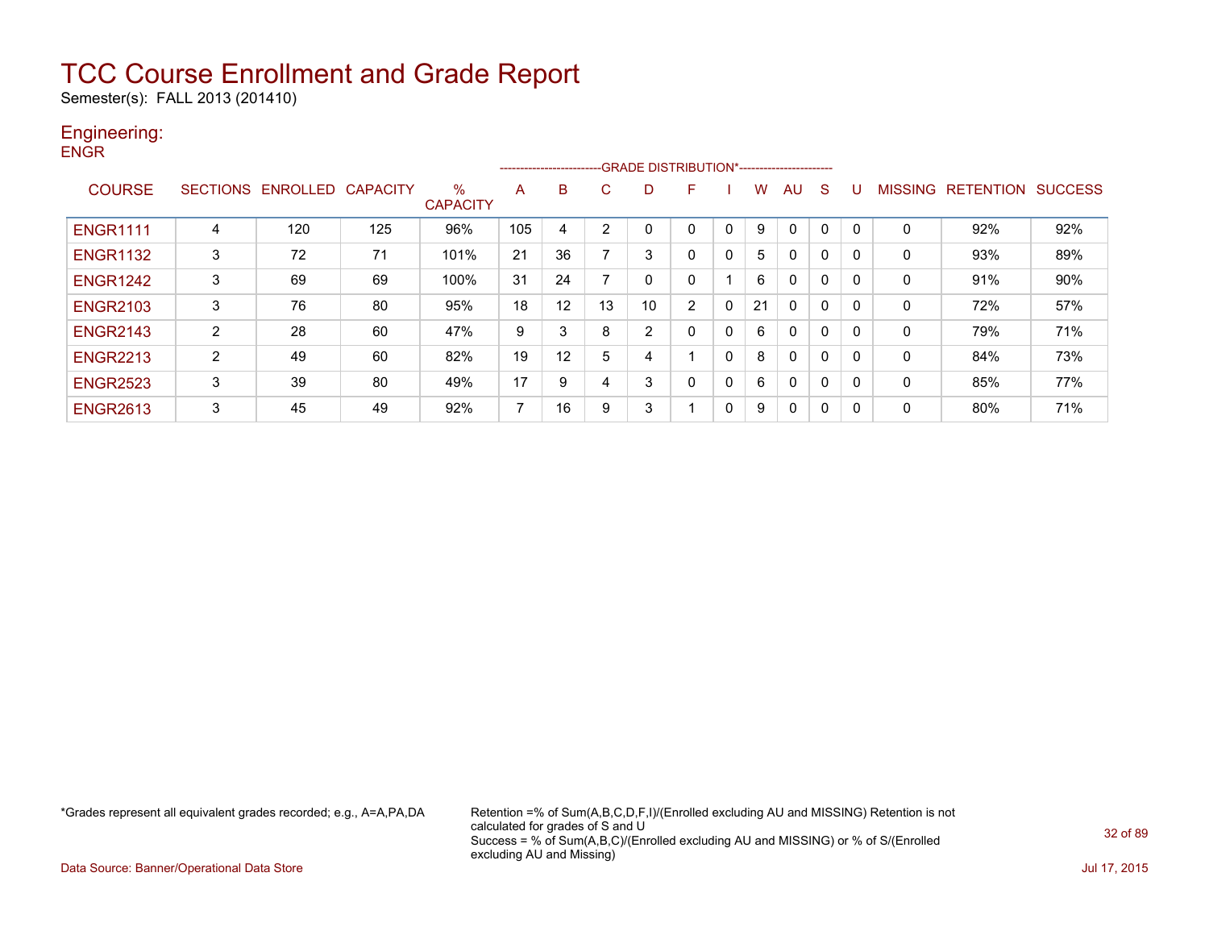Semester(s): FALL 2013 (201410)

### Engineering:

**ENGR** 

|                 |   |                   |                 |                         | ------------------------- |    |        | -GRADE DISTRIBUTION*---------------------- |                |              |    |              |              |          |                |                  |                |
|-----------------|---|-------------------|-----------------|-------------------------|---------------------------|----|--------|--------------------------------------------|----------------|--------------|----|--------------|--------------|----------|----------------|------------------|----------------|
| <b>COURSE</b>   |   | SECTIONS ENROLLED | <b>CAPACITY</b> | $\%$<br><b>CAPACITY</b> | A                         | B  | C.     | D                                          | F              |              | w  | <b>AU</b>    | <sub>S</sub> |          | <b>MISSING</b> | <b>RETENTION</b> | <b>SUCCESS</b> |
| <b>ENGR1111</b> | 4 | 120               | 125             | 96%                     | 105                       | 4  | $\sim$ |                                            |                |              | 9  | $\Omega$     | 0            |          | 0              | 92%              | 92%            |
| <b>ENGR1132</b> | 3 | 72                | 71              | 101%                    | 21                        | 36 |        | 3                                          | 0              | 0            | 5  | $\mathbf{0}$ | $\Omega$     |          | 0              | 93%              | 89%            |
| <b>ENGR1242</b> | 3 | 69                | 69              | 100%                    | 31                        | 24 |        | 0                                          | 0              |              | 6  | $\mathbf{0}$ | $\Omega$     | $\Omega$ | 0              | 91%              | 90%            |
| <b>ENGR2103</b> | 3 | 76                | 80              | 95%                     | 18                        | 12 | 13     | 10                                         | $\overline{2}$ | $\mathbf{0}$ | 21 | $\mathbf{0}$ | 0            |          | 0              | 72%              | 57%            |
| <b>ENGR2143</b> | 2 | 28                | 60              | 47%                     | 9                         | 3  | 8      | 2                                          | 0              | 0            | 6  | $\mathbf{0}$ | 0            |          | 0              | 79%              | 71%            |
| <b>ENGR2213</b> | 2 | 49                | 60              | 82%                     | 19                        | 12 | 5      | 4                                          |                | 0            | 8  | $\mathbf{0}$ | $\Omega$     | $\Omega$ | 0              | 84%              | 73%            |
| <b>ENGR2523</b> | 3 | 39                | 80              | 49%                     | 17                        | 9  |        | 3                                          | 0              | 0            | 6  | $\mathbf{0}$ | 0            |          | 0              | 85%              | 77%            |
| <b>ENGR2613</b> | 3 | 45                | 49              | 92%                     | $\overline{ }$            | 16 | 9      | 3                                          |                | 0            | 9  | $\mathbf{0}$ | 0            | $\Omega$ | 0              | 80%              | 71%            |

\*Grades represent all equivalent grades recorded; e.g., A=A,PA,DA Retention =% of Sum(A,B,C,D,F,I)/(Enrolled excluding AU and MISSING) Retention is not calculated for grades of S and U Success = % of Sum(A,B,C)/(Enrolled excluding AU and MISSING) or % of S/(Enrolled excluding AU and Missing)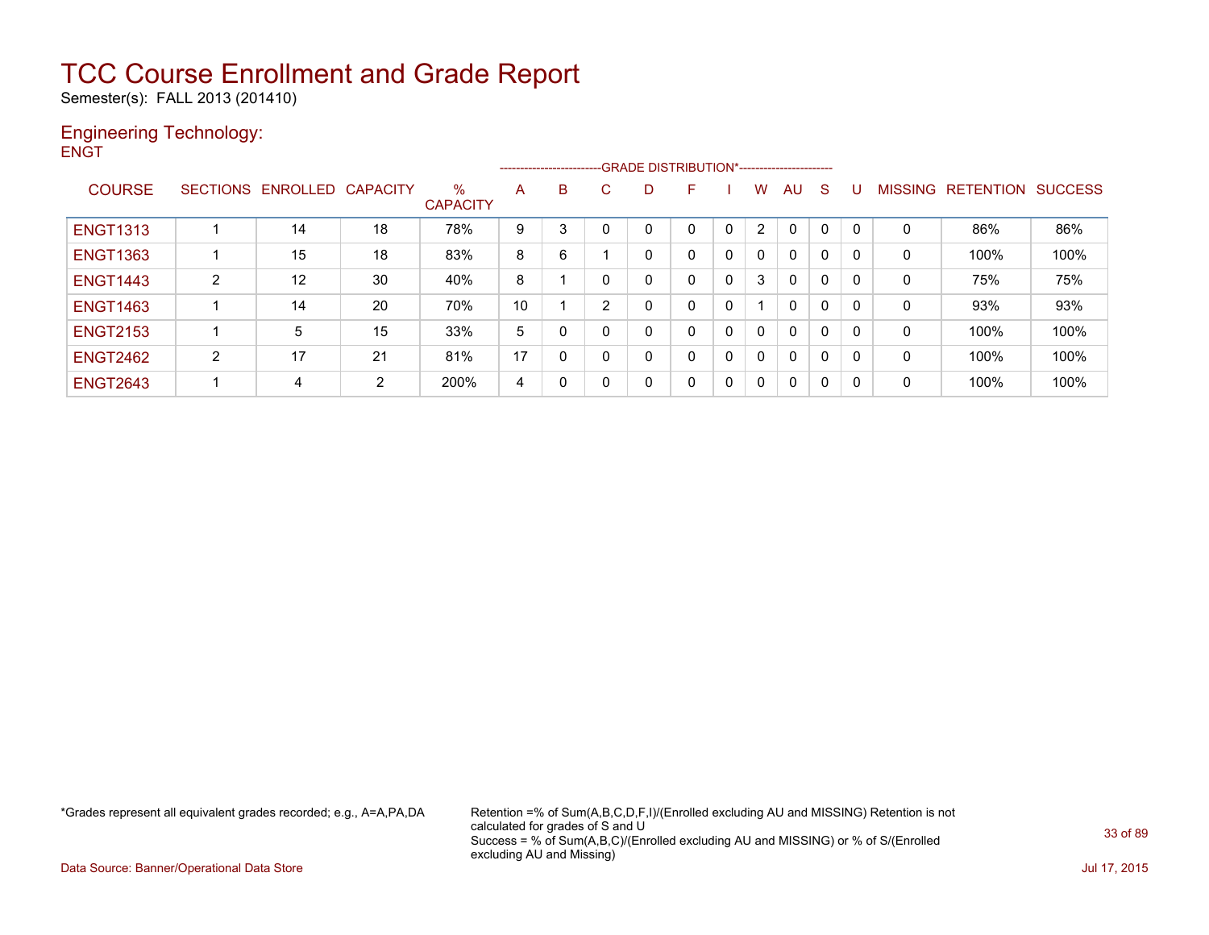Semester(s): FALL 2013 (201410)

#### Engineering Technology: **ENGT**

|                 |   |                            |                |                      |    | ---------------------- |              |   | -GRADE DISTRIBUTION*----------------------- |              |              |              |              |   |                |                  |                |
|-----------------|---|----------------------------|----------------|----------------------|----|------------------------|--------------|---|---------------------------------------------|--------------|--------------|--------------|--------------|---|----------------|------------------|----------------|
| <b>COURSE</b>   |   | SECTIONS ENROLLED CAPACITY |                | %<br><b>CAPACITY</b> | A  | B                      | C            | D | F                                           |              | W            | AU           | S            | U | <b>MISSING</b> | <b>RETENTION</b> | <b>SUCCESS</b> |
| <b>ENGT1313</b> |   | 14                         | 18             | 78%                  | 9  | 3                      |              |   |                                             | $\Omega$     | 2            | 0            | $\mathbf{0}$ |   | 0              | 86%              | 86%            |
| <b>ENGT1363</b> |   | 15                         | 18             | 83%                  | 8  | 6                      |              | 0 |                                             | $\mathbf{0}$ | 0            | 0            | 0            |   | 0              | 100%             | 100%           |
| <b>ENGT1443</b> | 2 | 12                         | 30             | 40%                  | 8  |                        | 0            | 0 | 0                                           | $\mathbf{0}$ | 3            | 0            | 0            |   | 0              | 75%              | 75%            |
| <b>ENGT1463</b> |   | 14                         | 20             | 70%                  | 10 |                        | 2            | 0 |                                             | 0            |              | 0            | 0            |   | 0              | 93%              | 93%            |
| <b>ENGT2153</b> |   | 5                          | 15             | 33%                  | 5  | 0                      | 0            | 0 | 0                                           | 0            | 0            | $\mathbf{0}$ | 0            |   | 0              | 100%             | 100%           |
| <b>ENGT2462</b> | 2 | 17                         | 21             | 81%                  | 17 | 0                      | $\mathbf{0}$ | 0 |                                             | $\mathbf{0}$ | 0            | $\mathbf{0}$ | 0            |   | 0              | 100%             | 100%           |
| <b>ENGT2643</b> | 1 | 4                          | $\overline{2}$ | 200%                 | 4  | 0                      | 0            | 0 |                                             | $\Omega$     | $\mathbf{0}$ | 0            | $\mathbf{0}$ |   | 0              | 100%             | 100%           |

\*Grades represent all equivalent grades recorded; e.g., A=A,PA,DA Retention =% of Sum(A,B,C,D,F,I)/(Enrolled excluding AU and MISSING) Retention is not calculated for grades of S and U Success = % of Sum(A,B,C)/(Enrolled excluding AU and MISSING) or % of S/(Enrolled excluding AU and Missing)

Data Source: Banner/Operational Data Store Jul 17, 2015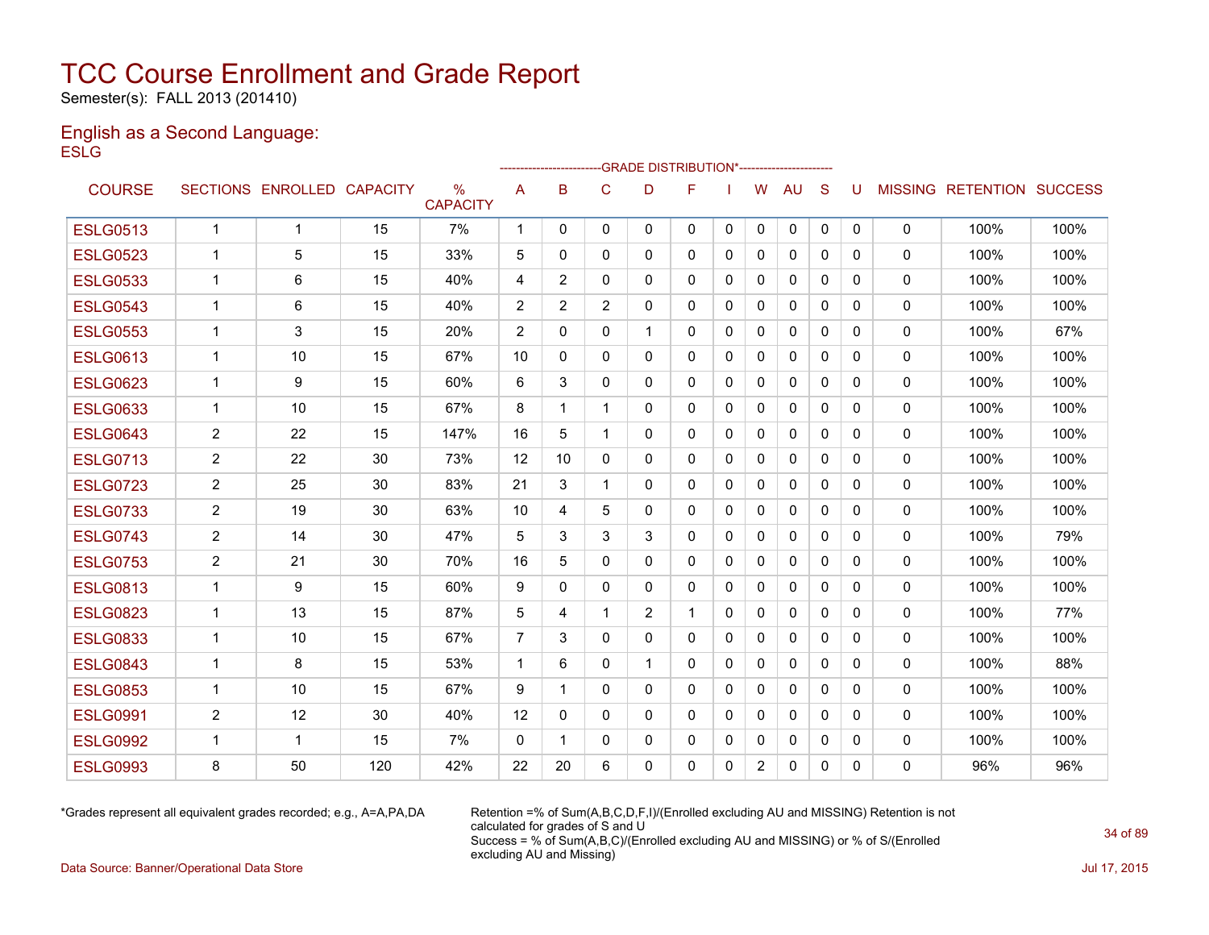Semester(s): FALL 2013 (201410)

#### English as a Second Language: **ESLG**

|                 |                |                            |     |                                  |                |              | ------------------------GRADE                DISTRIBUTION*---------------------- |              |              |              |                |              |              |          |              |                                  |      |
|-----------------|----------------|----------------------------|-----|----------------------------------|----------------|--------------|----------------------------------------------------------------------------------|--------------|--------------|--------------|----------------|--------------|--------------|----------|--------------|----------------------------------|------|
| <b>COURSE</b>   |                | SECTIONS ENROLLED CAPACITY |     | $\frac{0}{0}$<br><b>CAPACITY</b> | A              | B            | C                                                                                | D            | F            |              | W              | <b>AU</b>    | S            | U        |              | <b>MISSING RETENTION SUCCESS</b> |      |
| <b>ESLG0513</b> | $\mathbf{1}$   | $\mathbf{1}$               | 15  | 7%                               | 1              | $\mathbf{0}$ | $\mathbf{0}$                                                                     | $\Omega$     | 0            | $\mathbf{0}$ | 0              | 0            | $\mathbf{0}$ | 0        | $\mathbf 0$  | 100%                             | 100% |
| <b>ESLG0523</b> | 1              | 5                          | 15  | 33%                              | 5              | 0            | $\mathbf{0}$                                                                     | $\mathbf{0}$ | $\mathbf{0}$ | 0            | $\mathbf{0}$   | $\mathbf{0}$ | $\Omega$     | 0        | 0            | 100%                             | 100% |
| <b>ESLG0533</b> | 1              | 6                          | 15  | 40%                              | 4              | 2            | $\mathbf{0}$                                                                     | $\mathbf{0}$ | 0            | 0            | 0              | $\mathbf{0}$ | $\Omega$     | 0        | 0            | 100%                             | 100% |
| <b>ESLG0543</b> | 1              | 6                          | 15  | 40%                              | $\overline{2}$ | 2            | $\overline{2}$                                                                   | $\mathbf{0}$ | $\mathbf{0}$ | 0            | 0              | $\mathbf{0}$ | $\mathbf{0}$ | 0        | 0            | 100%                             | 100% |
| <b>ESLG0553</b> | 1              | 3                          | 15  | 20%                              | 2              | $\mathbf{0}$ | 0                                                                                | 1            | 0            | $\Omega$     | $\mathbf{0}$   | $\mathbf{0}$ | $\mathbf{0}$ | 0        | $\mathbf{0}$ | 100%                             | 67%  |
| <b>ESLG0613</b> | $\mathbf 1$    | 10                         | 15  | 67%                              | 10             | $\Omega$     | $\mathbf{0}$                                                                     | $\mathbf{0}$ | $\mathbf{0}$ | $\mathbf{0}$ | $\mathbf{0}$   | $\mathbf{0}$ | $\Omega$     | $\Omega$ | 0            | 100%                             | 100% |
| <b>ESLG0623</b> | $\mathbf 1$    | 9                          | 15  | 60%                              | 6              | 3            | $\mathbf 0$                                                                      | $\mathbf{0}$ | 0            | $\Omega$     | $\mathbf{0}$   | $\mathbf{0}$ | $\Omega$     | $\Omega$ | $\mathbf 0$  | 100%                             | 100% |
| <b>ESLG0633</b> | $\mathbf 1$    | 10                         | 15  | 67%                              | 8              | 1            | 1                                                                                | $\Omega$     | 0            | $\Omega$     | $\mathbf{0}$   | $\mathbf{0}$ | $\Omega$     | $\Omega$ | 0            | 100%                             | 100% |
| <b>ESLG0643</b> | 2              | 22                         | 15  | 147%                             | 16             | 5            | 1                                                                                | $\mathbf{0}$ | 0            | 0            | 0              | $\mathbf{0}$ | $\mathbf{0}$ | 0        | 0            | 100%                             | 100% |
| <b>ESLG0713</b> | $\overline{2}$ | 22                         | 30  | 73%                              | 12             | 10           | $\mathbf{0}$                                                                     | $\mathbf{0}$ | $\mathbf{0}$ | $\mathbf{0}$ | $\mathbf{0}$   | $\mathbf{0}$ | $\Omega$     | 0        | 0            | 100%                             | 100% |
| <b>ESLG0723</b> | $\overline{2}$ | 25                         | 30  | 83%                              | 21             | 3            | $\mathbf 1$                                                                      | 0            | 0            | 0            | $\Omega$       | $\mathbf{0}$ | $\mathbf{0}$ | 0        | 0            | 100%                             | 100% |
| <b>ESLG0733</b> | $\overline{2}$ | 19                         | 30  | 63%                              | 10             | 4            | 5                                                                                | $\mathbf{0}$ | 0            | $\Omega$     | 0              | $\mathbf{0}$ | $\Omega$     | 0        | 0            | 100%                             | 100% |
| <b>ESLG0743</b> | 2              | 14                         | 30  | 47%                              | 5              | 3            | 3                                                                                | 3            | $\mathbf{0}$ | $\Omega$     | $\mathbf{0}$   | 0            | $\Omega$     | $\Omega$ | $\mathbf{0}$ | 100%                             | 79%  |
| <b>ESLG0753</b> | $\overline{2}$ | 21                         | 30  | 70%                              | 16             | 5            | $\mathbf{0}$                                                                     | $\mathbf{0}$ | 0            | $\mathbf{0}$ | $\Omega$       | $\mathbf{0}$ | $\Omega$     | 0        | 0            | 100%                             | 100% |
| <b>ESLG0813</b> | 1              | 9                          | 15  | 60%                              | 9              | $\Omega$     | $\mathbf{0}$                                                                     | $\mathbf{0}$ | $\mathbf{0}$ | $\mathbf{0}$ | $\mathbf{0}$   | $\mathbf{0}$ | $\Omega$     | 0        | 0            | 100%                             | 100% |
| <b>ESLG0823</b> | $\mathbf 1$    | 13                         | 15  | 87%                              | 5              | 4            | 1                                                                                | 2            | 1            | 0            | 0              | $\mathbf{0}$ | $\Omega$     | 0        | 0            | 100%                             | 77%  |
| <b>ESLG0833</b> | $\mathbf 1$    | 10                         | 15  | 67%                              | $\overline{7}$ | 3            | $\mathbf{0}$                                                                     | $\mathbf{0}$ | $\mathbf{0}$ | $\Omega$     | $\mathbf{0}$   | $\mathbf{0}$ | $\mathbf{0}$ | 0        | 0            | 100%                             | 100% |
| <b>ESLG0843</b> | 1              | 8                          | 15  | 53%                              | $\mathbf 1$    | 6            | 0                                                                                | $\mathbf 1$  | 0            | $\mathbf{0}$ | 0              | $\mathbf{0}$ | $\mathbf{0}$ | 0        | 0            | 100%                             | 88%  |
| <b>ESLG0853</b> | $\mathbf{1}$   | 10                         | 15  | 67%                              | 9              | -1           | $\mathbf{0}$                                                                     | $\mathbf{0}$ | 0            | $\mathbf{0}$ | $\mathbf{0}$   | $\Omega$     | $\Omega$     | $\Omega$ | 0            | 100%                             | 100% |
| <b>ESLG0991</b> | $\overline{2}$ | 12                         | 30  | 40%                              | 12             | $\Omega$     | $\mathbf{0}$                                                                     | $\Omega$     | $\Omega$     | $\Omega$     | $\mathbf{0}$   | $\Omega$     | $\Omega$     | $\Omega$ | $\Omega$     | 100%                             | 100% |
| <b>ESLG0992</b> | 1              | 1                          | 15  | 7%                               | $\mathbf 0$    | 1            | 0                                                                                | $\mathbf{0}$ | 0            | $\Omega$     | 0              | $\mathbf{0}$ | 0            | 0        | 0            | 100%                             | 100% |
| <b>ESLG0993</b> | 8              | 50                         | 120 | 42%                              | 22             | 20           | 6                                                                                | 0            | 0            | 0            | $\overline{2}$ | $\mathbf{0}$ | 0            | 0        | 0            | 96%                              | 96%  |

\*Grades represent all equivalent grades recorded; e.g., A=A,PA,DA Retention =% of Sum(A,B,C,D,F,I)/(Enrolled excluding AU and MISSING) Retention is not calculated for grades of S and U Success = % of Sum(A,B,C)/(Enrolled excluding AU and MISSING) or % of S/(Enrolled excluding AU and Missing)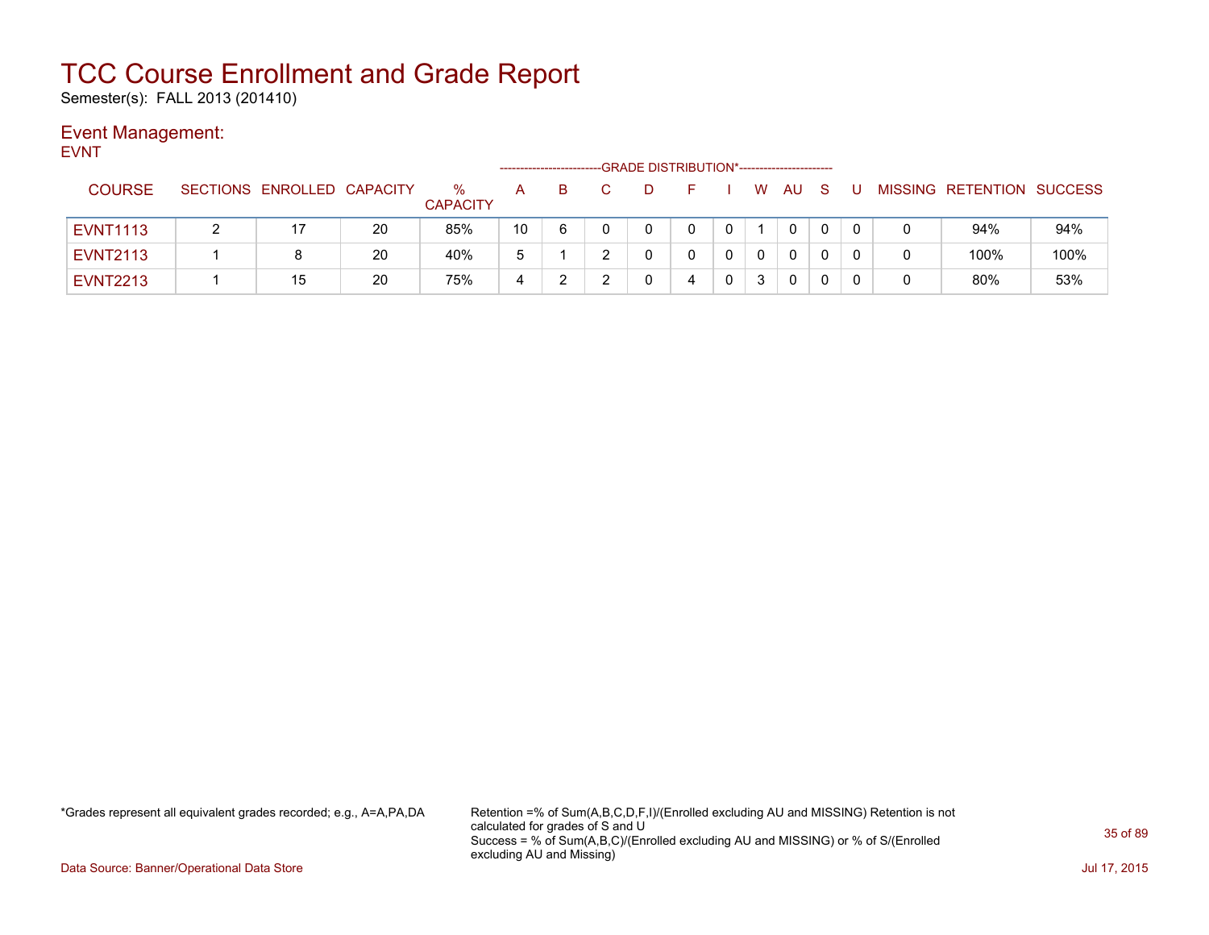Semester(s): FALL 2013 (201410)

### Event Management:

EVNT

|                 |                            |    |                      |    |   | -GRADE DISTRIBUTION*----------------------- |  |    |             |  |                           |      |
|-----------------|----------------------------|----|----------------------|----|---|---------------------------------------------|--|----|-------------|--|---------------------------|------|
| <b>COURSE</b>   | SECTIONS ENROLLED CAPACITY |    | %<br><b>CAPACITY</b> | А  | B | D                                           |  | W  | AU          |  | MISSING RETENTION SUCCESS |      |
| <b>EVNT1113</b> | 17                         | 20 | 85%                  | 10 | 6 |                                             |  |    | 0           |  | 94%                       | 94%  |
| <b>EVNT2113</b> | 8                          | 20 | 40%                  | b  |   |                                             |  |    | 0           |  | 100%                      | 100% |
| <b>EVNT2213</b> | 15                         | 20 | 75%                  | 4  |   |                                             |  | ્ર | $\mathbf 0$ |  | 80%                       | 53%  |

\*Grades represent all equivalent grades recorded; e.g., A=A,PA,DA Retention =% of Sum(A,B,C,D,F,I)/(Enrolled excluding AU and MISSING) Retention is not calculated for grades of S and U Success = % of Sum(A,B,C)/(Enrolled excluding AU and MISSING) or % of S/(Enrolled excluding AU and Missing)

Data Source: Banner/Operational Data Store Jul 17, 2015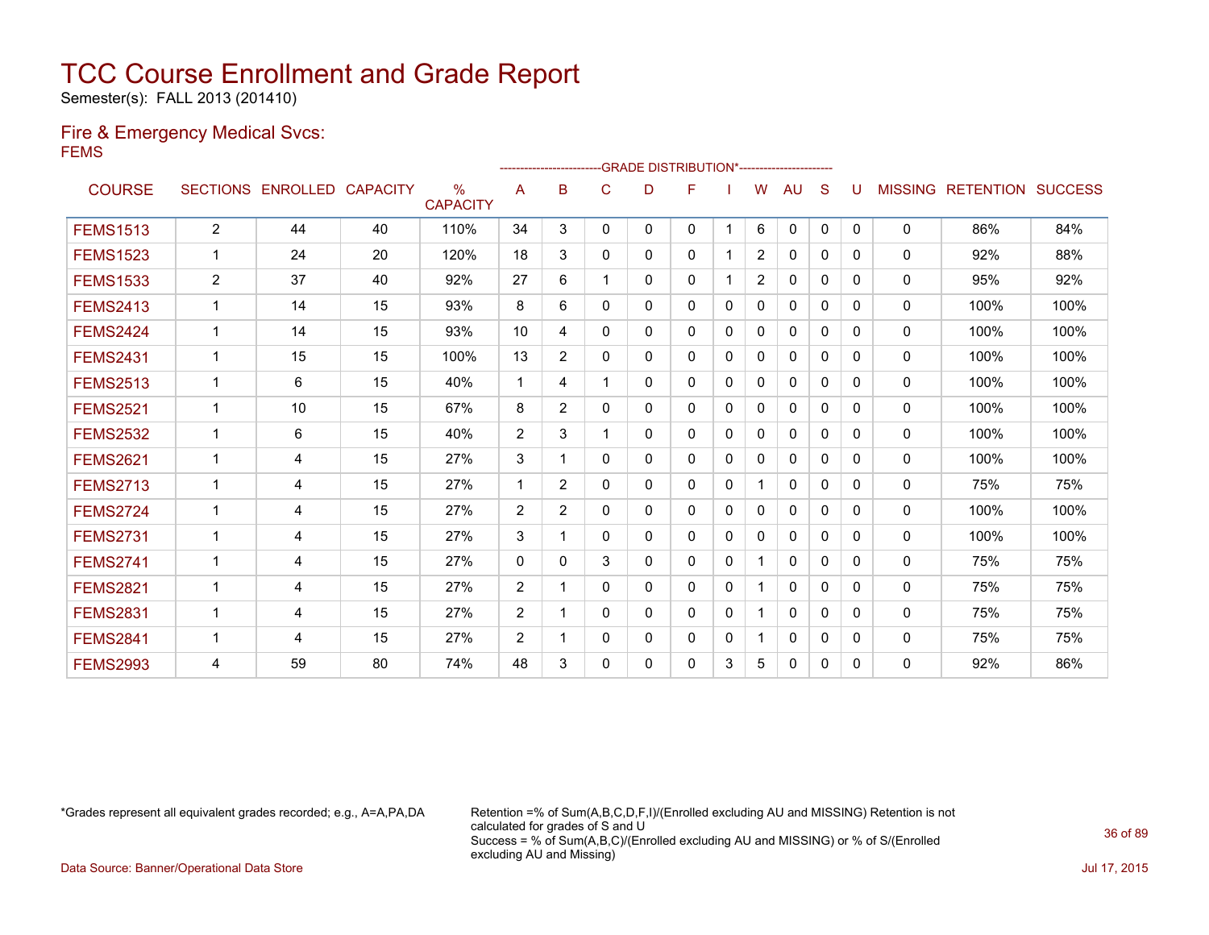Semester(s): FALL 2013 (201410)

#### Fire & Emergency Medical Svcs: FEMS

|                 |                |                   |                 |                                  |                |                |              | ------------------------GRADE                DISTRIBUTION*---------------------- |   |              |                |              |              |              |                |                          |      |
|-----------------|----------------|-------------------|-----------------|----------------------------------|----------------|----------------|--------------|----------------------------------------------------------------------------------|---|--------------|----------------|--------------|--------------|--------------|----------------|--------------------------|------|
| <b>COURSE</b>   |                | SECTIONS ENROLLED | <b>CAPACITY</b> | $\frac{9}{6}$<br><b>CAPACITY</b> | A              | B              | $\mathsf{C}$ | D                                                                                | F |              | W              | <b>AU</b>    | S            |              | <b>MISSING</b> | <b>RETENTION SUCCESS</b> |      |
| <b>FEMS1513</b> | $\overline{2}$ | 44                | 40              | 110%                             | 34             | 3              | 0            | 0                                                                                | 0 | -1           | 6              | $\Omega$     | $\mathbf{0}$ | $\mathbf{0}$ | $\mathbf{0}$   | 86%                      | 84%  |
| <b>FEMS1523</b> |                | 24                | 20              | 120%                             | 18             | 3              | $\Omega$     | 0                                                                                | 0 |              | $\overline{2}$ | 0            | $\Omega$     | $\Omega$     | 0              | 92%                      | 88%  |
| <b>FEMS1533</b> | $\overline{2}$ | 37                | 40              | 92%                              | 27             | 6              |              | $\Omega$                                                                         | 0 |              | 2              | $\Omega$     | 0            | $\Omega$     | $\mathbf{0}$   | 95%                      | 92%  |
| <b>FEMS2413</b> | 1              | 14                | 15              | 93%                              | 8              | 6              | 0            | 0                                                                                | 0 | 0            | 0              | 0            | 0            | 0            | 0              | 100%                     | 100% |
| <b>FEMS2424</b> | $\mathbf 1$    | 14                | 15              | 93%                              | 10             | 4              | 0            | 0                                                                                | 0 | 0            | 0              | 0            | 0            | 0            | $\mathbf{0}$   | 100%                     | 100% |
| <b>FEMS2431</b> |                | 15                | 15              | 100%                             | 13             | $\overline{2}$ | 0            | 0                                                                                | 0 | $\Omega$     | 0              | $\mathbf{0}$ | $\Omega$     | $\Omega$     | $\mathbf{0}$   | 100%                     | 100% |
| <b>FEMS2513</b> | 1              | 6                 | 15              | 40%                              | $\overline{1}$ | 4              |              | 0                                                                                | 0 | 0            | 0              | $\mathbf{0}$ | $\Omega$     | $\Omega$     | $\Omega$       | 100%                     | 100% |
| <b>FEMS2521</b> | $\mathbf{1}$   | 10                | 15              | 67%                              | 8              | $\overline{2}$ | 0            | 0                                                                                | 0 | $\Omega$     | $\mathbf{0}$   | $\Omega$     | $\Omega$     | $\Omega$     | 0              | 100%                     | 100% |
| <b>FEMS2532</b> |                | 6                 | 15              | 40%                              | 2              | 3              |              | 0                                                                                | 0 | $\Omega$     | 0              | $\mathbf{0}$ | $\Omega$     | 0            | 0              | 100%                     | 100% |
| <b>FEMS2621</b> |                | 4                 | 15              | 27%                              | 3              |                | 0            | 0                                                                                | 0 | $\Omega$     | 0              | $\Omega$     | $\Omega$     | 0            | $\mathbf{0}$   | 100%                     | 100% |
| <b>FEMS2713</b> | $\mathbf{1}$   | 4                 | 15              | 27%                              | $\mathbf{1}$   | $\overline{2}$ | 0            | 0                                                                                | 0 | $\mathbf{0}$ |                | $\mathbf{0}$ | $\mathbf{0}$ | 0            | $\Omega$       | 75%                      | 75%  |
| <b>FEMS2724</b> | 1              | 4                 | 15              | 27%                              | 2              | $\overline{2}$ | 0            | 0                                                                                | 0 | 0            | 0              | 0            | 0            | 0            | $\mathbf{0}$   | 100%                     | 100% |
| <b>FEMS2731</b> |                | 4                 | 15              | 27%                              | 3              |                | 0            | 0                                                                                | 0 | $\Omega$     | 0              | $\mathbf{0}$ | $\Omega$     | 0            | $\mathbf{0}$   | 100%                     | 100% |
| <b>FEMS2741</b> | 1              | 4                 | 15              | 27%                              | $\mathbf{0}$   | $\Omega$       | 3            | 0                                                                                | 0 | $\Omega$     |                | $\mathbf{0}$ | $\Omega$     | $\Omega$     | $\Omega$       | 75%                      | 75%  |
| <b>FEMS2821</b> | $\mathbf{1}$   | 4                 | 15              | 27%                              | 2              | 1              | 0            | 0                                                                                | 0 | $\Omega$     |                | $\mathbf{0}$ | $\Omega$     | 0            | 0              | 75%                      | 75%  |
| <b>FEMS2831</b> | 1              | 4                 | 15              | 27%                              | $\overline{2}$ | 1              | 0            | 0                                                                                | 0 | $\Omega$     |                | $\mathbf{0}$ | $\Omega$     | 0            | $\mathbf{0}$   | 75%                      | 75%  |
| <b>FEMS2841</b> |                | 4                 | 15              | 27%                              | 2              |                | 0            | 0                                                                                | 0 | 0            |                | $\mathbf{0}$ | $\Omega$     | $\Omega$     | $\Omega$       | 75%                      | 75%  |
| <b>FEMS2993</b> | 4              | 59                | 80              | 74%                              | 48             | 3              | 0            | 0                                                                                | 0 | 3            | 5              | $\mathbf{0}$ | $\mathbf{0}$ | 0            | $\Omega$       | 92%                      | 86%  |

\*Grades represent all equivalent grades recorded; e.g., A=A,PA,DA Retention =% of Sum(A,B,C,D,F,I)/(Enrolled excluding AU and MISSING) Retention is not calculated for grades of S and U Success = % of Sum(A,B,C)/(Enrolled excluding AU and MISSING) or % of S/(Enrolled excluding AU and Missing)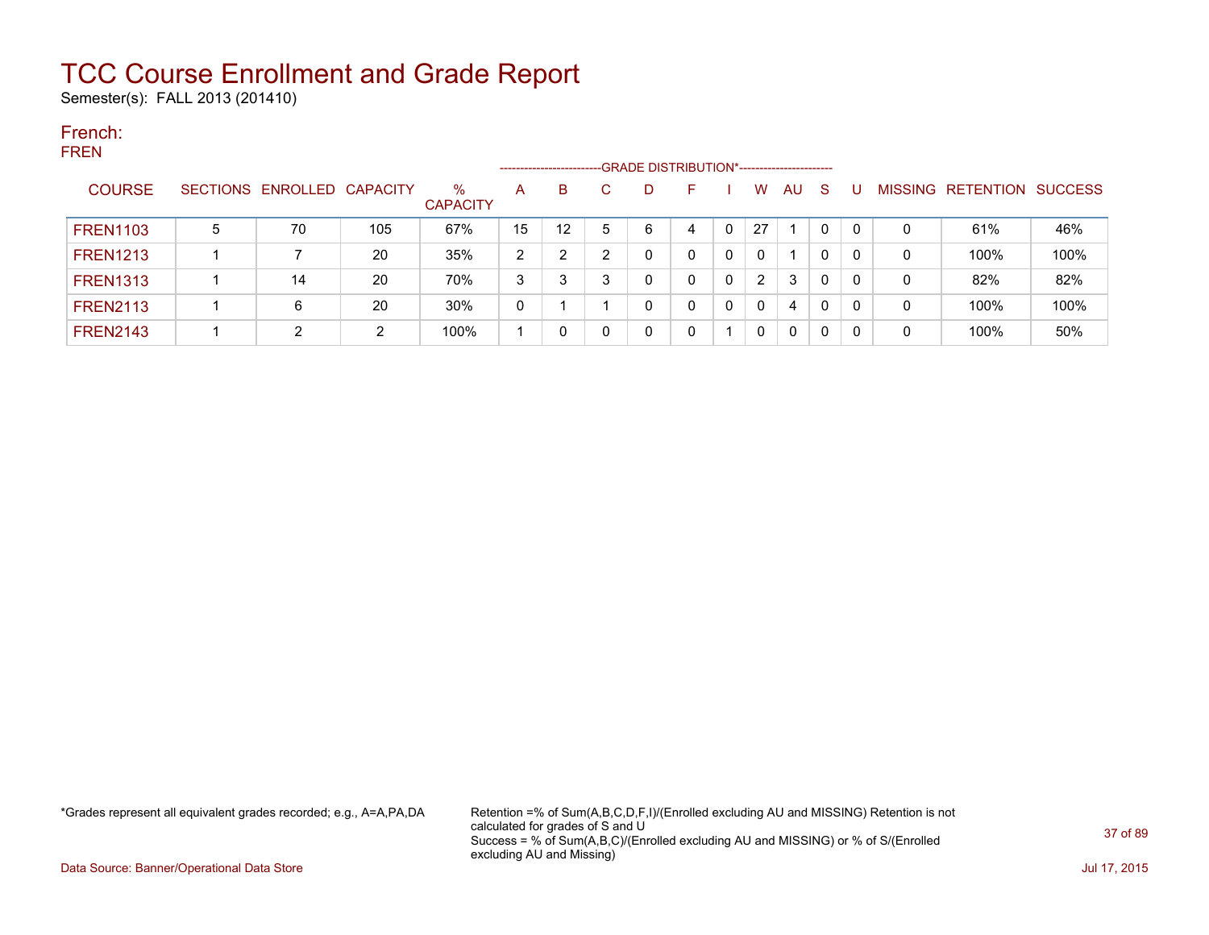Semester(s): FALL 2013 (201410)

### French: FREN

|                 |   |                            |     |                         |                | ------------------------- |   | -GRADE DISTRIBUTION*----------------------- |   |   |          |    |              |     |   |                                  |      |
|-----------------|---|----------------------------|-----|-------------------------|----------------|---------------------------|---|---------------------------------------------|---|---|----------|----|--------------|-----|---|----------------------------------|------|
| <b>COURSE</b>   |   | SECTIONS ENROLLED CAPACITY |     | $\%$<br><b>CAPACITY</b> | A              | B                         |   | D                                           |   |   | W        | AU | <sub>S</sub> |     |   | <b>MISSING RETENTION SUCCESS</b> |      |
| <b>FREN1103</b> | 5 | 70                         | 105 | 67%                     | 15             | 12                        | 5 | 6                                           | 4 | 0 | 27       |    | 0            |     | 0 | 61%                              | 46%  |
| <b>FREN1213</b> |   |                            | 20  | 35%                     | $\overline{2}$ |                           |   | 0                                           |   | 0 | $\Omega$ |    | 0            |     | 0 | 100%                             | 100% |
| <b>FREN1313</b> |   | 14                         | 20  | 70%                     | 3              | 3                         | 3 | 0                                           | 0 | 0 | 2        | 3  | $\mathbf{0}$ | - 0 | 0 | 82%                              | 82%  |
| <b>FREN2113</b> |   | 6                          | 20  | 30%                     | 0              |                           |   | 0                                           |   |   | $\Omega$ | 4  | 0            | -0  | 0 | 100%                             | 100% |
| <b>FREN2143</b> |   |                            | ົ   | 100%                    |                |                           |   | 0                                           |   |   | $\Omega$ | 0  | 0            |     | 0 | 100%                             | 50%  |

\*Grades represent all equivalent grades recorded; e.g., A=A,PA,DA Retention =% of Sum(A,B,C,D,F,I)/(Enrolled excluding AU and MISSING) Retention is not calculated for grades of S and U Success = % of Sum(A,B,C)/(Enrolled excluding AU and MISSING) or % of S/(Enrolled excluding AU and Missing)

Data Source: Banner/Operational Data Store **July 17, 2015**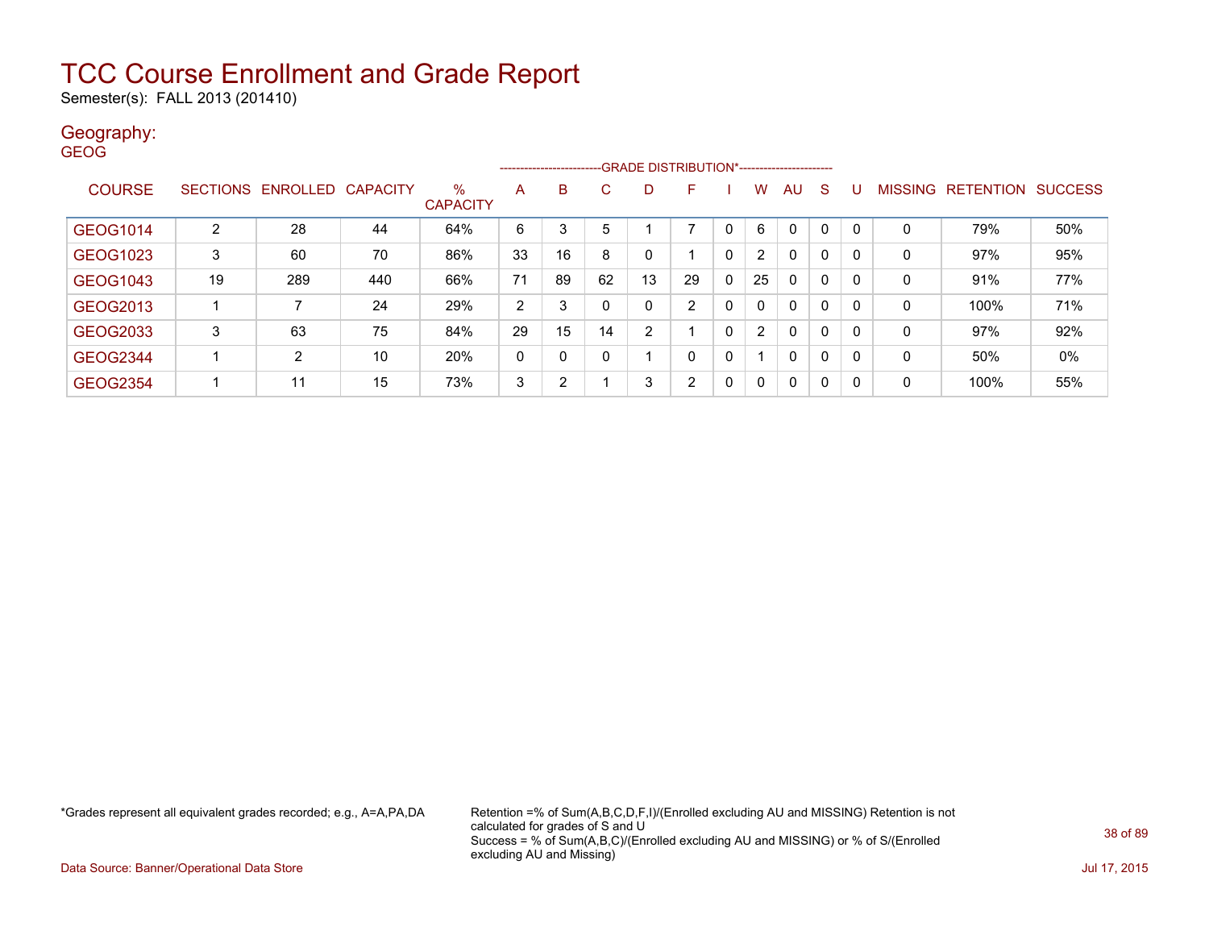Semester(s): FALL 2013 (201410)

### Geography:

| <b>GEOG</b>     |                 |                   |     |                         | -------------------- |    |              |    | -GRADE DISTRIBUTION*---------------------- |              |                |              |              |              |                |                  |                |
|-----------------|-----------------|-------------------|-----|-------------------------|----------------------|----|--------------|----|--------------------------------------------|--------------|----------------|--------------|--------------|--------------|----------------|------------------|----------------|
| <b>COURSE</b>   | <b>SECTIONS</b> | ENROLLED CAPACITY |     | $\%$<br><b>CAPACITY</b> | A                    | B  | C.           | D  | F                                          |              | w              | AU           | S            |              | <b>MISSING</b> | <b>RETENTION</b> | <b>SUCCESS</b> |
| GEOG1014        | $\overline{2}$  | 28                | 44  | 64%                     | 6                    | 3  | 5            |    | ⇁                                          | $\Omega$     | 6              | 0            | $\mathbf{0}$ | $\Omega$     | 0              | 79%              | 50%            |
| GEOG1023        | 3               | 60                | 70  | 86%                     | 33                   | 16 | 8            | 0  |                                            | $\mathbf 0$  | $\overline{2}$ | $\mathbf{0}$ | $\mathbf{0}$ | $\mathbf{0}$ | $\mathbf{0}$   | 97%              | 95%            |
| GEOG1043        | 19              | 289               | 440 | 66%                     | 71                   | 89 | 62           | 13 | 29                                         | $\mathbf 0$  | 25             | $\mathbf{0}$ | $\mathbf{0}$ | 0            | 0              | 91%              | 77%            |
| GEOG2013        |                 | 7                 | 24  | 29%                     | 2                    | 3  |              | 0  | 2                                          | $\mathbf 0$  | 0              | 0            | $\mathbf{0}$ | 0            | 0              | 100%             | 71%            |
| GEOG2033        | 3               | 63                | 75  | 84%                     | 29                   | 15 | 14           | 2  |                                            | $\mathbf 0$  | 2              | $\mathbf{0}$ | $\mathbf{0}$ | 0            | $\mathbf{0}$   | 97%              | 92%            |
| <b>GEOG2344</b> |                 | $\overline{2}$    | 10  | 20%                     | 0                    | 0  | $\mathbf{0}$ |    | 0                                          | $\mathbf{0}$ |                | 0            | 0            | 0            | 0              | 50%              | 0%             |
| <b>GEOG2354</b> |                 | 11                | 15  | 73%                     | 3                    | 2  |              | 3  | 2                                          | 0            | 0              | $\mathbf 0$  | 0            | 0            | 0              | 100%             | 55%            |

\*Grades represent all equivalent grades recorded; e.g., A=A,PA,DA Retention =% of Sum(A,B,C,D,F,I)/(Enrolled excluding AU and MISSING) Retention is not calculated for grades of S and U Success = % of Sum(A,B,C)/(Enrolled excluding AU and MISSING) or % of S/(Enrolled excluding AU and Missing)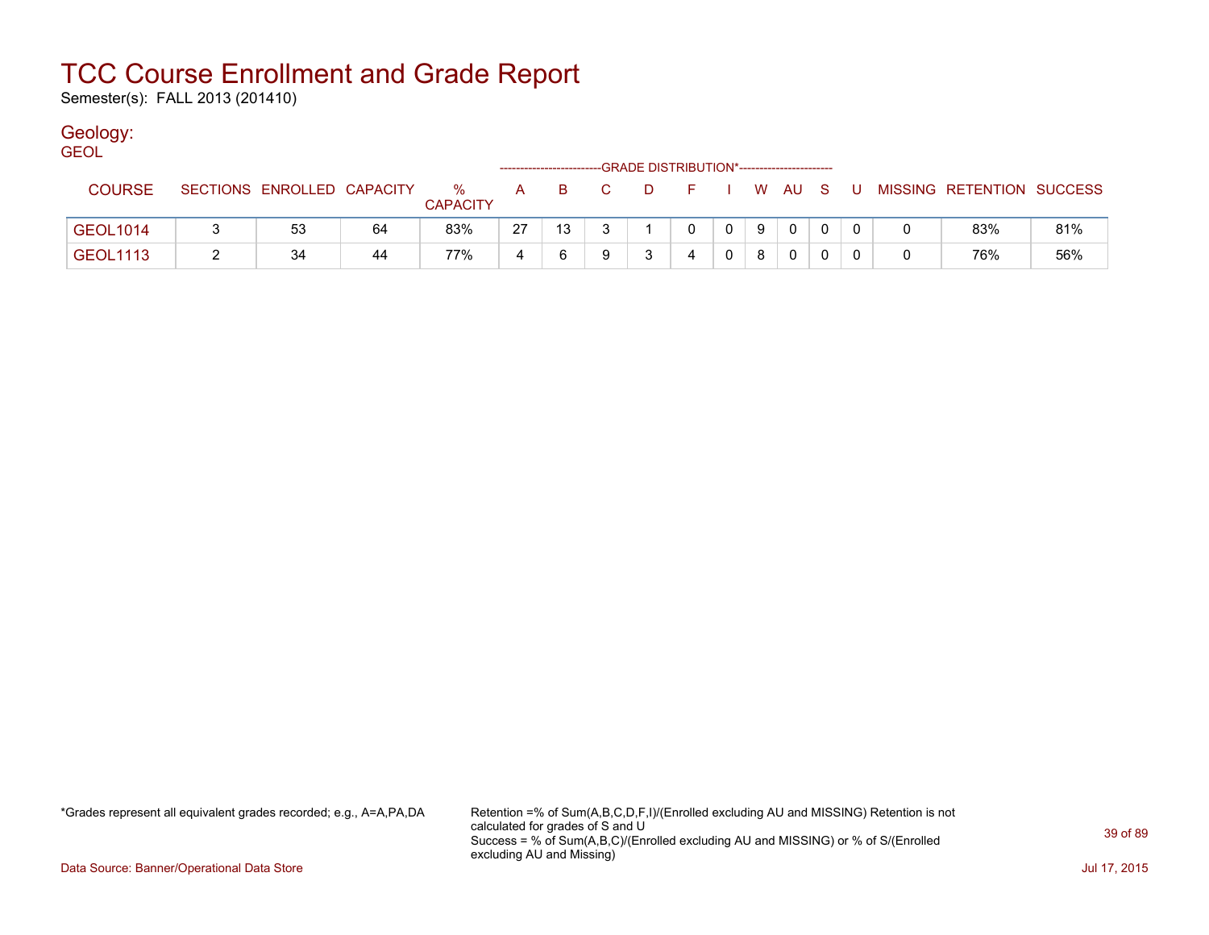Semester(s): FALL 2013 (201410)

### Geology:

| <b>GEOL</b>     |                            |    |                         |              |          |    |       | -GRADE DISTRIBUTION*----------------------- |                |    |              |    |                           |     |
|-----------------|----------------------------|----|-------------------------|--------------|----------|----|-------|---------------------------------------------|----------------|----|--------------|----|---------------------------|-----|
| <b>COURSE</b>   | SECTIONS ENROLLED CAPACITY |    | $\%$<br><b>CAPACITY</b> | $\mathsf{A}$ | <b>B</b> | C. | - D - | $-$ F $-$                                   |                |    | I WAUS       | -U | MISSING RETENTION SUCCESS |     |
| <b>GEOL1014</b> | 53                         | 64 | 83%                     | 27           | 13       |    |       | 0                                           | $\overline{0}$ | -9 | $\mathbf{0}$ |    | 83%                       | 81% |
| <b>GEOL1113</b> | 34                         | 44 | 77%                     |              | 6        | Q  |       | 4                                           |                | 8  | $\Omega$     |    | 76%                       | 56% |

\*Grades represent all equivalent grades recorded; e.g., A=A,PA,DA Retention =% of Sum(A,B,C,D,F,I)/(Enrolled excluding AU and MISSING) Retention is not calculated for grades of S and U Success = % of Sum(A,B,C)/(Enrolled excluding AU and MISSING) or % of S/(Enrolled excluding AU and Missing)

Data Source: Banner/Operational Data Store Jul 17, 2015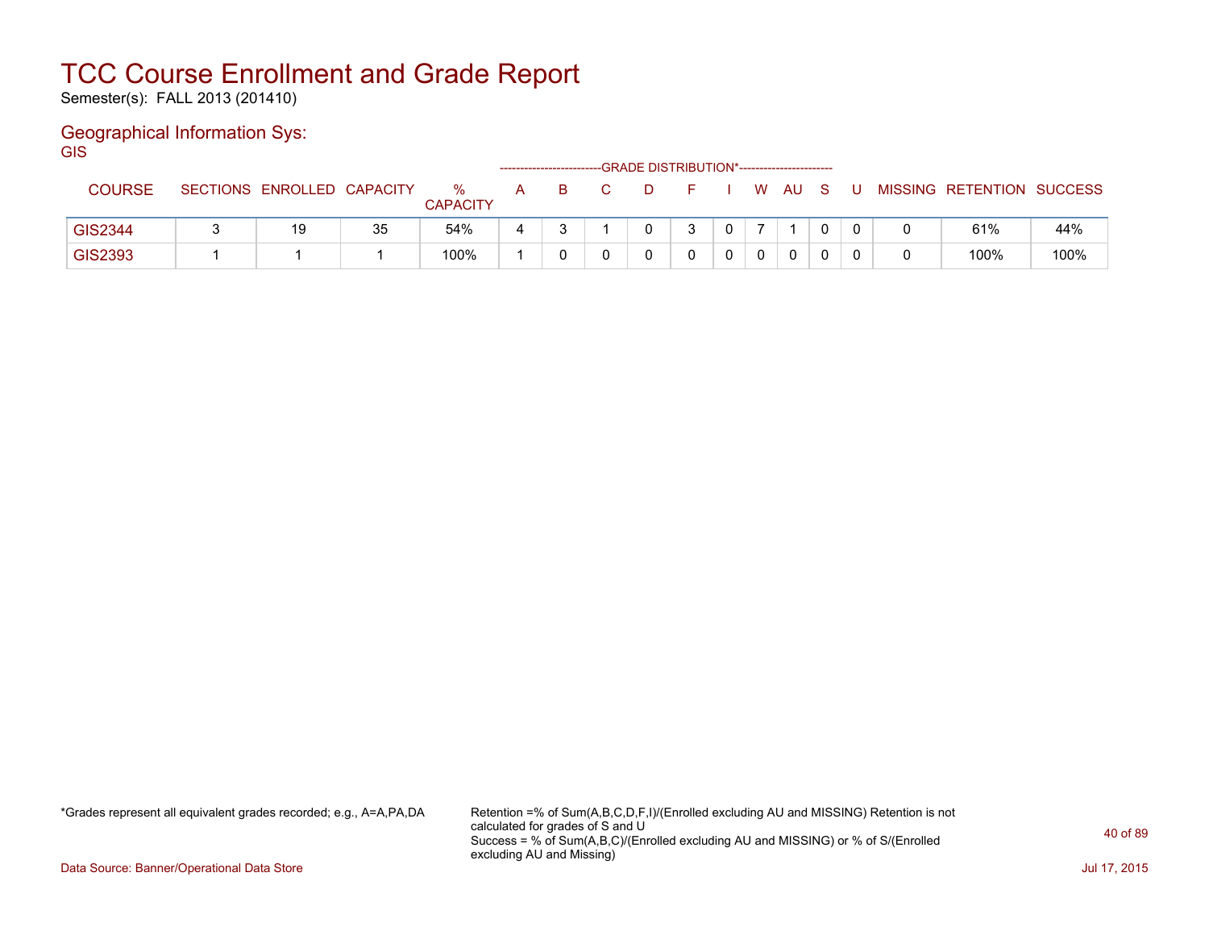Semester(s): FALL 2013 (201410)

### Geographical Information Sys:

GIS

|               |                            |    |                      |   | ----------------------- |  | -GRADE DISTRIBUTION*----------------------- |  |      |     |                           |      |
|---------------|----------------------------|----|----------------------|---|-------------------------|--|---------------------------------------------|--|------|-----|---------------------------|------|
| <b>COURSE</b> | SECTIONS ENROLLED CAPACITY |    | %<br><b>CAPACITY</b> | A |                         |  |                                             |  | W AU | . U | MISSING RETENTION SUCCESS |      |
| GIS2344       | 19                         | 35 | 54%                  |   |                         |  |                                             |  |      |     | 61%                       | 44%  |
| GIS2393       |                            |    | 100%                 |   |                         |  |                                             |  | 0    |     | 100%                      | 100% |

\*Grades represent all equivalent grades recorded; e.g., A=A,PA,DA Retention =% of Sum(A,B,C,D,F,I)/(Enrolled excluding AU and MISSING) Retention is not calculated for grades of S and U Success = % of Sum(A,B,C)/(Enrolled excluding AU and MISSING) or % of S/(Enrolled excluding AU and Missing)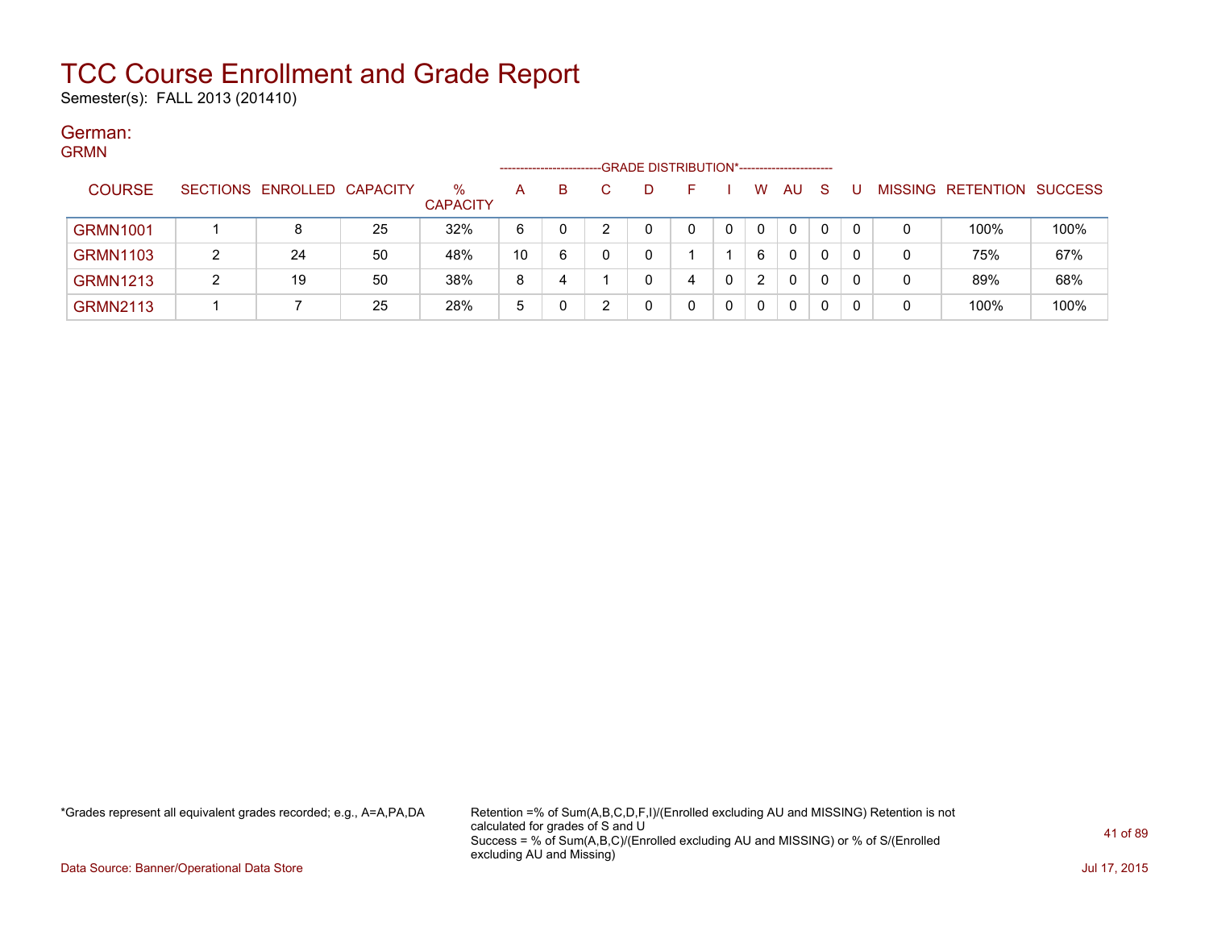Semester(s): FALL 2013 (201410)

#### German: **CDMM**

| יוויוויוט       |   |                            |    |                         |    | --------------------- | -GRADE DISTRIBUTION*----------------------- |   |              |              |    |  |                   |                |
|-----------------|---|----------------------------|----|-------------------------|----|-----------------------|---------------------------------------------|---|--------------|--------------|----|--|-------------------|----------------|
| <b>COURSE</b>   |   | SECTIONS ENROLLED CAPACITY |    | $\%$<br><b>CAPACITY</b> | A  | B                     | D                                           |   | W            | AU.          | -S |  | MISSING RETENTION | <b>SUCCESS</b> |
| <b>GRMN1001</b> |   |                            | 25 | 32%                     | 6  |                       |                                             |   | $\mathbf{0}$ | $\Omega$     | 0  |  | 100%              | 100%           |
| <b>GRMN1103</b> |   | 24                         | 50 | 48%                     | 10 | 6                     |                                             |   | 6            | $\mathbf{0}$ | 0  |  | 75%               | 67%            |
| <b>GRMN1213</b> | າ | 19                         | 50 | 38%                     | 8  | 4                     |                                             | 4 | 2            | 0            | 0  |  | 89%               | 68%            |
| <b>GRMN2113</b> |   |                            | 25 | 28%                     | 5  |                       |                                             |   | $\Omega$     | 0            | 0  |  | 100%              | 100%           |

\*Grades represent all equivalent grades recorded; e.g., A=A,PA,DA Retention =% of Sum(A,B,C,D,F,I)/(Enrolled excluding AU and MISSING) Retention is not calculated for grades of S and U Success = % of Sum(A,B,C)/(Enrolled excluding AU and MISSING) or % of S/(Enrolled excluding AU and Missing)

Data Source: Banner/Operational Data Store Jul 17, 2015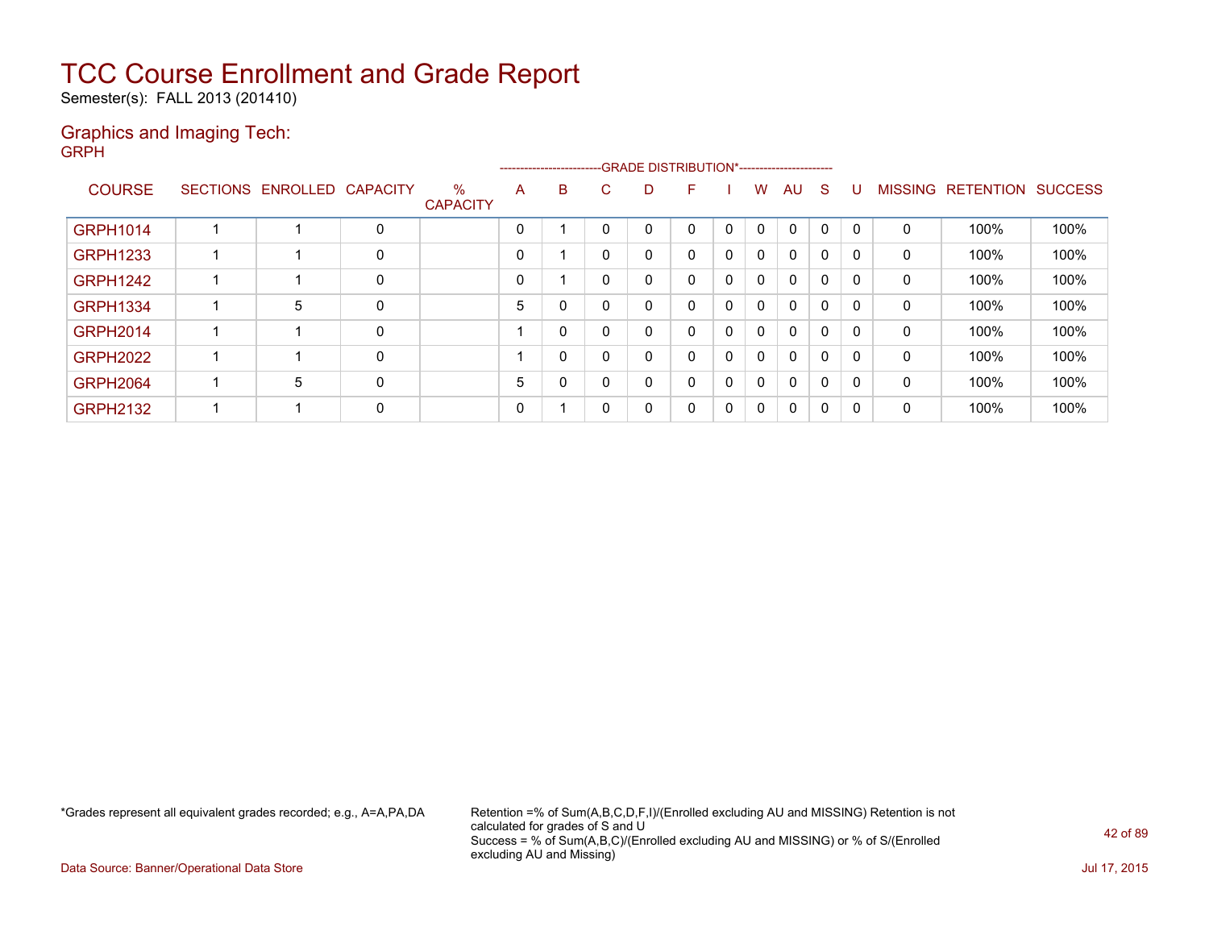Semester(s): FALL 2013 (201410)

### Graphics and Imaging Tech: GRPH

|                 |                            |   |                         |   |          | -------------------------GRADE DISTRIBUTION*----------------------- |   |          |          |              |             |          |              |              |                           |      |
|-----------------|----------------------------|---|-------------------------|---|----------|---------------------------------------------------------------------|---|----------|----------|--------------|-------------|----------|--------------|--------------|---------------------------|------|
| <b>COURSE</b>   | SECTIONS ENROLLED CAPACITY |   | $\%$<br><b>CAPACITY</b> | A | B        | ⌒<br>U                                                              | D | F        |          | w            | AU          | -S       | U            |              | MISSING RETENTION SUCCESS |      |
| <b>GRPH1014</b> |                            | 0 |                         | 0 |          |                                                                     | 0 | 0        |          | 0            | $\mathbf 0$ | $\Omega$ | 0            | $\mathbf 0$  | 100%                      | 100% |
| <b>GRPH1233</b> |                            | 0 |                         | 0 |          |                                                                     | 0 | 0        | $\Omega$ | $\mathbf{0}$ | 0           | 0        | $\mathbf{0}$ | 0            | 100%                      | 100% |
| <b>GRPH1242</b> |                            | 0 |                         | 0 |          |                                                                     | 0 | 0        |          | 0            | $\mathbf 0$ | 0        | 0            | 0            | 100%                      | 100% |
| <b>GRPH1334</b> | 5                          | 0 |                         | 5 | 0        |                                                                     | 0 | $\Omega$ | 0        | 0            | $\mathbf 0$ | 0        | $\mathbf{0}$ | $\mathbf{0}$ | 100%                      | 100% |
| <b>GRPH2014</b> |                            | 0 |                         |   | 0        |                                                                     | 0 | 0        | $\Omega$ | $\mathbf{0}$ | $\mathbf 0$ | 0        | 0            | $\mathbf{0}$ | 100%                      | 100% |
| <b>GRPH2022</b> |                            | 0 |                         |   | 0        |                                                                     | 0 | 0        | $\Omega$ | $\mathbf{0}$ | 0           | 0        | 0            | 0            | 100%                      | 100% |
| <b>GRPH2064</b> | 5                          | 0 |                         | 5 | $\Omega$ |                                                                     | 0 | 0        | $\Omega$ | $\mathbf{0}$ | $\mathbf 0$ | 0        | $\mathbf{0}$ | $\mathbf{0}$ | 100%                      | 100% |
| <b>GRPH2132</b> |                            | 0 |                         | 0 |          |                                                                     | 0 | 0        | 0        | 0            | 0           | 0        | $\mathbf{0}$ | 0            | 100%                      | 100% |

\*Grades represent all equivalent grades recorded; e.g., A=A,PA,DA Retention =% of Sum(A,B,C,D,F,I)/(Enrolled excluding AU and MISSING) Retention is not calculated for grades of S and U Success = % of Sum(A,B,C)/(Enrolled excluding AU and MISSING) or % of S/(Enrolled excluding AU and Missing)

Data Source: Banner/Operational Data Store Jul 17, 2015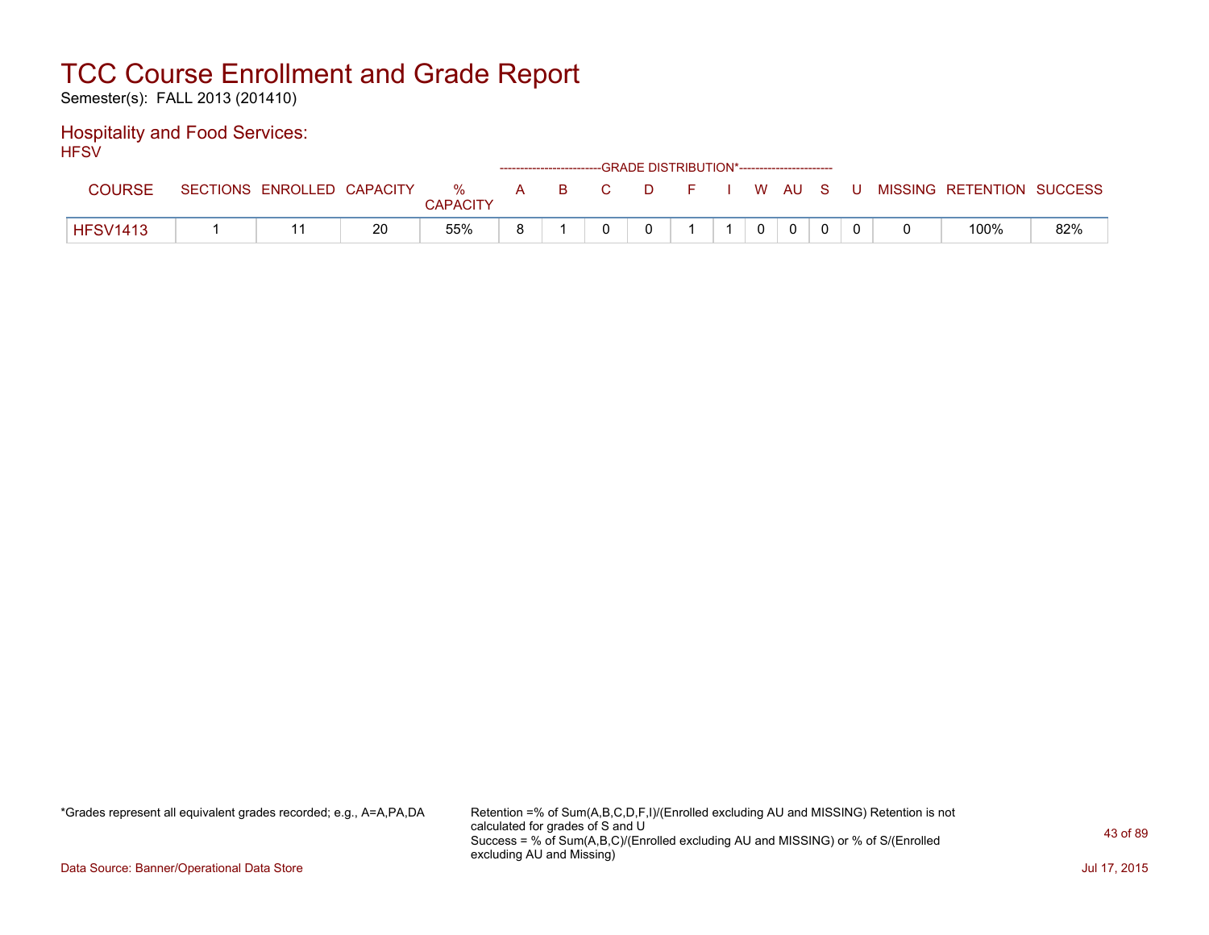Semester(s): FALL 2013 (201410)

### Hospitality and Food Services: **HFSV**

| .               |                            |    |                 |  | ------------------------GRADE DISTRIBUTION*----------------------- |  |                |          |  |                                                  |     |
|-----------------|----------------------------|----|-----------------|--|--------------------------------------------------------------------|--|----------------|----------|--|--------------------------------------------------|-----|
| <b>COURSE</b>   | SECTIONS ENROLLED CAPACITY |    | <b>CAPACITY</b> |  |                                                                    |  |                |          |  | % A B C D F I W AU S U MISSING RETENTION SUCCESS |     |
| <b>HFSV1413</b> |                            | 20 | 55%             |  |                                                                    |  | $\overline{0}$ | $\Omega$ |  | 100%                                             | 82% |

\*Grades represent all equivalent grades recorded; e.g., A=A,PA,DA Retention =% of Sum(A,B,C,D,F,I)/(Enrolled excluding AU and MISSING) Retention is not calculated for grades of S and U Success = % of Sum(A,B,C)/(Enrolled excluding AU and MISSING) or % of S/(Enrolled excluding AU and Missing)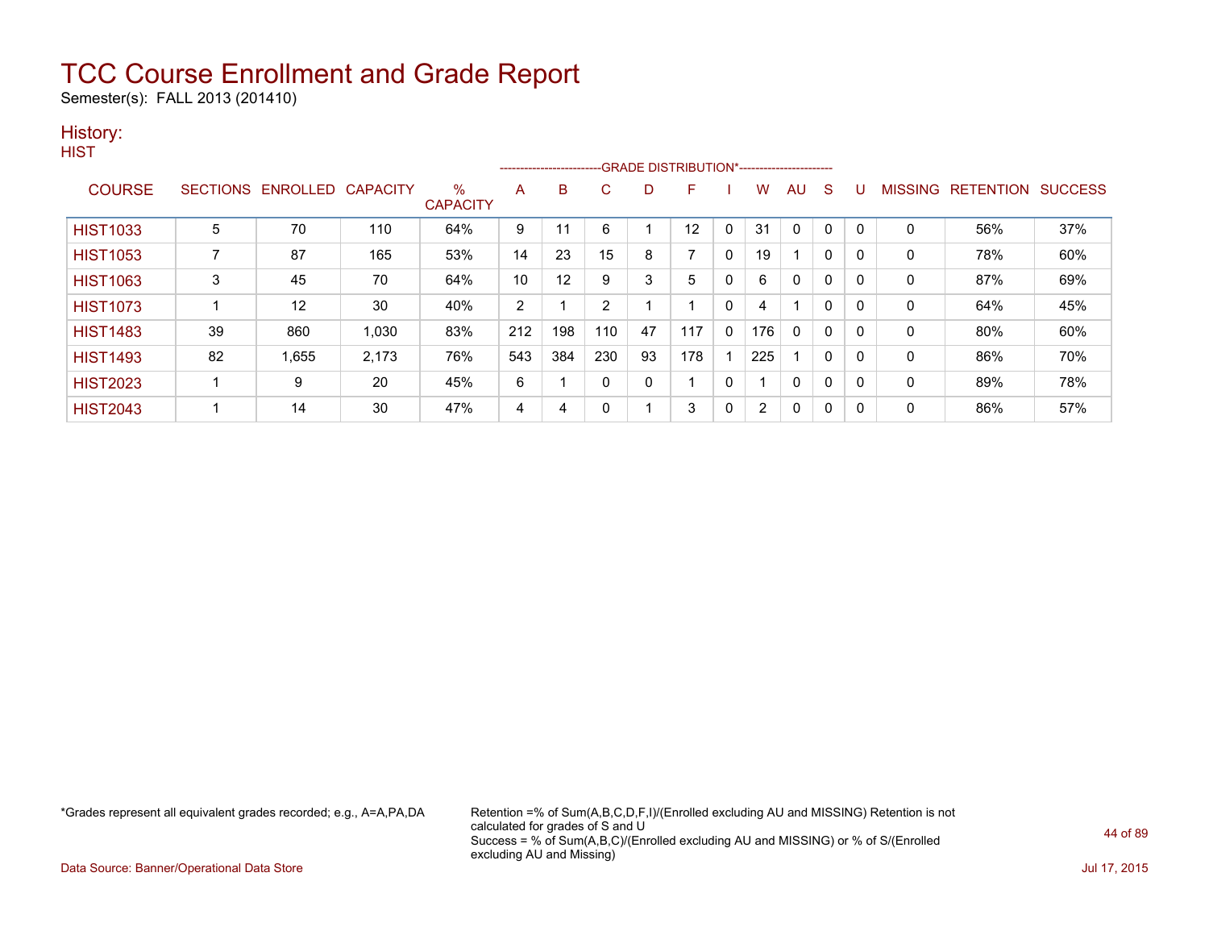Semester(s): FALL 2013 (201410)

### History:

**HIST** 

|                 |    |                            |       |                      |     |     |                |    | --------------------------GRADE DISTRIBUTION*----------------------- |              |     |              |              |             |              |                                  |     |
|-----------------|----|----------------------------|-------|----------------------|-----|-----|----------------|----|----------------------------------------------------------------------|--------------|-----|--------------|--------------|-------------|--------------|----------------------------------|-----|
| <b>COURSE</b>   |    | SECTIONS ENROLLED CAPACITY |       | %<br><b>CAPACITY</b> | Α   | B   | C              | D  | F                                                                    |              | w   | AU           | S            |             |              | <b>MISSING RETENTION SUCCESS</b> |     |
| <b>HIST1033</b> | 5  | 70                         | 110   | 64%                  | 9   |     | 6              |    | 12                                                                   | 0            | 31  | $\mathbf{0}$ | 0            | $\mathbf 0$ | $\mathbf 0$  | 56%                              | 37% |
| <b>HIST1053</b> |    | 87                         | 165   | 53%                  | 14  | 23  | 15             | 8  |                                                                      | $\mathbf{0}$ | 19  |              | $\mathbf{0}$ |             | $\mathbf{0}$ | 78%                              | 60% |
| <b>HIST1063</b> | 3  | 45                         | 70    | 64%                  | 10  | 12  | 9              | 3  | 5                                                                    | 0            | 6   | 0            | 0            | 0           | 0            | 87%                              | 69% |
| <b>HIST1073</b> |    | 12                         | 30    | 40%                  | 2   |     | $\overline{2}$ |    |                                                                      | 0            |     |              | 0            |             | 0            | 64%                              | 45% |
| <b>HIST1483</b> | 39 | 860                        | 1.030 | 83%                  | 212 | 198 | 110            | 47 | 117                                                                  | $\mathbf{0}$ | 176 | 0            | 0            | $\Omega$    | 0            | 80%                              | 60% |
| <b>HIST1493</b> | 82 | 1,655                      | 2,173 | 76%                  | 543 | 384 | 230            | 93 | 178                                                                  |              | 225 |              | 0            | 0           | 0            | 86%                              | 70% |
| <b>HIST2023</b> |    | 9                          | 20    | 45%                  | 6   |     | 0              | 0  |                                                                      | 0            |     | 0            | 0            |             | 0            | 89%                              | 78% |
| <b>HIST2043</b> |    | 14                         | 30    | 47%                  | 4   | 4   | 0              |    | 3                                                                    | 0            | 2   | 0            | 0            |             | $\mathbf 0$  | 86%                              | 57% |

\*Grades represent all equivalent grades recorded; e.g., A=A,PA,DA Retention =% of Sum(A,B,C,D,F,I)/(Enrolled excluding AU and MISSING) Retention is not calculated for grades of S and U Success = % of Sum(A,B,C)/(Enrolled excluding AU and MISSING) or % of S/(Enrolled excluding AU and Missing)

Data Source: Banner/Operational Data Store Jul 17, 2015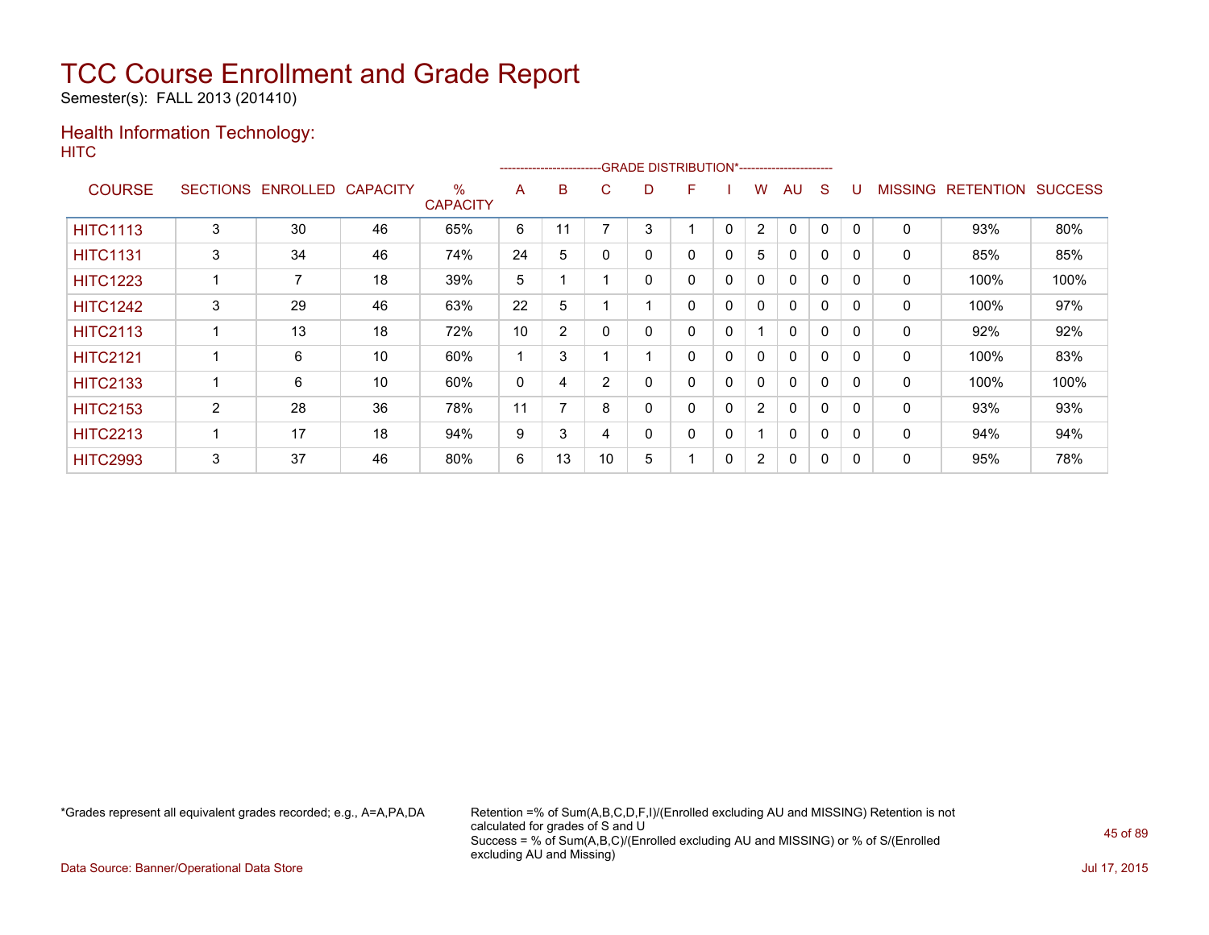Semester(s): FALL 2013 (201410)

### Health Information Technology: **HITC**

|                 |                 |                   |    |                         |    | ------------------------- |          | -GRADE DISTRIBUTION*---------------------- |   |              |                |              |              |          |                |                  |                |
|-----------------|-----------------|-------------------|----|-------------------------|----|---------------------------|----------|--------------------------------------------|---|--------------|----------------|--------------|--------------|----------|----------------|------------------|----------------|
| <b>COURSE</b>   | <b>SECTIONS</b> | ENROLLED CAPACITY |    | $\%$<br><b>CAPACITY</b> | A  | в                         | C.       | D                                          | F |              | W              | AU           | S            |          | <b>MISSING</b> | <b>RETENTION</b> | <b>SUCCESS</b> |
| <b>HITC1113</b> | 3               | 30                | 46 | 65%                     | 6  | 11                        | 7        | 3                                          |   | 0            | $\overline{2}$ | $\mathbf{0}$ | 0            | $\Omega$ | 0              | 93%              | 80%            |
| <b>HITC1131</b> | 3               | 34                | 46 | 74%                     | 24 | 5                         | $\Omega$ | 0                                          | 0 | 0            | 5              | $\mathbf{0}$ | $\mathbf{0}$ | $\Omega$ | 0              | 85%              | 85%            |
| <b>HITC1223</b> |                 | 7                 | 18 | 39%                     | 5  |                           |          | 0                                          | 0 | 0            | $\mathbf{0}$   | $\Omega$     | 0            | 0        | 0              | 100%             | 100%           |
| <b>HITC1242</b> | 3               | 29                | 46 | 63%                     | 22 | 5                         |          |                                            | 0 | 0            | $\mathbf{0}$   | $\mathbf{0}$ | 0            | $\Omega$ | 0              | 100%             | 97%            |
| <b>HITC2113</b> |                 | 13                | 18 | 72%                     | 10 | 2                         | 0        | 0                                          | 0 | 0            |                | $\mathbf{0}$ | 0            | $\Omega$ | $\Omega$       | 92%              | 92%            |
| <b>HITC2121</b> |                 | 6                 | 10 | 60%                     |    | 3                         |          |                                            | 0 | $\mathbf{0}$ | $\mathbf{0}$   | $\mathbf{0}$ | $\Omega$     | $\Omega$ | 0              | 100%             | 83%            |
| <b>HITC2133</b> |                 | 6                 | 10 | 60%                     | 0  | 4                         | 2        | 0                                          | 0 | 0            | $\mathbf{0}$   | $\mathbf{0}$ | 0            | $\Omega$ | 0              | 100%             | 100%           |
| <b>HITC2153</b> | $\overline{2}$  | 28                | 36 | 78%                     | 11 | 7                         | 8        | 0                                          | 0 | $\mathbf{0}$ | 2              | $\mathbf{0}$ | $\Omega$     | $\Omega$ | 0              | 93%              | 93%            |
| <b>HITC2213</b> |                 | 17                | 18 | 94%                     | 9  | 3                         | 4        | 0                                          | 0 | 0            |                | $\mathbf{0}$ | 0            | $\Omega$ | $\Omega$       | 94%              | 94%            |
| <b>HITC2993</b> | 3               | 37                | 46 | 80%                     | 6  | 13                        | 10       | 5                                          |   | 0            | $\overline{2}$ | 0            | 0            | 0        | 0              | 95%              | 78%            |

\*Grades represent all equivalent grades recorded; e.g., A=A,PA,DA Retention =% of Sum(A,B,C,D,F,I)/(Enrolled excluding AU and MISSING) Retention is not calculated for grades of S and U Success = % of Sum(A,B,C)/(Enrolled excluding AU and MISSING) or % of S/(Enrolled excluding AU and Missing)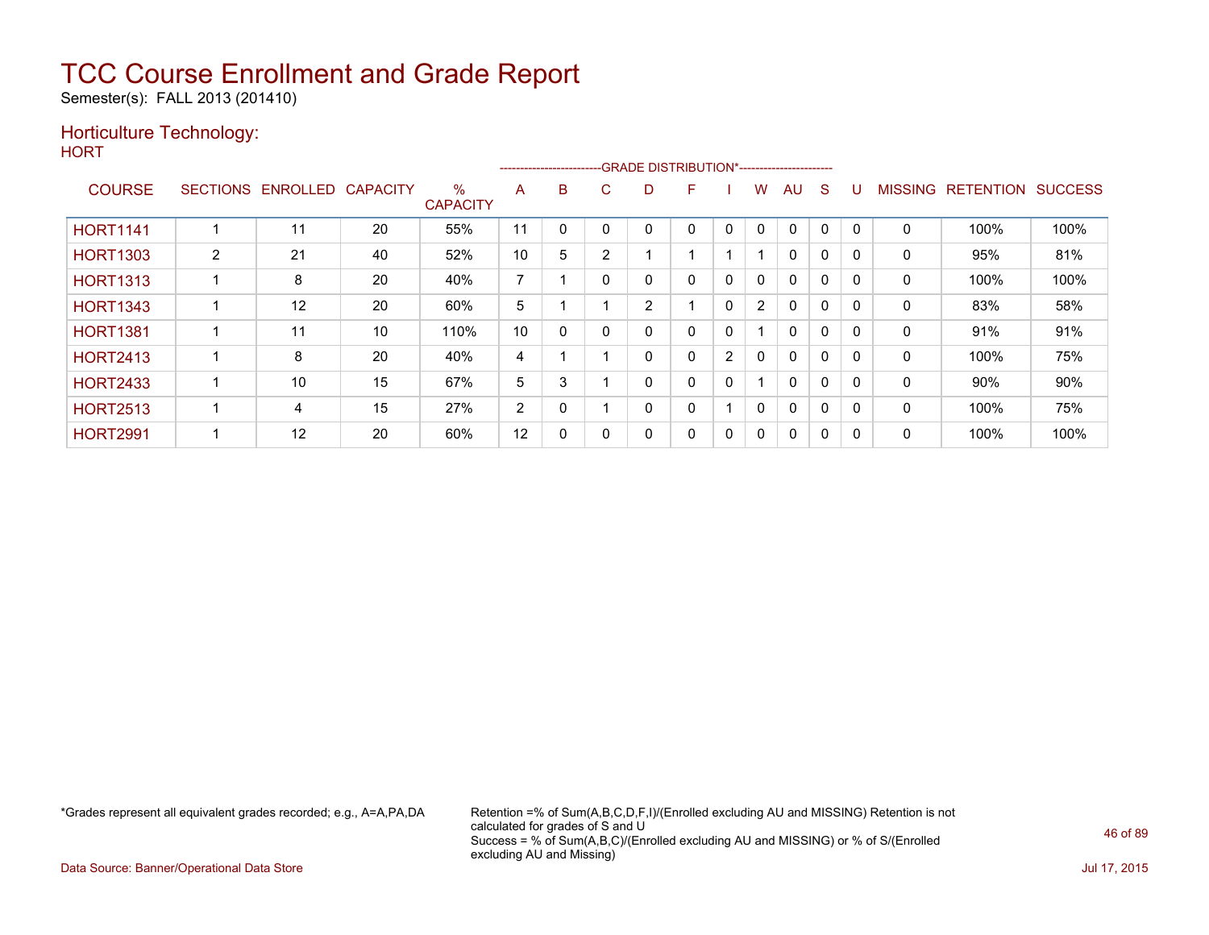Semester(s): FALL 2013 (201410)

### Horticulture Technology:

**HORT** 

|                 |                 |          |                 |                         |                |          |   |                | -----------------------GRADE DISTRIBUTION*----------------------- |                |                |              |              |          |                |                  |                |
|-----------------|-----------------|----------|-----------------|-------------------------|----------------|----------|---|----------------|-------------------------------------------------------------------|----------------|----------------|--------------|--------------|----------|----------------|------------------|----------------|
| <b>COURSE</b>   | <b>SECTIONS</b> | ENROLLED | <b>CAPACITY</b> | $\%$<br><b>CAPACITY</b> | A              | B        | Ü | D              | F                                                                 |                | W              | AU           | S            |          | <b>MISSING</b> | <b>RETENTION</b> | <b>SUCCESS</b> |
| <b>HORT1141</b> |                 | 11       | 20              | 55%                     | 11             |          |   | 0              | 0                                                                 | $\mathbf{0}$   | 0              | $\mathbf 0$  | $\mathbf{0}$ | $\Omega$ | $\Omega$       | 100%             | 100%           |
| <b>HORT1303</b> | $\overline{2}$  | 21       | 40              | 52%                     | 10             | 5        | 2 |                |                                                                   |                |                | $\mathbf{0}$ | $\Omega$     | 0        | $\mathbf{0}$   | 95%              | 81%            |
| <b>HORT1313</b> |                 | 8        | 20              | 40%                     | $\overline{ }$ |          |   | 0              | 0                                                                 | 0              | 0              | $\mathbf{0}$ | $\Omega$     | 0        | 0              | 100%             | 100%           |
| <b>HORT1343</b> |                 | 12       | 20              | 60%                     | 5              |          |   | $\overline{2}$ |                                                                   | 0              | $\overline{2}$ | $\mathbf{0}$ | $\Omega$     | 0        | 0              | 83%              | 58%            |
| <b>HORT1381</b> |                 | 11       | 10              | 110%                    | 10             | $\Omega$ |   | 0              | 0                                                                 | 0              |                | $\mathbf{0}$ | $\Omega$     | $\Omega$ | 0              | 91%              | 91%            |
| <b>HORT2413</b> |                 | 8        | 20              | 40%                     | 4              |          |   | 0              | 0                                                                 | $\overline{2}$ | 0              | $\Omega$     | $\Omega$     |          | 0              | 100%             | 75%            |
| <b>HORT2433</b> |                 | 10       | 15              | 67%                     | 5              | 3        |   | 0              | 0                                                                 | 0              |                | $\mathbf{0}$ | $\Omega$     | $\Omega$ | $\mathbf{0}$   | 90%              | 90%            |
| <b>HORT2513</b> |                 | 4        | 15              | 27%                     | 2              | 0        |   | 0              | 0                                                                 |                | 0              | $\mathbf{0}$ | $\Omega$     | 0        | $\mathbf{0}$   | 100%             | 75%            |
| <b>HORT2991</b> |                 | 12       | 20              | 60%                     | 12             | 0        |   | 0              | 0                                                                 | 0              | 0              | $\mathbf{0}$ | 0            |          | 0              | 100%             | 100%           |

\*Grades represent all equivalent grades recorded; e.g., A=A,PA,DA Retention =% of Sum(A,B,C,D,F,I)/(Enrolled excluding AU and MISSING) Retention is not calculated for grades of S and U Success = % of Sum(A,B,C)/(Enrolled excluding AU and MISSING) or % of S/(Enrolled excluding AU and Missing)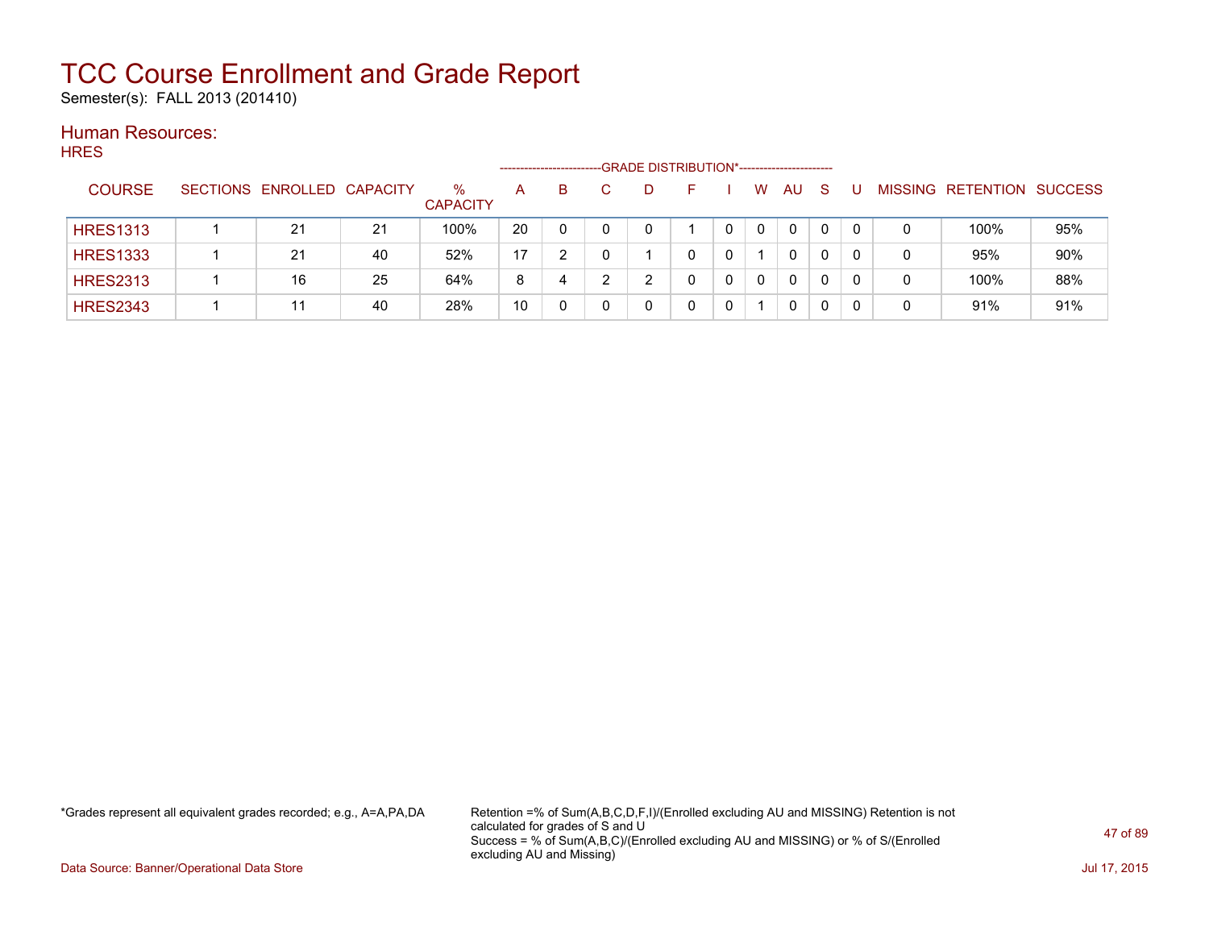Semester(s): FALL 2013 (201410)

### Human Resources: **HRES**

| .               |                            |    |                      | ------------------- |    | -GRADE DISTRIBUTION*----------------------- |   |          |           |              |   |   |                           |     |
|-----------------|----------------------------|----|----------------------|---------------------|----|---------------------------------------------|---|----------|-----------|--------------|---|---|---------------------------|-----|
| <b>COURSE</b>   | SECTIONS ENROLLED CAPACITY |    | %<br><b>CAPACITY</b> | $\mathsf{A}$        | B. |                                             |   | W        | <b>AU</b> | <sub>S</sub> |   |   | MISSING RETENTION SUCCESS |     |
| <b>HRES1313</b> | 21                         | 21 | 100%                 | 20                  | 0  |                                             |   | $\Omega$ | 0         |              |   | 0 | 100%                      | 95% |
| <b>HRES1333</b> | 21                         | 40 | 52%                  | 17                  | າ  |                                             | 0 |          | 0         | 0            |   | 0 | 95%                       | 90% |
| <b>HRES2313</b> | 16                         | 25 | 64%                  | 8                   | 4  | ົ                                           |   | 0        | 0         | 0            | 0 | 0 | 100%                      | 88% |
| <b>HRES2343</b> | 44                         | 40 | 28%                  | 10                  |    |                                             |   |          | 0         |              |   | 0 | 91%                       | 91% |

\*Grades represent all equivalent grades recorded; e.g., A=A,PA,DA Retention =% of Sum(A,B,C,D,F,I)/(Enrolled excluding AU and MISSING) Retention is not calculated for grades of S and U Success = % of Sum(A,B,C)/(Enrolled excluding AU and MISSING) or % of S/(Enrolled excluding AU and Missing)

Data Source: Banner/Operational Data Store Jul 17, 2015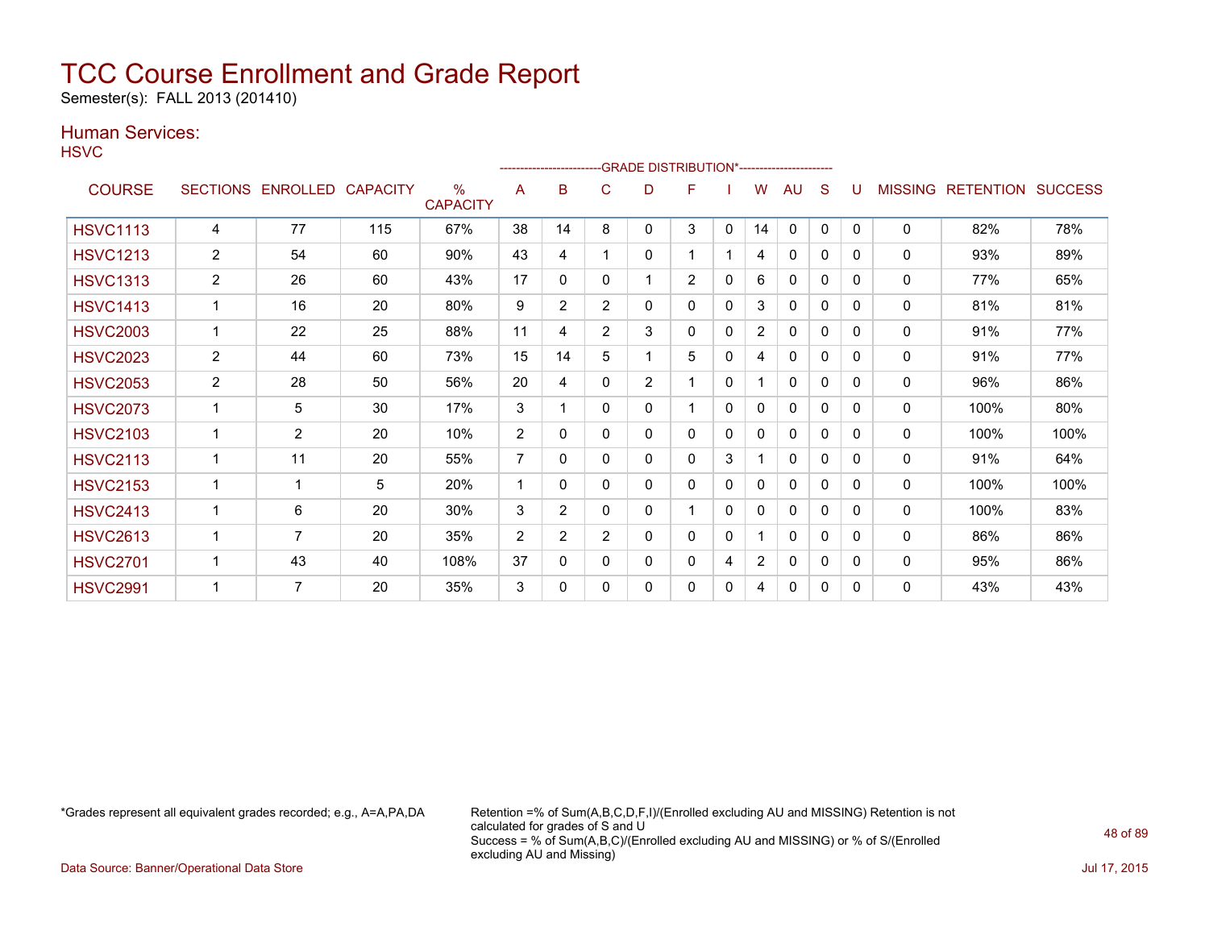Semester(s): FALL 2013 (201410)

### Human Services:

**HSVC** 

| .               |                |                   |                 |                         |                |                |                | -GRADE DISTRIBUTION*---------------------- |                |          |                |              |              |              |                |                  |                |
|-----------------|----------------|-------------------|-----------------|-------------------------|----------------|----------------|----------------|--------------------------------------------|----------------|----------|----------------|--------------|--------------|--------------|----------------|------------------|----------------|
| <b>COURSE</b>   |                | SECTIONS ENROLLED | <b>CAPACITY</b> | $\%$<br><b>CAPACITY</b> | A              | B              | С              | D                                          | F              |          | W              | AU           | S            |              | <b>MISSING</b> | <b>RETENTION</b> | <b>SUCCESS</b> |
| <b>HSVC1113</b> | 4              | 77                | 115             | 67%                     | 38             | 14             | 8              | 0                                          | 3              | 0        | 14             | $\mathbf{0}$ | $\mathbf{0}$ | $\mathbf{0}$ | $\Omega$       | 82%              | 78%            |
| <b>HSVC1213</b> | $\overline{2}$ | 54                | 60              | 90%                     | 43             | 4              |                | 0                                          | 1              |          | 4              | 0            | 0            | 0            | $\mathbf{0}$   | 93%              | 89%            |
| <b>HSVC1313</b> | $\overline{2}$ | 26                | 60              | 43%                     | 17             | 0              | 0              |                                            | $\overline{2}$ | 0        | 6              | $\mathbf{0}$ | 0            | $\Omega$     | $\Omega$       | 77%              | 65%            |
| <b>HSVC1413</b> | $\mathbf 1$    | 16                | 20              | 80%                     | 9              | $\overline{2}$ | $\overline{2}$ | 0                                          | $\Omega$       | $\Omega$ | 3              | $\Omega$     | $\Omega$     | $\Omega$     | $\mathbf{0}$   | 81%              | 81%            |
| <b>HSVC2003</b> |                | 22                | 25              | 88%                     | 11             | 4              | $\overline{2}$ | 3                                          | 0              | 0        | $\overline{2}$ | $\mathbf{0}$ | $\Omega$     | $\Omega$     | 0              | 91%              | 77%            |
| <b>HSVC2023</b> | $\overline{2}$ | 44                | 60              | 73%                     | 15             | 14             | 5              | 1                                          | 5              | 0        | 4              | $\mathbf{0}$ | $\mathbf{0}$ | $\mathbf{0}$ | $\mathbf{0}$   | 91%              | 77%            |
| <b>HSVC2053</b> | $\overline{2}$ | 28                | 50              | 56%                     | 20             | 4              | 0              | $\overline{2}$                             | $\mathbf{1}$   | 0        |                | $\mathbf{0}$ | 0            | $\Omega$     | $\Omega$       | 96%              | 86%            |
| <b>HSVC2073</b> |                | 5                 | 30              | 17%                     | 3              |                | 0              | 0                                          |                | 0        | 0              | $\mathbf{0}$ | 0            | $\mathbf{0}$ | $\mathbf{0}$   | 100%             | 80%            |
| <b>HSVC2103</b> | 1              | $\overline{2}$    | 20              | 10%                     | $\overline{2}$ | 0              | 0              | 0                                          | 0              | 0        | 0              | 0            | 0            | $\Omega$     | $\Omega$       | 100%             | 100%           |
| <b>HSVC2113</b> | 1              | 11                | 20              | 55%                     | $\overline{7}$ | $\Omega$       | $\Omega$       | 0                                          | 0              | 3        |                | $\mathbf{0}$ | 0            | $\Omega$     | $\mathbf{0}$   | 91%              | 64%            |
| <b>HSVC2153</b> |                |                   | 5               | 20%                     | 1              | $\mathbf{0}$   | 0              | 0                                          | 0              | 0        | 0              | $\mathbf{0}$ | 0            | $\Omega$     | 0              | 100%             | 100%           |
| <b>HSVC2413</b> | $\mathbf 1$    | 6                 | 20              | 30%                     | 3              | 2              | 0              | 0                                          | $\mathbf 1$    | 0        | $\mathbf{0}$   | 0            | 0            | $\mathbf{0}$ | 0              | 100%             | 83%            |
| <b>HSVC2613</b> |                | 7                 | 20              | 35%                     | $\overline{2}$ | $\overline{2}$ | $\overline{2}$ | 0                                          | 0              | 0        |                | $\mathbf{0}$ | 0            | $\Omega$     | $\Omega$       | 86%              | 86%            |
| <b>HSVC2701</b> |                | 43                | 40              | 108%                    | 37             | 0              | 0              | 0                                          | 0              | 4        | $\overline{2}$ | $\mathbf{0}$ | 0            | 0            | $\mathbf{0}$   | 95%              | 86%            |
| <b>HSVC2991</b> |                | $\overline{7}$    | 20              | 35%                     | 3              | 0              | 0              | 0                                          | 0              | 0        | 4              | 0            | 0            | $\Omega$     | 0              | 43%              | 43%            |

\*Grades represent all equivalent grades recorded; e.g., A=A,PA,DA Retention =% of Sum(A,B,C,D,F,I)/(Enrolled excluding AU and MISSING) Retention is not calculated for grades of S and U Success = % of Sum(A,B,C)/(Enrolled excluding AU and MISSING) or % of S/(Enrolled excluding AU and Missing)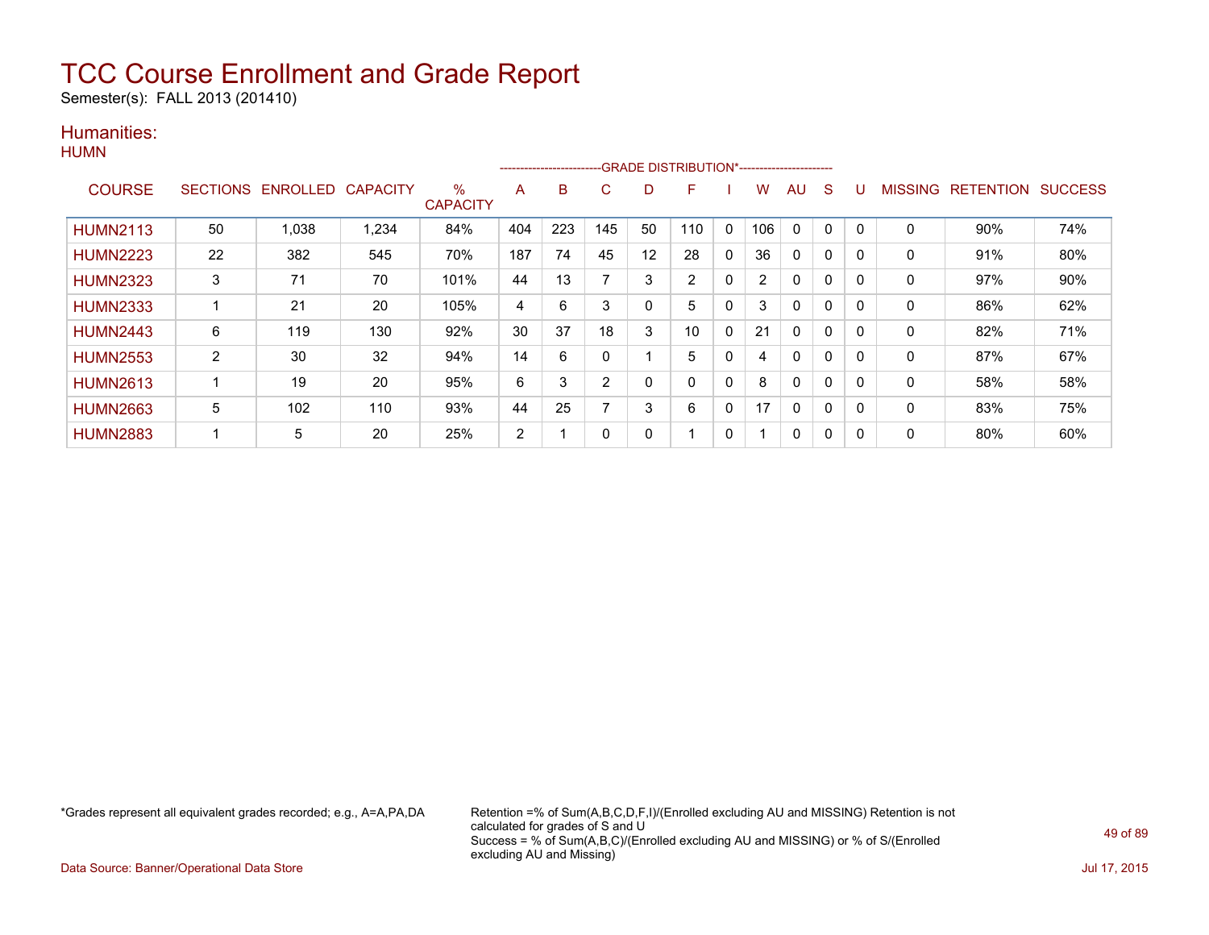Semester(s): FALL 2013 (201410)

### Humanities:

|                 |                 |          |          |                      |     |     |     |                   | --------------------------GRADE DISTRIBUTION*----------------------- |              |     |    |              |          |         |                  |                |
|-----------------|-----------------|----------|----------|----------------------|-----|-----|-----|-------------------|----------------------------------------------------------------------|--------------|-----|----|--------------|----------|---------|------------------|----------------|
| <b>COURSE</b>   | <b>SECTIONS</b> | ENROLLED | CAPACITY | %<br><b>CAPACITY</b> | A   | B   | C   | D                 | F                                                                    |              | W   | AU | S            |          | MISSING | <b>RETENTION</b> | <b>SUCCESS</b> |
| <b>HUMN2113</b> | 50              | 1,038    | 1,234    | 84%                  | 404 | 223 | 145 | 50                | 110                                                                  | $\mathbf{0}$ | 106 | 0  | $\Omega$     | $\Omega$ | 0       | 90%              | 74%            |
| <b>HUMN2223</b> | 22              | 382      | 545      | 70%                  | 187 | 74  | 45  | $12 \overline{ }$ | 28                                                                   | $\mathbf{0}$ | 36  | 0  | 0            | 0        | 0       | 91%              | 80%            |
| <b>HUMN2323</b> | 3               | 71       | 70       | 101%                 | 44  | 13  | ⇁   | 3                 | 2                                                                    | $\mathbf{0}$ | 2   | 0  | 0            | 0        | 0       | 97%              | 90%            |
| <b>HUMN2333</b> |                 | 21       | 20       | 105%                 | 4   | 6   | 3   | $\mathbf 0$       | 5                                                                    | $\mathbf{0}$ | 3   | 0  | $\Omega$     | 0        | 0       | 86%              | 62%            |
| <b>HUMN2443</b> | 6               | 119      | 130      | 92%                  | 30  | 37  | 18  | 3                 | 10                                                                   | $\Omega$     | 21  | 0  | $\mathbf{0}$ | $\Omega$ | 0       | 82%              | 71%            |
| <b>HUMN2553</b> | 2               | 30       | 32       | 94%                  | 14  | 6   | 0   |                   | 5                                                                    | 0            |     | 0  | 0            | 0        | 0       | 87%              | 67%            |
| <b>HUMN2613</b> | 1               | 19       | 20       | 95%                  | 6   | 3   | 2   | 0                 | 0                                                                    | $\mathbf{0}$ | 8   | 0  | 0            | $\Omega$ | 0       | 58%              | 58%            |
| <b>HUMN2663</b> | 5               | 102      | 110      | 93%                  | 44  | 25  | ⇁   | 3                 | 6                                                                    | $\mathbf{0}$ | 17  | 0  | $\Omega$     | 0        | 0       | 83%              | 75%            |
| <b>HUMN2883</b> | ٠               | 5        | 20       | 25%                  | 2   |     | 0   | 0                 |                                                                      | $\mathbf{0}$ |     | 0  | 0            | $\Omega$ | 0       | 80%              | 60%            |

\*Grades represent all equivalent grades recorded; e.g., A=A,PA,DA Retention =% of Sum(A,B,C,D,F,I)/(Enrolled excluding AU and MISSING) Retention is not calculated for grades of S and U Success = % of Sum(A,B,C)/(Enrolled excluding AU and MISSING) or % of S/(Enrolled excluding AU and Missing)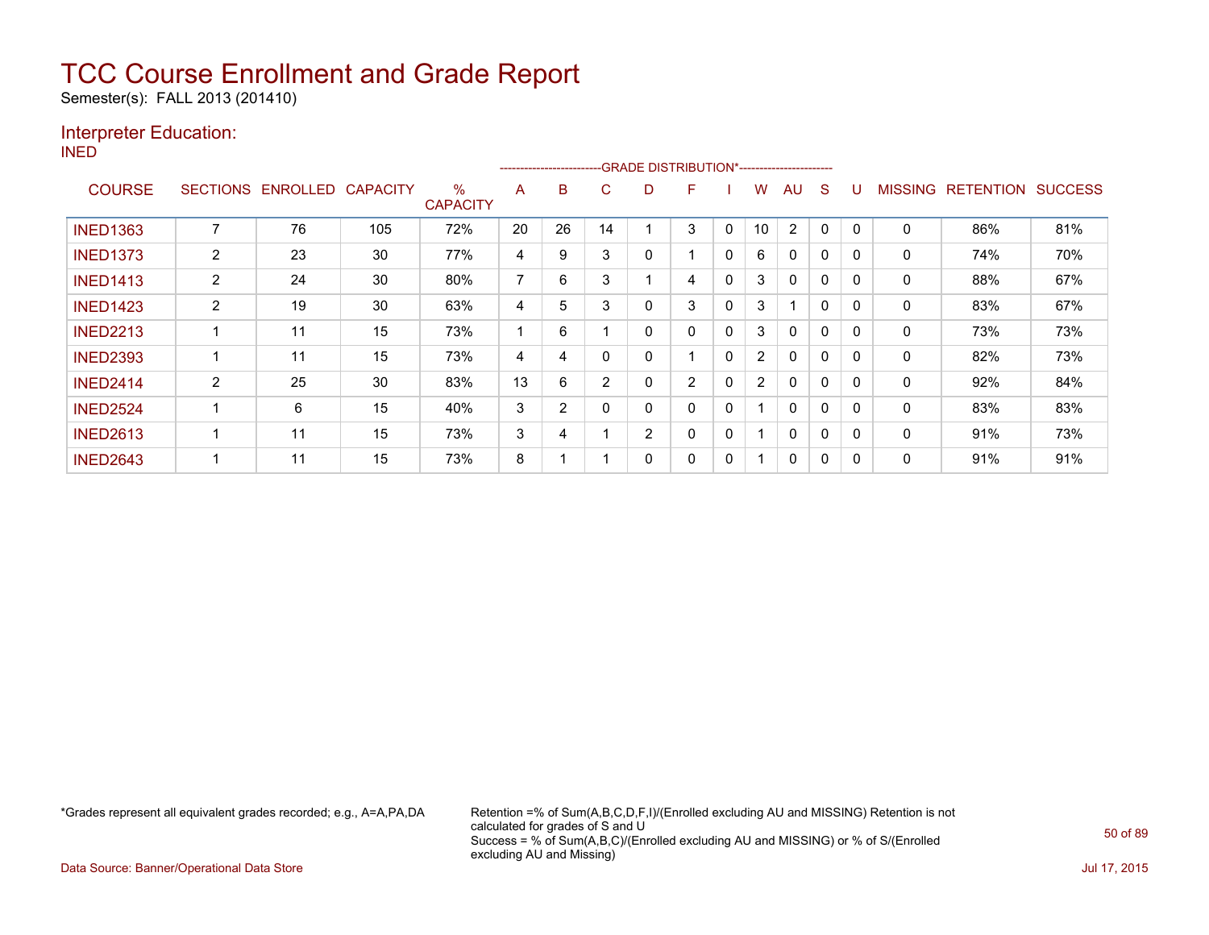Semester(s): FALL 2013 (201410)

### Interpreter Education:

INED

|                 |                 |                 |                 |                         |    | ------------------------ |                | -GRADE DISTRIBUTION*---------------------- |                |              |                       |                |              |          |                |                  |                |
|-----------------|-----------------|-----------------|-----------------|-------------------------|----|--------------------------|----------------|--------------------------------------------|----------------|--------------|-----------------------|----------------|--------------|----------|----------------|------------------|----------------|
| <b>COURSE</b>   | <b>SECTIONS</b> | <b>ENROLLED</b> | <b>CAPACITY</b> | $\%$<br><b>CAPACITY</b> | A  | в                        | C              | D                                          | F              |              | W                     | AU             | S            |          | <b>MISSING</b> | <b>RETENTION</b> | <b>SUCCESS</b> |
| <b>INED1363</b> |                 | 76              | 105             | 72%                     | 20 | 26                       | 14             |                                            | 3              | 0            | 10                    | $\overline{2}$ | $\Omega$     | 0        | 0              | 86%              | 81%            |
| <b>INED1373</b> | $\overline{2}$  | 23              | 30              | 77%                     | 4  | 9                        | 3              | 0                                          |                | 0            | 6                     | 0              | 0            | 0        | 0              | 74%              | 70%            |
| <b>INED1413</b> | $\overline{2}$  | 24              | 30              | 80%                     | 7  | 6                        | 3              |                                            | 4              | 0            | 3                     | $\Omega$       | 0            | $\Omega$ | 0              | 88%              | 67%            |
| <b>INED1423</b> | $\overline{2}$  | 19              | 30              | 63%                     | 4  | 5                        | 3              | 0                                          | 3              | 0            | 3                     |                | $\Omega$     | $\Omega$ | 0              | 83%              | 67%            |
| <b>INED2213</b> |                 | 11              | 15              | 73%                     |    | 6                        |                | 0                                          | 0              | $\mathbf{0}$ | 3                     | $\mathbf{0}$   | $\Omega$     | $\Omega$ | 0              | 73%              | 73%            |
| <b>INED2393</b> |                 | 11              | 15              | 73%                     | 4  | 4                        |                | 0                                          |                | 0            | $\mathbf{2}^{\prime}$ | $\Omega$       | $\mathbf{0}$ | $\Omega$ | 0              | 82%              | 73%            |
| <b>INED2414</b> | 2               | 25              | 30              | 83%                     | 13 | 6                        | $\overline{2}$ | 0                                          | $\overline{2}$ | 0            | $\overline{2}$        | $\mathbf{0}$   | $\Omega$     | 0        | 0              | 92%              | 84%            |
| <b>INED2524</b> |                 | 6               | 15              | 40%                     | 3  | $\overline{2}$           |                | 0                                          | 0              | 0            |                       | $\mathbf{0}$   | 0            | 0        | 0              | 83%              | 83%            |
| <b>INED2613</b> |                 | 11              | 15              | 73%                     | 3  | 4                        |                | 2                                          | 0              | 0            |                       | 0              | 0            | 0        | 0              | 91%              | 73%            |
| <b>INED2643</b> |                 | 11              | 15              | 73%                     | 8  |                          |                | 0                                          | 0              | 0            |                       | 0              | 0            | 0        | 0              | 91%              | 91%            |

\*Grades represent all equivalent grades recorded; e.g., A=A,PA,DA Retention =% of Sum(A,B,C,D,F,I)/(Enrolled excluding AU and MISSING) Retention is not calculated for grades of S and U Success = % of Sum(A,B,C)/(Enrolled excluding AU and MISSING) or % of S/(Enrolled excluding AU and Missing)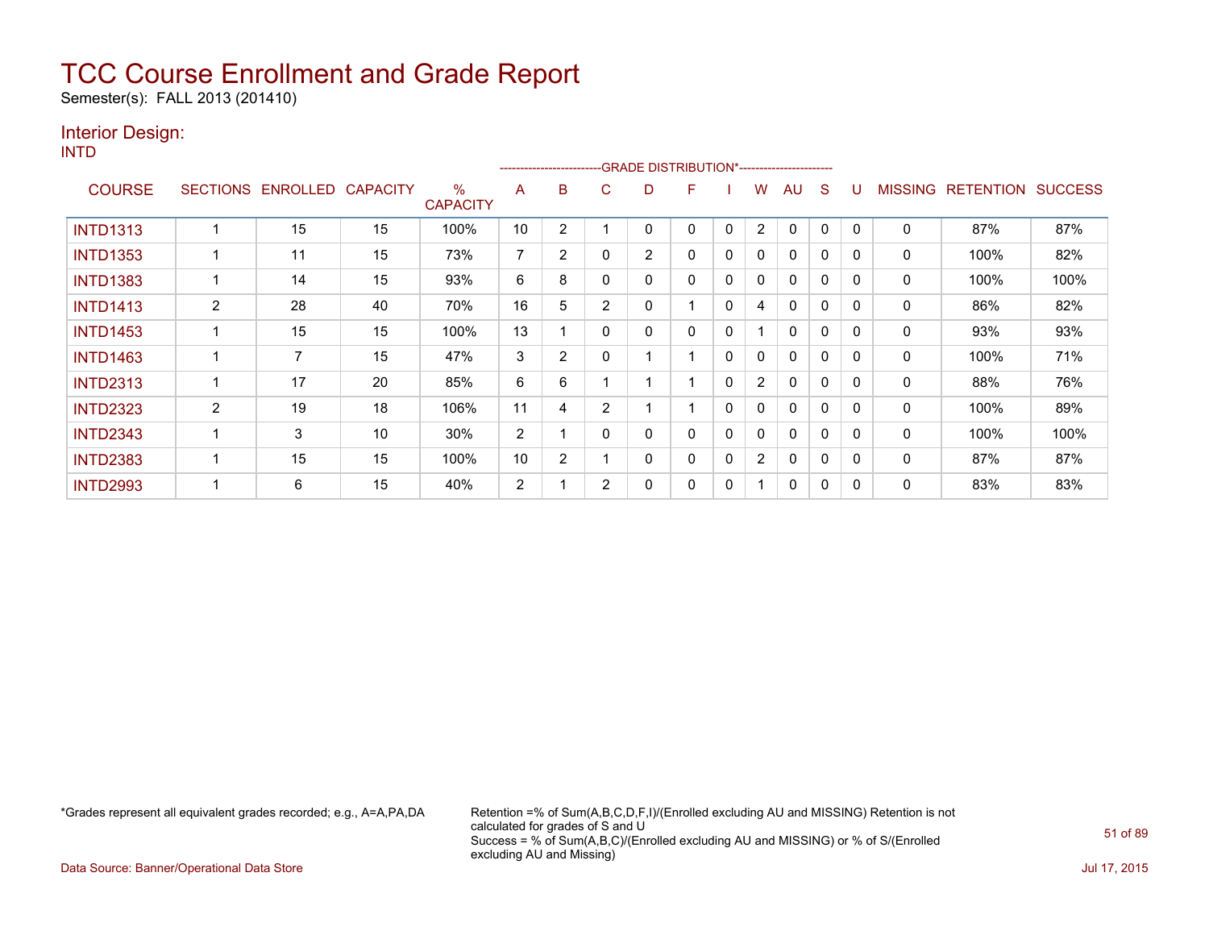Semester(s): FALL 2013 (201410)

### Interior Design:

INTD

|                 |                |                   |                 |                      |                | --------------------- |                | -GRADE DISTRIBUTION*---------------------- |   |              |                |              |              |          |                |                  |                |
|-----------------|----------------|-------------------|-----------------|----------------------|----------------|-----------------------|----------------|--------------------------------------------|---|--------------|----------------|--------------|--------------|----------|----------------|------------------|----------------|
| <b>COURSE</b>   |                | SECTIONS ENROLLED | <b>CAPACITY</b> | %<br><b>CAPACITY</b> | A              | B                     | C              | D                                          | F |              | W              | AU           | S            |          | <b>MISSING</b> | <b>RETENTION</b> | <b>SUCCESS</b> |
| <b>INTD1313</b> |                | 15                | 15              | 100%                 | 10             | 2                     |                | 0                                          | 0 | $\mathbf{0}$ | $\overline{2}$ | $\mathbf{0}$ | 0            | $\Omega$ | 0              | 87%              | 87%            |
| <b>INTD1353</b> |                | 11                | 15              | 73%                  | $\overline{7}$ | $\overline{2}$        |                | $\overline{2}$                             | 0 | 0            | 0              | 0            | 0            |          | 0              | 100%             | 82%            |
| <b>INTD1383</b> |                | 14                | 15              | 93%                  | 6              | 8                     |                | 0                                          | 0 | 0            | 0              | $\mathbf{0}$ | 0            | $\Omega$ | 0              | 100%             | 100%           |
| <b>INTD1413</b> | 2              | 28                | 40              | 70%                  | 16             | 5                     | $\overline{2}$ | 0                                          |   | $\mathbf{0}$ | 4              | $\mathbf{0}$ | $\mathbf{0}$ | $\Omega$ | 0              | 86%              | 82%            |
| <b>INTD1453</b> |                | 15                | 15              | 100%                 | 13             |                       | $\Omega$       | 0                                          | 0 | 0            |                | $\mathbf{0}$ | $\mathbf{0}$ | $\Omega$ | $\mathbf{0}$   | 93%              | 93%            |
| <b>INTD1463</b> |                | 7                 | 15              | 47%                  | 3              | $\overline{2}$        |                |                                            |   | 0            | 0              | $\mathbf{0}$ | $\mathbf{0}$ | $\Omega$ | 0              | 100%             | 71%            |
| <b>INTD2313</b> |                | 17                | 20              | 85%                  | 6              | 6                     |                |                                            |   | $\mathbf{0}$ | $\overline{2}$ | 0            | $\Omega$     | 0        | 0              | 88%              | 76%            |
| <b>INTD2323</b> | $\overline{2}$ | 19                | 18              | 106%                 | 11             | 4                     | 2              |                                            |   | 0            | 0              | $\mathbf{0}$ | 0            | $\Omega$ | 0              | 100%             | 89%            |
| <b>INTD2343</b> |                | 3                 | 10              | 30%                  | 2              |                       | $\Omega$       | 0                                          | 0 | $\mathbf{0}$ | 0              | $\mathbf{0}$ | $\mathbf{0}$ | $\Omega$ | 0              | 100%             | 100%           |
| <b>INTD2383</b> |                | 15                | 15              | 100%                 | 10             | $\overline{2}$        |                | 0                                          | 0 | 0            | $\overline{2}$ | $\mathbf{0}$ | $\Omega$     | $\Omega$ | 0              | 87%              | 87%            |
| <b>INTD2993</b> |                | 6                 | 15              | 40%                  | $\overline{2}$ |                       | $\overline{2}$ | 0                                          | 0 | 0            |                | $\mathbf{0}$ | 0            | $\Omega$ | 0              | 83%              | 83%            |

\*Grades represent all equivalent grades recorded; e.g., A=A,PA,DA Retention =% of Sum(A,B,C,D,F,I)/(Enrolled excluding AU and MISSING) Retention is not calculated for grades of S and U Success = % of Sum(A,B,C)/(Enrolled excluding AU and MISSING) or % of S/(Enrolled excluding AU and Missing)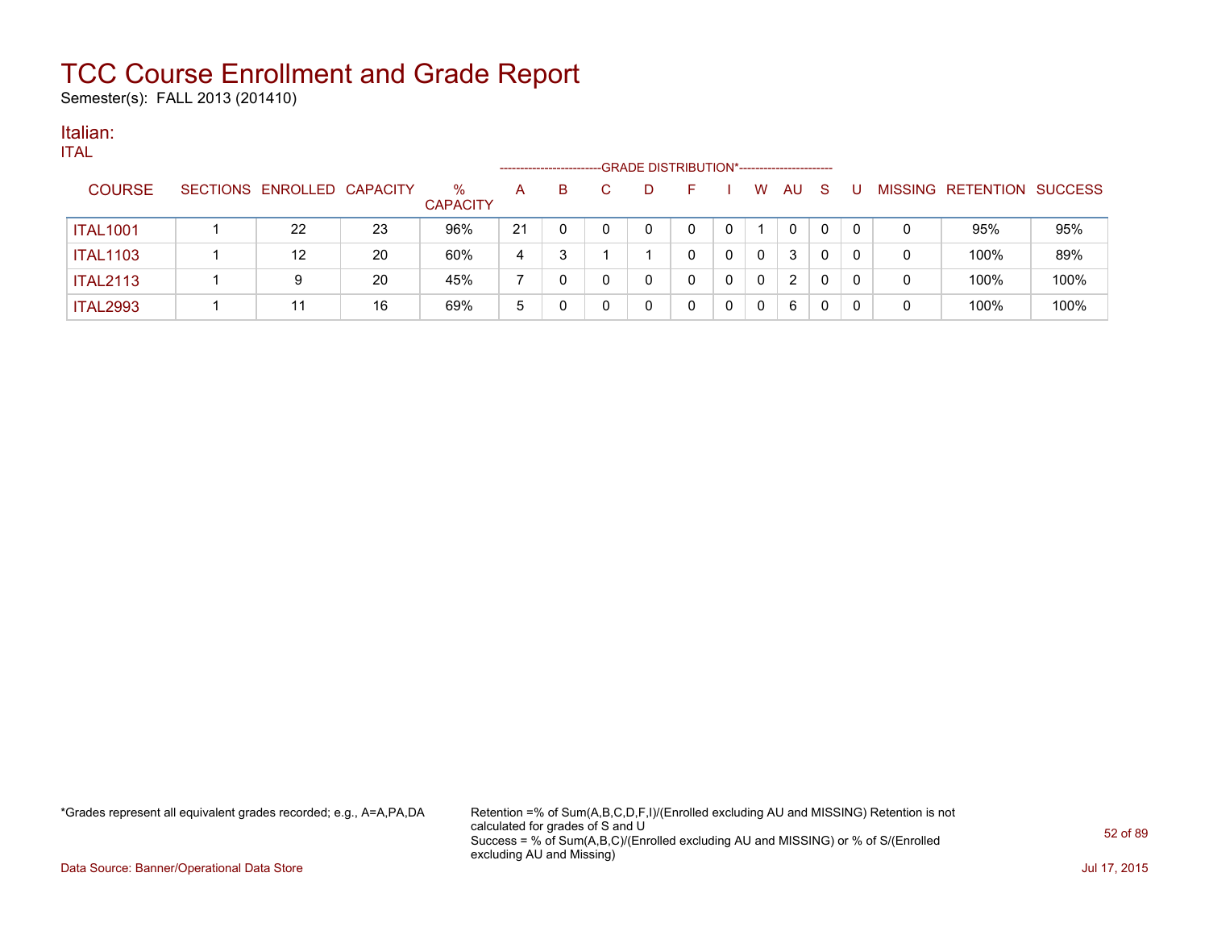Semester(s): FALL 2013 (201410)

#### Italian: ITAL

| 'I AL           |                            |    |                         | --------------------- |    | -GRADE DISTRIBUTION*----------------------- |    |   |             |    |    |   |   |                           |      |
|-----------------|----------------------------|----|-------------------------|-----------------------|----|---------------------------------------------|----|---|-------------|----|----|---|---|---------------------------|------|
| <b>COURSE</b>   | SECTIONS ENROLLED CAPACITY |    | $\%$<br><b>CAPACITY</b> | A                     | B. | D                                           | н. |   | W           | AU | -S | U |   | MISSING RETENTION SUCCESS |      |
| <b>ITAL1001</b> | 22                         | 23 | 96%                     | 21                    |    |                                             | 0  |   |             | 0  | 0  |   | 0 | 95%                       | 95%  |
| <b>ITAL1103</b> | 12                         | 20 | 60%                     | 4                     |    |                                             |    | 0 | $\mathbf 0$ | 3  | 0  |   | 0 | 100%                      | 89%  |
| <b>ITAL2113</b> | 9                          | 20 | 45%                     |                       |    |                                             |    | 0 | $\Omega$    | 2  | 0  |   | 0 | 100%                      | 100% |
| <b>ITAL2993</b> | 11                         | 16 | 69%                     | 5                     |    |                                             |    | 0 | $\mathbf 0$ | 6  | 0  |   |   | 100%                      | 100% |

\*Grades represent all equivalent grades recorded; e.g., A=A,PA,DA Retention =% of Sum(A,B,C,D,F,I)/(Enrolled excluding AU and MISSING) Retention is not calculated for grades of S and U Success = % of Sum(A,B,C)/(Enrolled excluding AU and MISSING) or % of S/(Enrolled excluding AU and Missing)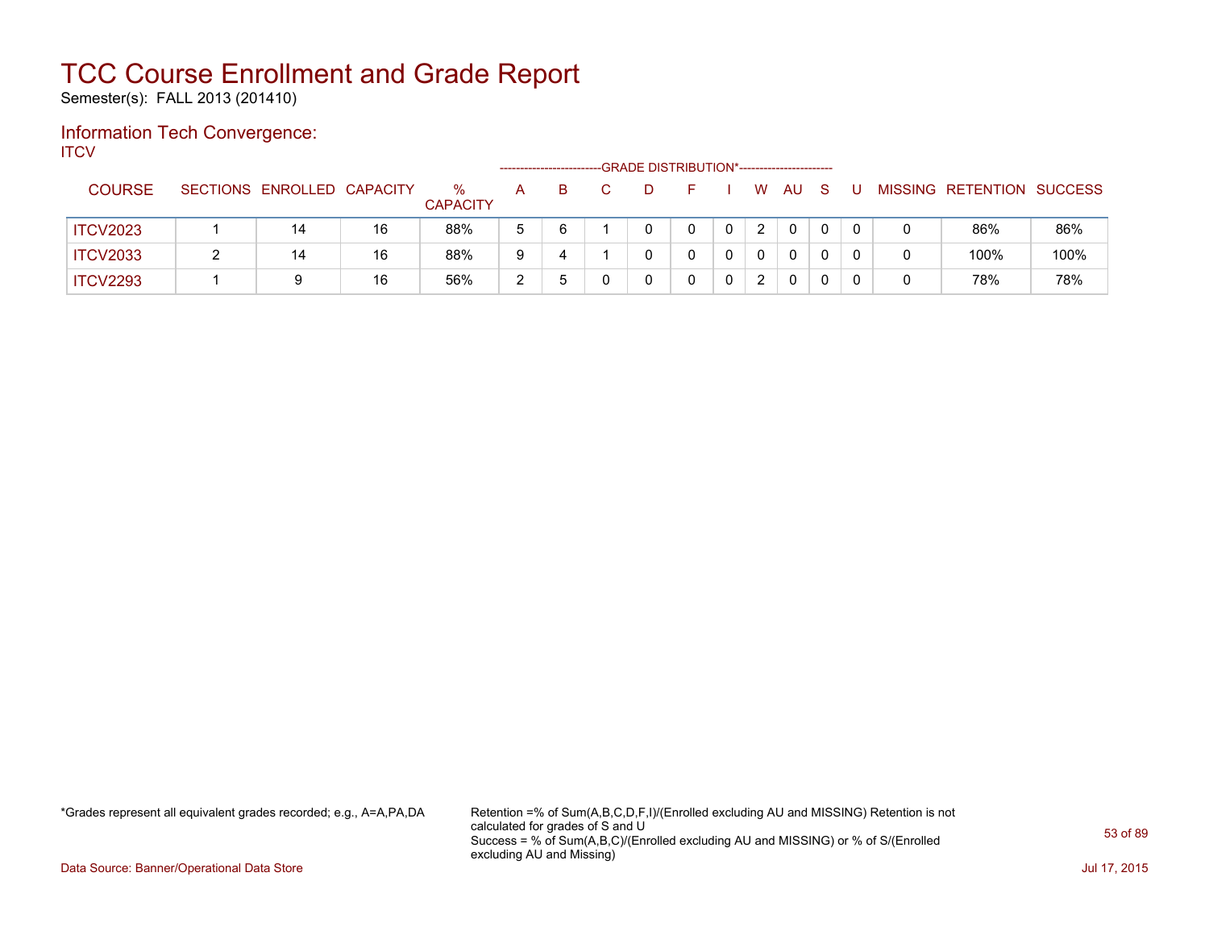Semester(s): FALL 2013 (201410)

### Information Tech Convergence: **ITCV**

|                 |                            |    |                         |   |    | -GRADE DISTRIBUTION*----------------------- |  |                      |    |    |  |                           |      |
|-----------------|----------------------------|----|-------------------------|---|----|---------------------------------------------|--|----------------------|----|----|--|---------------------------|------|
| <b>COURSE</b>   | SECTIONS ENROLLED CAPACITY |    | $\%$<br><b>CAPACITY</b> | А | B. |                                             |  | W.                   | AU | -S |  | MISSING RETENTION SUCCESS |      |
| <b>ITCV2023</b> | 14                         | 16 | 88%                     | 5 | 6  |                                             |  | $\mathbf{2}^{\circ}$ | 0  | 0  |  | 86%                       | 86%  |
| <b>ITCV2033</b> | 14                         | 16 | 88%                     | 9 | 4  |                                             |  |                      | 0  |    |  | 100%                      | 100% |
| <b>ITCV2293</b> |                            | 16 | 56%                     | າ |    |                                             |  | 2                    | 0  |    |  | 78%                       | 78%  |

\*Grades represent all equivalent grades recorded; e.g., A=A,PA,DA Retention =% of Sum(A,B,C,D,F,I)/(Enrolled excluding AU and MISSING) Retention is not calculated for grades of S and U Success = % of Sum(A,B,C)/(Enrolled excluding AU and MISSING) or % of S/(Enrolled excluding AU and Missing)

Data Source: Banner/Operational Data Store Jul 17, 2015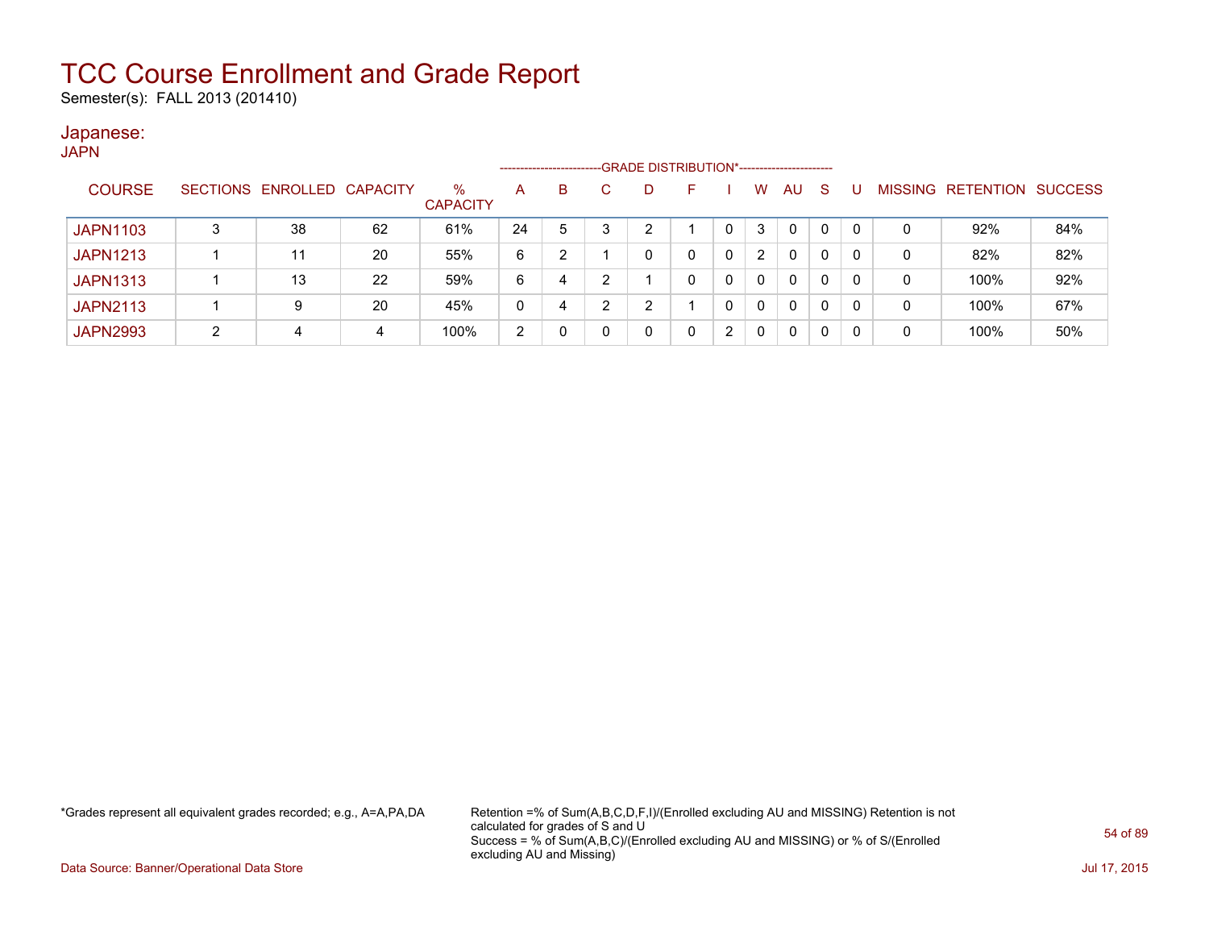Semester(s): FALL 2013 (201410)

#### Japanese: JAPN

| .               |   |                            |    |                         | ------------------- |   |   | -GRADE DISTRIBUTION*----------------------- |   |          |              |              |    |              |   |                           |     |
|-----------------|---|----------------------------|----|-------------------------|---------------------|---|---|---------------------------------------------|---|----------|--------------|--------------|----|--------------|---|---------------------------|-----|
| <b>COURSE</b>   |   | SECTIONS ENROLLED CAPACITY |    | $\%$<br><b>CAPACITY</b> | A                   | B |   |                                             | F |          | W            | <b>AU</b>    | -S | U            |   | MISSING RETENTION SUCCESS |     |
| <b>JAPN1103</b> | 3 | 38                         | 62 | 61%                     | 24                  | 5 | 3 |                                             |   |          | 3            | $\mathbf{0}$ | 0  | $\mathbf{0}$ | 0 | 92%                       | 84% |
| <b>JAPN1213</b> |   | 11                         | 20 | 55%                     | 6                   | າ |   |                                             |   | $\Omega$ | 2            | $\mathbf{0}$ | 0  | 0            | 0 | 82%                       | 82% |
| <b>JAPN1313</b> |   | 13                         | 22 | 59%                     | 6                   | 4 | າ |                                             |   | $\Omega$ | 0            | 0            | 0  | $\mathbf{0}$ | 0 | 100%                      | 92% |
| <b>JAPN2113</b> |   | 9                          | 20 | 45%                     | $\mathbf{0}$        | 4 | າ | າ                                           |   |          | <sup>n</sup> | $\mathbf{0}$ | 0  | $\mathbf{0}$ | 0 | 100%                      | 67% |
| <b>JAPN2993</b> |   | 4                          | 4  | 100%                    | 2                   |   |   |                                             |   | 2        |              | 0            | 0  | 0            | 0 | 100%                      | 50% |

\*Grades represent all equivalent grades recorded; e.g., A=A,PA,DA Retention =% of Sum(A,B,C,D,F,I)/(Enrolled excluding AU and MISSING) Retention is not calculated for grades of S and U Success = % of Sum(A,B,C)/(Enrolled excluding AU and MISSING) or % of S/(Enrolled excluding AU and Missing)

Data Source: Banner/Operational Data Store Jul 17, 2015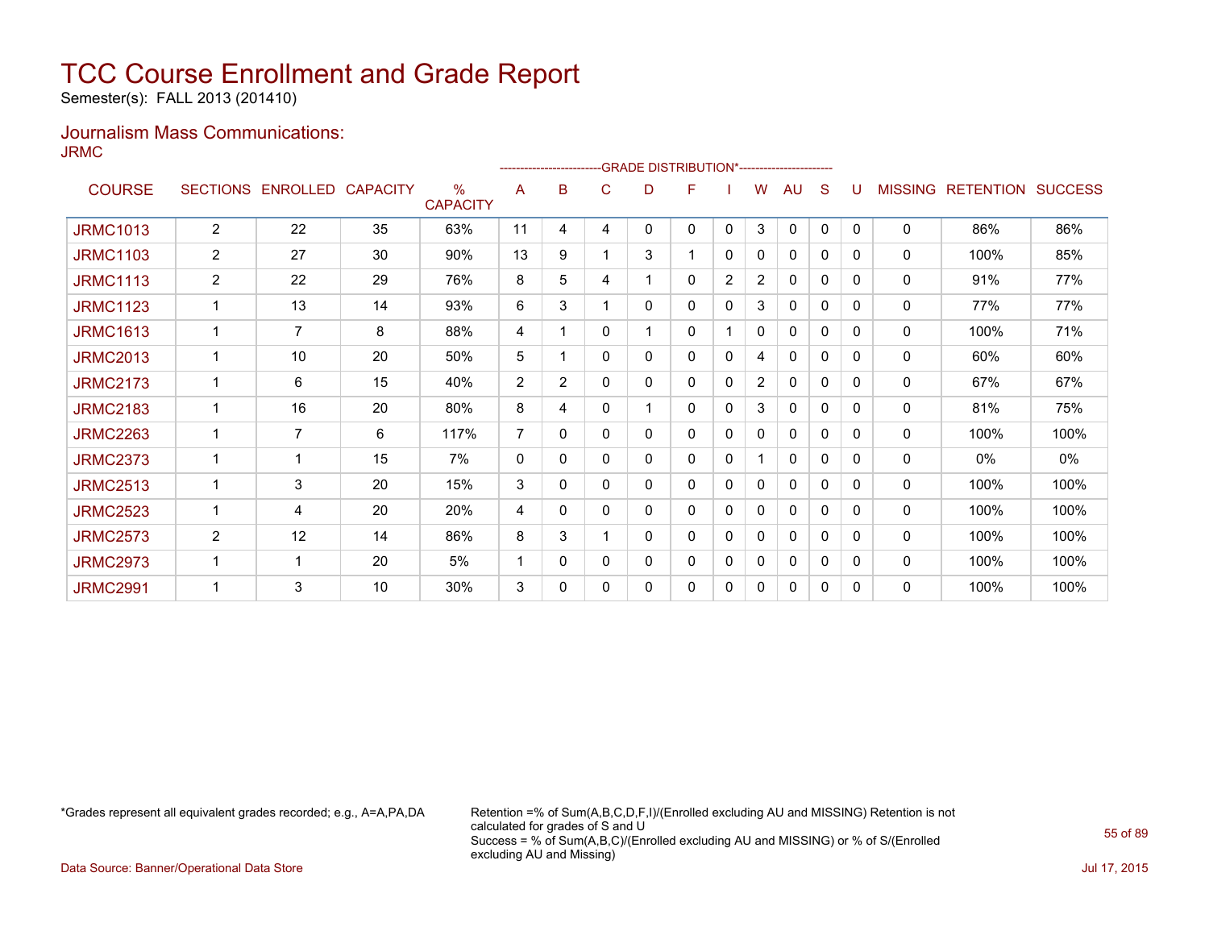Semester(s): FALL 2013 (201410)

### Journalism Mass Communications: JRMC

|                 |                 |                   |    |                                  |                |              |              |   | <b>GRADE DISTRIBUTION*-----------------------</b> |             |                |              |   |              |                |                  |                |
|-----------------|-----------------|-------------------|----|----------------------------------|----------------|--------------|--------------|---|---------------------------------------------------|-------------|----------------|--------------|---|--------------|----------------|------------------|----------------|
| <b>COURSE</b>   | <b>SECTIONS</b> | ENROLLED CAPACITY |    | $\frac{0}{0}$<br><b>CAPACITY</b> | A              | в            | C            | D | F                                                 |             | W              | AU           | S |              | <b>MISSING</b> | <b>RETENTION</b> | <b>SUCCESS</b> |
| <b>JRMC1013</b> | $\overline{2}$  | 22                | 35 | 63%                              | 11             | 4            | 4            | 0 | 0                                                 | $\Omega$    | 3              | $\mathbf{0}$ | 0 | $\mathbf{0}$ | 0              | 86%              | 86%            |
| <b>JRMC1103</b> | $\overline{2}$  | 27                | 30 | 90%                              | 13             | 9            |              | 3 |                                                   | 0           | 0              | 0            | 0 | 0            | 0              | 100%             | 85%            |
| <b>JRMC1113</b> | 2               | 22                | 29 | 76%                              | 8              | 5            | 4            |   | 0                                                 | 2           | $\overline{2}$ | $\mathbf{0}$ | 0 | $\Omega$     | 0              | 91%              | 77%            |
| <b>JRMC1123</b> |                 | 13                | 14 | 93%                              | 6              | 3            |              | 0 | 0                                                 | $\mathbf 0$ | 3              | 0            | 0 | 0            | 0              | 77%              | 77%            |
| <b>JRMC1613</b> |                 | $\overline{7}$    | 8  | 88%                              | 4              |              | 0            |   | 0                                                 |             | 0              | 0            | 0 | 0            | 0              | 100%             | 71%            |
| <b>JRMC2013</b> |                 | 10                | 20 | 50%                              | 5              |              | $\mathbf{0}$ | 0 | 0                                                 | 0           | 4              | 0            | 0 | 0            | 0              | 60%              | 60%            |
| <b>JRMC2173</b> |                 | 6                 | 15 | 40%                              | 2              | 2            | 0            | 0 | 0                                                 | 0           | $\overline{2}$ | $\mathbf{0}$ | 0 | 0            | 0              | 67%              | 67%            |
| <b>JRMC2183</b> | 1               | 16                | 20 | 80%                              | 8              | 4            | 0            |   | 0                                                 | 0           | 3              | 0            | 0 | 0            | 0              | 81%              | 75%            |
| <b>JRMC2263</b> |                 | $\overline{7}$    | 6  | 117%                             | $\overline{7}$ | $\Omega$     | 0            | 0 | 0                                                 | 0           | 0              | 0            | 0 | $\Omega$     | 0              | 100%             | 100%           |
| <b>JRMC2373</b> |                 | 1                 | 15 | 7%                               | 0              | $\mathbf{0}$ | 0            | 0 | 0                                                 | 0           |                | 0            | 0 | 0            | 0              | 0%               | 0%             |
| <b>JRMC2513</b> |                 | 3                 | 20 | 15%                              | 3              | 0            | 0            | 0 | 0                                                 | 0           | 0              | 0            | 0 | 0            | 0              | 100%             | 100%           |
| <b>JRMC2523</b> |                 | 4                 | 20 | 20%                              | 4              | 0            | $\mathbf{0}$ | 0 | 0                                                 | 0           | 0              | 0            | 0 | $\Omega$     | 0              | 100%             | 100%           |
| <b>JRMC2573</b> | $\overline{2}$  | 12                | 14 | 86%                              | 8              | 3            |              | 0 | 0                                                 | 0           | 0              | $\mathbf{0}$ | 0 | 0            | 0              | 100%             | 100%           |
| <b>JRMC2973</b> |                 | $\mathbf 1$       | 20 | 5%                               |                | 0            | 0            | 0 | 0                                                 | 0           | 0              | 0            | 0 | 0            | 0              | 100%             | 100%           |
| <b>JRMC2991</b> |                 | 3                 | 10 | 30%                              | 3              | 0            | 0            | 0 | 0                                                 | 0           | 0              | 0            | 0 | 0            | 0              | 100%             | 100%           |

\*Grades represent all equivalent grades recorded; e.g., A=A,PA,DA Retention =% of Sum(A,B,C,D,F,I)/(Enrolled excluding AU and MISSING) Retention is not calculated for grades of S and U Success = % of Sum(A,B,C)/(Enrolled excluding AU and MISSING) or % of S/(Enrolled excluding AU and Missing)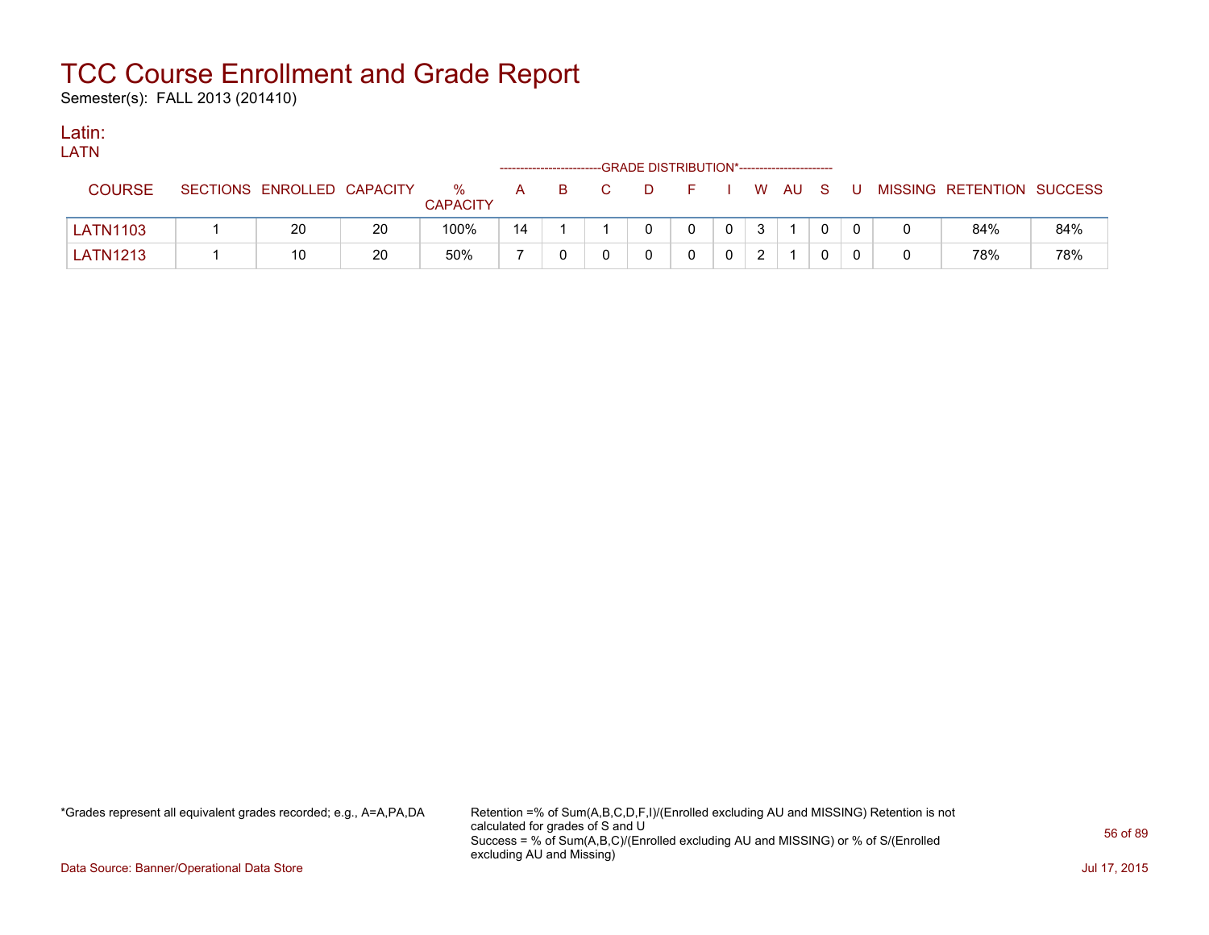Semester(s): FALL 2013 (201410)

### Latin:

| LATN            |                            |    |                      |    |    |                                             |     |  |        |       |                           |     |
|-----------------|----------------------------|----|----------------------|----|----|---------------------------------------------|-----|--|--------|-------|---------------------------|-----|
|                 |                            |    |                      |    |    | -GRADE DISTRIBUTION*----------------------- |     |  |        |       |                           |     |
| <b>COURSE</b>   | SECTIONS ENROLLED CAPACITY |    | %<br><b>CAPACITY</b> | A. | B. | D                                           | - F |  | , WAUS | - U - | MISSING RETENTION SUCCESS |     |
| <b>LATN1103</b> | 20                         | 20 | 100%                 | 14 |    |                                             |     |  |        |       | 84%                       | 84% |
| <b>LATN1213</b> | 10                         | 20 | 50%                  |    |    |                                             |     |  |        |       | 78%                       | 78% |

\*Grades represent all equivalent grades recorded; e.g., A=A,PA,DA Retention =% of Sum(A,B,C,D,F,I)/(Enrolled excluding AU and MISSING) Retention is not calculated for grades of S and U Success = % of Sum(A,B,C)/(Enrolled excluding AU and MISSING) or % of S/(Enrolled excluding AU and Missing)

Data Source: Banner/Operational Data Store Jul 17, 2015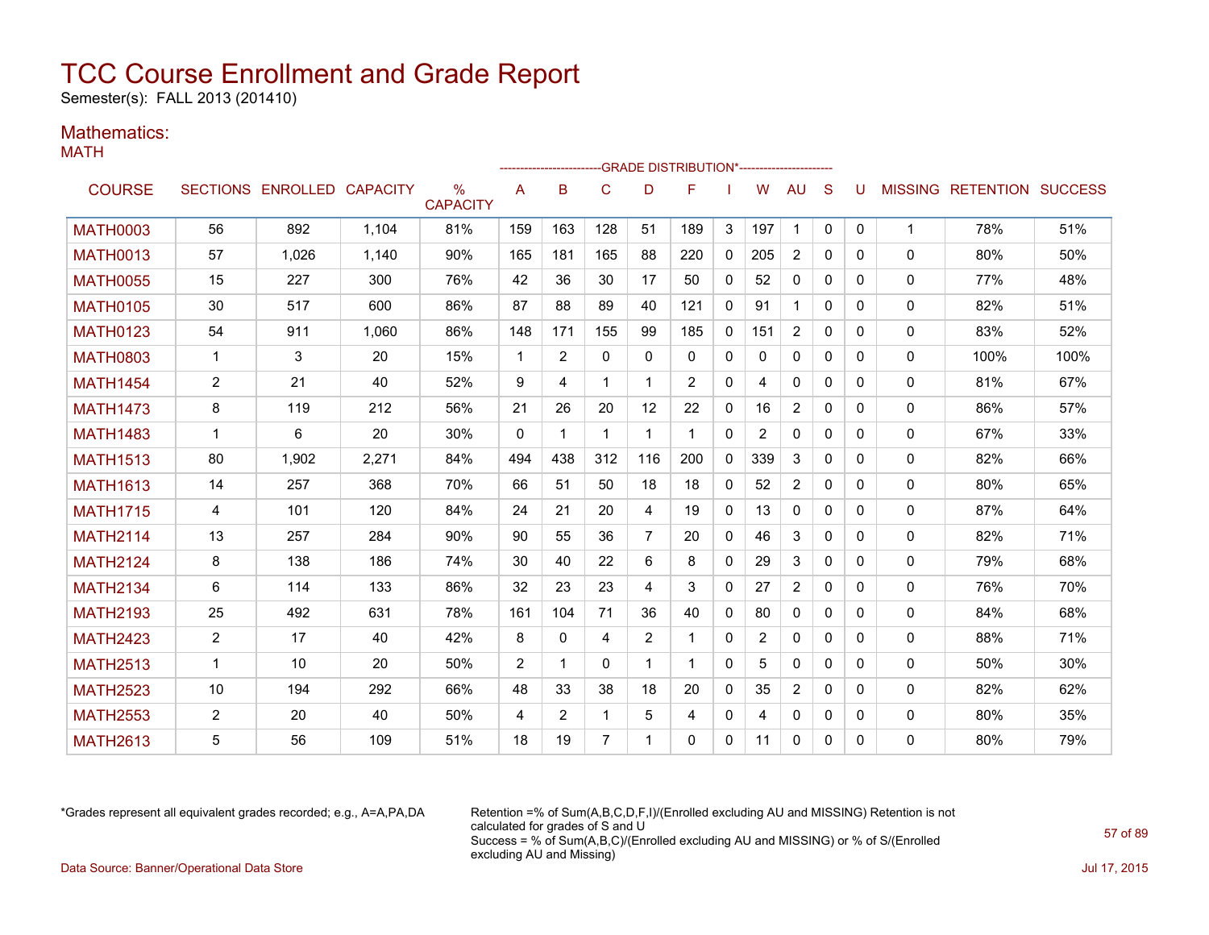Semester(s): FALL 2013 (201410)

### Mathematics:

MATH

|                 |                |                            |       |                         |              |                |             |                | -GRADE DISTRIBUTION*---------------------- |              |                |                |              |              |              |                           |      |
|-----------------|----------------|----------------------------|-------|-------------------------|--------------|----------------|-------------|----------------|--------------------------------------------|--------------|----------------|----------------|--------------|--------------|--------------|---------------------------|------|
| <b>COURSE</b>   |                | SECTIONS ENROLLED CAPACITY |       | $\%$<br><b>CAPACITY</b> | A            | в              | C           | D              | F                                          |              | W              | <b>AU</b>      | S            | U            |              | MISSING RETENTION SUCCESS |      |
| <b>MATH0003</b> | 56             | 892                        | 1,104 | 81%                     | 159          | 163            | 128         | 51             | 189                                        | 3            | 197            | $\mathbf{1}$   | $\mathbf{0}$ | $\mathbf{0}$ | $\mathbf 1$  | 78%                       | 51%  |
| <b>MATH0013</b> | 57             | 1,026                      | 1,140 | 90%                     | 165          | 181            | 165         | 88             | 220                                        | $\mathbf{0}$ | 205            | 2              | $\Omega$     | 0            | 0            | 80%                       | 50%  |
| <b>MATH0055</b> | 15             | 227                        | 300   | 76%                     | 42           | 36             | 30          | 17             | 50                                         | $\mathbf{0}$ | 52             | 0              | $\Omega$     | 0            | $\mathbf{0}$ | 77%                       | 48%  |
| <b>MATH0105</b> | 30             | 517                        | 600   | 86%                     | 87           | 88             | 89          | 40             | 121                                        | $\mathbf{0}$ | 91             | $\mathbf{1}$   | $\Omega$     | 0            | 0            | 82%                       | 51%  |
| <b>MATH0123</b> | 54             | 911                        | 1.060 | 86%                     | 148          | 171            | 155         | 99             | 185                                        | $\mathbf{0}$ | 151            | $\overline{2}$ | $\Omega$     | $\Omega$     | 0            | 83%                       | 52%  |
| <b>MATH0803</b> | $\mathbf{1}$   | 3                          | 20    | 15%                     | $\mathbf{1}$ | $\overline{2}$ | 0           | $\Omega$       | $\mathbf{0}$                               | $\mathbf{0}$ | 0              | 0              | $\mathbf{0}$ | 0            | 0            | 100%                      | 100% |
| <b>MATH1454</b> | $\overline{2}$ | 21                         | 40    | 52%                     | 9            | 4              | 1           |                | $\overline{2}$                             | 0            | 4              | 0              | $\Omega$     | $\Omega$     | 0            | 81%                       | 67%  |
| <b>MATH1473</b> | 8              | 119                        | 212   | 56%                     | 21           | 26             | 20          | 12             | 22                                         | 0            | 16             | $\overline{2}$ | $\Omega$     | 0            | 0            | 86%                       | 57%  |
| <b>MATH1483</b> | $\mathbf 1$    | 6                          | 20    | 30%                     | $\mathbf{0}$ | $\mathbf 1$    | 1           | 1              | -1                                         | $\mathbf{0}$ | $\overline{2}$ | 0              | $\Omega$     | $\Omega$     | 0            | 67%                       | 33%  |
| <b>MATH1513</b> | 80             | 1,902                      | 2,271 | 84%                     | 494          | 438            | 312         | 116            | 200                                        | $\mathbf{0}$ | 339            | 3              | $\Omega$     | 0            | 0            | 82%                       | 66%  |
| <b>MATH1613</b> | 14             | 257                        | 368   | 70%                     | 66           | 51             | 50          | 18             | 18                                         | $\mathbf{0}$ | 52             | $\overline{c}$ | $\Omega$     | 0            | 0            | 80%                       | 65%  |
| <b>MATH1715</b> | 4              | 101                        | 120   | 84%                     | 24           | 21             | 20          | 4              | 19                                         | $\mathbf{0}$ | 13             | 0              | $\Omega$     | 0            | 0            | 87%                       | 64%  |
| <b>MATH2114</b> | 13             | 257                        | 284   | 90%                     | 90           | 55             | 36          | $\overline{7}$ | 20                                         | $\mathbf{0}$ | 46             | 3              | $\Omega$     | 0            | 0            | 82%                       | 71%  |
| <b>MATH2124</b> | 8              | 138                        | 186   | 74%                     | 30           | 40             | 22          | 6              | 8                                          | 0            | 29             | 3              | $\mathbf{0}$ | $\Omega$     | 0            | 79%                       | 68%  |
| <b>MATH2134</b> | 6              | 114                        | 133   | 86%                     | 32           | 23             | 23          | 4              | 3                                          | 0            | 27             | $\overline{2}$ | $\mathbf{0}$ | $\Omega$     | 0            | 76%                       | 70%  |
| <b>MATH2193</b> | 25             | 492                        | 631   | 78%                     | 161          | 104            | 71          | 36             | 40                                         | 0            | 80             | $\Omega$       | $\Omega$     | $\Omega$     | 0            | 84%                       | 68%  |
| <b>MATH2423</b> | $\overline{2}$ | 17                         | 40    | 42%                     | 8            | $\mathbf{0}$   | 4           | 2              |                                            | 0            | $\overline{2}$ | 0              | 0            | 0            | 0            | 88%                       | 71%  |
| <b>MATH2513</b> | $\mathbf{1}$   | 10                         | 20    | 50%                     | 2            | 1              | $\Omega$    | 1              | 1                                          | $\Omega$     | 5              | $\mathbf{0}$   | $\Omega$     | $\Omega$     | 0            | 50%                       | 30%  |
| <b>MATH2523</b> | 10             | 194                        | 292   | 66%                     | 48           | 33             | 38          | 18             | 20                                         | $\mathbf{0}$ | 35             | $\overline{2}$ | $\Omega$     | 0            | 0            | 82%                       | 62%  |
| <b>MATH2553</b> | $\overline{2}$ | 20                         | 40    | 50%                     | 4            | 2              | $\mathbf 1$ | 5              | 4                                          | $\mathbf{0}$ | 4              | 0              | $\Omega$     | 0            | 0            | 80%                       | 35%  |
| <b>MATH2613</b> | 5              | 56                         | 109   | 51%                     | 18           | 19             | 7           |                | 0                                          | 0            | 11             | 0              | $\mathbf{0}$ | 0            | 0            | 80%                       | 79%  |

\*Grades represent all equivalent grades recorded; e.g., A=A,PA,DA Retention =% of Sum(A,B,C,D,F,I)/(Enrolled excluding AU and MISSING) Retention is not calculated for grades of S and U Success = % of Sum(A,B,C)/(Enrolled excluding AU and MISSING) or % of S/(Enrolled excluding AU and Missing) Data Source: Banner/Operational Data Store Jul 17, 2015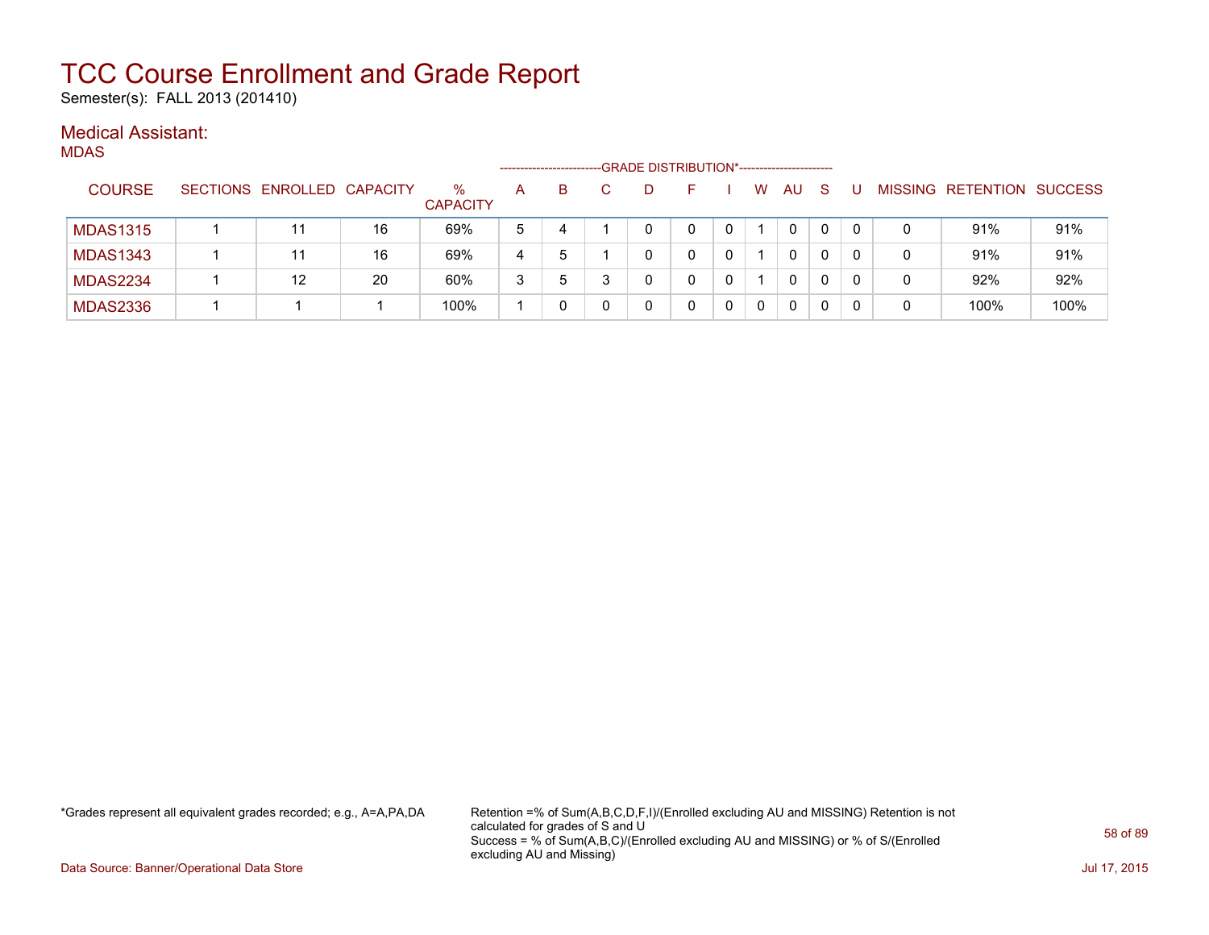Semester(s): FALL 2013 (201410)

### Medical Assistant:

| ۰. |
|----|
|    |

|                 |                            |    |                      | ----------------- |   |   | -GRADE DISTRIBUTION*----------------------- |              |   |              |              |   |   |                   |         |
|-----------------|----------------------------|----|----------------------|-------------------|---|---|---------------------------------------------|--------------|---|--------------|--------------|---|---|-------------------|---------|
| <b>COURSE</b>   | SECTIONS ENROLLED CAPACITY |    | %<br><b>CAPACITY</b> | А                 | B |   |                                             |              | W | AU           | <sub>S</sub> | U |   | MISSING RETENTION | SUCCESS |
| <b>MDAS1315</b> | 11                         | 16 | 69%                  | 5                 | 4 |   |                                             | $\mathbf{0}$ |   | $\mathbf{0}$ |              |   | 0 | 91%               | 91%     |
| <b>MDAS1343</b> | 11                         | 16 | 69%                  | 4                 | 5 |   |                                             |              |   | 0            |              |   | 0 | 91%               | 91%     |
| <b>MDAS2234</b> | 12                         | 20 | 60%                  | 3                 | 5 | 3 |                                             |              |   | $\Omega$     |              |   | 0 | 92%               | 92%     |
| <b>MDAS2336</b> |                            |    | 100%                 |                   |   |   |                                             |              |   | 0            |              |   | 0 | 100%              | 100%    |

\*Grades represent all equivalent grades recorded; e.g., A=A,PA,DA Retention =% of Sum(A,B,C,D,F,I)/(Enrolled excluding AU and MISSING) Retention is not calculated for grades of S and U Success = % of Sum(A,B,C)/(Enrolled excluding AU and MISSING) or % of S/(Enrolled excluding AU and Missing)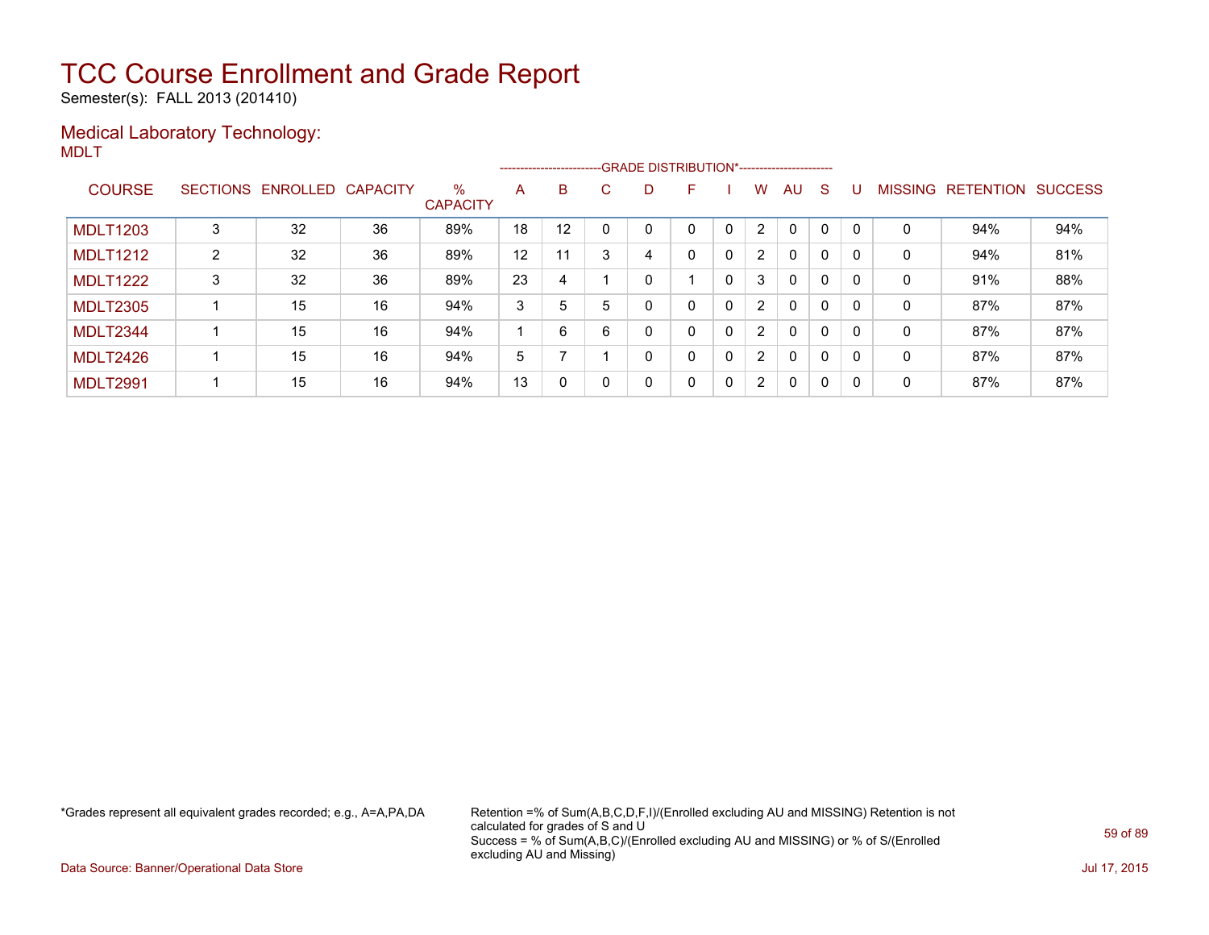Semester(s): FALL 2013 (201410)

### Medical Laboratory Technology: MDLT

|                 |                |                   |          |                         |    |    |    | ------------------------GRADE DISTRIBUTION*----------------------- |   |              |                      |              |   |              |                |                  |                |
|-----------------|----------------|-------------------|----------|-------------------------|----|----|----|--------------------------------------------------------------------|---|--------------|----------------------|--------------|---|--------------|----------------|------------------|----------------|
| <b>COURSE</b>   |                | SECTIONS ENROLLED | CAPACITY | $\%$<br><b>CAPACITY</b> | A  | B  | C. | D.                                                                 | F |              | W                    | AU           | S | U            | <b>MISSING</b> | <b>RETENTION</b> | <b>SUCCESS</b> |
| <b>MDLT1203</b> | 3              | 32                | 36       | 89%                     | 18 | 12 |    |                                                                    | 0 |              | $\overline{2}$       | 0            | 0 | $\mathsf{C}$ | 0              | 94%              | 94%            |
| <b>MDLT1212</b> | $\overline{2}$ | 32                | 36       | 89%                     | 12 | 11 |    | 4                                                                  | 0 | 0            | $\overline{2}$       | $\mathbf{0}$ | 0 |              | 0              | 94%              | 81%            |
| <b>MDLT1222</b> | 3              | 32                | 36       | 89%                     | 23 | 4  |    |                                                                    |   | 0            | 3                    | $\mathbf{0}$ | 0 |              | 0              | 91%              | 88%            |
| <b>MDLT2305</b> |                | 15                | 16       | 94%                     | 3  | 5  | 5  | 0                                                                  | 0 | $\mathbf{0}$ | $\overline{2}$       | $\mathbf{0}$ | 0 |              | 0              | 87%              | 87%            |
| MDLT2344        |                | 15                | 16       | 94%                     |    | 6  | 6  | 0                                                                  | 0 | $\mathbf{0}$ | $\overline{2}$       | $\mathbf{0}$ | 0 | $\Omega$     | 0              | 87%              | 87%            |
| MDLT2426        |                | 15                | 16       | 94%                     | 5  |    |    | 0                                                                  | 0 | $\mathbf{0}$ | $\overline{2}$       | $\mathbf{0}$ | 0 | $\Omega$     | 0              | 87%              | 87%            |
| <b>MDLT2991</b> |                | 15                | 16       | 94%                     | 13 | 0  |    | 0                                                                  | 0 | $\mathbf{0}$ | $\mathbf{2}^{\circ}$ | $\mathbf{0}$ | 0 | 0            | 0              | 87%              | 87%            |

\*Grades represent all equivalent grades recorded; e.g., A=A,PA,DA Retention =% of Sum(A,B,C,D,F,I)/(Enrolled excluding AU and MISSING) Retention is not calculated for grades of S and U Success = % of Sum(A,B,C)/(Enrolled excluding AU and MISSING) or % of S/(Enrolled excluding AU and Missing)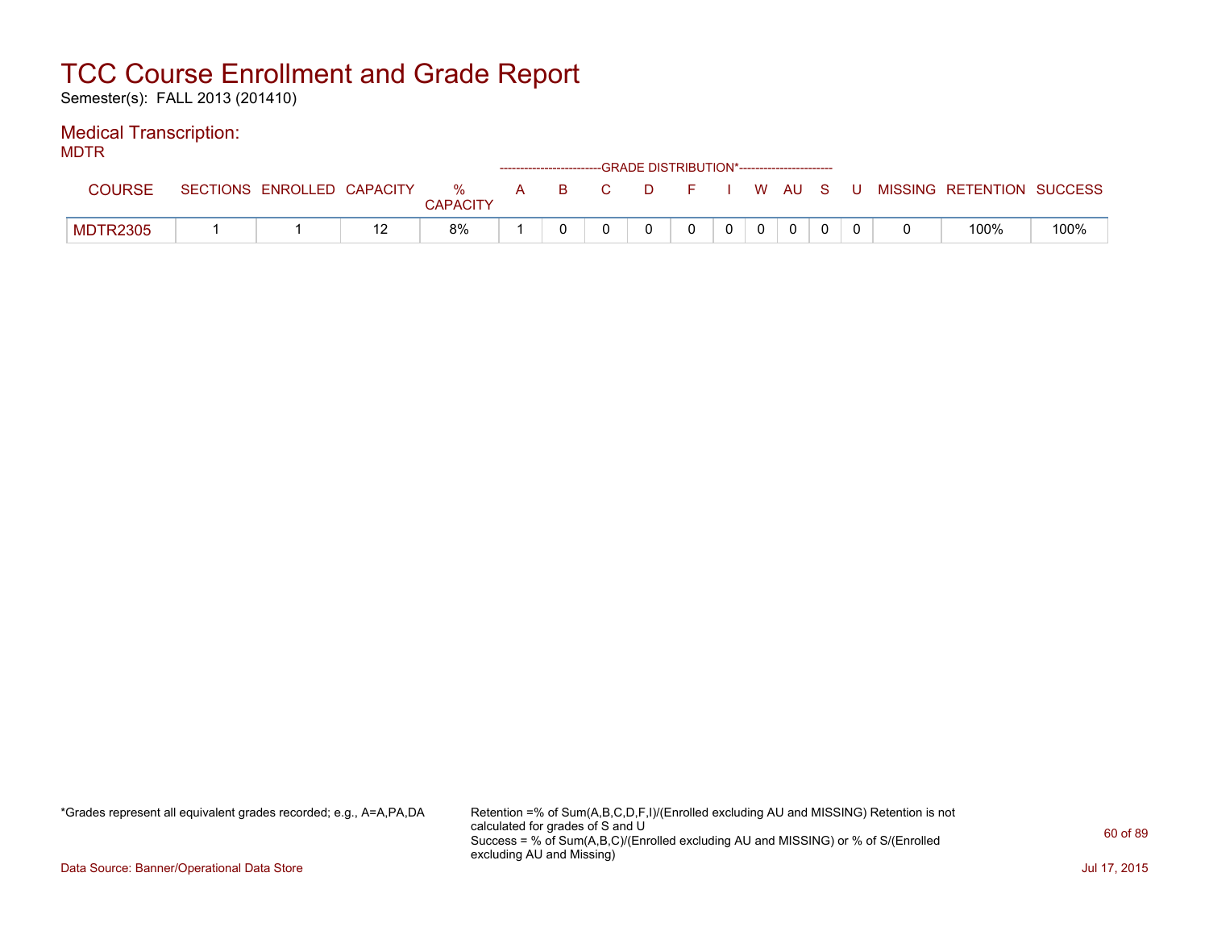Semester(s): FALL 2013 (201410)

### Medical Transcription:

MDTR

| .             |                            |               |   |     | ------------------------GRADE DISTRIBUTION*----------------------- |  |          |       |                           |      |
|---------------|----------------------------|---------------|---|-----|--------------------------------------------------------------------|--|----------|-------|---------------------------|------|
| <b>COURSE</b> | SECTIONS ENROLLED CAPACITY | %<br>CAPACITY | A | BC. | $D = F$                                                            |  | I WAUS   | . U . | MISSING RETENTION SUCCESS |      |
| MDTR2305      |                            | 8%            |   |     |                                                                    |  | $\Omega$ |       | 100%                      | 100% |

\*Grades represent all equivalent grades recorded; e.g., A=A,PA,DA Retention =% of Sum(A,B,C,D,F,I)/(Enrolled excluding AU and MISSING) Retention is not calculated for grades of S and U Success = % of Sum(A,B,C)/(Enrolled excluding AU and MISSING) or % of S/(Enrolled excluding AU and Missing)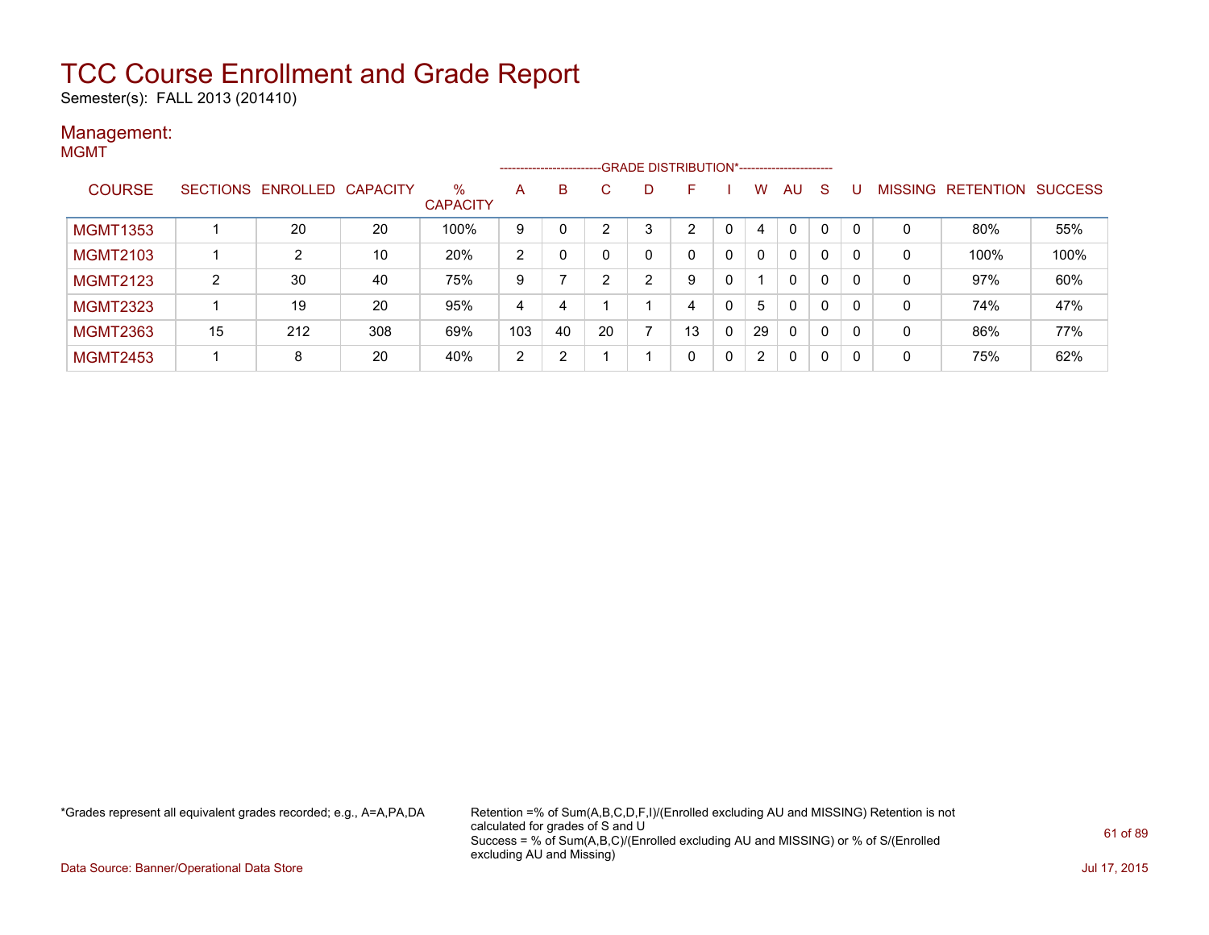Semester(s): FALL 2013 (201410)

### Management: MGMT

| .               |                |                            |     |                         | --------------------- |    |              | -GRADE DISTRIBUTION*----------------------- |    |              |    |              |              |     |   |                                  |      |
|-----------------|----------------|----------------------------|-----|-------------------------|-----------------------|----|--------------|---------------------------------------------|----|--------------|----|--------------|--------------|-----|---|----------------------------------|------|
| <b>COURSE</b>   |                | SECTIONS ENROLLED CAPACITY |     | $\%$<br><b>CAPACITY</b> | A                     | B. | C            | D                                           | F  |              | W  | <b>AU</b>    | S            |     |   | <b>MISSING RETENTION SUCCESS</b> |      |
| <b>MGMT1353</b> |                | 20                         | 20  | 100%                    | 9                     |    | <sup>o</sup> | 3                                           | 2  |              | 4  | $\mathbf{0}$ | $\mathbf{0}$ | - 0 | 0 | 80%                              | 55%  |
| <b>MGMT2103</b> |                | 2                          | 10  | 20%                     | 2                     |    |              | 0                                           | 0  | $\mathbf{0}$ | 0  | $\mathbf{0}$ | 0            |     | 0 | 100%                             | 100% |
| <b>MGMT2123</b> | $\overline{2}$ | 30                         | 40  | 75%                     | 9                     |    | ົ            | ົ                                           | 9  | 0            |    | $\mathbf{0}$ | 0            | 0   | 0 | 97%                              | 60%  |
| <b>MGMT2323</b> |                | 19                         | 20  | 95%                     | 4                     | 4  |              |                                             | 4  | $\Omega$     | 5  | $\mathbf{0}$ | 0            | - 0 | 0 | 74%                              | 47%  |
| <b>MGMT2363</b> | 15             | 212                        | 308 | 69%                     | 103                   | 40 | 20           |                                             | 13 | $\mathbf{0}$ | 29 | $\mathbf{0}$ | $\mathbf{0}$ | 0   | 0 | 86%                              | 77%  |
| <b>MGMT2453</b> |                | 8                          | 20  | 40%                     | 2                     | 2  |              |                                             | 0  | 0            | 2  | 0            | 0            | -0  | 0 | 75%                              | 62%  |

\*Grades represent all equivalent grades recorded; e.g., A=A,PA,DA Retention =% of Sum(A,B,C,D,F,I)/(Enrolled excluding AU and MISSING) Retention is not calculated for grades of S and U Success = % of Sum(A,B,C)/(Enrolled excluding AU and MISSING) or % of S/(Enrolled excluding AU and Missing)

Data Source: Banner/Operational Data Store Jul 17, 2015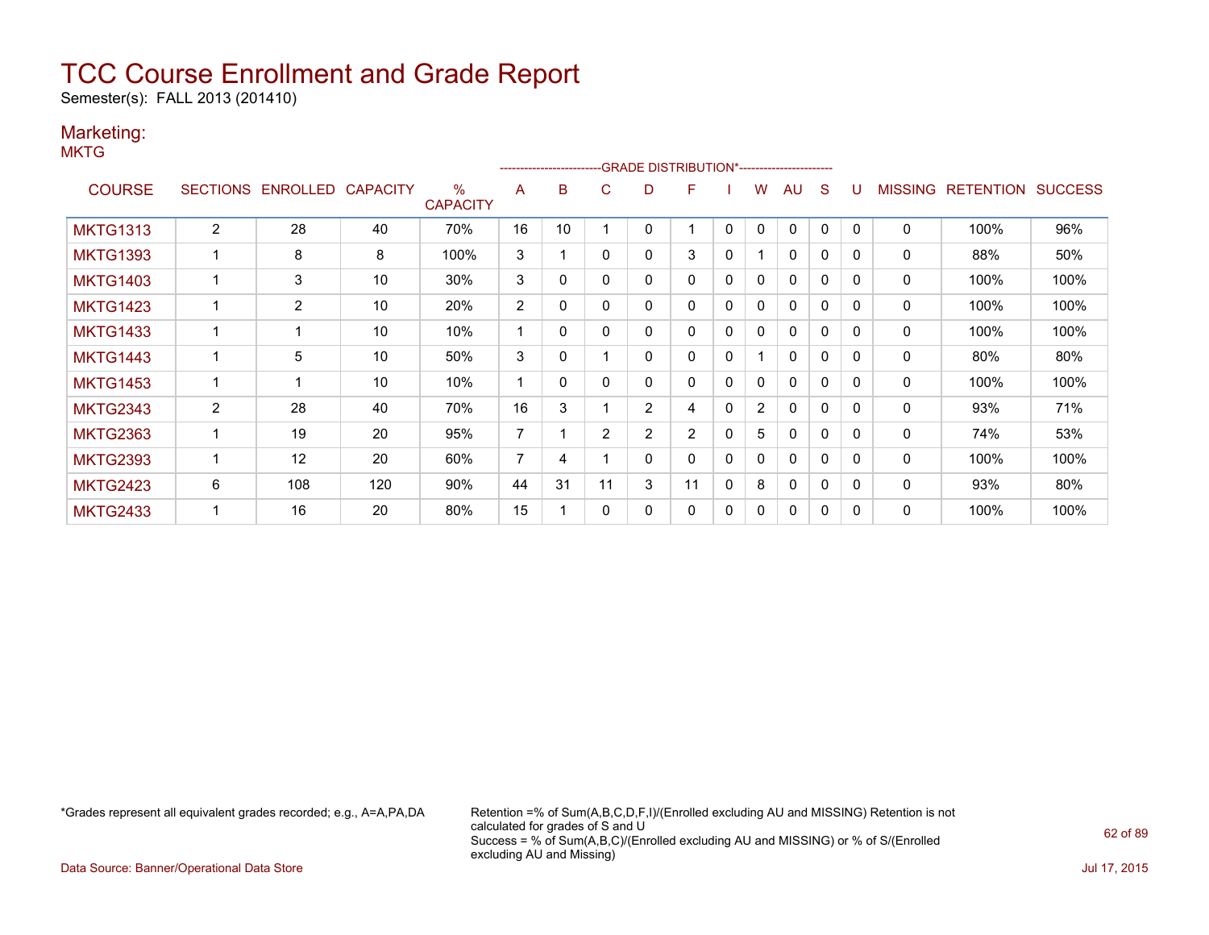Semester(s): FALL 2013 (201410)

### Marketing:

**MKTG** 

|                 |                 |          |                 |                                  |                | ------------------------- |                |                | -GRADE DISTRIBUTION*---------------------- |              |                |              |              |              |                |                  |                |
|-----------------|-----------------|----------|-----------------|----------------------------------|----------------|---------------------------|----------------|----------------|--------------------------------------------|--------------|----------------|--------------|--------------|--------------|----------------|------------------|----------------|
| <b>COURSE</b>   | <b>SECTIONS</b> | ENROLLED | <b>CAPACITY</b> | $\frac{0}{0}$<br><b>CAPACITY</b> | A              | B                         | С              | D              | F                                          |              | w              | AU           | S            |              | <b>MISSING</b> | <b>RETENTION</b> | <b>SUCCESS</b> |
| <b>MKTG1313</b> | $\overline{2}$  | 28       | 40              | 70%                              | 16             | 10                        |                | 0              |                                            | $\mathbf{0}$ | 0              | 0            | 0            | $\Omega$     | $\mathbf 0$    | 100%             | 96%            |
| <b>MKTG1393</b> |                 | 8        | 8               | 100%                             | 3              |                           | 0              | 0              | 3                                          | 0            |                | $\mathbf{0}$ | 0            | $\Omega$     | 0              | 88%              | 50%            |
| <b>MKTG1403</b> |                 | 3        | 10              | 30%                              | 3              | 0                         | 0              | 0              | 0                                          | $\Omega$     | $\mathbf{0}$   | $\mathbf{0}$ | $\mathbf{0}$ | $\Omega$     | $\mathbf 0$    | 100%             | 100%           |
| <b>MKTG1423</b> |                 | 2        | 10              | 20%                              | 2              | 0                         | 0              | 0              | 0                                          | 0            | 0              | 0            | 0            | $\Omega$     | 0              | 100%             | 100%           |
| <b>MKTG1433</b> |                 |          | 10              | 10%                              |                | 0                         | 0              | 0              | 0                                          | 0            | 0              | 0            | 0            | $\Omega$     | 0              | 100%             | 100%           |
| <b>MKTG1443</b> |                 | 5        | 10              | 50%                              | 3              | 0                         |                | 0              | 0                                          | $\mathbf{0}$ |                | $\mathbf{0}$ | $\mathbf 0$  | $\Omega$     | 0              | 80%              | 80%            |
| <b>MKTG1453</b> | 1               |          | 10              | 10%                              |                | 0                         | 0              | 0              | 0                                          | $\mathbf{0}$ | 0              | $\mathbf{0}$ | $\mathbf 0$  | $\Omega$     | $\mathbf 0$    | 100%             | 100%           |
| <b>MKTG2343</b> | 2               | 28       | 40              | 70%                              | 16             | 3                         |                | $\overline{2}$ | 4                                          | 0            | $\overline{2}$ | 0            | 0            | <sup>0</sup> | 0              | 93%              | 71%            |
| <b>MKTG2363</b> |                 | 19       | 20              | 95%                              | $\overline{7}$ |                           | $\overline{2}$ | $\overline{2}$ | $\overline{2}$                             | $\Omega$     | 5              | $\mathbf{0}$ | $\mathbf 0$  | $\Omega$     | 0              | 74%              | 53%            |
| <b>MKTG2393</b> | 1               | 12       | 20              | 60%                              | 7              | 4                         |                | 0              | 0                                          | $\mathbf{0}$ | $\mathbf{0}$   | 0            | $\mathbf{0}$ | $\Omega$     | $\mathbf 0$    | 100%             | 100%           |
| <b>MKTG2423</b> | 6               | 108      | 120             | 90%                              | 44             | 31                        | 11             | 3              | 11                                         | $\mathbf{0}$ | 8              | $\mathbf{0}$ | 0            | $\Omega$     | 0              | 93%              | 80%            |
| <b>MKTG2433</b> |                 | 16       | 20              | 80%                              | 15             |                           | 0              | 0              | 0                                          | 0            | 0              | 0            | 0            | $\Omega$     | 0              | 100%             | 100%           |

\*Grades represent all equivalent grades recorded; e.g., A=A,PA,DA Retention =% of Sum(A,B,C,D,F,I)/(Enrolled excluding AU and MISSING) Retention is not calculated for grades of S and U Success = % of Sum(A,B,C)/(Enrolled excluding AU and MISSING) or % of S/(Enrolled excluding AU and Missing)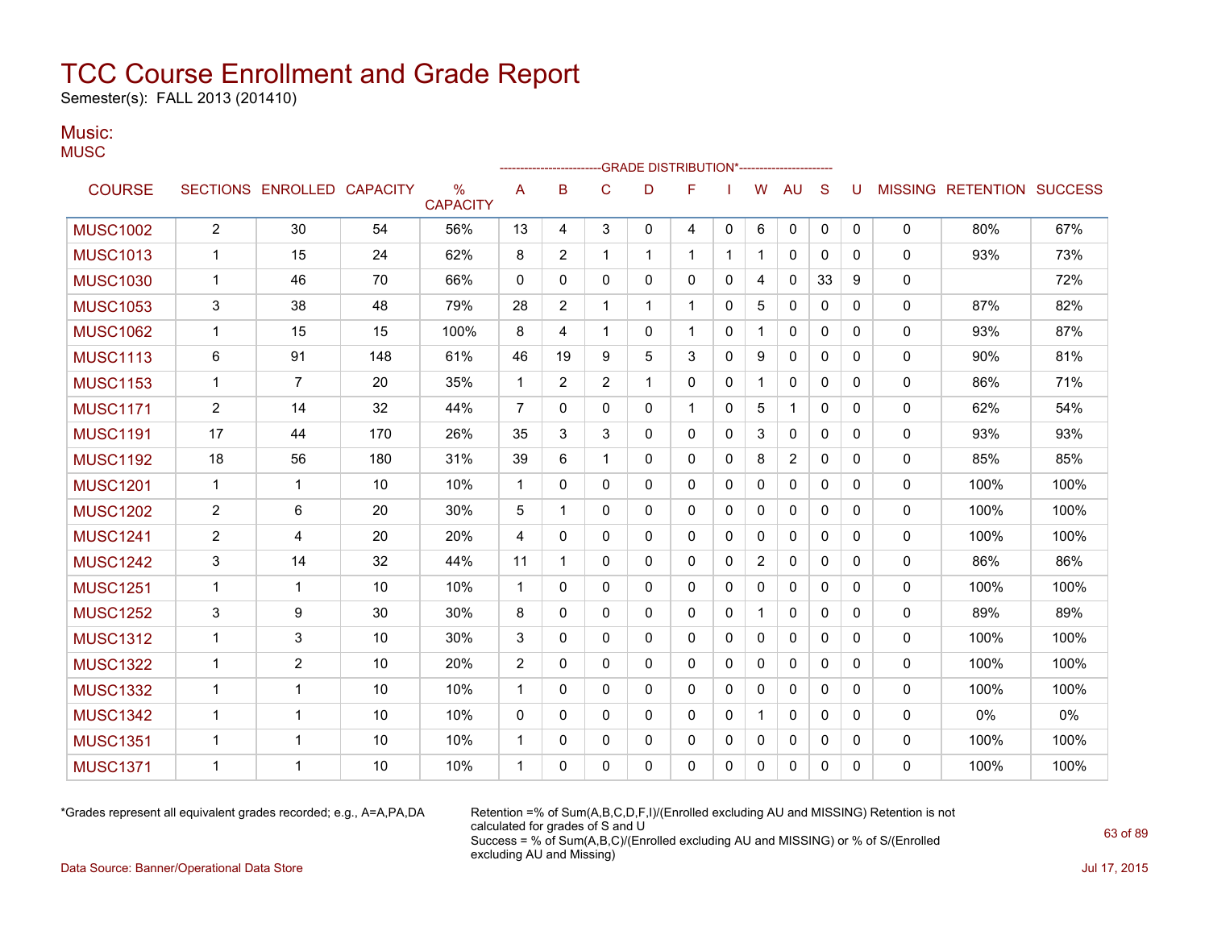Semester(s): FALL 2013 (201410)

### Music: **MUSC**

|                 |                |                            |     |                      |                | -------------------- |                | -GRADE DISTRIBUTION*---------------------- |              |              |                |              |              |          |              |                           |      |
|-----------------|----------------|----------------------------|-----|----------------------|----------------|----------------------|----------------|--------------------------------------------|--------------|--------------|----------------|--------------|--------------|----------|--------------|---------------------------|------|
| <b>COURSE</b>   |                | SECTIONS ENROLLED CAPACITY |     | %<br><b>CAPACITY</b> | A              | B                    | $\mathsf{C}$   | D                                          | F            |              | W              | <b>AU</b>    | S            | U        |              | MISSING RETENTION SUCCESS |      |
| <b>MUSC1002</b> | $\overline{2}$ | 30                         | 54  | 56%                  | 13             | 4                    | 3              | 0                                          | 4            | 0            | 6              | 0            | 0            | 0        | 0            | 80%                       | 67%  |
| <b>MUSC1013</b> | $\mathbf{1}$   | 15                         | 24  | 62%                  | 8              | 2                    | $\mathbf 1$    | 1                                          | $\mathbf{1}$ | $\mathbf 1$  | 1              | 0            | $\mathbf{0}$ | $\Omega$ | $\mathbf{0}$ | 93%                       | 73%  |
| <b>MUSC1030</b> | $\mathbf{1}$   | 46                         | 70  | 66%                  | 0              | 0                    | $\Omega$       | $\mathbf{0}$                               | 0            | 0            | 4              | 0            | 33           | 9        | 0            |                           | 72%  |
| <b>MUSC1053</b> | 3              | 38                         | 48  | 79%                  | 28             | 2                    | 1              | 1                                          | 1            | 0            | 5              | 0            | 0            | 0        | 0            | 87%                       | 82%  |
| <b>MUSC1062</b> | $\mathbf 1$    | 15                         | 15  | 100%                 | 8              | 4                    | $\mathbf 1$    | 0                                          | 1            | 0            | 1              | 0            | 0            | 0        | 0            | 93%                       | 87%  |
| <b>MUSC1113</b> | 6              | 91                         | 148 | 61%                  | 46             | 19                   | 9              | 5                                          | 3            | $\Omega$     | 9              | $\mathbf{0}$ | $\mathbf{0}$ | $\Omega$ | 0            | 90%                       | 81%  |
| <b>MUSC1153</b> | $\mathbf{1}$   | $\overline{7}$             | 20  | 35%                  | $\mathbf{1}$   | 2                    | $\overline{2}$ | 1                                          | 0            | 0            | 1              | 0            | 0            | 0        | 0            | 86%                       | 71%  |
| <b>MUSC1171</b> | $\overline{2}$ | 14                         | 32  | 44%                  | $\overline{7}$ | 0                    | 0              | $\mathbf{0}$                               | 1            | 0            | 5              | $\mathbf{1}$ | $\mathbf{0}$ | 0        | 0            | 62%                       | 54%  |
| <b>MUSC1191</b> | 17             | 44                         | 170 | 26%                  | 35             | 3                    | 3              | $\mathbf{0}$                               | $\Omega$     | $\Omega$     | 3              | 0            | $\Omega$     | $\Omega$ | 0            | 93%                       | 93%  |
| <b>MUSC1192</b> | 18             | 56                         | 180 | 31%                  | 39             | 6                    | 1              | $\mathbf{0}$                               | $\mathbf{0}$ | 0            | 8              | 2            | $\mathbf{0}$ | $\Omega$ | 0            | 85%                       | 85%  |
| <b>MUSC1201</b> | 1              | 1                          | 10  | 10%                  | 1              | 0                    | 0              | $\mathbf{0}$                               | 0            | 0            | 0              | 0            | $\mathbf{0}$ | 0        | 0            | 100%                      | 100% |
| <b>MUSC1202</b> | $\overline{2}$ | 6                          | 20  | 30%                  | 5              | 1                    | 0              | $\mathbf{0}$                               | 0            | 0            | 0              | $\mathbf{0}$ | $\mathbf{0}$ | 0        | 0            | 100%                      | 100% |
| <b>MUSC1241</b> | $\overline{2}$ | 4                          | 20  | 20%                  | 4              | 0                    | $\Omega$       | $\mathbf{0}$                               | $\Omega$     | $\mathbf{0}$ | 0              | 0            | $\mathbf{0}$ | $\Omega$ | 0            | 100%                      | 100% |
| <b>MUSC1242</b> | 3              | 14                         | 32  | 44%                  | 11             | 1                    | $\Omega$       | 0                                          | 0            | 0            | $\overline{2}$ | 0            | $\mathbf{0}$ | 0        | 0            | 86%                       | 86%  |
| <b>MUSC1251</b> | $\mathbf{1}$   | $\mathbf{1}$               | 10  | 10%                  | $\mathbf{1}$   | $\mathbf{0}$         | $\mathbf 0$    | $\mathbf{0}$                               | 0            | 0            | 0              | 0            | $\mathbf{0}$ | 0        | 0            | 100%                      | 100% |
| <b>MUSC1252</b> | 3              | 9                          | 30  | 30%                  | 8              | $\mathbf{0}$         | $\Omega$       | $\mathbf{0}$                               | 0            | 0            | 1              | $\mathbf{0}$ | $\mathbf{0}$ | $\Omega$ | 0            | 89%                       | 89%  |
| <b>MUSC1312</b> | $\mathbf{1}$   | 3                          | 10  | 30%                  | 3              | $\mathbf{0}$         | $\Omega$       | $\mathbf{0}$                               | $\Omega$     | $\Omega$     | 0              | 0            | $\mathbf{0}$ | $\Omega$ | 0            | 100%                      | 100% |
| <b>MUSC1322</b> | 1              | $\overline{c}$             | 10  | 20%                  | 2              | 0                    | 0              | 0                                          | 0            | 0            | 0              | 0            | $\mathbf{0}$ | 0        | 0            | 100%                      | 100% |
| <b>MUSC1332</b> | $\mathbf{1}$   | 1                          | 10  | 10%                  | $\mathbf 1$    | $\mathbf{0}$         | $\mathbf{0}$   | $\mathbf{0}$                               | $\mathbf{0}$ | 0            | 0              | 0            | $\mathbf{0}$ | 0        | 0            | 100%                      | 100% |
| <b>MUSC1342</b> | $\mathbf{1}$   | 1                          | 10  | 10%                  | 0              | $\mathbf{0}$         | $\mathbf{0}$   | 0                                          | 0            | 0            | 1              | 0            | $\mathbf{0}$ | 0        | 0            | 0%                        | 0%   |
| <b>MUSC1351</b> | $\mathbf{1}$   | 1                          | 10  | 10%                  | $\mathbf 1$    | 0                    | 0              | 0                                          | 0            | 0            | 0              | 0            | 0            | 0        | 0            | 100%                      | 100% |
| <b>MUSC1371</b> | $\mathbf 1$    | $\mathbf 1$                | 10  | 10%                  | 1              | 0                    | $\Omega$       | 0                                          | 0            | 0            | 0              | 0            | 0            | 0        | 0            | 100%                      | 100% |

\*Grades represent all equivalent grades recorded; e.g., A=A,PA,DA Retention =% of Sum(A,B,C,D,F,I)/(Enrolled excluding AU and MISSING) Retention is not calculated for grades of S and U Success = % of Sum(A,B,C)/(Enrolled excluding AU and MISSING) or % of S/(Enrolled excluding AU and Missing)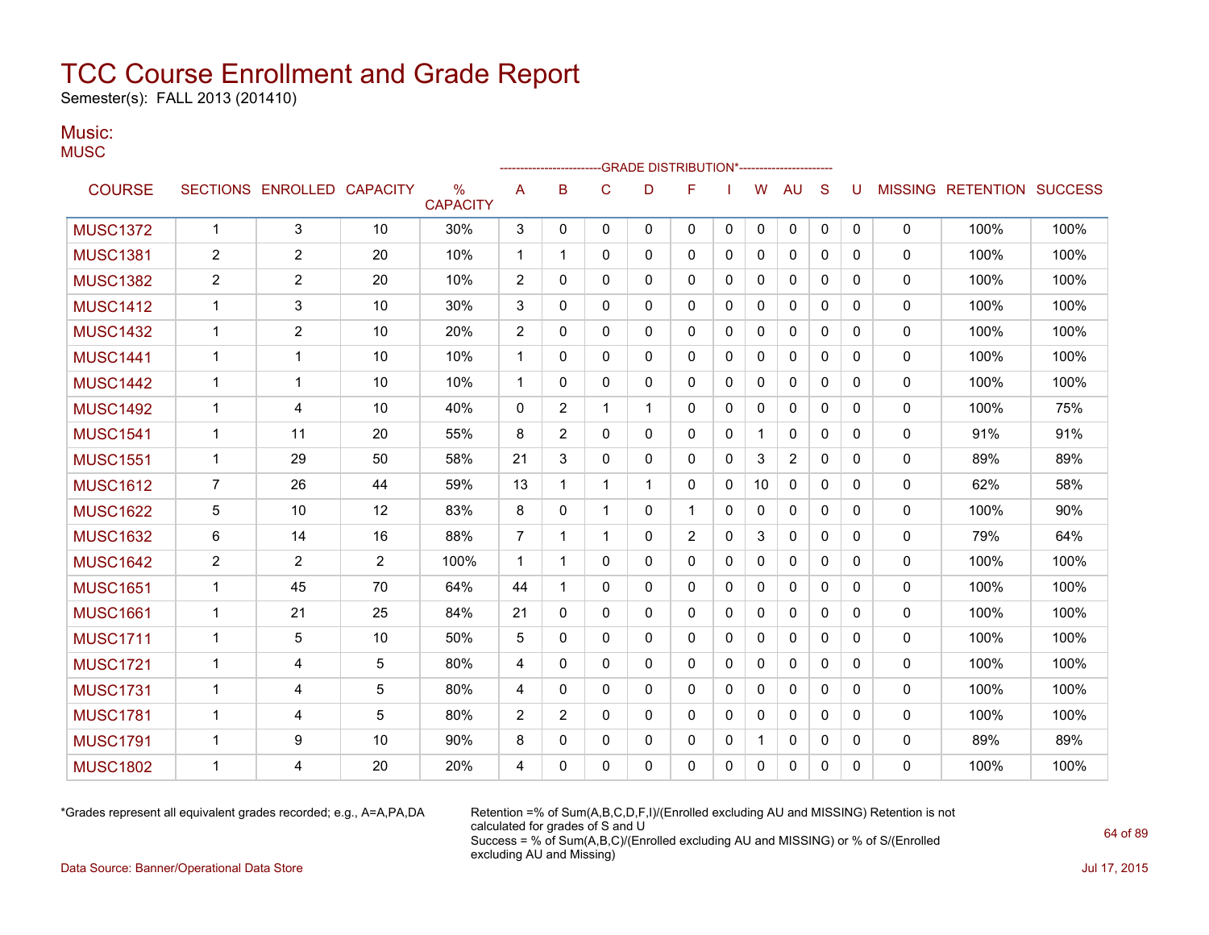Semester(s): FALL 2013 (201410)

### Music: **MUSC**

|                 |                |                            |                |                      |                |                |              | -GRADE DISTRIBUTION*---------------------- |                |              |              |                |          |              |             |                                  |      |
|-----------------|----------------|----------------------------|----------------|----------------------|----------------|----------------|--------------|--------------------------------------------|----------------|--------------|--------------|----------------|----------|--------------|-------------|----------------------------------|------|
| <b>COURSE</b>   |                | SECTIONS ENROLLED CAPACITY |                | %<br><b>CAPACITY</b> | A              | B              | $\mathsf{C}$ | D                                          | F              |              | W            | <b>AU</b>      | S        | U            |             | <b>MISSING RETENTION SUCCESS</b> |      |
| <b>MUSC1372</b> | $\mathbf{1}$   | 3                          | 10             | 30%                  | 3              | 0              | 0            | 0                                          | 0              | 0            | 0            | 0              | 0        | 0            | $\mathbf 0$ | 100%                             | 100% |
| <b>MUSC1381</b> | 2              | $\overline{2}$             | 20             | 10%                  | $\mathbf{1}$   | 1              | 0            | 0                                          | 0              | 0            | 0            | 0              | 0        | 0            | 0           | 100%                             | 100% |
| <b>MUSC1382</b> | $\overline{2}$ | $\overline{2}$             | 20             | 10%                  | 2              | 0              | 0            | 0                                          | 0              | 0            | 0            | 0              | 0        | 0            | 0           | 100%                             | 100% |
| <b>MUSC1412</b> | 1              | 3                          | 10             | 30%                  | 3              | 0              | 0            | 0                                          | $\mathbf{0}$   | $\mathbf{0}$ | 0            | 0              | 0        | $\mathbf{0}$ | $\Omega$    | 100%                             | 100% |
| <b>MUSC1432</b> | 1              | $\overline{c}$             | 10             | 20%                  | 2              | 0              | 0            | 0                                          | 0              | 0            | $\mathbf 0$  | 0              | 0        | $\mathbf{0}$ | 0           | 100%                             | 100% |
| <b>MUSC1441</b> | 1              | $\mathbf 1$                | 10             | 10%                  | $\mathbf{1}$   | 0              | 0            | 0                                          | 0              | 0            | 0            | 0              | 0        | $\mathbf{0}$ | 0           | 100%                             | 100% |
| <b>MUSC1442</b> | 1              | 1                          | 10             | 10%                  | $\mathbf{1}$   | 0              | 0            | 0                                          | 0              | 0            | 0            | 0              | 0        | $\mathbf{0}$ | $\mathbf 0$ | 100%                             | 100% |
| <b>MUSC1492</b> | 1              | 4                          | 10             | 40%                  | 0              | 2              | $\mathbf 1$  | 1                                          | 0              | 0            | 0            | 0              | 0        | $\mathbf{0}$ | $\mathbf 0$ | 100%                             | 75%  |
| <b>MUSC1541</b> | 1              | 11                         | 20             | 55%                  | 8              | 2              | $\Omega$     | 0                                          | 0              | $\mathbf{0}$ | $\mathbf{1}$ | $\mathbf{0}$   | 0        | $\Omega$     | $\mathbf 0$ | 91%                              | 91%  |
| <b>MUSC1551</b> | $\mathbf{1}$   | 29                         | 50             | 58%                  | 21             | 3              | $\Omega$     | 0                                          | 0              | 0            | 3            | $\overline{c}$ | 0        | $\Omega$     | $\mathbf 0$ | 89%                              | 89%  |
| <b>MUSC1612</b> | 7              | 26                         | 44             | 59%                  | 13             | 1              | $\mathbf 1$  | 1                                          | $\mathbf{0}$   | 0            | 10           | $\mathbf{0}$   | 0        | $\mathbf{0}$ | 0           | 62%                              | 58%  |
| <b>MUSC1622</b> | 5              | 10                         | 12             | 83%                  | 8              | 0              | $\mathbf 1$  | 0                                          | 1              | 0            | 0            | 0              | 0        | 0            | 0           | 100%                             | 90%  |
| <b>MUSC1632</b> | 6              | 14                         | 16             | 88%                  | 7              | 1              | 1            | 0                                          | $\overline{2}$ | 0            | 3            | 0              | 0        | 0            | 0           | 79%                              | 64%  |
| <b>MUSC1642</b> | $\overline{c}$ | 2                          | $\overline{c}$ | 100%                 | $\mathbf{1}$   | 1              | 0            | 0                                          | 0              | $\mathbf{0}$ | 0            | $\mathbf{0}$   | 0        | $\mathbf{0}$ | 0           | 100%                             | 100% |
| <b>MUSC1651</b> | 1              | 45                         | 70             | 64%                  | 44             | $\mathbf 1$    | $\Omega$     | 0                                          | 0              | $\mathbf{0}$ | 0            | $\mathbf{0}$   | 0        | $\Omega$     | $\Omega$    | 100%                             | 100% |
| <b>MUSC1661</b> | 1              | 21                         | 25             | 84%                  | 21             | 0              | 0            | 0                                          | 0              | 0            | 0            | 0              | 0        | $\mathbf{0}$ | $\mathbf 0$ | 100%                             | 100% |
| <b>MUSC1711</b> | 1              | 5                          | 10             | 50%                  | 5              | 0              | $\Omega$     | 0                                          | 0              | 0            | $\mathbf{0}$ | 0              | 0        | $\mathbf{0}$ | $\mathbf 0$ | 100%                             | 100% |
| <b>MUSC1721</b> | 1              | 4                          | 5              | 80%                  | 4              | 0              | 0            | 0                                          | 0              | 0            | 0            | 0              | 0        | 0            | 0           | 100%                             | 100% |
| <b>MUSC1731</b> | 1              | 4                          | 5              | 80%                  | 4              | 0              | $\Omega$     | 0                                          | 0              | $\Omega$     | $\mathbf{0}$ | $\mathbf{0}$   | $\Omega$ | $\Omega$     | $\Omega$    | 100%                             | 100% |
| <b>MUSC1781</b> | $\mathbf 1$    | 4                          | 5              | 80%                  | $\overline{2}$ | $\overline{2}$ | $\Omega$     | 0                                          | 0              | $\mathbf{0}$ | $\mathbf{0}$ | $\mathbf{0}$   | $\Omega$ | $\Omega$     | $\Omega$    | 100%                             | 100% |
| <b>MUSC1791</b> | 1              | 9                          | 10             | 90%                  | 8              | 0              | 0            | 0                                          | 0              | 0            |              | 0              | 0        | 0            | 0           | 89%                              | 89%  |
| <b>MUSC1802</b> | 1              | 4                          | 20             | 20%                  | 4              | 0              | 0            | 0                                          | 0              | 0            | 0            | 0              | 0        | 0            | 0           | 100%                             | 100% |

\*Grades represent all equivalent grades recorded; e.g., A=A,PA,DA Retention =% of Sum(A,B,C,D,F,I)/(Enrolled excluding AU and MISSING) Retention is not calculated for grades of S and U Success = % of Sum(A,B,C)/(Enrolled excluding AU and MISSING) or % of S/(Enrolled excluding AU and Missing)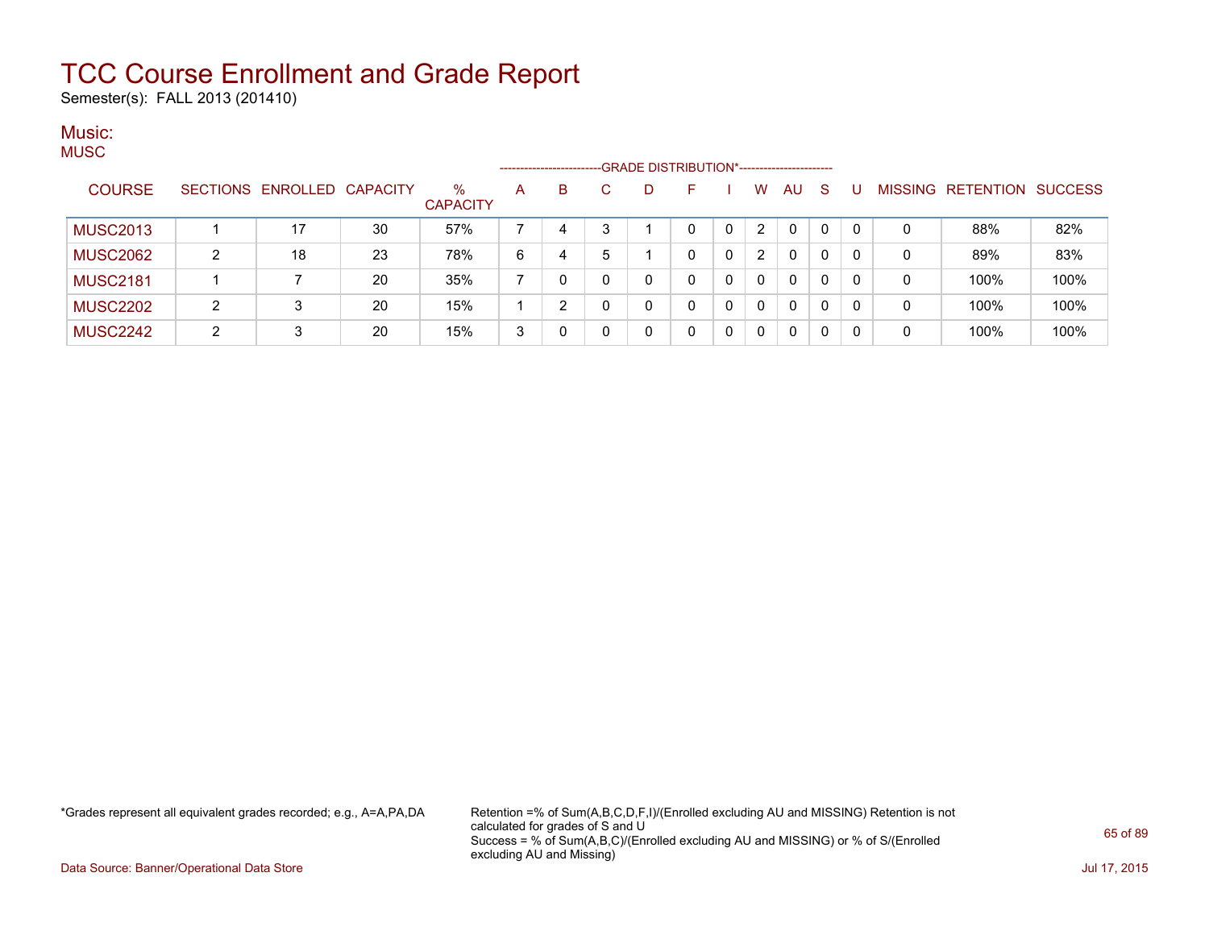Semester(s): FALL 2013 (201410)

#### Music: MUSC.

| $\sqrt{2}$      |   |                            |    |                         |   | ---------------------- |   |   | -GRADE DISTRIBUTION*----------------------- |   |                |              |              |          |   |                                  |      |
|-----------------|---|----------------------------|----|-------------------------|---|------------------------|---|---|---------------------------------------------|---|----------------|--------------|--------------|----------|---|----------------------------------|------|
| <b>COURSE</b>   |   | SECTIONS ENROLLED CAPACITY |    | $\%$<br><b>CAPACITY</b> | A | B                      |   | D |                                             |   | w              | <b>AU</b>    | -S           |          |   | <b>MISSING RETENTION SUCCESS</b> |      |
| <b>MUSC2013</b> |   | 17                         | 30 | 57%                     |   | 4                      | າ |   | 0                                           | 0 | $\overline{2}$ | 0            |              | $\Omega$ | 0 | 88%                              | 82%  |
| <b>MUSC2062</b> | 2 | 18                         | 23 | 78%                     | 6 | 4                      | 5 |   | 0                                           | 0 | $\overline{2}$ | 0            | $\Omega$     | 0        | 0 | 89%                              | 83%  |
| <b>MUSC2181</b> |   |                            | 20 | 35%                     |   |                        |   | 0 | 0                                           | 0 | 0              | $\mathbf{0}$ | $\mathbf{0}$ | $\Omega$ | 0 | 100%                             | 100% |
| <b>MUSC2202</b> | C | 3                          | 20 | 15%                     |   |                        |   | 0 | 0                                           | 0 | 0              | $\mathbf{0}$ | $\Omega$     | $\Omega$ | 0 | 100%                             | 100% |
| <b>MUSC2242</b> | C | 3                          | 20 | 15%                     | 3 |                        |   | 0 |                                             | 0 | 0              | 0            | $\Omega$     | 0        | 0 | 100%                             | 100% |

\*Grades represent all equivalent grades recorded; e.g., A=A,PA,DA Retention =% of Sum(A,B,C,D,F,I)/(Enrolled excluding AU and MISSING) Retention is not calculated for grades of S and U Success = % of Sum(A,B,C)/(Enrolled excluding AU and MISSING) or % of S/(Enrolled excluding AU and Missing)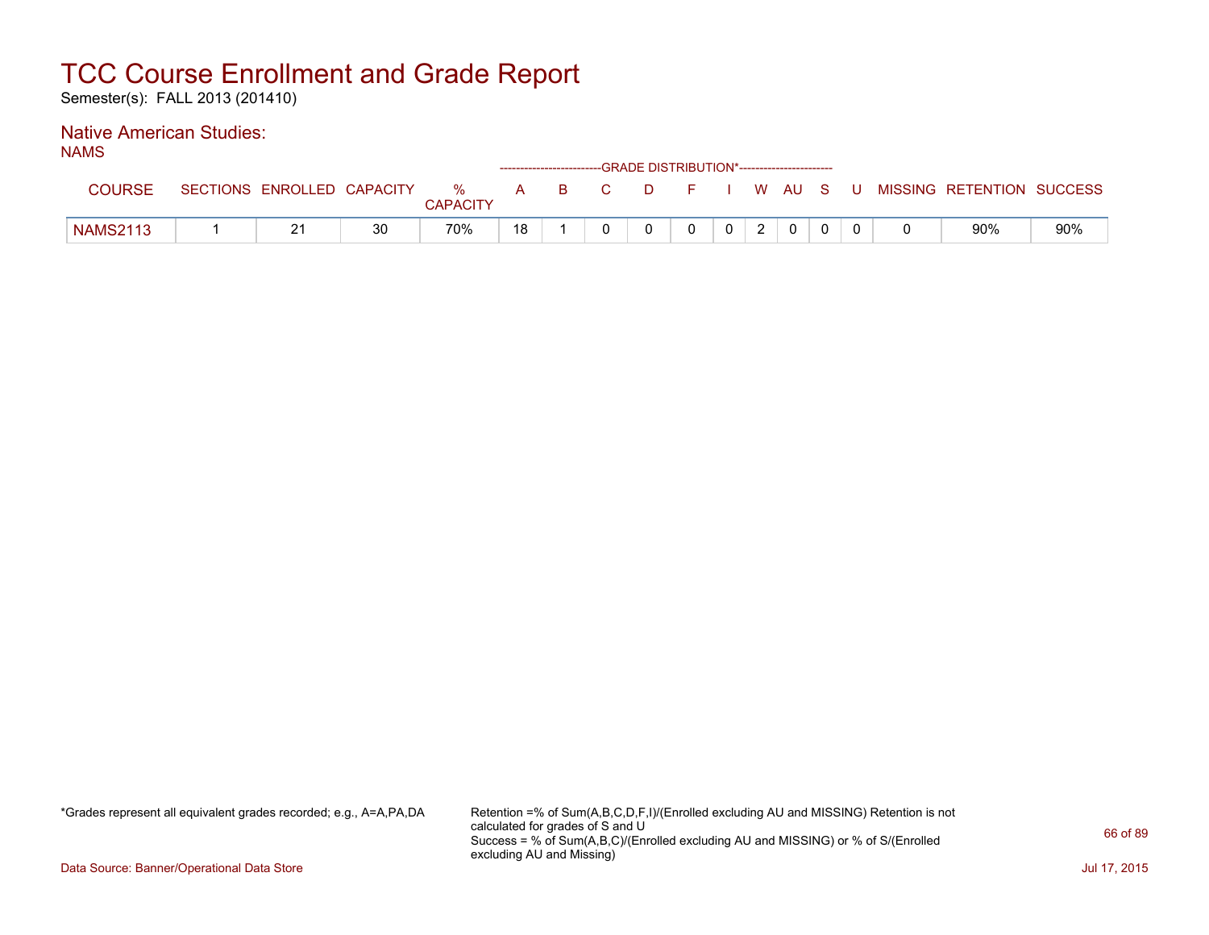Semester(s): FALL 2013 (201410)

#### Native American Studies: NAMS

| טווראו          |                            |    |                         |              |    |    |        | ------------------------GRADE DISTRIBUTION*----------------------- |                |                |              |     |                           |     |
|-----------------|----------------------------|----|-------------------------|--------------|----|----|--------|--------------------------------------------------------------------|----------------|----------------|--------------|-----|---------------------------|-----|
| <b>COURSE</b>   | SECTIONS ENROLLED CAPACITY |    | $\%$<br><b>CAPACITY</b> | $\mathbf{A}$ | B. | C. | $\Box$ | <b>1</b>                                                           |                |                | W AUS        | - U | MISSING RETENTION SUCCESS |     |
| <b>NAMS2113</b> | <u>_</u>                   | 30 | 70%                     | 18           |    |    |        |                                                                    | 0 <sup>1</sup> | $\overline{2}$ | $\mathbf{0}$ |     | 90%                       | 90% |

\*Grades represent all equivalent grades recorded; e.g., A=A,PA,DA Retention =% of Sum(A,B,C,D,F,I)/(Enrolled excluding AU and MISSING) Retention is not calculated for grades of S and U Success = % of Sum(A,B,C)/(Enrolled excluding AU and MISSING) or % of S/(Enrolled excluding AU and Missing)

Data Source: Banner/Operational Data Store Jul 17, 2015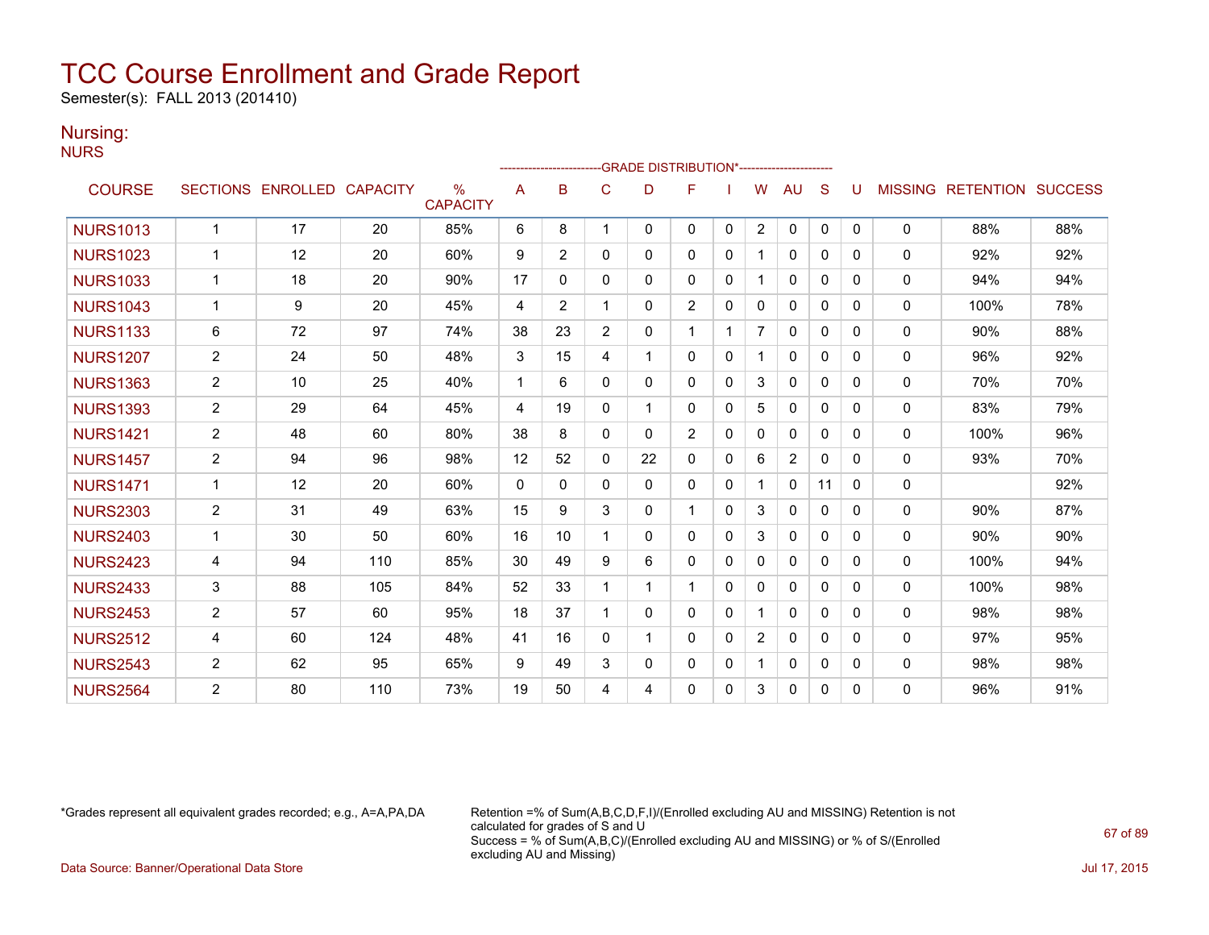Semester(s): FALL 2013 (201410)

### Nursing:

NURS

|                 |                |                            |     |                         |             |                |                | -GRADE DISTRIBUTION*----------------------- |                |              |                |                |              |              |                |                          |     |
|-----------------|----------------|----------------------------|-----|-------------------------|-------------|----------------|----------------|---------------------------------------------|----------------|--------------|----------------|----------------|--------------|--------------|----------------|--------------------------|-----|
| <b>COURSE</b>   |                | SECTIONS ENROLLED CAPACITY |     | $\%$<br><b>CAPACITY</b> | A           | в              | С              | D                                           | F              |              | W              | AU             | S            | U            | <b>MISSING</b> | <b>RETENTION SUCCESS</b> |     |
| <b>NURS1013</b> | $\mathbf{1}$   | 17                         | 20  | 85%                     | 6           | 8              |                | $\Omega$                                    | 0              | $\Omega$     | $\overline{2}$ | $\mathbf 0$    | $\mathbf{0}$ | $\mathbf{0}$ | 0              | 88%                      | 88% |
| <b>NURS1023</b> | 1              | 12                         | 20  | 60%                     | 9           | $\overline{2}$ | $\Omega$       | 0                                           | 0              | $\Omega$     |                | $\mathbf{0}$   | $\Omega$     | $\Omega$     | $\mathbf{0}$   | 92%                      | 92% |
| <b>NURS1033</b> | $\mathbf{1}$   | 18                         | 20  | 90%                     | 17          | 0              | $\Omega$       | 0                                           | 0              | 0            |                | $\mathbf{0}$   | $\Omega$     | $\Omega$     | $\mathbf 0$    | 94%                      | 94% |
| <b>NURS1043</b> | 1              | 9                          | 20  | 45%                     | 4           | $\overline{2}$ |                | 0                                           | $\overline{2}$ | 0            | 0              | 0              | $\Omega$     | 0            | 0              | 100%                     | 78% |
| <b>NURS1133</b> | 6              | 72                         | 97  | 74%                     | 38          | 23             | $\overline{2}$ | 0                                           | 1              |              | $\overline{7}$ | $\mathbf{0}$   | $\Omega$     | 0            | $\mathbf 0$    | 90%                      | 88% |
| <b>NURS1207</b> | $\overline{2}$ | 24                         | 50  | 48%                     | 3           | 15             | 4              | 1                                           | 0              | 0            |                | 0              | $\Omega$     | 0            | $\mathbf{0}$   | 96%                      | 92% |
| <b>NURS1363</b> | $\overline{2}$ | 10                         | 25  | 40%                     | $\mathbf 1$ | 6              | 0              | 0                                           | 0              | 0            | 3              | 0              | 0            | $\Omega$     | $\Omega$       | 70%                      | 70% |
| <b>NURS1393</b> | $\overline{2}$ | 29                         | 64  | 45%                     | 4           | 19             | 0              | 1                                           | 0              | 0            | 5              | 0              | 0            | 0            | $\mathbf 0$    | 83%                      | 79% |
| <b>NURS1421</b> | $\overline{c}$ | 48                         | 60  | 80%                     | 38          | 8              | $\Omega$       | 0                                           | $\overline{2}$ | $\Omega$     | $\mathbf{0}$   | $\mathbf{0}$   | $\Omega$     | 0            | $\mathbf{0}$   | 100%                     | 96% |
| <b>NURS1457</b> | $\overline{2}$ | 94                         | 96  | 98%                     | 12          | 52             | $\Omega$       | 22                                          | 0              | $\Omega$     | 6              | $\overline{2}$ | $\Omega$     | $\Omega$     | 0              | 93%                      | 70% |
| <b>NURS1471</b> |                | 12                         | 20  | 60%                     | $\Omega$    | $\Omega$       | 0              | 0                                           | 0              | $\Omega$     |                | $\Omega$       | 11           | $\Omega$     | $\Omega$       |                          | 92% |
| <b>NURS2303</b> | $\overline{2}$ | 31                         | 49  | 63%                     | 15          | 9              | 3              | 0                                           | 1              | $\Omega$     | 3              | $\Omega$       | $\Omega$     | 0            | 0              | 90%                      | 87% |
| <b>NURS2403</b> | $\mathbf{1}$   | 30                         | 50  | 60%                     | 16          | 10             |                | 0                                           | 0              | $\Omega$     | 3              | $\Omega$       | $\Omega$     | 0            | 0              | 90%                      | 90% |
| <b>NURS2423</b> | 4              | 94                         | 110 | 85%                     | 30          | 49             | 9              | 6                                           | 0              | $\mathbf{0}$ | $\mathbf{0}$   | $\mathbf{0}$   | $\mathbf{0}$ | $\Omega$     | 0              | 100%                     | 94% |
| <b>NURS2433</b> | 3              | 88                         | 105 | 84%                     | 52          | 33             |                |                                             | 1              | $\Omega$     | $\mathbf{0}$   | $\mathbf{0}$   | $\Omega$     | $\Omega$     | $\Omega$       | 100%                     | 98% |
| <b>NURS2453</b> | $\overline{2}$ | 57                         | 60  | 95%                     | 18          | 37             |                | 0                                           | 0              | $\mathbf{0}$ |                | $\mathbf{0}$   | $\mathbf{0}$ | $\Omega$     | 0              | 98%                      | 98% |
| <b>NURS2512</b> | 4              | 60                         | 124 | 48%                     | 41          | 16             | $\Omega$       |                                             | 0              | $\Omega$     | $\overline{2}$ | $\mathbf{0}$   | $\Omega$     | $\Omega$     | $\mathbf{0}$   | 97%                      | 95% |
| <b>NURS2543</b> | $\overline{2}$ | 62                         | 95  | 65%                     | 9           | 49             | 3              | 0                                           | 0              | $\Omega$     |                | $\mathbf{0}$   | $\Omega$     | $\Omega$     | 0              | 98%                      | 98% |
| <b>NURS2564</b> | 2              | 80                         | 110 | 73%                     | 19          | 50             | 4              | 4                                           | 0              | 0            | 3              | 0              | 0            | $\Omega$     | $\mathbf{0}$   | 96%                      | 91% |

\*Grades represent all equivalent grades recorded; e.g., A=A,PA,DA Retention =% of Sum(A,B,C,D,F,I)/(Enrolled excluding AU and MISSING) Retention is not calculated for grades of S and U Success = % of Sum(A,B,C)/(Enrolled excluding AU and MISSING) or % of S/(Enrolled excluding AU and Missing)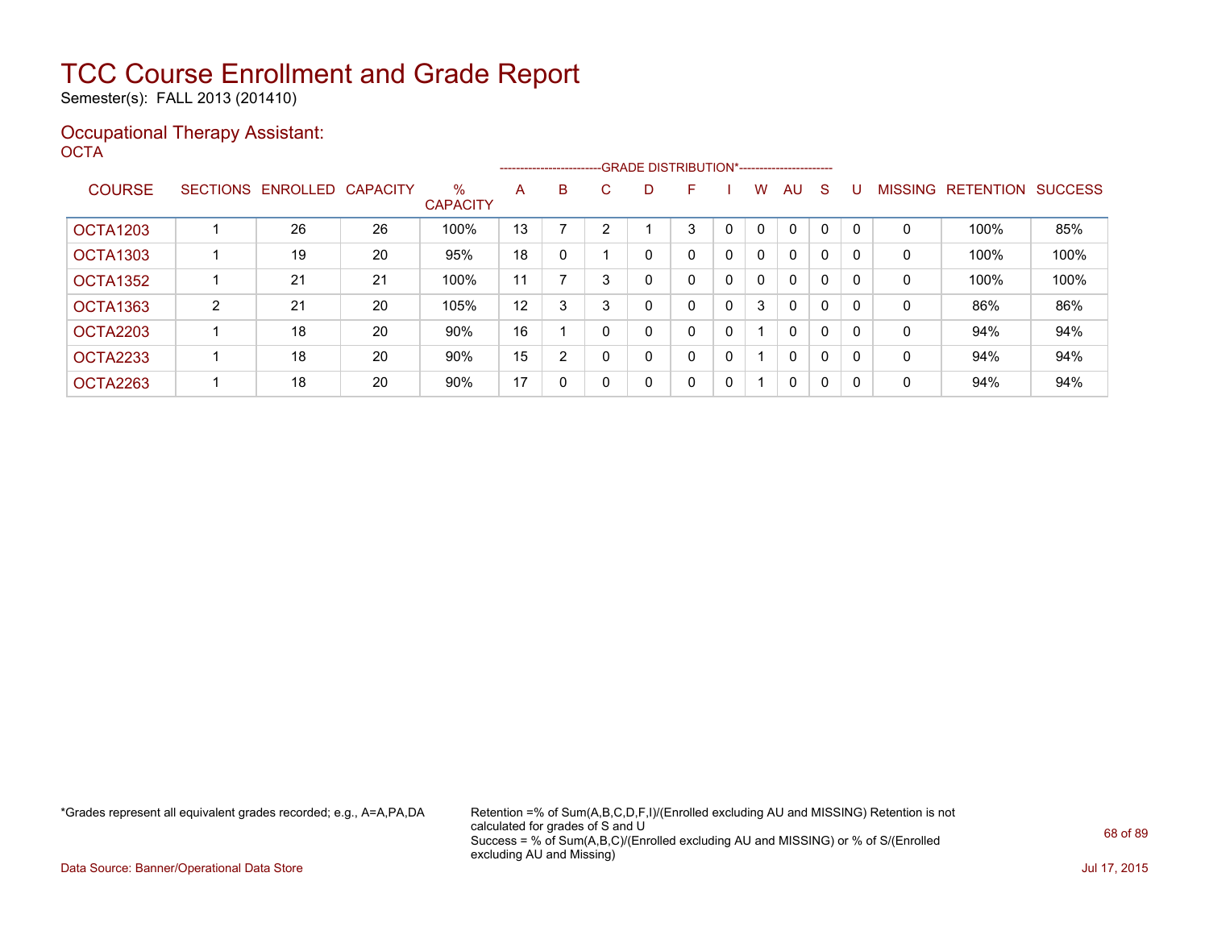Semester(s): FALL 2013 (201410)

### Occupational Therapy Assistant: OCTA<sup>'</sup>

|                 |   |                   |                 |                         |    |   |    | --------------------------GRADE DISTRIBUTION*----------------------- |              |   |   |              |              |              |                |                  |                |
|-----------------|---|-------------------|-----------------|-------------------------|----|---|----|----------------------------------------------------------------------|--------------|---|---|--------------|--------------|--------------|----------------|------------------|----------------|
| <b>COURSE</b>   |   | SECTIONS ENROLLED | <b>CAPACITY</b> | $\%$<br><b>CAPACITY</b> | A  | B | C. | D                                                                    | F            |   | W | AU.          | S            |              | <b>MISSING</b> | <b>RETENTION</b> | <b>SUCCESS</b> |
| <b>OCTA1203</b> |   | 26                | 26              | 100%                    | 13 |   | ◠  |                                                                      | 3            | 0 | 0 | $\Omega$     | $\Omega$     | $\Omega$     | 0              | 100%             | 85%            |
| <b>OCTA1303</b> |   | 19                | 20              | 95%                     | 18 | 0 |    | 0                                                                    | 0            | 0 | 0 | 0            | 0            | 0            | 0              | 100%             | 100%           |
| OCTA1352        |   | 21                | 21              | 100%                    | 11 |   |    | 0                                                                    | 0            | 0 | 0 | $\Omega$     | $\Omega$     | $\mathbf{0}$ | 0              | 100%             | 100%           |
| OCTA1363        | 2 | 21                | 20              | 105%                    | 12 | 3 | 3  | 0                                                                    | 0            | 0 | 3 | 0            | 0            | $\mathbf{0}$ | 0              | 86%              | 86%            |
| OCTA2203        |   | 18                | 20              | 90%                     | 16 |   | 0  | 0                                                                    | 0            | 0 |   | $\Omega$     | $\Omega$     | $\Omega$     | 0              | 94%              | 94%            |
| OCTA2233        |   | 18                | 20              | 90%                     | 15 | 2 | 0  | $\mathbf{0}$                                                         | 0            | 0 |   | $\mathbf{0}$ | $\mathbf{0}$ | $\Omega$     | 0              | 94%              | 94%            |
| OCTA2263        |   | 18                | 20              | 90%                     | 17 | 0 | 0  | 0                                                                    | $\mathbf{0}$ | 0 | 1 | $\mathbf{0}$ | $\mathbf{0}$ | $\mathbf{0}$ | 0              | 94%              | 94%            |

\*Grades represent all equivalent grades recorded; e.g., A=A,PA,DA Retention =% of Sum(A,B,C,D,F,I)/(Enrolled excluding AU and MISSING) Retention is not calculated for grades of S and U Success = % of Sum(A,B,C)/(Enrolled excluding AU and MISSING) or % of S/(Enrolled excluding AU and Missing)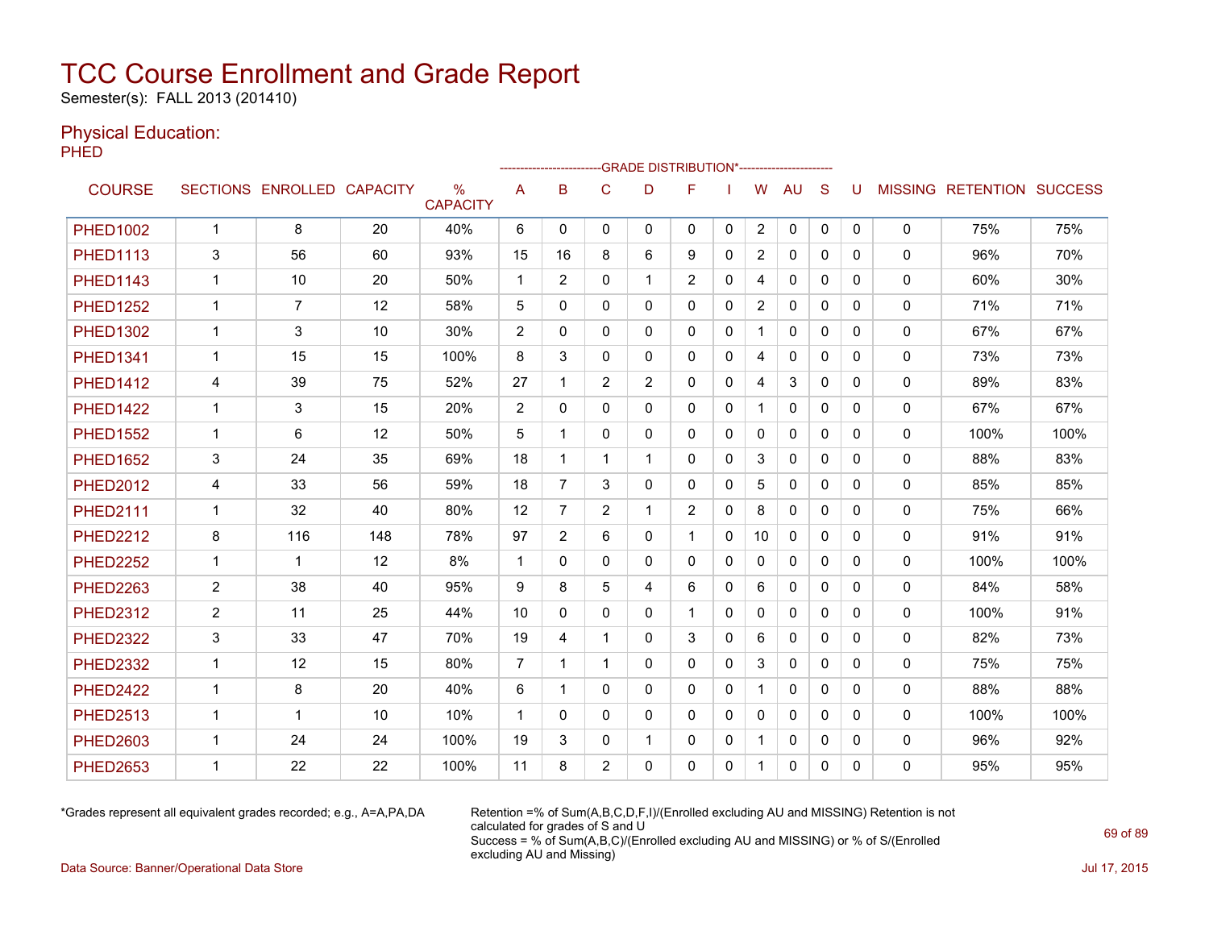Semester(s): FALL 2013 (201410)

### Physical Education:

PHED

|                 |                |                            |     |                                  |                |                |                | -- GRADE DISTRIBUTION*----------------------- |                |              |                |              |              |          |              |                           |      |
|-----------------|----------------|----------------------------|-----|----------------------------------|----------------|----------------|----------------|-----------------------------------------------|----------------|--------------|----------------|--------------|--------------|----------|--------------|---------------------------|------|
| <b>COURSE</b>   |                | SECTIONS ENROLLED CAPACITY |     | $\frac{0}{0}$<br><b>CAPACITY</b> | A              | B              | C              | D                                             | F              |              | W              | <b>AU</b>    | S            | U        |              | MISSING RETENTION SUCCESS |      |
| <b>PHED1002</b> | $\mathbf{1}$   | 8                          | 20  | 40%                              | 6              | $\Omega$       | $\mathbf{0}$   | 0                                             | $\mathbf{0}$   | $\mathbf{0}$ | $\overline{2}$ | 0            | $\mathbf{0}$ | 0        | 0            | 75%                       | 75%  |
| <b>PHED1113</b> | 3              | 56                         | 60  | 93%                              | 15             | 16             | 8              | 6                                             | 9              | 0            | $\overline{2}$ | $\mathbf{0}$ | $\Omega$     | 0        | 0            | 96%                       | 70%  |
| <b>PHED1143</b> | $\mathbf{1}$   | 10                         | 20  | 50%                              | $\mathbf 1$    | $\overline{2}$ | 0              | $\mathbf 1$                                   | $\overline{2}$ | 0            | 4              | 0            | $\mathbf{0}$ | 0        | 0            | 60%                       | 30%  |
| <b>PHED1252</b> | $\mathbf 1$    | 7                          | 12  | 58%                              | 5              | $\Omega$       | $\Omega$       | 0                                             | $\mathbf{0}$   | 0            | $\overline{2}$ | $\mathbf{0}$ | $\Omega$     | 0        | $\mathbf{0}$ | 71%                       | 71%  |
| <b>PHED1302</b> | $\mathbf{1}$   | 3                          | 10  | 30%                              | 2              | 0              | 0              | 0                                             | $\mathbf{0}$   | 0            |                | 0            | $\Omega$     | 0        | 0            | 67%                       | 67%  |
| <b>PHED1341</b> | 1              | 15                         | 15  | 100%                             | 8              | 3              | $\mathbf{0}$   | 0                                             | $\mathbf{0}$   | 0            | 4              | $\mathbf{0}$ | $\Omega$     | 0        | 0            | 73%                       | 73%  |
| <b>PHED1412</b> | 4              | 39                         | 75  | 52%                              | 27             | 1              | $\overline{c}$ | $\overline{c}$                                | 0              | 0            | 4              | 3            | $\mathbf{0}$ | 0        | 0            | 89%                       | 83%  |
| <b>PHED1422</b> | $\mathbf{1}$   | 3                          | 15  | 20%                              | 2              | $\Omega$       | 0              | 0                                             | $\mathbf{0}$   | $\mathbf{0}$ | 1              | $\mathbf{0}$ | $\Omega$     | 0        | 0            | 67%                       | 67%  |
| <b>PHED1552</b> | $\mathbf{1}$   | 6                          | 12  | 50%                              | 5              | 1              | $\mathbf{0}$   | $\Omega$                                      | $\mathbf{0}$   | $\Omega$     | $\mathbf{0}$   | $\Omega$     | $\Omega$     | 0        | $\Omega$     | 100%                      | 100% |
| <b>PHED1652</b> | 3              | 24                         | 35  | 69%                              | 18             | 1              | $\mathbf 1$    | 1                                             | $\mathbf{0}$   | $\Omega$     | 3              | $\mathbf{0}$ | $\Omega$     | $\Omega$ | 0            | 88%                       | 83%  |
| <b>PHED2012</b> | 4              | 33                         | 56  | 59%                              | 18             | 7              | 3              | $\Omega$                                      | $\mathbf{0}$   | $\Omega$     | 5              | $\mathbf{0}$ | $\Omega$     | $\Omega$ | 0            | 85%                       | 85%  |
| <b>PHED2111</b> | $\mathbf 1$    | 32                         | 40  | 80%                              | 12             | $\overline{7}$ | $\overline{c}$ | 1                                             | $\overline{2}$ | 0            | 8              | 0            | $\mathbf{0}$ | 0        | 0            | 75%                       | 66%  |
| <b>PHED2212</b> | 8              | 116                        | 148 | 78%                              | 97             | 2              | 6              | 0                                             |                | 0            | 10             | 0            | $\mathbf{0}$ | 0        | 0            | 91%                       | 91%  |
| <b>PHED2252</b> | $\mathbf{1}$   | 1                          | 12  | 8%                               | $\mathbf 1$    | 0              | $\mathbf{0}$   | 0                                             | $\mathbf{0}$   | $\mathbf{0}$ | $\mathbf{0}$   | $\mathbf{0}$ | $\mathbf{0}$ | 0        | $\mathbf{0}$ | 100%                      | 100% |
| <b>PHED2263</b> | $\overline{2}$ | 38                         | 40  | 95%                              | 9              | 8              | 5              | 4                                             | 6              | $\Omega$     | 6              | $\mathbf{0}$ | $\Omega$     | 0        | $\mathbf{0}$ | 84%                       | 58%  |
| <b>PHED2312</b> | $\overline{2}$ | 11                         | 25  | 44%                              | 10             | $\mathbf{0}$   | $\mathbf 0$    | 0                                             | $\mathbf 1$    | 0            | 0              | $\mathbf{0}$ | $\mathbf{0}$ | 0        | 0            | 100%                      | 91%  |
| <b>PHED2322</b> | 3              | 33                         | 47  | 70%                              | 19             | 4              | 1              | 0                                             | 3              | $\mathbf{0}$ | 6              | $\mathbf{0}$ | $\Omega$     | 0        | 0            | 82%                       | 73%  |
| <b>PHED2332</b> | $\mathbf 1$    | 12                         | 15  | 80%                              | $\overline{7}$ | 1              | 1              | 0                                             | $\mathbf{0}$   | 0            | 3              | $\mathbf{0}$ | $\mathbf{0}$ | 0        | 0            | 75%                       | 75%  |
| <b>PHED2422</b> | $\mathbf{1}$   | 8                          | 20  | 40%                              | 6              | 1              | $\Omega$       | $\Omega$                                      | $\Omega$       | $\Omega$     |                | $\Omega$     | $\Omega$     | $\Omega$ | $\mathbf{0}$ | 88%                       | 88%  |
| <b>PHED2513</b> | $\mathbf{1}$   | 1                          | 10  | 10%                              | $\mathbf{1}$   | $\Omega$       | $\Omega$       | $\Omega$                                      | $\Omega$       | $\Omega$     | $\Omega$       | $\mathbf{0}$ | $\Omega$     | 0        | $\mathbf{0}$ | 100%                      | 100% |
| <b>PHED2603</b> | $\mathbf 1$    | 24                         | 24  | 100%                             | 19             | 3              | 0              | 1                                             | $\mathbf{0}$   | 0            |                | 0            | $\mathbf{0}$ | 0        | 0            | 96%                       | 92%  |
| <b>PHED2653</b> | $\mathbf 1$    | 22                         | 22  | 100%                             | 11             | 8              | $\overline{2}$ | $\Omega$                                      | 0              | 0            |                | 0            | 0            | 0        | 0            | 95%                       | 95%  |

\*Grades represent all equivalent grades recorded; e.g., A=A,PA,DA Retention =% of Sum(A,B,C,D,F,I)/(Enrolled excluding AU and MISSING) Retention is not calculated for grades of S and U Success = % of Sum(A,B,C)/(Enrolled excluding AU and MISSING) or % of S/(Enrolled excluding AU and Missing)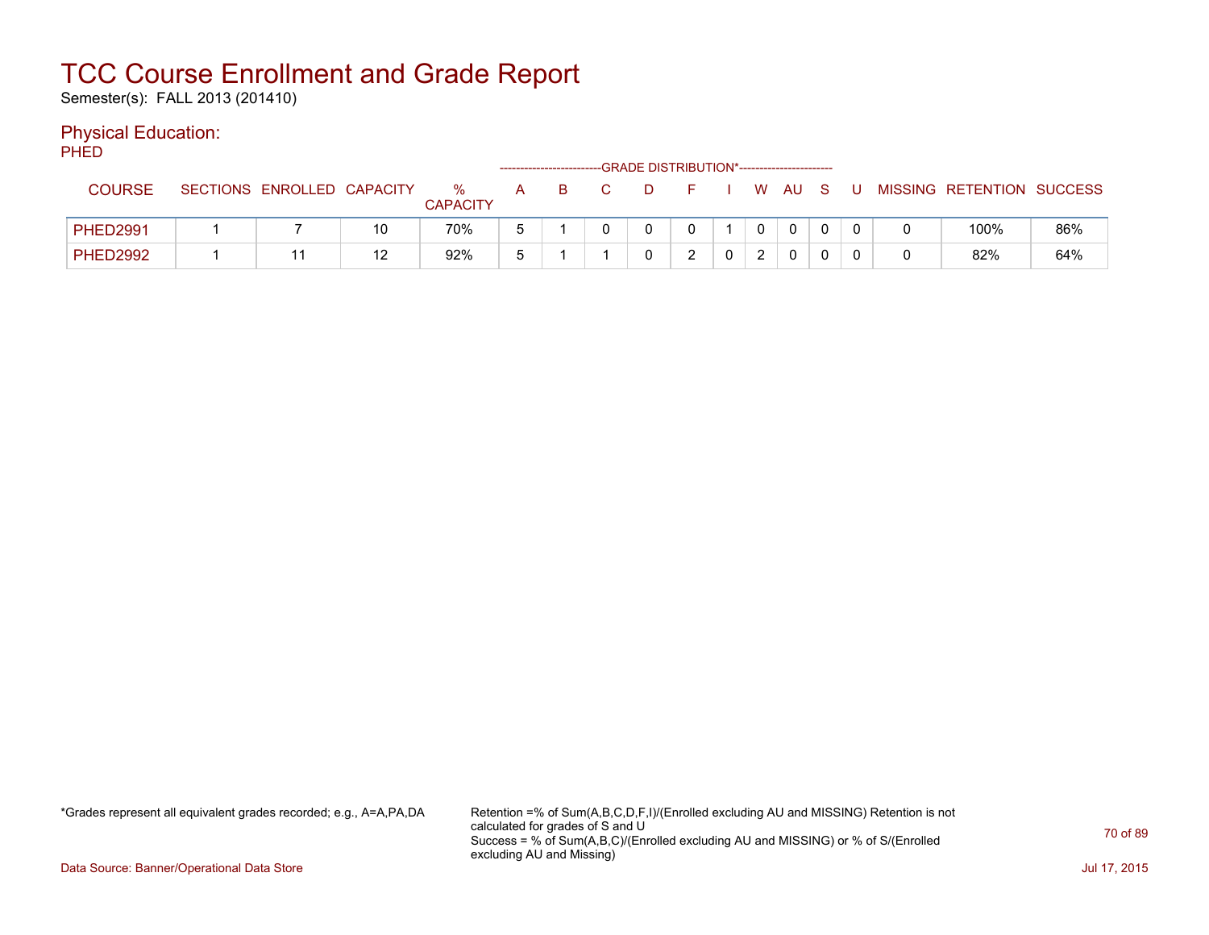Semester(s): FALL 2013 (201410)

### Physical Education:

PHED

|                 |                            |    |                      |   |    | -GRADE DISTRIBUTION*---------------------- |       |   |              |              |       |   |                           |     |
|-----------------|----------------------------|----|----------------------|---|----|--------------------------------------------|-------|---|--------------|--------------|-------|---|---------------------------|-----|
| <b>COURSE</b>   | SECTIONS ENROLLED CAPACITY |    | %<br><b>CAPACITY</b> | A | B. | D.                                         | - F - |   |              | W AUS        | - U - |   | MISSING RETENTION SUCCESS |     |
| <b>PHED2991</b> |                            | 10 | 70%                  |   |    |                                            |       |   | $\mathbf{0}$ | $\mathbf{0}$ |       |   | 100%                      | 86% |
| <b>PHED2992</b> |                            | 12 | 92%                  |   |    |                                            |       | ∩ | 2            |              |       | 0 | 82%                       | 64% |

\*Grades represent all equivalent grades recorded; e.g., A=A,PA,DA Retention =% of Sum(A,B,C,D,F,I)/(Enrolled excluding AU and MISSING) Retention is not calculated for grades of S and U Success = % of Sum(A,B,C)/(Enrolled excluding AU and MISSING) or % of S/(Enrolled excluding AU and Missing)

Data Source: Banner/Operational Data Store Jul 17, 2015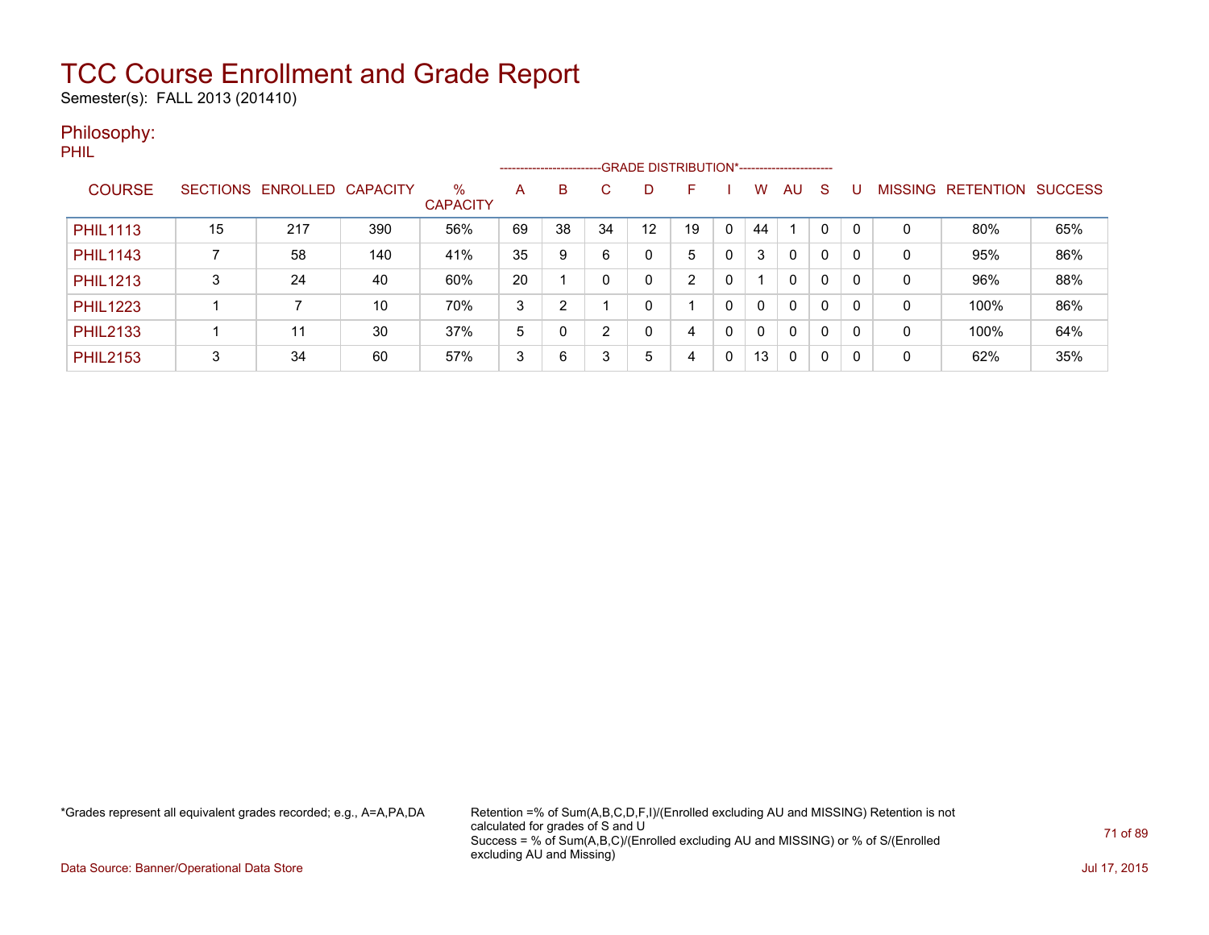Semester(s): FALL 2013 (201410)

### Philosophy:

PHIL

|                 |                 |          |                 |                         | --GRADE DISTRIBUTION*-----------------------<br>------------------------ |                |    |    |    |   |              |          |              |          |             |                  |                |
|-----------------|-----------------|----------|-----------------|-------------------------|--------------------------------------------------------------------------|----------------|----|----|----|---|--------------|----------|--------------|----------|-------------|------------------|----------------|
| <b>COURSE</b>   | <b>SECTIONS</b> | ENROLLED | <b>CAPACITY</b> | $\%$<br><b>CAPACITY</b> | A                                                                        | B              | C  | D  |    |   | w            | AU       | S            |          | MISSING     | <b>RETENTION</b> | <b>SUCCESS</b> |
| <b>PHIL1113</b> | 15              | 217      | 390             | 56%                     | 69                                                                       | 38             | 34 | 12 | 19 | 0 | 44           |          | $\Omega$     | $\Omega$ | 0           | 80%              | 65%            |
| <b>PHIL1143</b> |                 | 58       | 140             | 41%                     | 35                                                                       | 9              | 6  | 0  | 5  | 0 | 3            | 0        | 0            | 0        | 0           | 95%              | 86%            |
| <b>PHIL1213</b> | 3               | 24       | 40              | 60%                     | 20                                                                       |                |    | 0  | ົ  | 0 |              | 0        | $\Omega$     | 0        | 0           | 96%              | 88%            |
| <b>PHIL1223</b> |                 |          | 10              | 70%                     | 3                                                                        | $\overline{2}$ |    | 0  |    | 0 | $\mathbf{0}$ | $\Omega$ | $\mathbf{0}$ | 0        | $\mathbf 0$ | 100%             | 86%            |
| <b>PHIL2133</b> |                 | 11       | 30              | 37%                     | 5                                                                        |                | ົ  | 0  | 4  | 0 | $\mathbf{0}$ | 0        | 0            | 0        | 0           | 100%             | 64%            |
| <b>PHIL2153</b> | 3               | 34       | 60              | 57%                     | 3                                                                        | 6              | 3  | 5  | 4  | 0 | 13           | 0        | 0            | 0        | 0           | 62%              | 35%            |

\*Grades represent all equivalent grades recorded; e.g., A=A,PA,DA Retention =% of Sum(A,B,C,D,F,I)/(Enrolled excluding AU and MISSING) Retention is not calculated for grades of S and U Success = % of Sum(A,B,C)/(Enrolled excluding AU and MISSING) or % of S/(Enrolled excluding AU and Missing)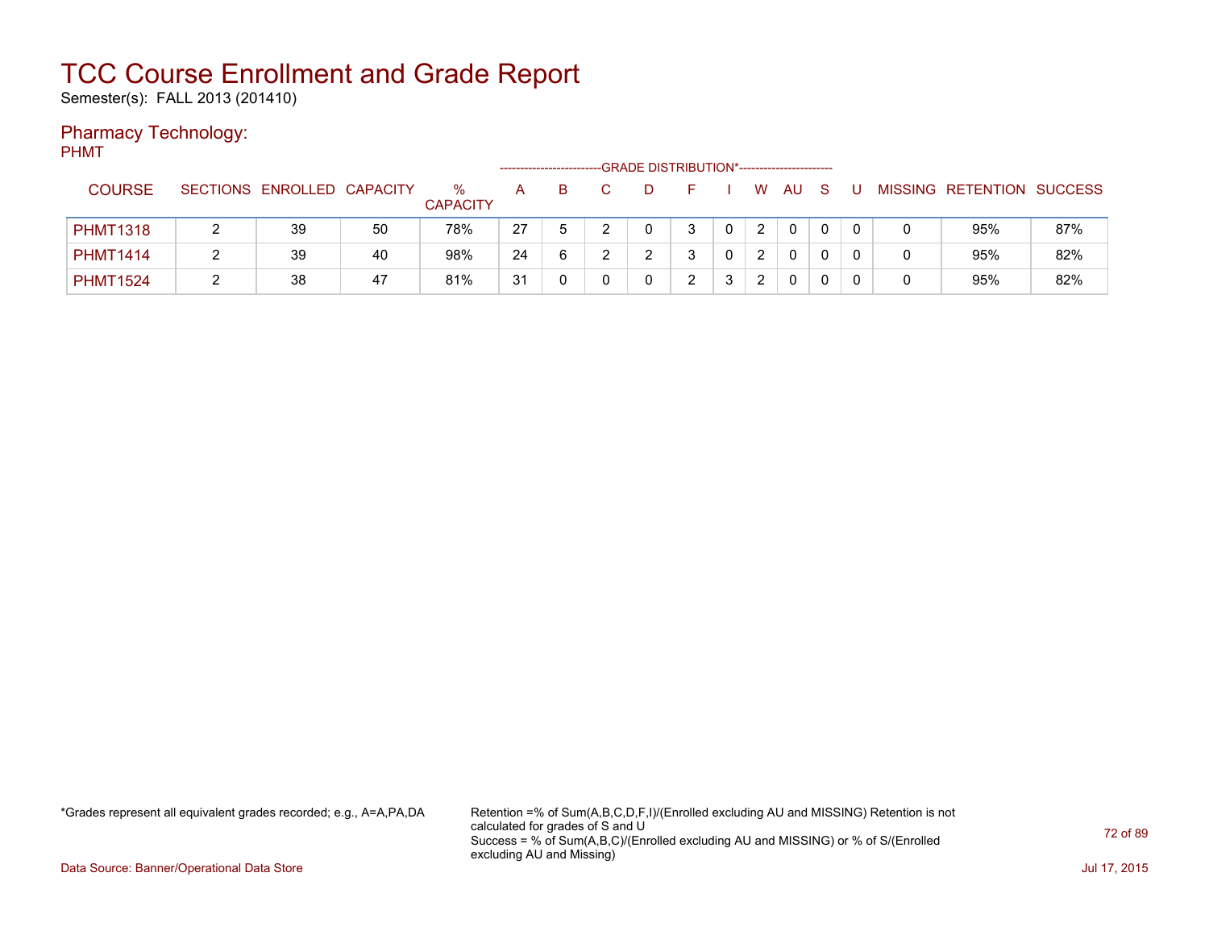Semester(s): FALL 2013 (201410)

### Pharmacy Technology:

PHMT

|                 |                            |    | -GRADE DISTRIBUTION*-----------------------<br>---------------------- |    |   |  |  |   |   |                      |              |   |  |  |                           |     |
|-----------------|----------------------------|----|-----------------------------------------------------------------------|----|---|--|--|---|---|----------------------|--------------|---|--|--|---------------------------|-----|
| <b>COURSE</b>   | SECTIONS ENROLLED CAPACITY |    | $\%$<br><b>CAPACITY</b>                                               | A  | B |  |  |   |   | W                    | AU           | S |  |  | MISSING RETENTION SUCCESS |     |
| <b>PHMT1318</b> | 39                         | 50 | 78%                                                                   | 27 |   |  |  | 3 |   | $\overline{2}$       | $\mathbf{0}$ |   |  |  | 95%                       | 87% |
| <b>PHMT1414</b> | 39                         | 40 | 98%                                                                   | 24 | 6 |  |  | ີ |   | 2                    | $\mathbf{0}$ |   |  |  | 95%                       | 82% |
| <b>PHMT1524</b> | 38                         | 47 | 81%                                                                   | 31 |   |  |  | າ | 3 | $\mathbf{2}^{\circ}$ | $\mathbf{0}$ |   |  |  | 95%                       | 82% |

\*Grades represent all equivalent grades recorded; e.g., A=A,PA,DA Retention =% of Sum(A,B,C,D,F,I)/(Enrolled excluding AU and MISSING) Retention is not calculated for grades of S and U Success = % of Sum(A,B,C)/(Enrolled excluding AU and MISSING) or % of S/(Enrolled excluding AU and Missing)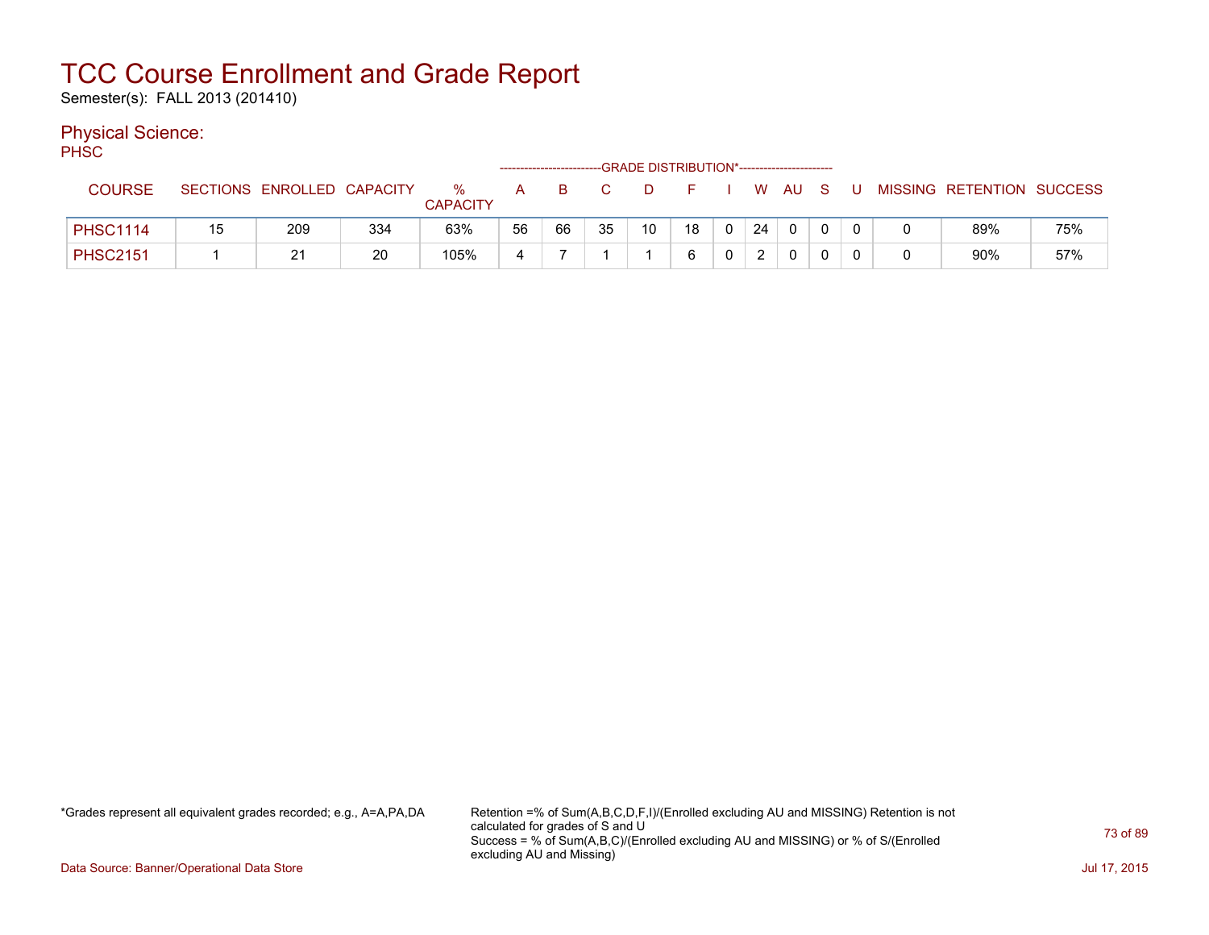Semester(s): FALL 2013 (201410)

#### Physical Science:

PH<sub>SC</sub>

| ----            |    |                            |     |                      |    |    |    |    |    |                |    |              |              |   |                           |     |
|-----------------|----|----------------------------|-----|----------------------|----|----|----|----|----|----------------|----|--------------|--------------|---|---------------------------|-----|
| <b>COURSE</b>   |    | SECTIONS ENROLLED CAPACITY |     | ℅<br><b>CAPACITY</b> | A  |    |    |    |    |                |    | W AU         | - S          |   | MISSING RETENTION SUCCESS |     |
| <b>PHSC1114</b> | 15 | 209                        | 334 | 63%                  | 56 | 66 | 35 | 10 | 18 | $\overline{0}$ | 24 | $\mathbf{0}$ | $\mathbf{0}$ |   | 89%                       | 75% |
| <b>PHSC2151</b> |    | 21                         | 20  | 105%                 | ⊿  |    |    |    |    | $\mathbf{0}$   | ົາ | $\mathbf{0}$ |              | 0 | 90%                       | 57% |

\*Grades represent all equivalent grades recorded; e.g., A=A,PA,DA Retention =% of Sum(A,B,C,D,F,I)/(Enrolled excluding AU and MISSING) Retention is not calculated for grades of S and U Success = % of Sum(A,B,C)/(Enrolled excluding AU and MISSING) or % of S/(Enrolled excluding AU and Missing)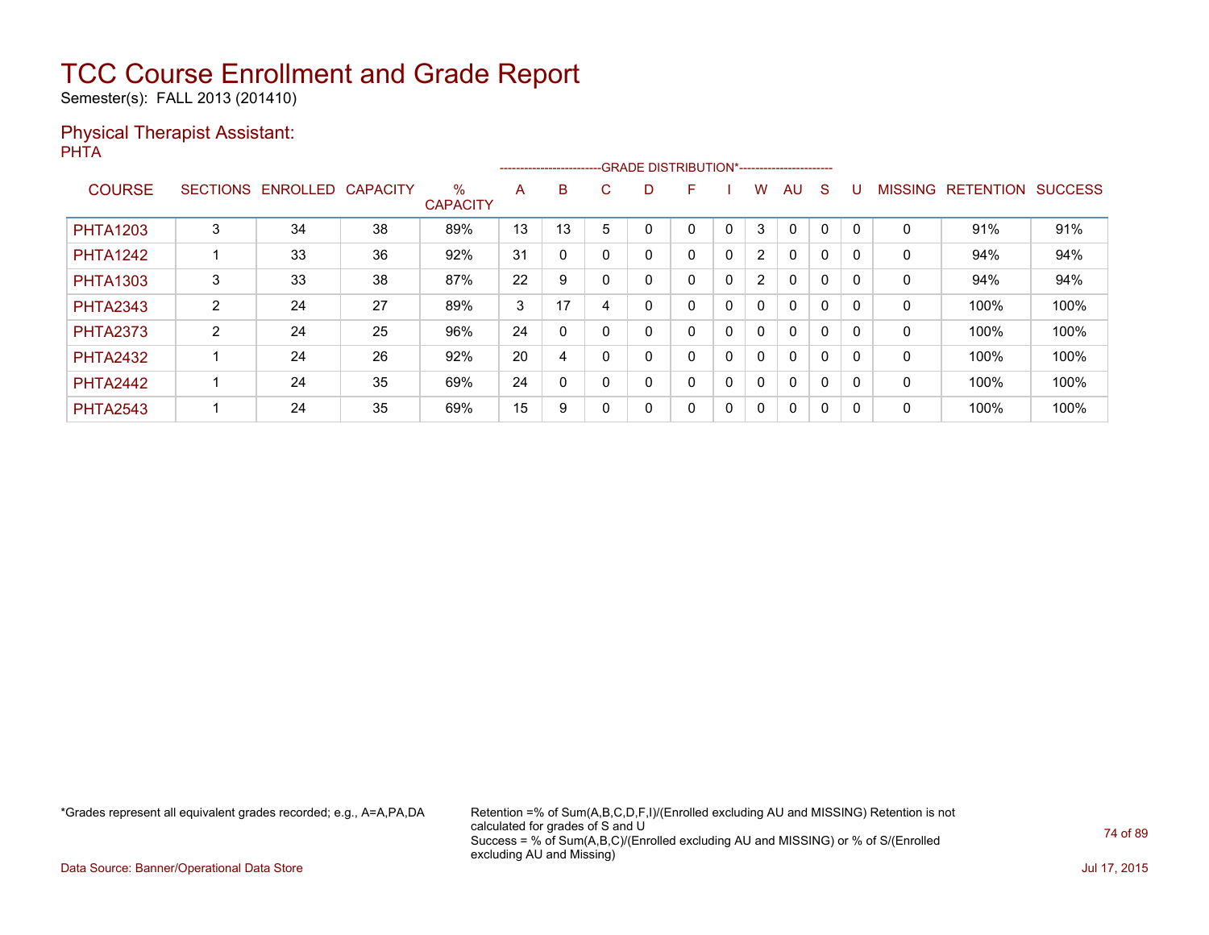Semester(s): FALL 2013 (201410)

#### Physical Therapist Assistant: PHTA

|                 |   |                   |                 |                         |    |    | -------------------------GRADE DISTRIBUTION*----------------------- |   |   |              |                |              |              |          |                |                  |                |
|-----------------|---|-------------------|-----------------|-------------------------|----|----|---------------------------------------------------------------------|---|---|--------------|----------------|--------------|--------------|----------|----------------|------------------|----------------|
| <b>COURSE</b>   |   | SECTIONS ENROLLED | <b>CAPACITY</b> | $\%$<br><b>CAPACITY</b> | A  | B  | C.                                                                  | D | F |              | W              | AU           | <sub>S</sub> |          | <b>MISSING</b> | <b>RETENTION</b> | <b>SUCCESS</b> |
| <b>PHTA1203</b> | 3 | 34                | 38              | 89%                     | 13 | 13 |                                                                     |   |   |              | 3              | $\Omega$     | 0            |          | 0              | 91%              | 91%            |
| <b>PHTA1242</b> |   | 33                | 36              | 92%                     | 31 | 0  |                                                                     |   | 0 | 0            | $\overline{2}$ | $\mathbf{0}$ | 0            |          | 0              | 94%              | 94%            |
| <b>PHTA1303</b> | 3 | 33                | 38              | 87%                     | 22 | 9  |                                                                     | 0 | 0 | 0            | $\overline{2}$ | $\mathbf{0}$ | $\Omega$     |          | 0              | 94%              | 94%            |
| <b>PHTA2343</b> | 2 | 24                | 27              | 89%                     | 3  | 17 |                                                                     |   | 0 | 0            | 0              | $\mathbf{0}$ | 0            |          | 0              | 100%             | 100%           |
| <b>PHTA2373</b> | 2 | 24                | 25              | 96%                     | 24 | 0  |                                                                     |   | 0 | 0            | 0              | $\mathbf{0}$ | 0            |          | 0              | 100%             | 100%           |
| <b>PHTA2432</b> |   | 24                | 26              | 92%                     | 20 | 4  |                                                                     | 0 | 0 | 0            | 0              | $\mathbf{0}$ | 0            | $\Omega$ | 0              | 100%             | 100%           |
| <b>PHTA2442</b> |   | 24                | 35              | 69%                     | 24 | 0  |                                                                     | 0 | 0 | $\mathbf{0}$ | $\mathbf{0}$   | $\mathbf{0}$ | 0            |          | 0              | 100%             | 100%           |
| <b>PHTA2543</b> |   | 24                | 35              | 69%                     | 15 | 9  |                                                                     | 0 | 0 | 0            | 0              | $\mathbf{0}$ | 0            | $\Omega$ | 0              | 100%             | 100%           |

\*Grades represent all equivalent grades recorded; e.g., A=A,PA,DA Retention =% of Sum(A,B,C,D,F,I)/(Enrolled excluding AU and MISSING) Retention is not calculated for grades of S and U Success = % of Sum(A,B,C)/(Enrolled excluding AU and MISSING) or % of S/(Enrolled excluding AU and Missing)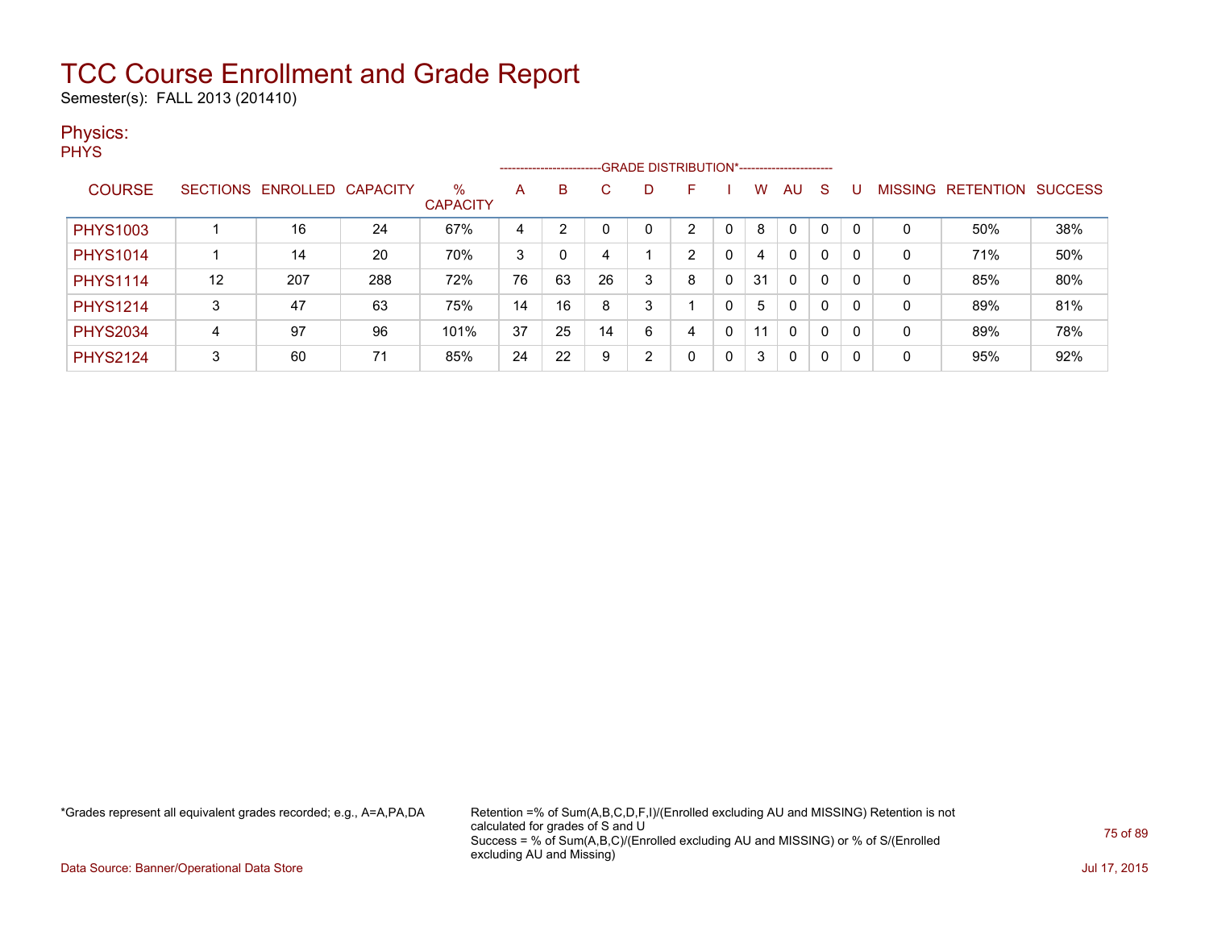Semester(s): FALL 2013 (201410)

#### Physics:

**PHYS** 

|                 |    |                            |     |                         |    |    |    |   | ------------------------GRADE DISTRIBUTION*----------------------- |   |    |              |   |          |   |                   |                |
|-----------------|----|----------------------------|-----|-------------------------|----|----|----|---|--------------------------------------------------------------------|---|----|--------------|---|----------|---|-------------------|----------------|
| <b>COURSE</b>   |    | SECTIONS ENROLLED CAPACITY |     | $\%$<br><b>CAPACITY</b> | A  | B  |    |   | F                                                                  |   | w  | AU           | S |          |   | MISSING RETENTION | <b>SUCCESS</b> |
| <b>PHYS1003</b> |    | 16                         | 24  | 67%                     | 4  | っ  |    |   | ົ                                                                  |   | 8  | $\mathbf{0}$ | 0 |          | 0 | 50%               | 38%            |
| <b>PHYS1014</b> |    | 14                         | 20  | 70%                     | 3  | 0  | 4  |   | 2                                                                  | 0 | 4  | 0            | 0 | 0        | 0 | 71%               | 50%            |
| <b>PHYS1114</b> | 12 | 207                        | 288 | 72%                     | 76 | 63 | 26 | 3 | 8                                                                  | 0 | 31 | $\mathbf{0}$ | 0 | 0        | 0 | 85%               | 80%            |
| <b>PHYS1214</b> | 3  | 47                         | 63  | 75%                     | 14 | 16 | 8  | 3 |                                                                    | 0 | 5  | 0            | 0 | 0        | 0 | 89%               | 81%            |
| <b>PHYS2034</b> | 4  | 97                         | 96  | 101%                    | 37 | 25 | 14 | 6 | 4                                                                  | 0 | 11 | $\mathbf{0}$ | 0 | $\Omega$ | 0 | 89%               | 78%            |
| <b>PHYS2124</b> | 3  | 60                         | 71  | 85%                     | 24 | 22 | 9  | ົ | 0                                                                  | 0 | 3  | 0            | 0 |          | 0 | 95%               | 92%            |

\*Grades represent all equivalent grades recorded; e.g., A=A,PA,DA Retention =% of Sum(A,B,C,D,F,I)/(Enrolled excluding AU and MISSING) Retention is not calculated for grades of S and U Success = % of Sum(A,B,C)/(Enrolled excluding AU and MISSING) or % of S/(Enrolled excluding AU and Missing)

Data Source: Banner/Operational Data Store Jul 17, 2015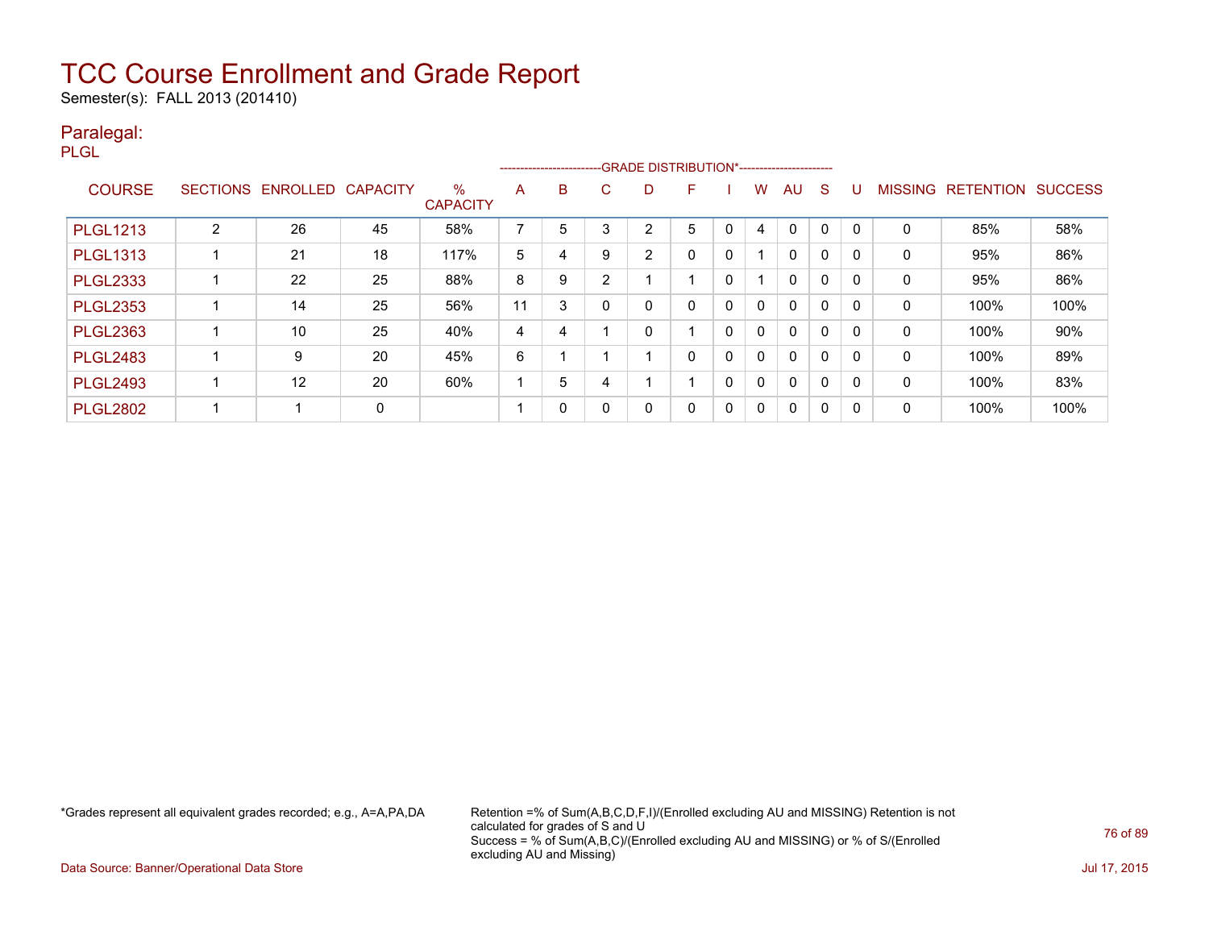Semester(s): FALL 2013 (201410)

#### Paralegal:

PLGL

|                 |                 |          |                 |                         |    |              |            | ------------------------GRADE DISTRIBUTION*----------------------- |   |                |              |              |             |              |                |                  |                |
|-----------------|-----------------|----------|-----------------|-------------------------|----|--------------|------------|--------------------------------------------------------------------|---|----------------|--------------|--------------|-------------|--------------|----------------|------------------|----------------|
| <b>COURSE</b>   | <b>SECTIONS</b> | ENROLLED | <b>CAPACITY</b> | $\%$<br><b>CAPACITY</b> | A  | B            | C.         | D                                                                  | F |                | w            | AU           | S           |              | <b>MISSING</b> | <b>RETENTION</b> | <b>SUCCESS</b> |
| <b>PLGL1213</b> | C               | 26       | 45              | 58%                     | ⇁  | 5            | $\sqrt{2}$ | 2                                                                  | 5 | C              | 4            | $\mathbf 0$  | $\Omega$    |              | 0              | 85%              | 58%            |
| <b>PLGL1313</b> |                 | 21       | 18              | 117%                    | 5  | 4            | 9          | 2                                                                  | 0 | 0              |              | $\mathbf{0}$ | $\mathbf 0$ | O            | 0              | 95%              | 86%            |
| <b>PLGL2333</b> |                 | 22       | 25              | 88%                     | 8  | 9            | ົ          |                                                                    |   | $\Omega$       |              | $\mathbf{0}$ | $\mathbf 0$ | $\mathsf{C}$ | 0              | 95%              | 86%            |
| <b>PLGL2353</b> |                 | 14       | 25              | 56%                     | 11 | 3            |            | 0                                                                  | 0 | $\overline{0}$ | 0            | $\mathbf{0}$ | $\mathbf 0$ |              | 0              | 100%             | 100%           |
| <b>PLGL2363</b> |                 | 10       | 25              | 40%                     | 4  | 4            |            | 0                                                                  |   | 0              | $\mathbf{0}$ | $\mathbf{0}$ | $\mathbf 0$ | <sup>0</sup> | 0              | 100%             | 90%            |
| <b>PLGL2483</b> |                 | 9        | 20              | 45%                     | 6  |              |            |                                                                    | 0 | 0              | $\Omega$     | 0            | $\mathbf 0$ | $\Omega$     | $\mathbf{0}$   | 100%             | 89%            |
| <b>PLGL2493</b> |                 | 12       | 20              | 60%                     |    | 5            |            |                                                                    |   | 0              | $\mathbf{0}$ | 0            | 0           |              | 0              | 100%             | 83%            |
| <b>PLGL2802</b> |                 |          | 0               |                         |    | $\mathbf{0}$ |            | 0                                                                  | 0 | 0              | $\Omega$     | 0            | 0           | $\Gamma$     | 0              | 100%             | 100%           |

\*Grades represent all equivalent grades recorded; e.g., A=A,PA,DA Retention =% of Sum(A,B,C,D,F,I)/(Enrolled excluding AU and MISSING) Retention is not calculated for grades of S and U Success = % of Sum(A,B,C)/(Enrolled excluding AU and MISSING) or % of S/(Enrolled excluding AU and Missing)

Data Source: Banner/Operational Data Store Jul 17, 2015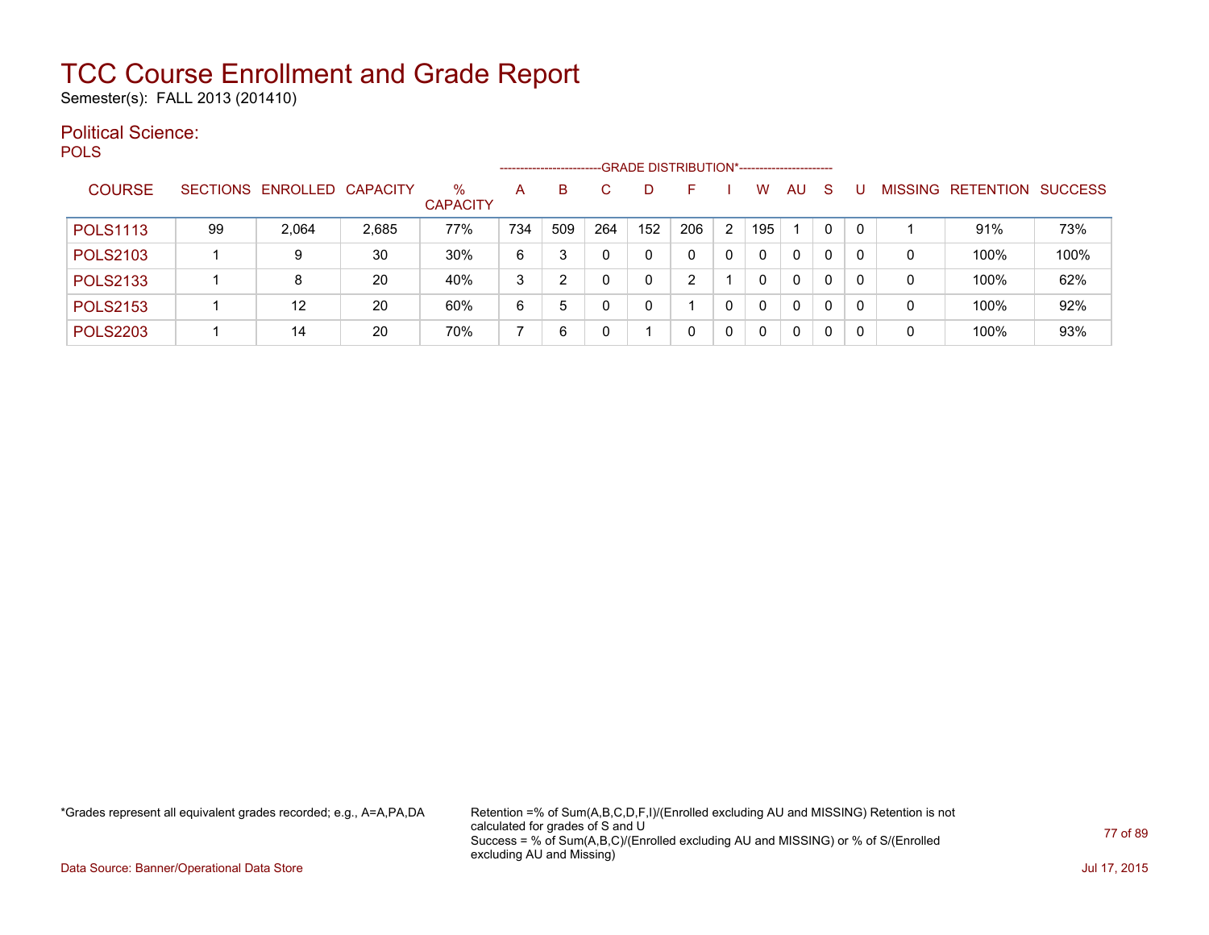Semester(s): FALL 2013 (201410)

#### Political Science: **POLS**

|                 |    |                            |       |                         |     | --------------------- |     | -GRADE DISTRIBUTION*----------------------- |     |   |     |    |          |          |                |                  |                |
|-----------------|----|----------------------------|-------|-------------------------|-----|-----------------------|-----|---------------------------------------------|-----|---|-----|----|----------|----------|----------------|------------------|----------------|
| <b>COURSE</b>   |    | SECTIONS ENROLLED CAPACITY |       | $\%$<br><b>CAPACITY</b> | Α   | B                     |     |                                             | н.  |   | w   | AU | -S       |          | <b>MISSING</b> | <b>RETENTION</b> | <b>SUCCESS</b> |
| <b>POLS1113</b> | 99 | 2,064                      | 2,685 | 77%                     | 734 | 509                   | 264 | 152                                         | 206 | 2 | 195 |    | $\Omega$ | $\Omega$ |                | 91%              | 73%            |
| <b>POLS2103</b> |    | 9                          | 30    | 30%                     | 6   | 3                     | 0   | 0                                           |     | 0 | 0   | 0  | $\Omega$ | $\Omega$ | 0              | 100%             | 100%           |
| <b>POLS2133</b> |    | 8                          | 20    | 40%                     | 3   | ົ                     | 0   | 0                                           |     |   |     | 0  | $\Omega$ | 0        | 0              | 100%             | 62%            |
| <b>POLS2153</b> |    | 12                         | 20    | 60%                     | 6   | 5                     |     | 0                                           |     | 0 | 0   | 0  | $\Omega$ | $\Omega$ | 0              | 100%             | 92%            |
| <b>POLS2203</b> |    | 14                         | 20    | 70%                     |     | 6                     |     |                                             |     | 0 |     | 0  | $\Omega$ | $\Omega$ | 0              | 100%             | 93%            |

\*Grades represent all equivalent grades recorded; e.g., A=A,PA,DA Retention =% of Sum(A,B,C,D,F,I)/(Enrolled excluding AU and MISSING) Retention is not calculated for grades of S and U Success = % of Sum(A,B,C)/(Enrolled excluding AU and MISSING) or % of S/(Enrolled excluding AU and Missing)

Data Source: Banner/Operational Data Store **July 17, 2015**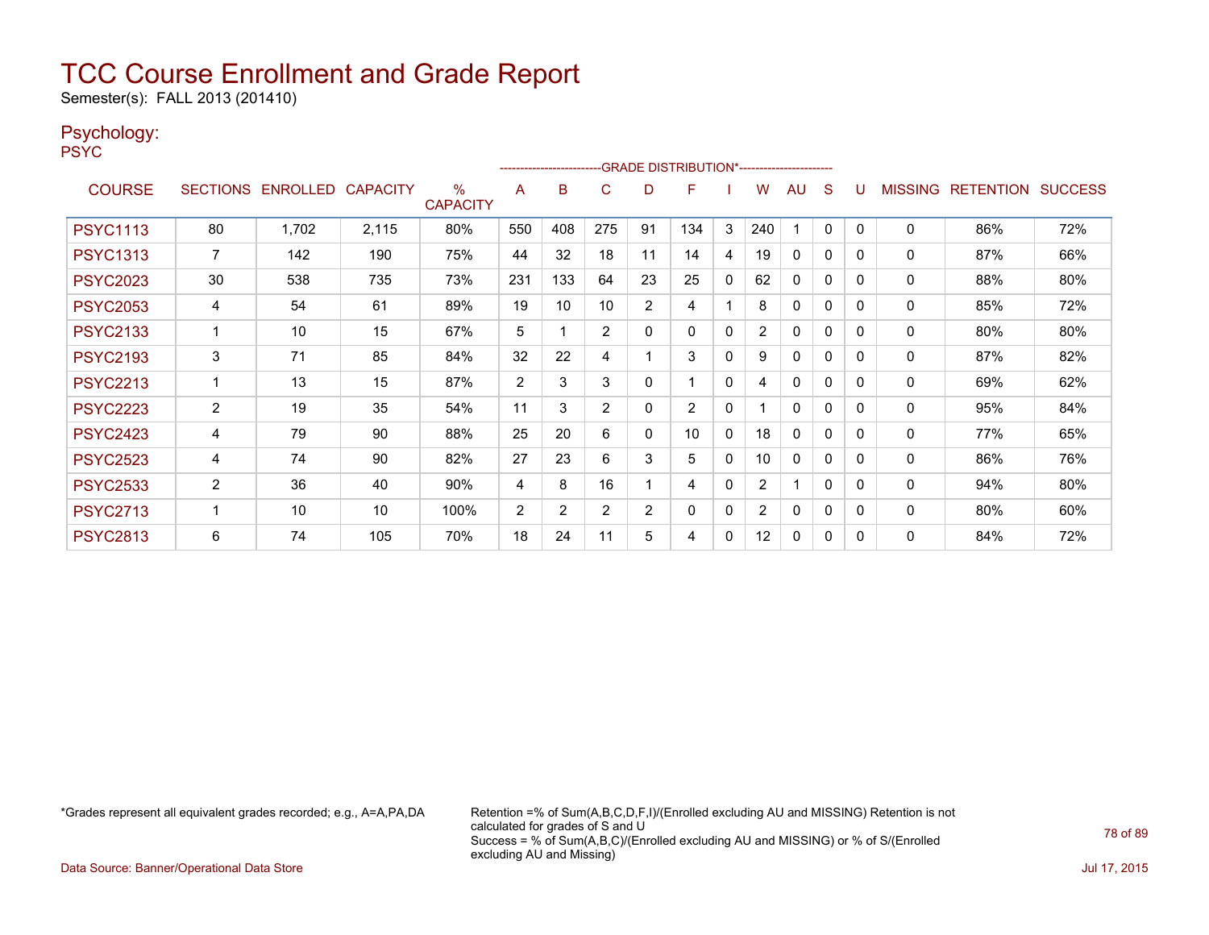Semester(s): FALL 2013 (201410)

#### Psychology:

PSYC

|                 |                 |                   |       |                      |                | ------------------------- |                |    | -- GRADE DISTRIBUTION*------------------------ |              |                |              |              |          |                |                          |     |
|-----------------|-----------------|-------------------|-------|----------------------|----------------|---------------------------|----------------|----|------------------------------------------------|--------------|----------------|--------------|--------------|----------|----------------|--------------------------|-----|
| <b>COURSE</b>   | <b>SECTIONS</b> | ENROLLED CAPACITY |       | %<br><b>CAPACITY</b> | Α              | B                         | C              | D  | F                                              |              | W              | AU           | S            |          | <b>MISSING</b> | <b>RETENTION SUCCESS</b> |     |
| <b>PSYC1113</b> | 80              | 1,702             | 2,115 | 80%                  | 550            | 408                       | 275            | 91 | 134                                            | 3            | 240            |              | $\mathbf{0}$ | $\Omega$ | 0              | 86%                      | 72% |
| <b>PSYC1313</b> | $\overline{7}$  | 142               | 190   | 75%                  | 44             | 32                        | 18             | 11 | 14                                             | 4            | 19             | $\mathbf{0}$ | 0            | $\Omega$ | $\mathbf 0$    | 87%                      | 66% |
| <b>PSYC2023</b> | 30              | 538               | 735   | 73%                  | 231            | 133                       | 64             | 23 | 25                                             | $\mathbf{0}$ | 62             | $\mathbf{0}$ | 0            | $\Omega$ | 0              | 88%                      | 80% |
| <b>PSYC2053</b> | 4               | 54                | 61    | 89%                  | 19             | 10                        | 10             | 2  | 4                                              |              | 8              | $\mathbf{0}$ | 0            | $\Omega$ | 0              | 85%                      | 72% |
| <b>PSYC2133</b> |                 | 10                | 15    | 67%                  | 5              |                           | $\overline{2}$ | 0  | 0                                              | 0            | $\overline{2}$ | $\mathbf{0}$ | 0            | $\Omega$ | $\mathbf 0$    | 80%                      | 80% |
| <b>PSYC2193</b> | 3               | 71                | 85    | 84%                  | 32             | 22                        | 4              |    | 3                                              | $\mathbf{0}$ | 9              | $\mathbf{0}$ | $\Omega$     | $\Omega$ | 0              | 87%                      | 82% |
| <b>PSYC2213</b> |                 | 13                | 15    | 87%                  | $\overline{2}$ | 3                         | 3              | 0  |                                                | $\mathbf{0}$ | 4              | $\mathbf{0}$ | 0            | $\Omega$ | 0              | 69%                      | 62% |
| <b>PSYC2223</b> | $\overline{2}$  | 19                | 35    | 54%                  | 11             | 3                         | 2              | 0  | $\overline{2}$                                 | $\mathbf{0}$ |                | $\mathbf{0}$ | $\Omega$     | $\Omega$ | $\mathbf{0}$   | 95%                      | 84% |
| <b>PSYC2423</b> | 4               | 79                | 90    | 88%                  | 25             | 20                        | 6              | 0  | 10                                             | $\mathbf{0}$ | 18             | $\mathbf{0}$ | 0            | $\Omega$ | 0              | 77%                      | 65% |
| <b>PSYC2523</b> | 4               | 74                | 90    | 82%                  | 27             | 23                        | 6              | 3  | 5                                              | 0            | 10             | $\mathbf{0}$ | 0            | $\Omega$ | 0              | 86%                      | 76% |
| <b>PSYC2533</b> | $\overline{2}$  | 36                | 40    | 90%                  | 4              | 8                         | 16             |    | 4                                              | $\mathbf{0}$ | $\overline{2}$ | 1            | 0            | 0        | $\mathbf{0}$   | 94%                      | 80% |
| <b>PSYC2713</b> |                 | 10                | 10    | 100%                 | 2              | 2                         | 2              | 2  | 0                                              | 0            | 2              | 0            | $\Omega$     | $\Omega$ | 0              | 80%                      | 60% |
| <b>PSYC2813</b> | 6               | 74                | 105   | 70%                  | 18             | 24                        | 11             | 5  | 4                                              | 0            | 12             | 0            | 0            | 0        | 0              | 84%                      | 72% |

\*Grades represent all equivalent grades recorded; e.g., A=A,PA,DA Retention =% of Sum(A,B,C,D,F,I)/(Enrolled excluding AU and MISSING) Retention is not calculated for grades of S and U Success = % of Sum(A,B,C)/(Enrolled excluding AU and MISSING) or % of S/(Enrolled excluding AU and Missing)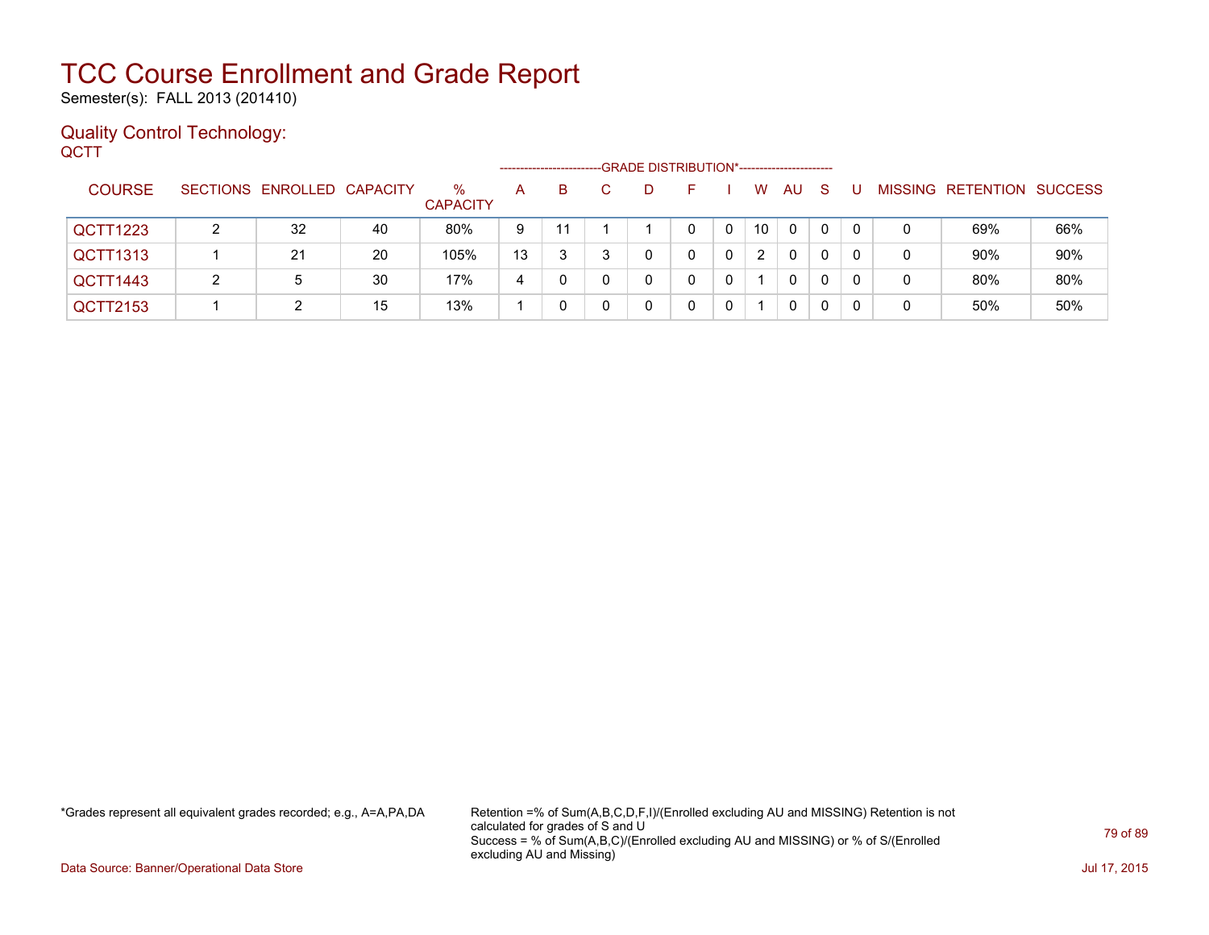Semester(s): FALL 2013 (201410)

#### Quality Control Technology: **QCTT**

|               |   |                            |    |                         | --------------------- |    | -GRADE DISTRIBUTION*----------------------- |    |   |    |     |    |          |   |                           |     |
|---------------|---|----------------------------|----|-------------------------|-----------------------|----|---------------------------------------------|----|---|----|-----|----|----------|---|---------------------------|-----|
| <b>COURSE</b> |   | SECTIONS ENROLLED CAPACITY |    | $\%$<br><b>CAPACITY</b> | A                     | B. | D                                           | ⊢. |   | W  | AU. | -S |          |   | MISSING RETENTION SUCCESS |     |
| QCTT1223      | ົ | 32                         | 40 | 80%                     | 9                     | 11 |                                             | 0  | 0 | 10 | 0   | 0  | $\Omega$ | 0 | 69%                       | 66% |
| QCTT1313      |   | 21                         | 20 | 105%                    | 13                    | 3  |                                             |    | 0 | 2  | 0   | 0  | 0        | 0 | 90%                       | 90% |
| QCTT1443      | 2 | 5                          | 30 | 17%                     | 4                     | 0  |                                             |    |   |    | 0   | 0  | 0        | 0 | 80%                       | 80% |
| QCTT2153      |   |                            | 15 | 13%                     |                       | 0  |                                             |    |   |    | 0   | 0  |          |   | 50%                       | 50% |

\*Grades represent all equivalent grades recorded; e.g., A=A,PA,DA Retention =% of Sum(A,B,C,D,F,I)/(Enrolled excluding AU and MISSING) Retention is not calculated for grades of S and U Success = % of Sum(A,B,C)/(Enrolled excluding AU and MISSING) or % of S/(Enrolled excluding AU and Missing)

Data Source: Banner/Operational Data Store Jul 17, 2015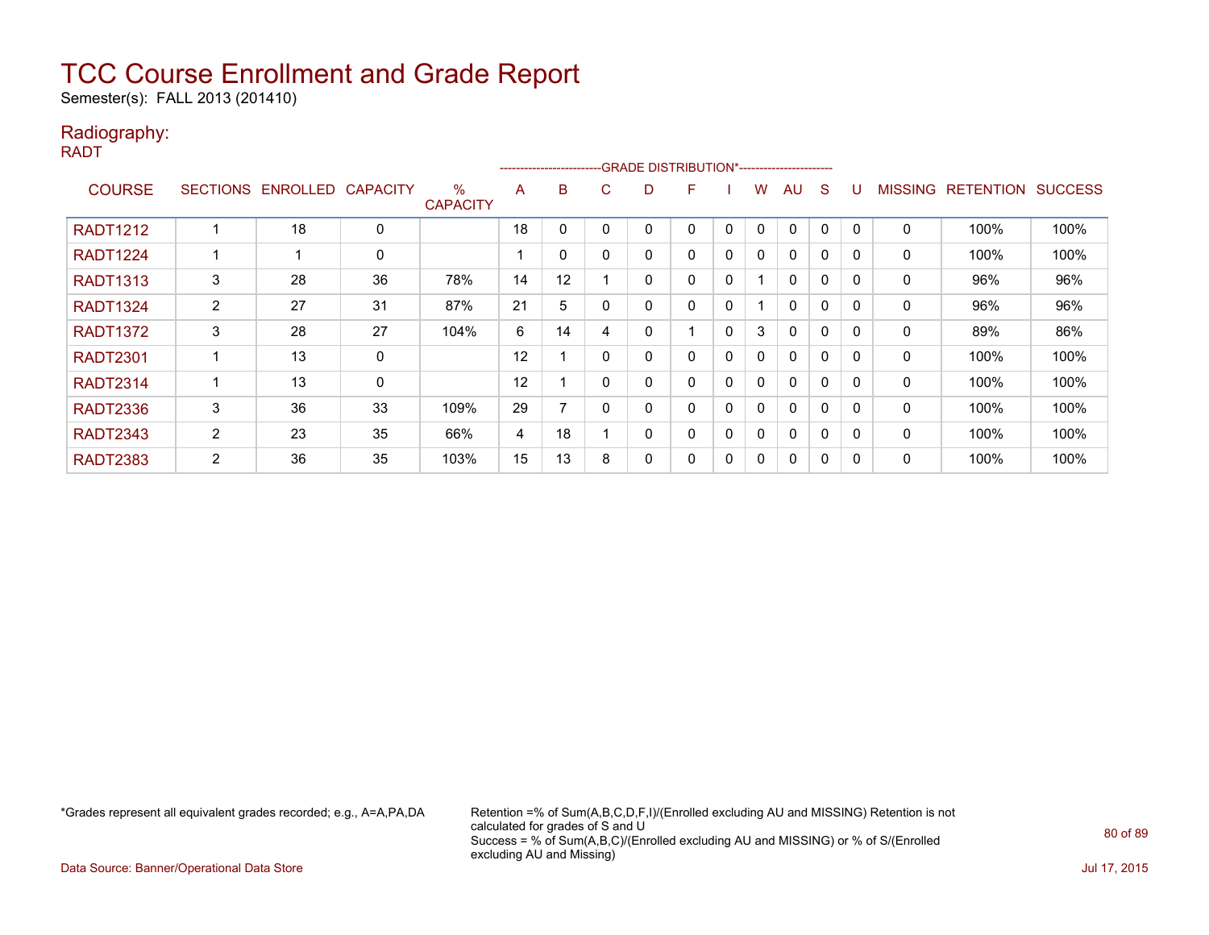Semester(s): FALL 2013 (201410)

#### Radiography:

RADT

|                 |                 |          |                 |                         |    | ------------------------ |    | -GRADE DISTRIBUTION*----------------------- |   |              |              |              |              |              |                |                  |                |
|-----------------|-----------------|----------|-----------------|-------------------------|----|--------------------------|----|---------------------------------------------|---|--------------|--------------|--------------|--------------|--------------|----------------|------------------|----------------|
| <b>COURSE</b>   | <b>SECTIONS</b> | ENROLLED | <b>CAPACITY</b> | $\%$<br><b>CAPACITY</b> | A  | B                        | C. | D                                           | F |              | w            | AU           | S            | υ            | <b>MISSING</b> | <b>RETENTION</b> | <b>SUCCESS</b> |
| <b>RADT1212</b> |                 | 18       | 0               |                         | 18 | 0                        |    |                                             | 0 | $\mathbf{0}$ | $\mathbf{0}$ | $\mathbf{0}$ | 0            | <sup>0</sup> | 0              | 100%             | 100%           |
| <b>RADT1224</b> |                 |          | 0               |                         |    | 0                        |    | 0                                           | 0 | $\mathbf{0}$ | $\Omega$     | $\mathbf{0}$ | 0            | $\Omega$     | 0              | 100%             | 100%           |
| <b>RADT1313</b> | 3               | 28       | 36              | 78%                     | 14 | 12                       |    | 0                                           | 0 | 0            |              | $\mathbf{0}$ | $\mathbf 0$  | <sup>0</sup> | 0              | 96%              | 96%            |
| <b>RADT1324</b> | $\overline{2}$  | 27       | 31              | 87%                     | 21 | 5                        |    | 0                                           | 0 | $\mathbf{0}$ |              | $\mathbf{0}$ | $\Omega$     | <sup>0</sup> | 0              | 96%              | 96%            |
| <b>RADT1372</b> | 3               | 28       | 27              | 104%                    | 6  | 14                       | 4  | 0                                           |   | $\mathbf{0}$ | 3            | $\mathbf{0}$ | $\Omega$     | $\Omega$     | 0              | 89%              | 86%            |
| <b>RADT2301</b> |                 | 13       | 0               |                         | 12 |                          |    | 0                                           | 0 | $\mathbf{0}$ | $\mathbf{0}$ | $\mathbf{0}$ | $\mathbf{0}$ | ∩            | 0              | 100%             | 100%           |
| <b>RADT2314</b> |                 | 13       | 0               |                         | 12 |                          | 0  | 0                                           | 0 | $\mathbf{0}$ | $\Omega$     | $\mathbf{0}$ | 0            | <sup>n</sup> | 0              | 100%             | 100%           |
| <b>RADT2336</b> | 3               | 36       | 33              | 109%                    | 29 |                          |    | 0                                           | 0 | 0            | 0            | $\mathbf{0}$ | 0            | <sup>0</sup> | 0              | 100%             | 100%           |
| <b>RADT2343</b> | $\overline{2}$  | 23       | 35              | 66%                     | 4  | 18                       |    | 0                                           | 0 | 0            | 0            | $\mathbf{0}$ | 0            | O            | 0              | 100%             | 100%           |
| <b>RADT2383</b> | 2               | 36       | 35              | 103%                    | 15 | 13                       | 8  | 0                                           | 0 | 0            | 0            | 0            | 0            |              | 0              | 100%             | 100%           |

\*Grades represent all equivalent grades recorded; e.g., A=A,PA,DA Retention =% of Sum(A,B,C,D,F,I)/(Enrolled excluding AU and MISSING) Retention is not calculated for grades of S and U Success = % of Sum(A,B,C)/(Enrolled excluding AU and MISSING) or % of S/(Enrolled excluding AU and Missing)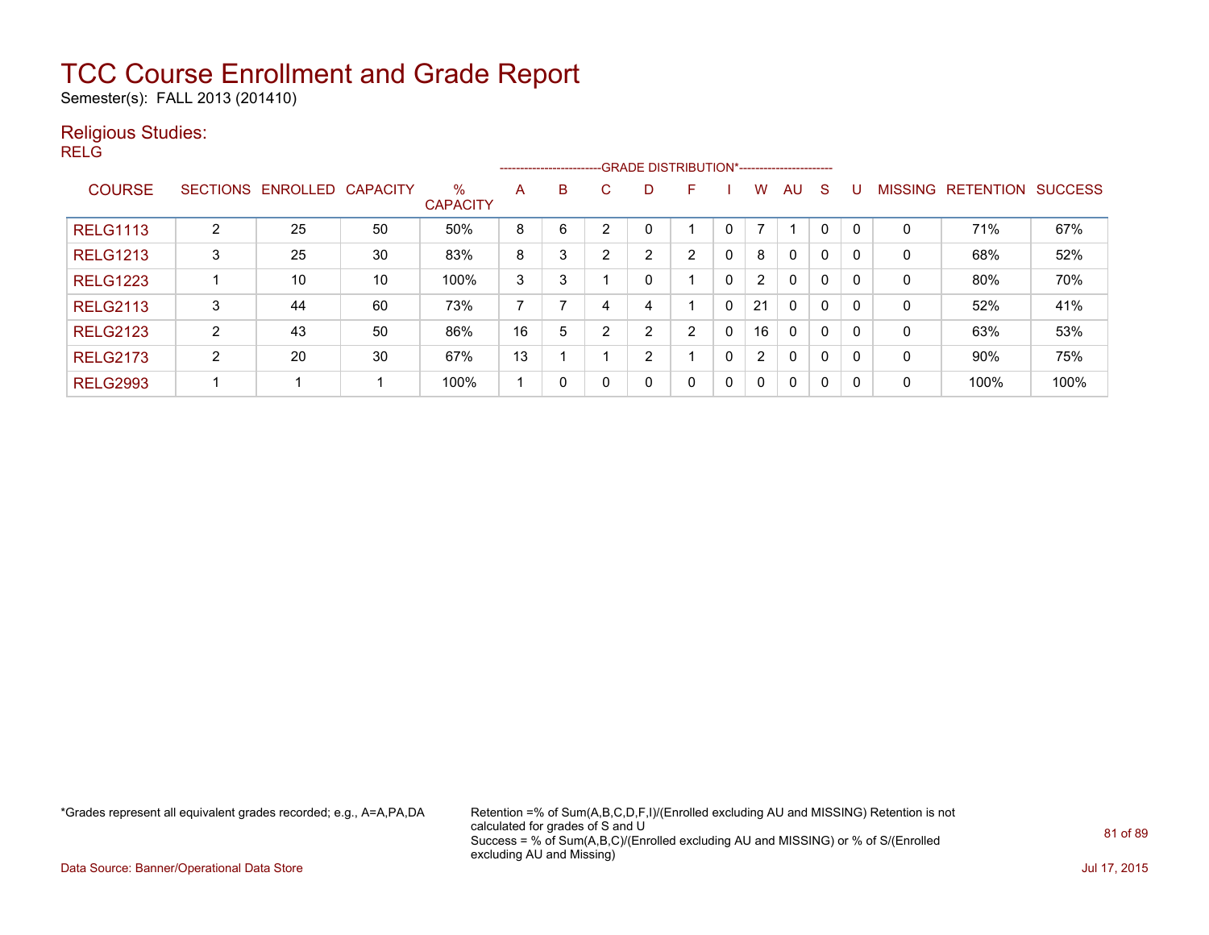Semester(s): FALL 2013 (201410)

#### Religious Studies:

RELG

|                 |                |                   |                 |                         |    |          |   |                | --------------------------GRADE DISTRIBUTION*----------------------- |          |                |              |          |              |                |                  |                |
|-----------------|----------------|-------------------|-----------------|-------------------------|----|----------|---|----------------|----------------------------------------------------------------------|----------|----------------|--------------|----------|--------------|----------------|------------------|----------------|
| <b>COURSE</b>   |                | SECTIONS ENROLLED | <b>CAPACITY</b> | $\%$<br><b>CAPACITY</b> | A  | B        | С | D              | E                                                                    |          | W              | AU           | S        | U            | <b>MISSING</b> | <b>RETENTION</b> | <b>SUCCESS</b> |
| <b>RELG1113</b> | 2              | 25                | 50              | 50%                     | 8  | 6        | ົ | 0              |                                                                      |          | 7              |              |          | $\mathbf{0}$ | 0              | 71%              | 67%            |
| <b>RELG1213</b> | 3              | 25                | 30              | 83%                     | 8  | 3        | ົ | $\overline{2}$ | $\overline{2}$                                                       | 0        | 8              | $\mathbf{0}$ | $\Omega$ |              | 0              | 68%              | 52%            |
| <b>RELG1223</b> |                | 10                | 10              | 100%                    | 3  | 3        |   | 0              |                                                                      | 0        | $\overline{2}$ | $\mathbf{0}$ | $\Omega$ |              | 0              | 80%              | 70%            |
| <b>RELG2113</b> | 3              | 44                | 60              | 73%                     |    |          |   | 4              |                                                                      | $\Omega$ | 21             | $\Omega$     | $\Omega$ | 0            | 0              | 52%              | 41%            |
| <b>RELG2123</b> | 2              | 43                | 50              | 86%                     | 16 | 5        | ົ | 2              | 2                                                                    | 0        | 16             | $\Omega$     | $\Omega$ | 0            | 0              | 63%              | 53%            |
| <b>RELG2173</b> | $\overline{2}$ | 20                | 30              | 67%                     | 13 |          |   | າ<br>∠         |                                                                      | 0        | $\overline{2}$ | $\Omega$     | $\Omega$ | 0            | 0              | 90%              | 75%            |
| <b>RELG2993</b> |                |                   |                 | 100%                    |    | $\Omega$ |   | 0              | $\mathbf{0}$                                                         | 0        | 0              | $\Omega$     | 0        | 0            | 0              | 100%             | 100%           |

\*Grades represent all equivalent grades recorded; e.g., A=A,PA,DA Retention =% of Sum(A,B,C,D,F,I)/(Enrolled excluding AU and MISSING) Retention is not calculated for grades of S and U Success = % of Sum(A,B,C)/(Enrolled excluding AU and MISSING) or % of S/(Enrolled excluding AU and Missing)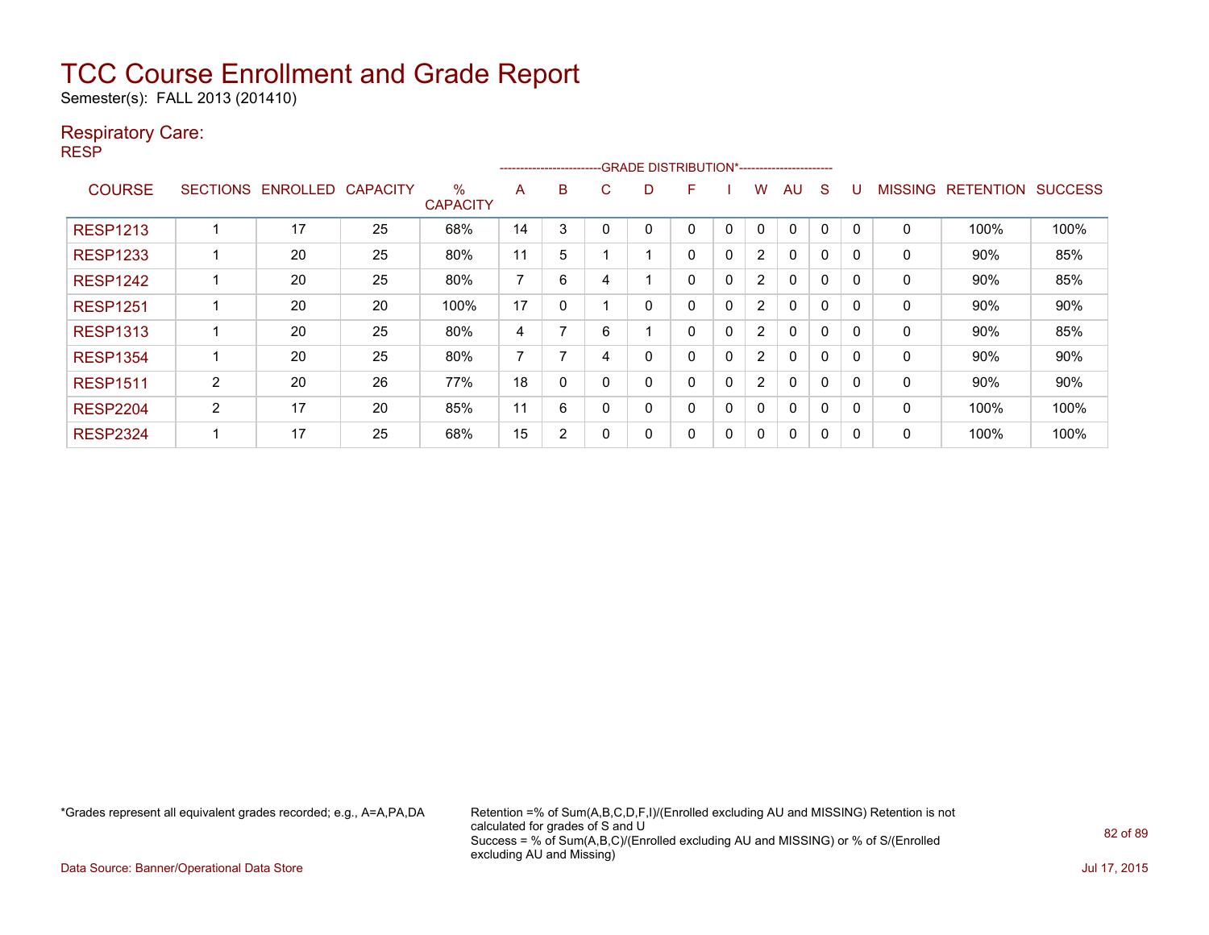Semester(s): FALL 2013 (201410)

#### Respiratory Care:

RESP

|                 |                 |          |                 |                         |                          |    |   | -------------------------GRADE                DISTRIBUTION*---------------------- |   |              |                       |             |          |          |                |                  |                |
|-----------------|-----------------|----------|-----------------|-------------------------|--------------------------|----|---|-----------------------------------------------------------------------------------|---|--------------|-----------------------|-------------|----------|----------|----------------|------------------|----------------|
| <b>COURSE</b>   | <b>SECTIONS</b> | ENROLLED | <b>CAPACITY</b> | $\%$<br><b>CAPACITY</b> | A                        | B. | C | D                                                                                 | F |              | w                     | AU          | S        |          | <b>MISSING</b> | <b>RETENTION</b> | <b>SUCCESS</b> |
| <b>RESP1213</b> |                 | 17       | 25              | 68%                     | 14                       | 3  | 0 | 0                                                                                 | 0 | $\Omega$     | 0                     | $\mathbf 0$ | $\Omega$ | $\Omega$ | 0              | 100%             | 100%           |
| <b>RESP1233</b> |                 | 20       | 25              | 80%                     | 11                       | 5  |   |                                                                                   | 0 | 0            | $\overline{2}$        | 0           | $\Omega$ | O        | 0              | 90%              | 85%            |
| <b>RESP1242</b> |                 | 20       | 25              | 80%                     | $\overline{\phantom{a}}$ | 6  |   |                                                                                   | 0 | $\mathbf{0}$ | $\overline{2}$        | 0           | 0        |          | 0              | 90%              | 85%            |
| <b>RESP1251</b> |                 | 20       | 20              | 100%                    | 17                       | 0  |   | 0                                                                                 | 0 | 0            | $\overline{2}$        | 0           | 0        |          | 0              | 90%              | 90%            |
| <b>RESP1313</b> |                 | 20       | 25              | 80%                     | 4                        | 7  | 6 |                                                                                   | 0 | 0            | $\mathbf{2}^{\prime}$ | 0           | $\Omega$ | $\Omega$ | 0              | 90%              | 85%            |
| <b>RESP1354</b> |                 | 20       | 25              | 80%                     | 7                        | ⇁  |   | 0                                                                                 | 0 | 0            | $\overline{2}$        | 0           | $\Omega$ | O        | 0              | $90\%$           | 90%            |
| <b>RESP1511</b> | 2               | 20       | 26              | 77%                     | 18                       | 0  |   | 0                                                                                 | 0 | 0            | $\overline{2}$        | 0           | $\Omega$ |          | 0              | 90%              | 90%            |
| <b>RESP2204</b> | 2               | 17       | 20              | 85%                     | 11                       | 6  | 0 | 0                                                                                 | 0 | 0            | 0                     | 0           | 0        | $\Omega$ | 0              | 100%             | 100%           |
| <b>RESP2324</b> |                 | 17       | 25              | 68%                     | 15                       | 2  |   | 0                                                                                 | 0 | 0            | 0                     | 0           | 0        |          | 0              | 100%             | 100%           |

\*Grades represent all equivalent grades recorded; e.g., A=A,PA,DA Retention =% of Sum(A,B,C,D,F,I)/(Enrolled excluding AU and MISSING) Retention is not calculated for grades of S and U Success = % of Sum(A,B,C)/(Enrolled excluding AU and MISSING) or % of S/(Enrolled excluding AU and Missing)

Data Source: Banner/Operational Data Store Jul 17, 2015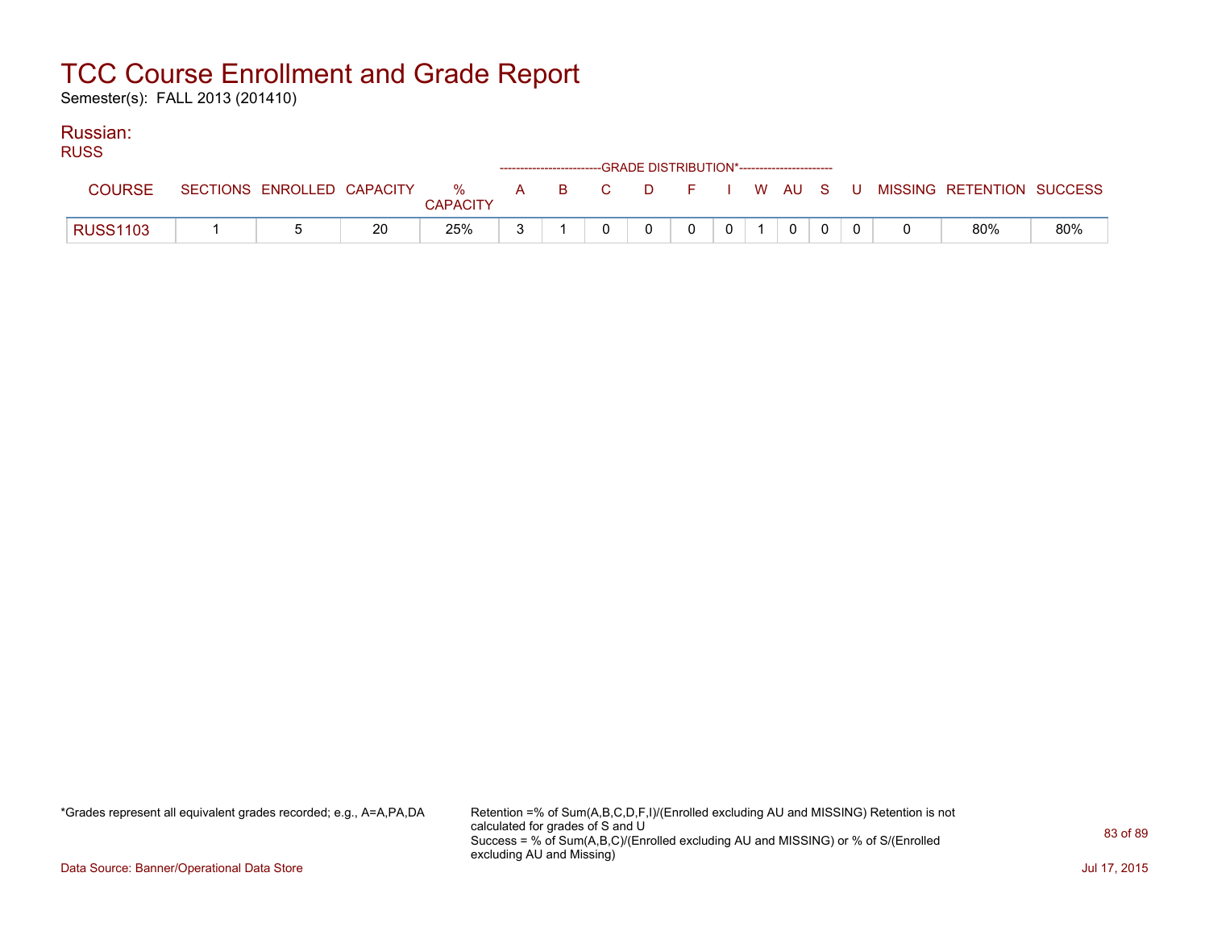Semester(s): FALL 2013 (201410)

#### Russian:

| <b>RUSS</b>     |                            |    |                         |  | ------------------------GRADE DISTRIBUTION*----------------------- |  |          |  |                                                |     |
|-----------------|----------------------------|----|-------------------------|--|--------------------------------------------------------------------|--|----------|--|------------------------------------------------|-----|
| <b>COURSE</b>   | SECTIONS ENROLLED CAPACITY |    | $\%$<br><b>CAPACITY</b> |  |                                                                    |  |          |  | A B C D F I W AU S U MISSING—RETENTION SUCCESS |     |
| <b>RUSS1103</b> |                            | 20 | 25%                     |  |                                                                    |  | $\Omega$ |  | 80%                                            | 80% |

\*Grades represent all equivalent grades recorded; e.g., A=A,PA,DA Retention =% of Sum(A,B,C,D,F,I)/(Enrolled excluding AU and MISSING) Retention is not calculated for grades of S and U Success = % of Sum(A,B,C)/(Enrolled excluding AU and MISSING) or % of S/(Enrolled excluding AU and Missing)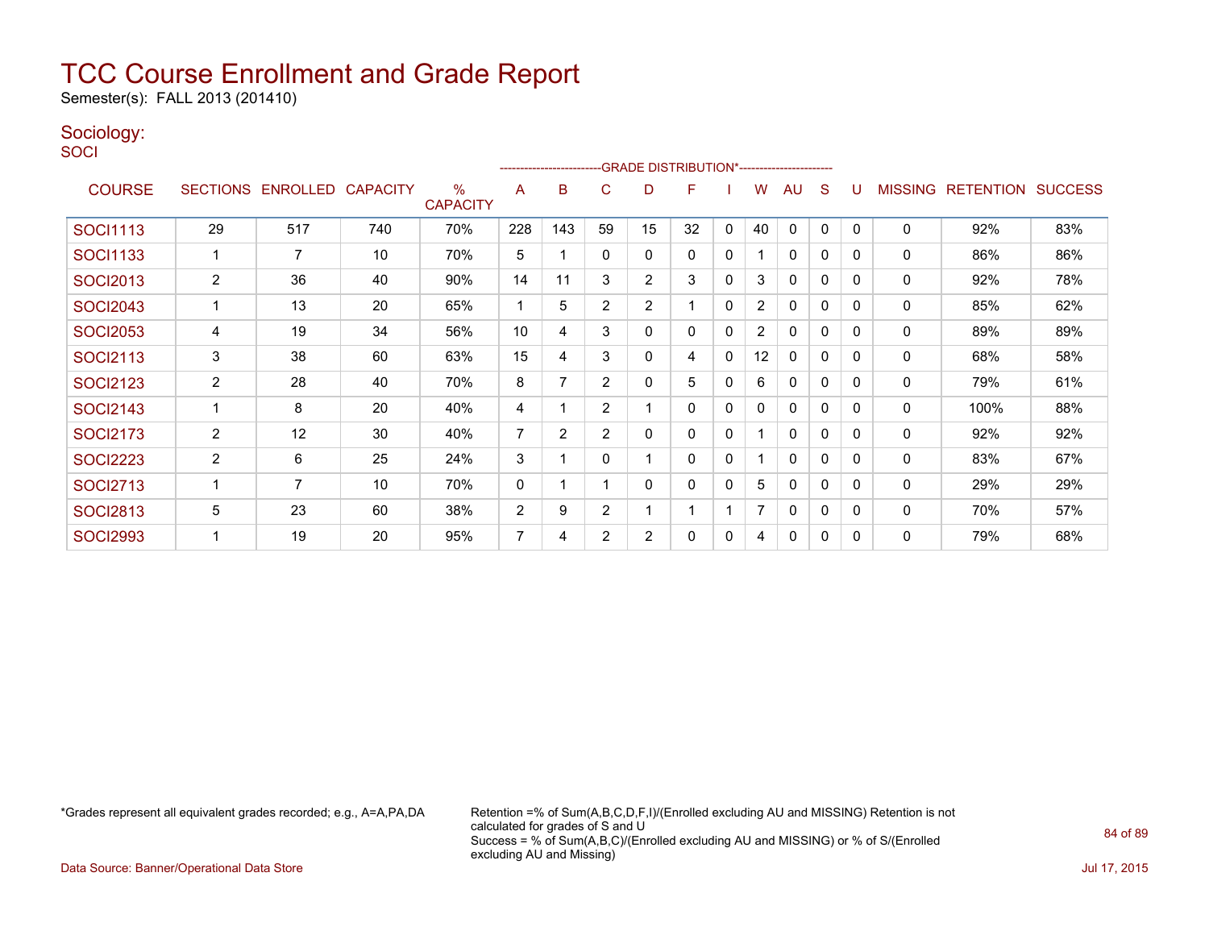Semester(s): FALL 2013 (201410)

#### Sociology:

**SOCI** 

|                 |                |                   |                 |                                  |                | -------------------------GRADE                DISTRIBUTION*--------------------- |                |    |    |              |                |              |              |          |                |                  |                |
|-----------------|----------------|-------------------|-----------------|----------------------------------|----------------|----------------------------------------------------------------------------------|----------------|----|----|--------------|----------------|--------------|--------------|----------|----------------|------------------|----------------|
| <b>COURSE</b>   |                | SECTIONS ENROLLED | <b>CAPACITY</b> | $\frac{0}{0}$<br><b>CAPACITY</b> | A              | B                                                                                | C              | D  | F  |              | w              | AU           | S            |          | <b>MISSING</b> | <b>RETENTION</b> | <b>SUCCESS</b> |
| <b>SOCI1113</b> | 29             | 517               | 740             | 70%                              | 228            | 143                                                                              | 59             | 15 | 32 | 0            | 40             | $\mathbf{0}$ | $\mathbf{0}$ | $\Omega$ | $\mathbf 0$    | 92%              | 83%            |
| SOCI1133        |                | 7                 | 10              | 70%                              | 5              |                                                                                  | 0              | 0  | 0  | $\mathbf 0$  |                | 0            | 0            | 0        | 0              | 86%              | 86%            |
| <b>SOCI2013</b> | 2              | 36                | 40              | 90%                              | 14             | 11                                                                               | 3              | 2  | 3  | $\mathbf 0$  | 3              | 0            | 0            | $\Omega$ | 0              | 92%              | 78%            |
| <b>SOCI2043</b> |                | 13                | 20              | 65%                              | -1             | 5                                                                                | $\overline{2}$ | 2  |    | 0            | 2              | 0            | 0            | $\Omega$ | 0              | 85%              | 62%            |
| <b>SOCI2053</b> | 4              | 19                | 34              | 56%                              | 10             | 4                                                                                | 3              | 0  | 0  | $\mathbf{0}$ | $\overline{2}$ | 0            | 0            | $\Omega$ | 0              | 89%              | 89%            |
| <b>SOCI2113</b> | 3              | 38                | 60              | 63%                              | 15             | 4                                                                                | 3              | 0  | 4  | 0            | 12             | 0            | $\mathbf{0}$ | $\Omega$ | 0              | 68%              | 58%            |
| <b>SOCI2123</b> | $\overline{c}$ | 28                | 40              | 70%                              | 8              |                                                                                  | $\overline{2}$ | 0  | 5  | 0            | 6              | 0            | 0            | $\Omega$ | 0              | 79%              | 61%            |
| <b>SOCI2143</b> |                | 8                 | 20              | 40%                              | 4              |                                                                                  | $\overline{2}$ |    | 0  | 0            | 0              | $\mathbf{0}$ | 0            | $\Omega$ | 0              | 100%             | 88%            |
| <b>SOCI2173</b> | $\overline{2}$ | 12                | 30              | 40%                              | $\overline{7}$ | $\overline{2}$                                                                   | $\overline{2}$ | 0  | 0  | 0            |                | 0            | 0            | $\Omega$ | 0              | 92%              | 92%            |
| <b>SOCI2223</b> | $\overline{2}$ | 6                 | 25              | 24%                              | 3              |                                                                                  | 0              |    | 0  | 0            |                | $\mathbf{0}$ | 0            | 0        | 0              | 83%              | 67%            |
| <b>SOCI2713</b> |                | 7                 | 10              | 70%                              | 0              |                                                                                  |                | 0  | 0  | 0            | 5              | 0            | 0            | $\Omega$ | 0              | 29%              | 29%            |
| <b>SOCI2813</b> | 5              | 23                | 60              | 38%                              | $\overline{c}$ | 9                                                                                | 2              |    | 1  |              | 7              | 0            | 0            | $\Omega$ | $\mathbf 0$    | 70%              | 57%            |
| <b>SOCI2993</b> |                | 19                | 20              | 95%                              | $\overline{7}$ | 4                                                                                | 2              | 2  | 0  | 0            | 4              | 0            | 0            | $\Omega$ | $\mathbf 0$    | 79%              | 68%            |

\*Grades represent all equivalent grades recorded; e.g., A=A,PA,DA Retention =% of Sum(A,B,C,D,F,I)/(Enrolled excluding AU and MISSING) Retention is not calculated for grades of S and U Success = % of Sum(A,B,C)/(Enrolled excluding AU and MISSING) or % of S/(Enrolled excluding AU and Missing)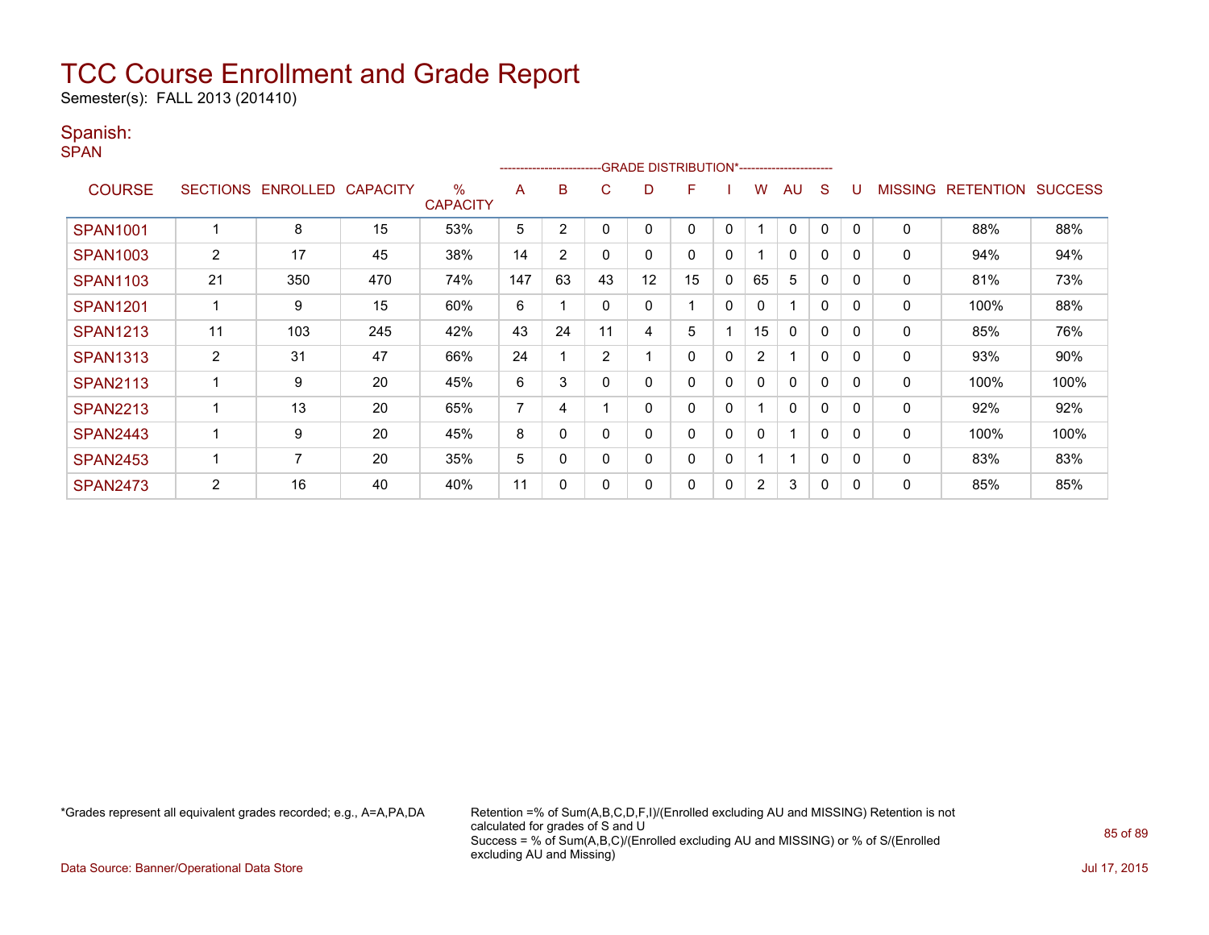Semester(s): FALL 2013 (201410)

#### Spanish:

SPAN

|                 |                       |                 |                 |                                  | --------------------- |    |                |    | -GRADE DISTRIBUTION*---------------------- |             |                |              |   |          |                |                  |                |
|-----------------|-----------------------|-----------------|-----------------|----------------------------------|-----------------------|----|----------------|----|--------------------------------------------|-------------|----------------|--------------|---|----------|----------------|------------------|----------------|
| <b>COURSE</b>   | <b>SECTIONS</b>       | <b>ENROLLED</b> | <b>CAPACITY</b> | $\frac{0}{0}$<br><b>CAPACITY</b> | A                     | B  | C.             | D  | F                                          |             | w              | AU           | S |          | <b>MISSING</b> | <b>RETENTION</b> | <b>SUCCESS</b> |
| <b>SPAN1001</b> |                       | 8               | 15              | 53%                              | 5                     | 2  | -0             |    | 0                                          | 0           |                | 0            | 0 | $\Omega$ | 0              | 88%              | 88%            |
| <b>SPAN1003</b> | $\mathbf{2}^{\prime}$ | 17              | 45              | 38%                              | 14                    | 2  | 0              | 0  | 0                                          | 0           |                | $\mathbf{0}$ | 0 | 0        | 0              | 94%              | 94%            |
| <b>SPAN1103</b> | 21                    | 350             | 470             | 74%                              | 147                   | 63 | 43             | 12 | 15                                         | 0           | 65             | 5            | 0 | 0        | 0              | 81%              | 73%            |
| <b>SPAN1201</b> |                       | 9               | 15              | 60%                              | 6                     |    | $\mathbf{0}$   | 0  |                                            | $\mathbf 0$ | 0              | 1            | 0 | $\Omega$ | 0              | 100%             | 88%            |
| <b>SPAN1213</b> | 11                    | 103             | 245             | 42%                              | 43                    | 24 | 11             | 4  | 5                                          |             | 15             | $\mathbf{0}$ | 0 | $\Omega$ | 0              | 85%              | 76%            |
| <b>SPAN1313</b> | $\overline{2}$        | 31              | 47              | 66%                              | 24                    |    | $\overline{2}$ |    | 0                                          | 0           | $\overline{2}$ |              | 0 | 0        | 0              | 93%              | 90%            |
| <b>SPAN2113</b> |                       | 9               | 20              | 45%                              | 6                     | 3  | 0              | 0  | 0                                          | 0           | 0              | 0            | 0 | 0        | 0              | 100%             | 100%           |
| <b>SPAN2213</b> |                       | 13              | 20              | 65%                              | 7                     | 4  |                | 0  | 0                                          | 0           |                | $\mathbf{0}$ | 0 | $\Omega$ | 0              | 92%              | 92%            |
| <b>SPAN2443</b> |                       | 9               | 20              | 45%                              | 8                     | 0  | 0              | ი  | 0                                          | 0           | 0              |              | 0 | 0        | 0              | 100%             | 100%           |
| <b>SPAN2453</b> |                       | 7               | 20              | 35%                              | 5                     | 0  | 0              | 0  | 0                                          | $\mathbf 0$ |                | 1            | 0 | $\Omega$ | 0              | 83%              | 83%            |
| <b>SPAN2473</b> | $\overline{2}$        | 16              | 40              | 40%                              | 11                    | 0  | $\mathbf{0}$   | 0  | 0                                          | 0           | $\overline{2}$ | 3            | 0 | 0        | 0              | 85%              | 85%            |

\*Grades represent all equivalent grades recorded; e.g., A=A,PA,DA Retention =% of Sum(A,B,C,D,F,I)/(Enrolled excluding AU and MISSING) Retention is not calculated for grades of S and U Success = % of Sum(A,B,C)/(Enrolled excluding AU and MISSING) or % of S/(Enrolled excluding AU and Missing)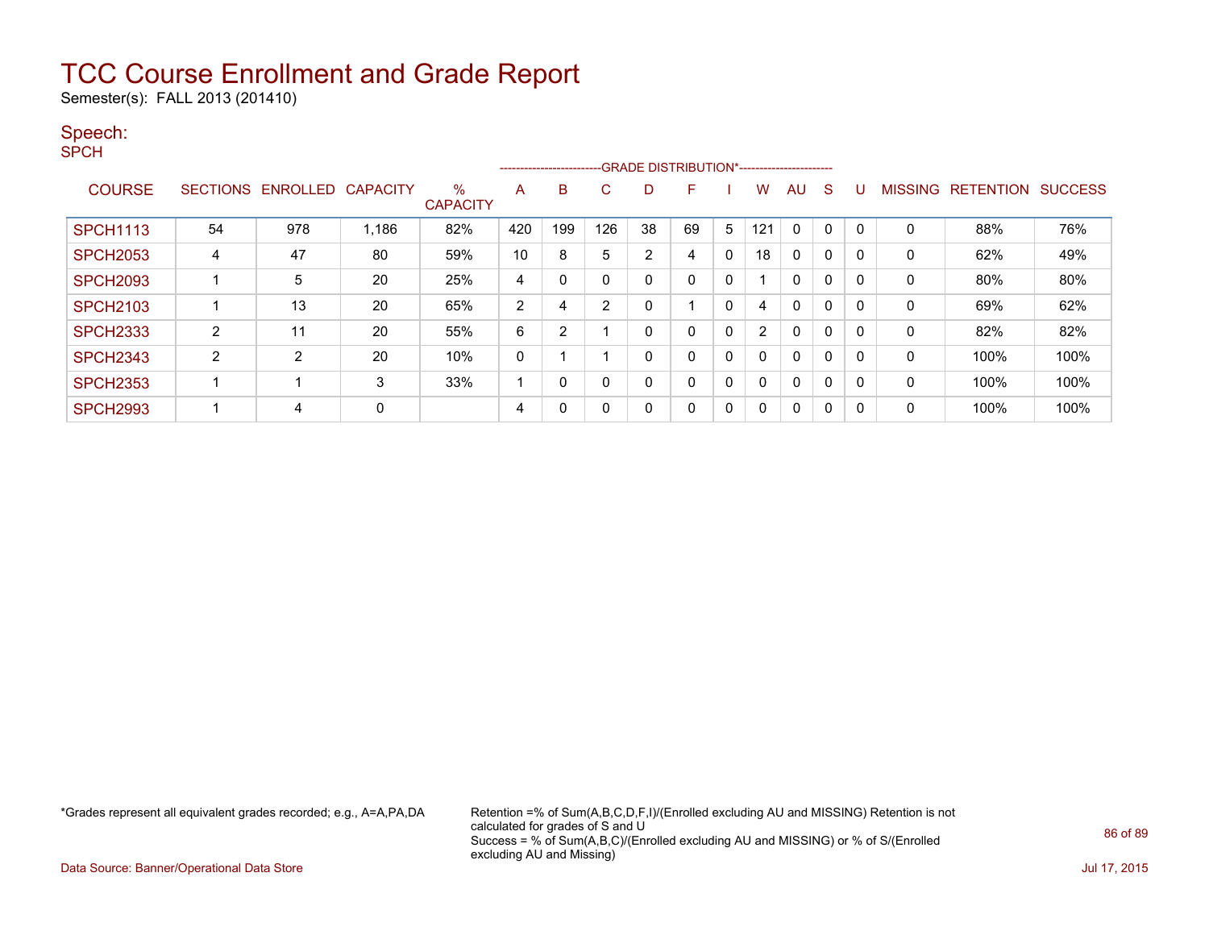Semester(s): FALL 2013 (201410)

#### Speech:

SPCH

|                 | -GRADE DISTRIBUTION*-----------------------<br>------------------------ |                            |       |                      |                |                |                |                |          |              |     |              |              |          |         |                   |      |
|-----------------|-------------------------------------------------------------------------|----------------------------|-------|----------------------|----------------|----------------|----------------|----------------|----------|--------------|-----|--------------|--------------|----------|---------|-------------------|------|
| <b>COURSE</b>   |                                                                         | SECTIONS ENROLLED CAPACITY |       | %<br><b>CAPACITY</b> | A              | в              | C              | D.             | F        |              | W   | <b>AU</b>    | S            | U        | MISSING | RETENTION SUCCESS |      |
| <b>SPCH1113</b> | 54                                                                      | 978                        | l.186 | 82%                  | 420            | 199            | 126            | 38             | 69       | 5            | 121 | $\Omega$     | 0            | 0        | 0       | 88%               | 76%  |
| <b>SPCH2053</b> | 4                                                                       | 47                         | 80    | 59%                  | 10             | 8              | 5              | $\overline{2}$ | 4        | $\mathbf{0}$ | 18  | $\mathbf{0}$ | $\Omega$     | $\Omega$ | 0       | 62%               | 49%  |
| <b>SPCH2093</b> |                                                                         | 5                          | 20    | 25%                  | 4              | 0              | 0              | 0              | 0        | 0            |     | 0            | 0            | 0        | 0       | 80%               | 80%  |
| <b>SPCH2103</b> |                                                                         | 13                         | 20    | 65%                  | $\overline{2}$ | 4              | $\overline{2}$ | 0              |          | $\mathbf{0}$ | 4   | 0            | 0            | $\Omega$ | 0       | 69%               | 62%  |
| <b>SPCH2333</b> | $\overline{2}$                                                          | 11                         | 20    | 55%                  | 6              | $\overline{2}$ |                | $\Omega$       | $\Omega$ | 0            | 2   | $\mathbf{0}$ | 0            | $\Omega$ | 0       | 82%               | 82%  |
| <b>SPCH2343</b> | $\overline{2}$                                                          | 2                          | 20    | 10%                  | 0              |                |                | 0              | 0        | $\mathbf{0}$ |     | $\mathbf{0}$ | $\mathbf{0}$ | $\Omega$ | 0       | 100%              | 100% |
| <b>SPCH2353</b> |                                                                         |                            | 3     | 33%                  | ٠              | 0              | 0              | 0              | 0        | 0            |     | 0            | 0            | 0        | 0       | 100%              | 100% |
| <b>SPCH2993</b> |                                                                         | 4                          | 0     |                      | 4              | 0              | 0              | 0              | 0        | 0            |     | 0            | 0            | 0        | 0       | 100%              | 100% |

\*Grades represent all equivalent grades recorded; e.g., A=A,PA,DA Retention =% of Sum(A,B,C,D,F,I)/(Enrolled excluding AU and MISSING) Retention is not calculated for grades of S and U Success = % of Sum(A,B,C)/(Enrolled excluding AU and MISSING) or % of S/(Enrolled excluding AU and Missing)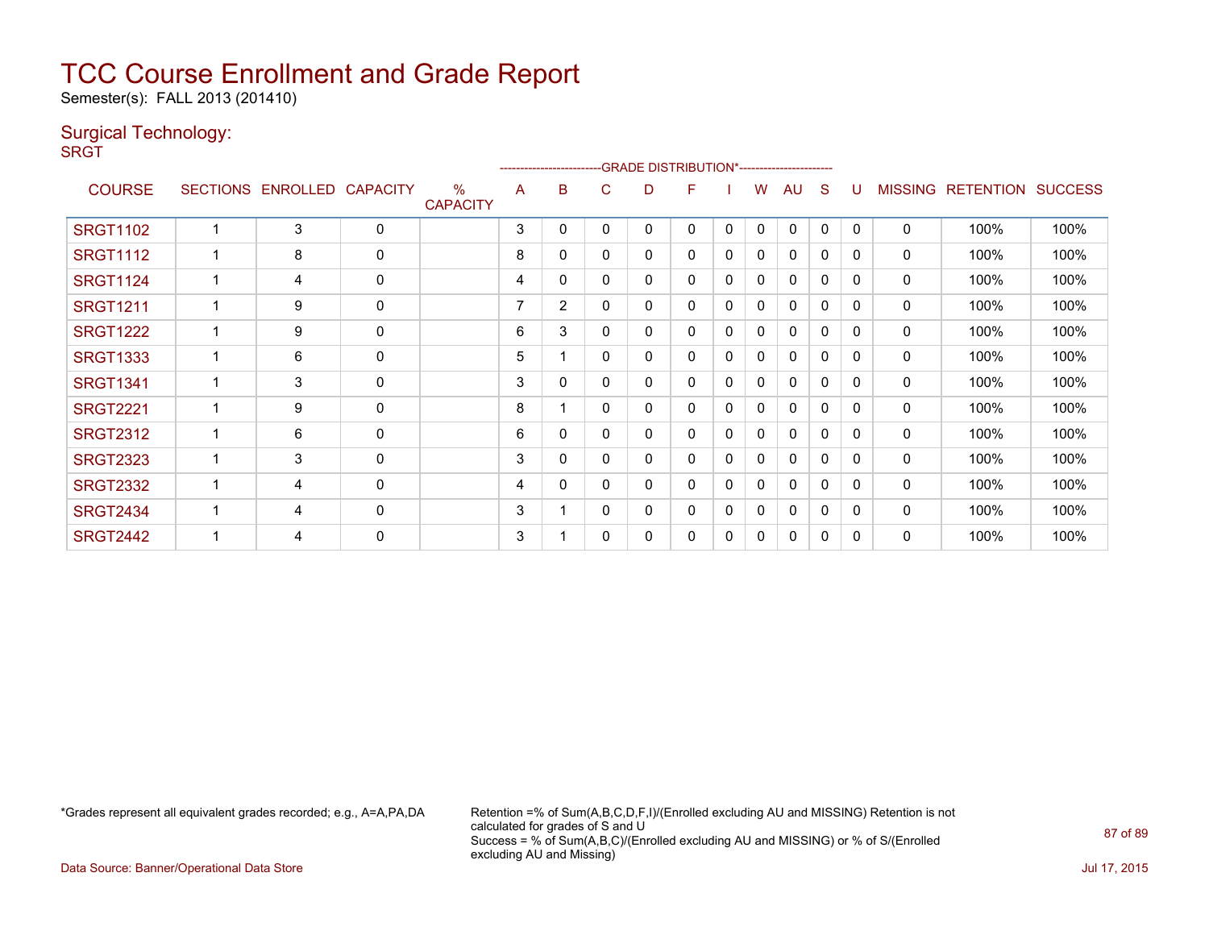Semester(s): FALL 2013 (201410)

#### Surgical Technology:

**SRGT** 

|                 |                 |                 |                 |                                  |   |                |          | ------------------------GRADE                DISTRIBUTION*---------------------- |   |              |   |              |          |              |                |                  |                |
|-----------------|-----------------|-----------------|-----------------|----------------------------------|---|----------------|----------|----------------------------------------------------------------------------------|---|--------------|---|--------------|----------|--------------|----------------|------------------|----------------|
| <b>COURSE</b>   | <b>SECTIONS</b> | <b>ENROLLED</b> | <b>CAPACITY</b> | $\frac{0}{0}$<br><b>CAPACITY</b> | A | в              | C        | D                                                                                | F |              | w | AU           | S        |              | <b>MISSING</b> | <b>RETENTION</b> | <b>SUCCESS</b> |
| <b>SRGT1102</b> |                 | 3               | $\mathbf 0$     |                                  | 3 | 0              | 0        | 0                                                                                | 0 | 0            | 0 | $\Omega$     | $\Omega$ | $\mathbf{0}$ | $\mathbf 0$    | 100%             | 100%           |
| <b>SRGT1112</b> |                 | 8               | 0               |                                  | 8 | 0              | 0        | 0                                                                                | 0 | 0            | 0 | 0            | 0        | 0            | 0              | 100%             | 100%           |
| <b>SRGT1124</b> |                 | 4               | 0               |                                  | 4 | 0              | 0        | 0                                                                                | 0 | 0            | 0 | $\Omega$     | 0        | 0            | 0              | 100%             | 100%           |
| <b>SRGT1211</b> |                 | 9               | 0               |                                  | 7 | $\overline{2}$ | 0        | 0                                                                                | 0 | 0            | 0 | 0            | 0        | 0            | 0              | 100%             | 100%           |
| <b>SRGT1222</b> |                 | 9               | $\mathbf 0$     |                                  | 6 | 3              | 0        | 0                                                                                | 0 | 0            | 0 | $\mathbf{0}$ | 0        | 0            | $\mathbf 0$    | 100%             | 100%           |
| <b>SRGT1333</b> |                 | 6               | $\mathbf 0$     |                                  | 5 |                | 0        | 0                                                                                | 0 | $\mathbf{0}$ | 0 | 0            | 0        | 0            | 0              | 100%             | 100%           |
| <b>SRGT1341</b> |                 | 3               | $\mathbf 0$     |                                  | 3 | 0              | 0        | 0                                                                                | 0 | 0            | 0 | $\mathbf{0}$ | 0        | $\Omega$     | $\mathbf 0$    | 100%             | 100%           |
| <b>SRGT2221</b> |                 | 9               | $\mathbf 0$     |                                  | 8 |                | 0        | 0                                                                                | 0 | $\mathbf{0}$ | 0 | $\mathbf{0}$ | 0        | $\Omega$     | 0              | 100%             | 100%           |
| <b>SRGT2312</b> |                 | 6               | 0               |                                  | 6 | $\Omega$       | 0        | 0                                                                                | 0 | $\mathbf{0}$ | 0 | $\mathbf{0}$ | 0        | $\Omega$     | $\mathbf{0}$   | 100%             | 100%           |
| <b>SRGT2323</b> |                 | 3               | 0               |                                  | 3 | $\mathbf{0}$   | 0        | 0                                                                                | 0 | $\mathbf{0}$ | 0 | $\mathbf{0}$ | 0        | $\Omega$     | $\mathbf{0}$   | 100%             | 100%           |
| <b>SRGT2332</b> |                 | 4               | $\mathbf{0}$    |                                  | 4 | $\Omega$       | 0        | 0                                                                                | 0 | $\mathbf{0}$ | 0 | $\mathbf{0}$ | 0        | $\Omega$     | $\mathbf{0}$   | 100%             | 100%           |
| <b>SRGT2434</b> |                 | 4               | $\mathbf 0$     |                                  | 3 |                | $\Omega$ | 0                                                                                | 0 | $\mathbf{0}$ | 0 | $\mathbf{0}$ | 0        | 0            | 0              | 100%             | 100%           |
| <b>SRGT2442</b> |                 | 4               | $\mathbf 0$     |                                  | 3 |                | 0        | 0                                                                                | 0 | 0            | 0 | $\Omega$     | 0        | 0            | $\mathbf{0}$   | 100%             | 100%           |

\*Grades represent all equivalent grades recorded; e.g., A=A,PA,DA Retention =% of Sum(A,B,C,D,F,I)/(Enrolled excluding AU and MISSING) Retention is not calculated for grades of S and U Success = % of Sum(A,B,C)/(Enrolled excluding AU and MISSING) or % of S/(Enrolled excluding AU and Missing)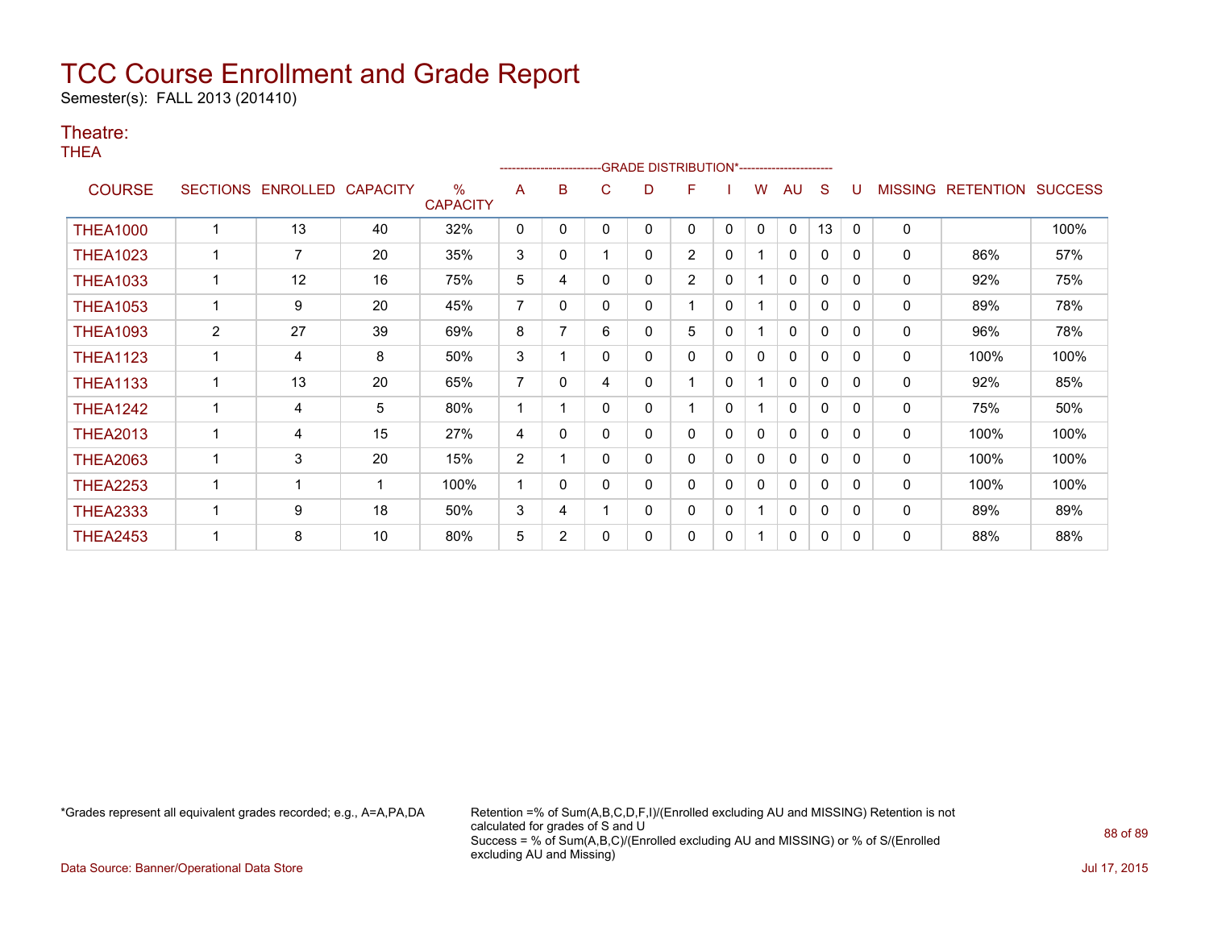Semester(s): FALL 2013 (201410)

#### Theatre:

THEA

|                 |                 | ------------------------GRADE                DISTRIBUTION*---------------------- |                 |                                  |                |          |   |   |                |              |              |              |              |              |                |                  |                |
|-----------------|-----------------|----------------------------------------------------------------------------------|-----------------|----------------------------------|----------------|----------|---|---|----------------|--------------|--------------|--------------|--------------|--------------|----------------|------------------|----------------|
| <b>COURSE</b>   | <b>SECTIONS</b> | ENROLLED                                                                         | <b>CAPACITY</b> | $\frac{0}{0}$<br><b>CAPACITY</b> | A              | B        | C | D | F              |              | w            | AU           | S            |              | <b>MISSING</b> | <b>RETENTION</b> | <b>SUCCESS</b> |
| <b>THEA1000</b> |                 | 13                                                                               | 40              | 32%                              | 0              | 0        | 0 | 0 | 0              | 0            | 0            | 0            | 13           | $\Omega$     | $\mathbf 0$    |                  | 100%           |
| <b>THEA1023</b> |                 | 7                                                                                | 20              | 35%                              | 3              | 0        |   | 0 | $\overline{2}$ | $\mathbf{0}$ |              | $\Omega$     | 0            | $\mathbf{0}$ | $\mathbf 0$    | 86%              | 57%            |
| <b>THEA1033</b> |                 | 12                                                                               | 16              | 75%                              | 5              | 4        | 0 | 0 | $\overline{2}$ | 0            |              | 0            | 0            | $\Omega$     | 0              | 92%              | 75%            |
| <b>THEA1053</b> |                 | 9                                                                                | 20              | 45%                              | $\overline{7}$ | 0        | 0 | 0 |                | $\mathbf{0}$ |              | $\Omega$     | 0            | $\mathbf{0}$ | 0              | 89%              | 78%            |
| <b>THEA1093</b> | 2               | 27                                                                               | 39              | 69%                              | 8              | 7        | 6 | 0 | 5              | 0            |              | 0            | $\mathbf{0}$ | $\Omega$     | 0              | 96%              | 78%            |
| <b>THEA1123</b> |                 | 4                                                                                | 8               | 50%                              | 3              |          | 0 | 0 | 0              | 0            | 0            | 0            | $\mathbf{0}$ | 0            | 0              | 100%             | 100%           |
| <b>THEA1133</b> |                 | 13                                                                               | 20              | 65%                              | 7              | 0        | 4 | 0 |                | 0            |              | 0            | $\mathbf{0}$ | $\Omega$     | 0              | 92%              | 85%            |
| <b>THEA1242</b> |                 | 4                                                                                | 5               | 80%                              |                |          | 0 | 0 |                | $\mathbf{0}$ |              | 0            | 0            | 0            | 0              | 75%              | 50%            |
| <b>THEA2013</b> |                 | 4                                                                                | 15              | 27%                              | 4              | 0        | 0 | 0 | 0              | 0            | 0            | $\mathbf{0}$ | $\mathbf{0}$ | $\Omega$     | 0              | 100%             | 100%           |
| <b>THEA2063</b> |                 | 3                                                                                | 20              | 15%                              | $\overline{2}$ |          | 0 | 0 | 0              | 0            | $\mathbf{0}$ | 0            | 0            | 0            | 0              | 100%             | 100%           |
| <b>THEA2253</b> | 1               |                                                                                  | -1              | 100%                             | 1              | $\Omega$ | 0 | 0 | 0              | 0            | 0            | $\mathbf{0}$ | $\mathbf{0}$ | $\Omega$     | 0              | 100%             | 100%           |
| <b>THEA2333</b> |                 | 9                                                                                | 18              | 50%                              | 3              | 4        |   | 0 | 0              | 0            |              | 0            | 0            | $\Omega$     | 0              | 89%              | 89%            |
| <b>THEA2453</b> |                 | 8                                                                                | 10              | 80%                              | 5              | 2        |   | 0 | 0              | 0            |              | 0            | 0            | $\Omega$     | 0              | 88%              | 88%            |

\*Grades represent all equivalent grades recorded; e.g., A=A,PA,DA Retention =% of Sum(A,B,C,D,F,I)/(Enrolled excluding AU and MISSING) Retention is not calculated for grades of S and U Success = % of Sum(A,B,C)/(Enrolled excluding AU and MISSING) or % of S/(Enrolled excluding AU and Missing)